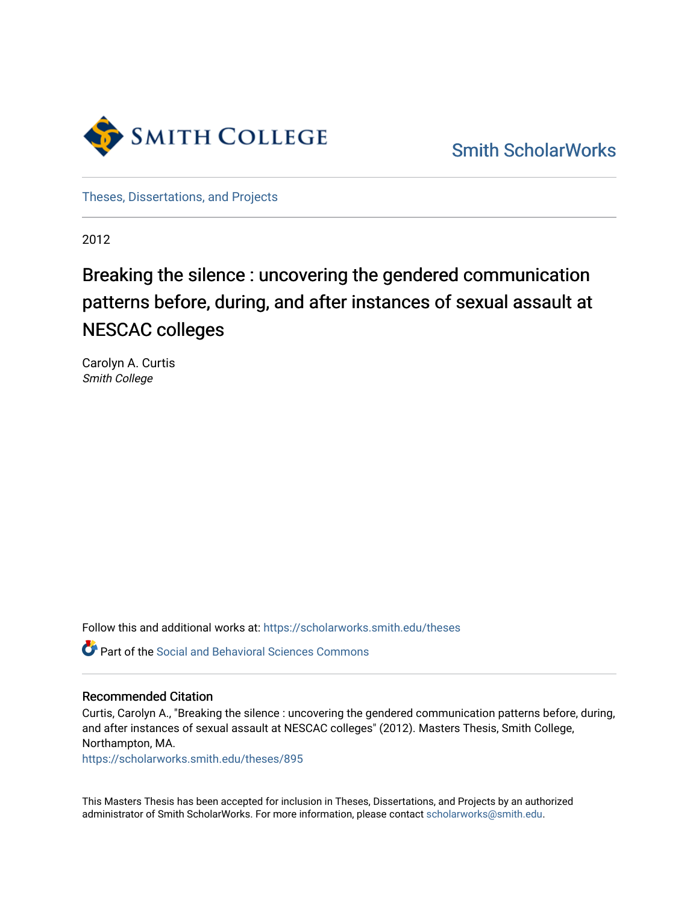

[Smith ScholarWorks](https://scholarworks.smith.edu/) 

[Theses, Dissertations, and Projects](https://scholarworks.smith.edu/theses) 

2012

## Breaking the silence : uncovering the gendered communication patterns before, during, and after instances of sexual assault at NESCAC colleges

Carolyn A. Curtis Smith College

Follow this and additional works at: [https://scholarworks.smith.edu/theses](https://scholarworks.smith.edu/theses?utm_source=scholarworks.smith.edu%2Ftheses%2F895&utm_medium=PDF&utm_campaign=PDFCoverPages) 

Part of the [Social and Behavioral Sciences Commons](http://network.bepress.com/hgg/discipline/316?utm_source=scholarworks.smith.edu%2Ftheses%2F895&utm_medium=PDF&utm_campaign=PDFCoverPages) 

#### Recommended Citation

Curtis, Carolyn A., "Breaking the silence : uncovering the gendered communication patterns before, during, and after instances of sexual assault at NESCAC colleges" (2012). Masters Thesis, Smith College, Northampton, MA.

[https://scholarworks.smith.edu/theses/895](https://scholarworks.smith.edu/theses/895?utm_source=scholarworks.smith.edu%2Ftheses%2F895&utm_medium=PDF&utm_campaign=PDFCoverPages) 

This Masters Thesis has been accepted for inclusion in Theses, Dissertations, and Projects by an authorized administrator of Smith ScholarWorks. For more information, please contact [scholarworks@smith.edu](mailto:scholarworks@smith.edu).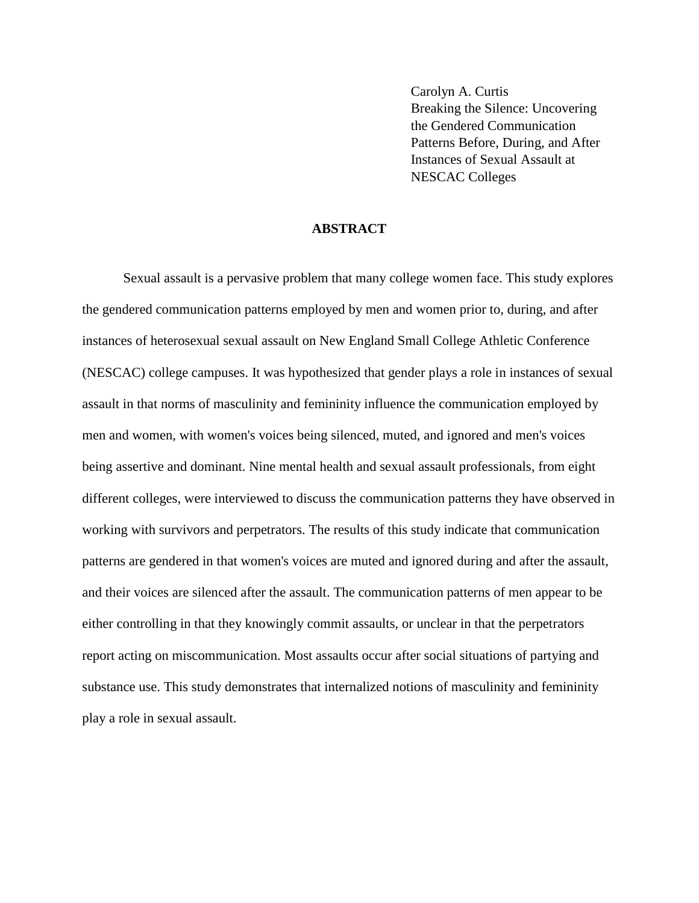Carolyn A. Curtis Breaking the Silence: Uncovering the Gendered Communication Patterns Before, During, and After Instances of Sexual Assault at NESCAC Colleges

#### **ABSTRACT**

Sexual assault is a pervasive problem that many college women face. This study explores the gendered communication patterns employed by men and women prior to, during, and after instances of heterosexual sexual assault on New England Small College Athletic Conference (NESCAC) college campuses. It was hypothesized that gender plays a role in instances of sexual assault in that norms of masculinity and femininity influence the communication employed by men and women, with women's voices being silenced, muted, and ignored and men's voices being assertive and dominant. Nine mental health and sexual assault professionals, from eight different colleges, were interviewed to discuss the communication patterns they have observed in working with survivors and perpetrators. The results of this study indicate that communication patterns are gendered in that women's voices are muted and ignored during and after the assault, and their voices are silenced after the assault. The communication patterns of men appear to be either controlling in that they knowingly commit assaults, or unclear in that the perpetrators report acting on miscommunication. Most assaults occur after social situations of partying and substance use. This study demonstrates that internalized notions of masculinity and femininity play a role in sexual assault.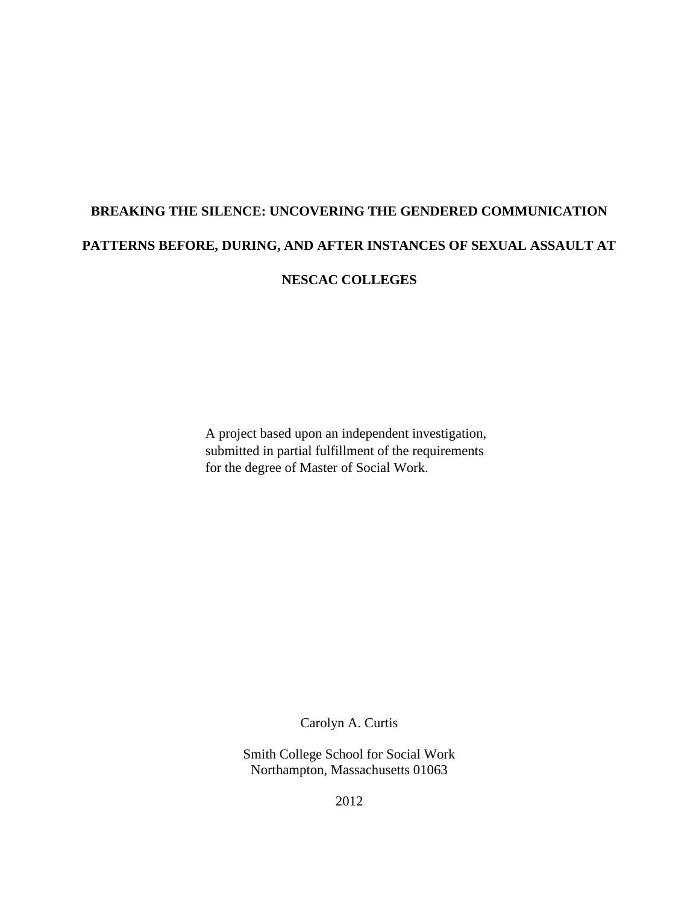# **BREAKING THE SILENCE: UNCOVERING THE GENDERED COMMUNICATION PATTERNS BEFORE, DURING, AND AFTER INSTANCES OF SEXUAL ASSAULT AT**

**NESCAC COLLEGES**

A project based upon an independent investigation, submitted in partial fulfillment of the requirements for the degree of Master of Social Work.

Carolyn A. Curtis

Smith College School for Social Work Northampton, Massachusetts 01063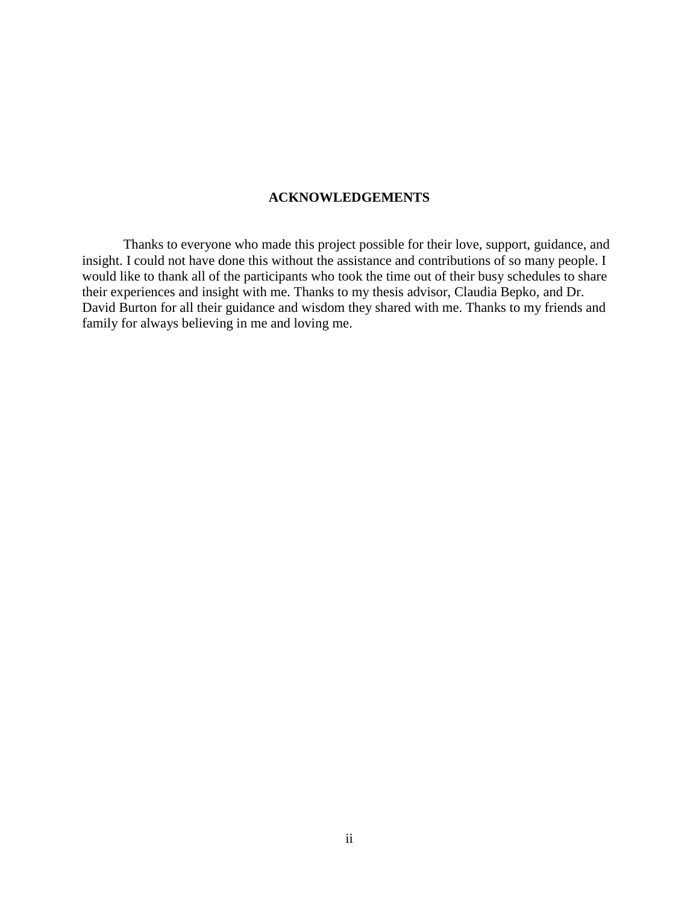#### **ACKNOWLEDGEMENTS**

Thanks to everyone who made this project possible for their love, support, guidance, and insight. I could not have done this without the assistance and contributions of so many people. I would like to thank all of the participants who took the time out of their busy schedules to share their experiences and insight with me. Thanks to my thesis advisor, Claudia Bepko, and Dr. David Burton for all their guidance and wisdom they shared with me. Thanks to my friends and family for always believing in me and loving me.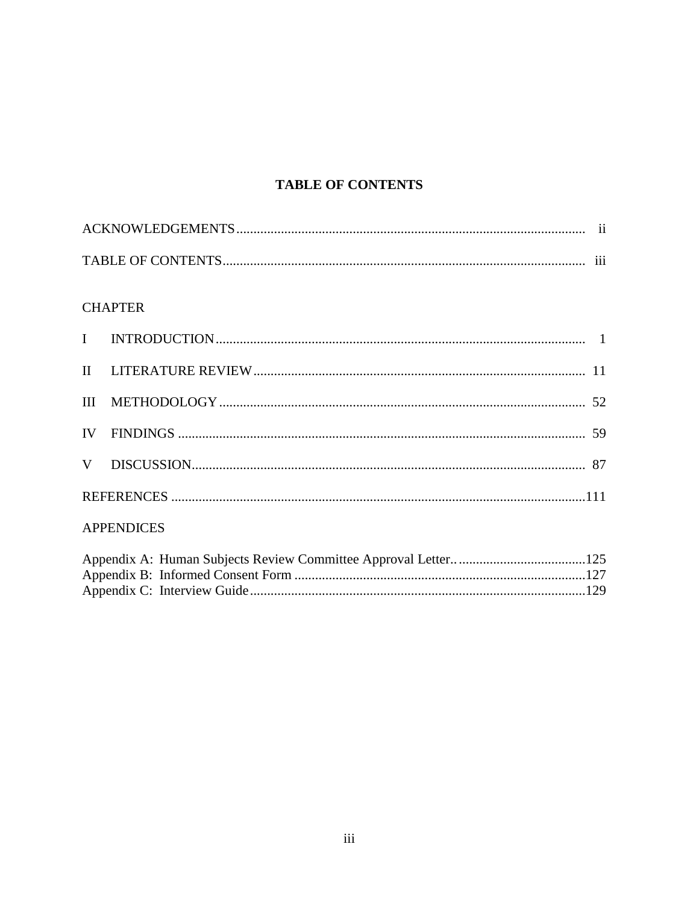## **TABLE OF CONTENTS**

| $\cdots$ |
|----------|

## **CHAPTER**

## **APPENDICES**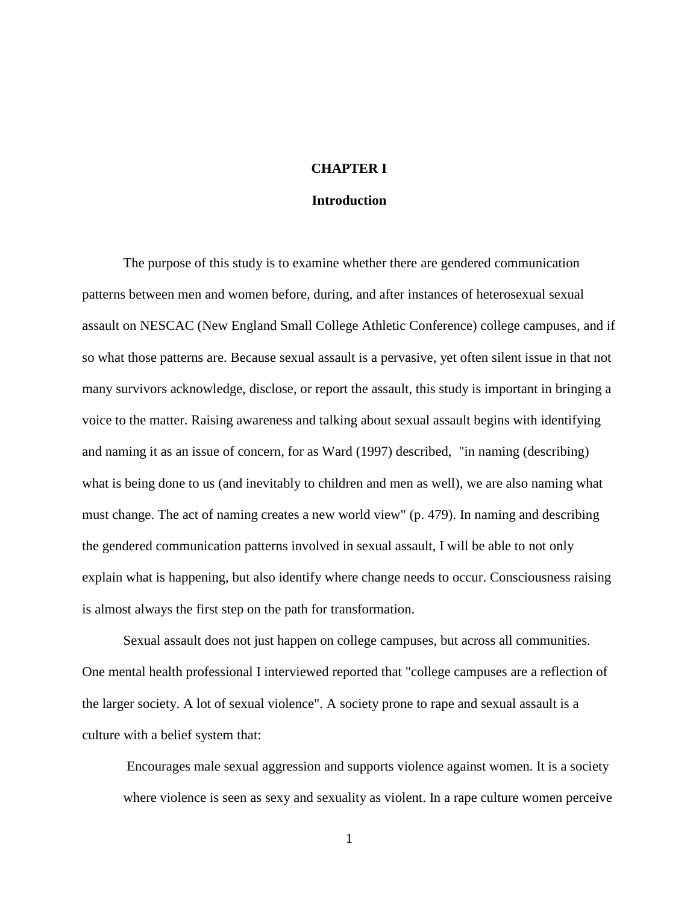#### **CHAPTER I**

#### **Introduction**

The purpose of this study is to examine whether there are gendered communication patterns between men and women before, during, and after instances of heterosexual sexual assault on NESCAC (New England Small College Athletic Conference) college campuses, and if so what those patterns are. Because sexual assault is a pervasive, yet often silent issue in that not many survivors acknowledge, disclose, or report the assault, this study is important in bringing a voice to the matter. Raising awareness and talking about sexual assault begins with identifying and naming it as an issue of concern, for as Ward (1997) described, "in naming (describing) what is being done to us (and inevitably to children and men as well), we are also naming what must change. The act of naming creates a new world view" (p. 479). In naming and describing the gendered communication patterns involved in sexual assault, I will be able to not only explain what is happening, but also identify where change needs to occur. Consciousness raising is almost always the first step on the path for transformation.

Sexual assault does not just happen on college campuses, but across all communities. One mental health professional I interviewed reported that "college campuses are a reflection of the larger society. A lot of sexual violence". A society prone to rape and sexual assault is a culture with a belief system that:

Encourages male sexual aggression and supports violence against women. It is a society where violence is seen as sexy and sexuality as violent. In a rape culture women perceive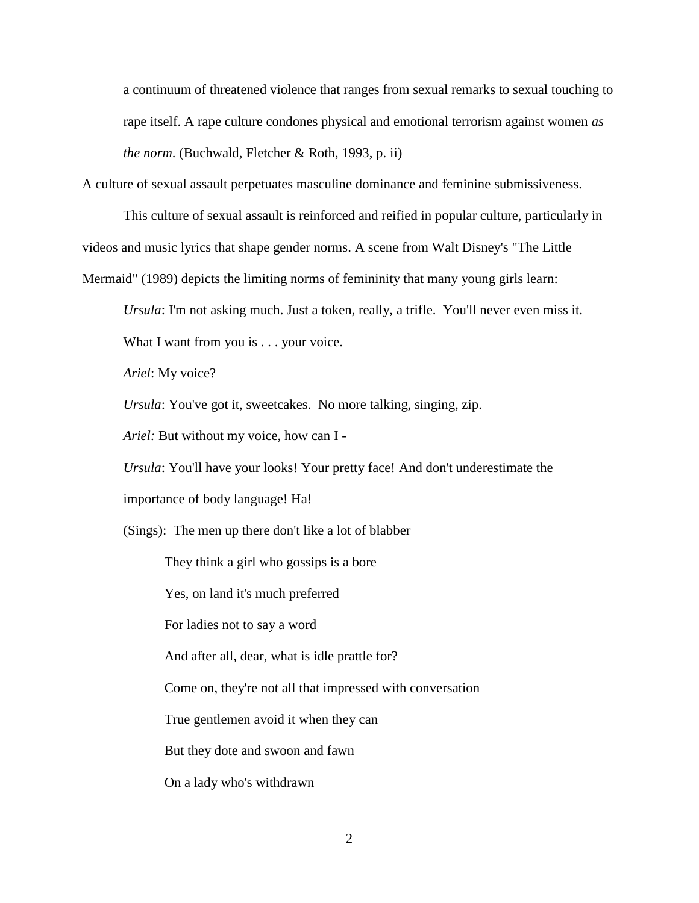a continuum of threatened violence that ranges from sexual remarks to sexual touching to rape itself. A rape culture condones physical and emotional terrorism against women *as the norm*. (Buchwald, Fletcher & Roth, 1993, p. ii)

A culture of sexual assault perpetuates masculine dominance and feminine submissiveness.

This culture of sexual assault is reinforced and reified in popular culture, particularly in videos and music lyrics that shape gender norms. A scene from Walt Disney's "The Little Mermaid" (1989) depicts the limiting norms of femininity that many young girls learn:

*Ursula*: I'm not asking much. Just a token, really, a trifle. You'll never even miss it.

What I want from you is . . . your voice.

*Ariel*: My voice?

*Ursula*: You've got it, sweetcakes. No more talking, singing, zip.

*Ariel:* But without my voice, how can I -

*Ursula*: You'll have your looks! Your pretty face! And don't underestimate the importance of body language! Ha!

(Sings): The men up there don't like a lot of blabber

They think a girl who gossips is a bore

Yes, on land it's much preferred

For ladies not to say a word

And after all, dear, what is idle prattle for?

Come on, they're not all that impressed with conversation

True gentlemen avoid it when they can

But they dote and swoon and fawn

On a lady who's withdrawn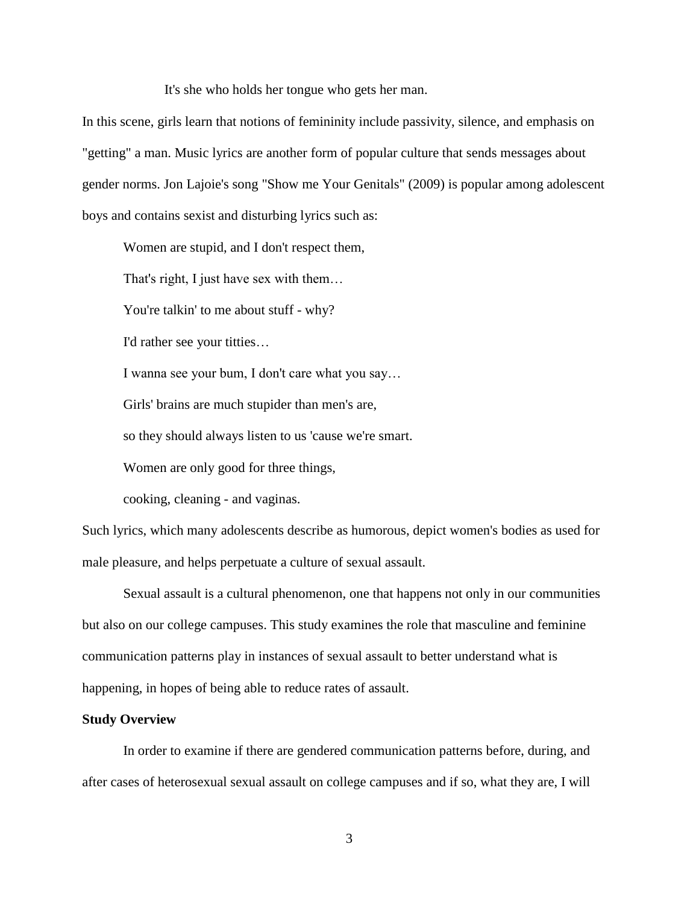It's she who holds her tongue who gets her man.

In this scene, girls learn that notions of femininity include passivity, silence, and emphasis on "getting" a man. Music lyrics are another form of popular culture that sends messages about gender norms. Jon Lajoie's song "Show me Your Genitals" (2009) is popular among adolescent boys and contains sexist and disturbing lyrics such as:

Women are stupid, and I don't respect them,

That's right, I just have sex with them…

You're talkin' to me about stuff - why?

I'd rather see your titties…

I wanna see your bum, I don't care what you say…

Girls' brains are much stupider than men's are,

so they should always listen to us 'cause we're smart.

Women are only good for three things,

cooking, cleaning - and vaginas.

Such lyrics, which many adolescents describe as humorous, depict women's bodies as used for male pleasure, and helps perpetuate a culture of sexual assault.

Sexual assault is a cultural phenomenon, one that happens not only in our communities but also on our college campuses. This study examines the role that masculine and feminine communication patterns play in instances of sexual assault to better understand what is happening, in hopes of being able to reduce rates of assault.

#### **Study Overview**

In order to examine if there are gendered communication patterns before, during, and after cases of heterosexual sexual assault on college campuses and if so, what they are, I will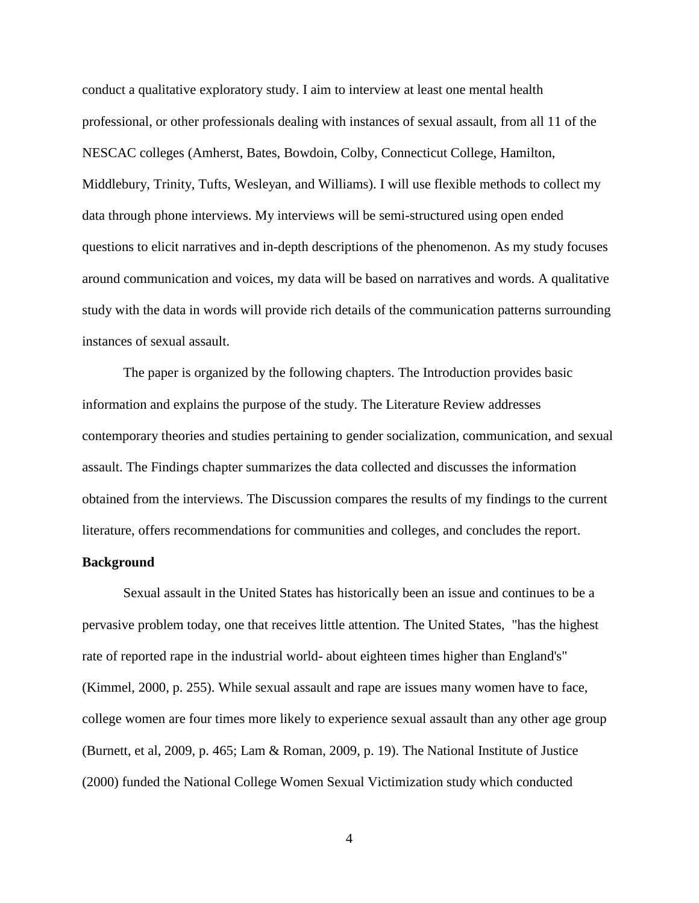conduct a qualitative exploratory study. I aim to interview at least one mental health professional, or other professionals dealing with instances of sexual assault, from all 11 of the NESCAC colleges (Amherst, Bates, Bowdoin, Colby, Connecticut College, Hamilton, Middlebury, Trinity, Tufts, Wesleyan, and Williams). I will use flexible methods to collect my data through phone interviews. My interviews will be semi-structured using open ended questions to elicit narratives and in-depth descriptions of the phenomenon. As my study focuses around communication and voices, my data will be based on narratives and words. A qualitative study with the data in words will provide rich details of the communication patterns surrounding instances of sexual assault.

The paper is organized by the following chapters. The Introduction provides basic information and explains the purpose of the study. The Literature Review addresses contemporary theories and studies pertaining to gender socialization, communication, and sexual assault. The Findings chapter summarizes the data collected and discusses the information obtained from the interviews. The Discussion compares the results of my findings to the current literature, offers recommendations for communities and colleges, and concludes the report.

#### **Background**

Sexual assault in the United States has historically been an issue and continues to be a pervasive problem today, one that receives little attention. The United States, "has the highest rate of reported rape in the industrial world- about eighteen times higher than England's" (Kimmel, 2000, p. 255). While sexual assault and rape are issues many women have to face, college women are four times more likely to experience sexual assault than any other age group (Burnett, et al, 2009, p. 465; Lam & Roman, 2009, p. 19). The National Institute of Justice (2000) funded the National College Women Sexual Victimization study which conducted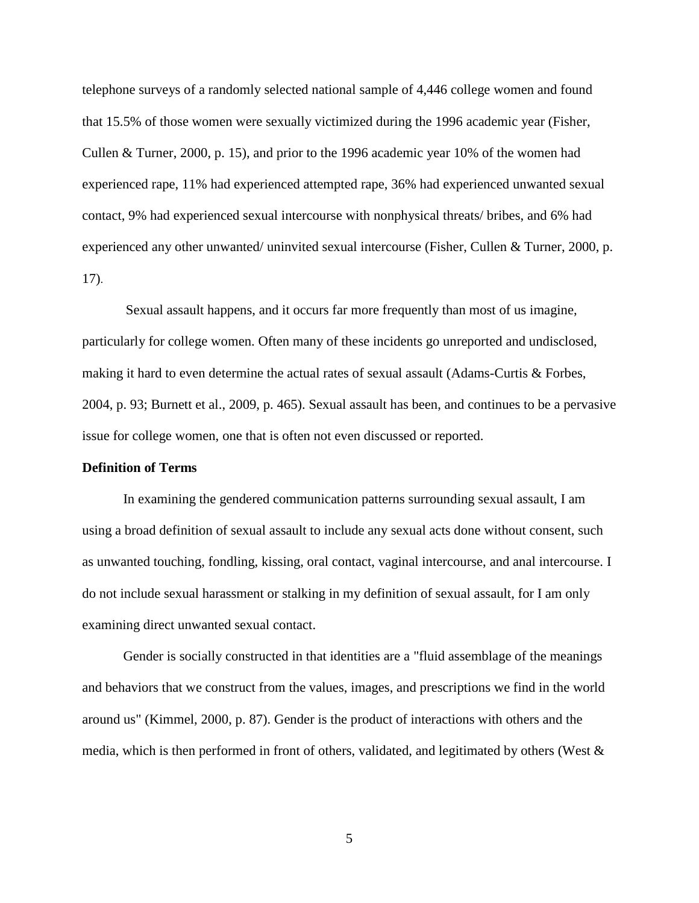telephone surveys of a randomly selected national sample of 4,446 college women and found that 15.5% of those women were sexually victimized during the 1996 academic year (Fisher, Cullen & Turner, 2000, p. 15), and prior to the 1996 academic year 10% of the women had experienced rape, 11% had experienced attempted rape, 36% had experienced unwanted sexual contact, 9% had experienced sexual intercourse with nonphysical threats/ bribes, and 6% had experienced any other unwanted/ uninvited sexual intercourse (Fisher, Cullen & Turner, 2000, p. 17).

Sexual assault happens, and it occurs far more frequently than most of us imagine, particularly for college women. Often many of these incidents go unreported and undisclosed, making it hard to even determine the actual rates of sexual assault (Adams-Curtis & Forbes, 2004, p. 93; Burnett et al., 2009, p. 465). Sexual assault has been, and continues to be a pervasive issue for college women, one that is often not even discussed or reported.

#### **Definition of Terms**

In examining the gendered communication patterns surrounding sexual assault, I am using a broad definition of sexual assault to include any sexual acts done without consent, such as unwanted touching, fondling, kissing, oral contact, vaginal intercourse, and anal intercourse. I do not include sexual harassment or stalking in my definition of sexual assault, for I am only examining direct unwanted sexual contact.

Gender is socially constructed in that identities are a "fluid assemblage of the meanings and behaviors that we construct from the values, images, and prescriptions we find in the world around us" (Kimmel, 2000, p. 87). Gender is the product of interactions with others and the media, which is then performed in front of others, validated, and legitimated by others (West &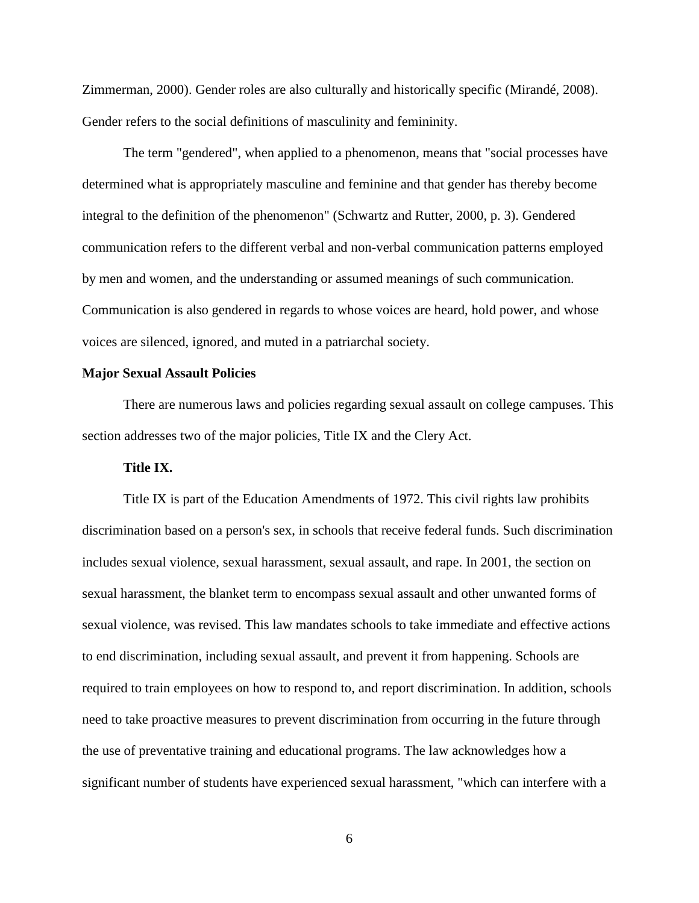Zimmerman, 2000). Gender roles are also culturally and historically specific (Mirandé, 2008). Gender refers to the social definitions of masculinity and femininity.

The term "gendered", when applied to a phenomenon, means that "social processes have determined what is appropriately masculine and feminine and that gender has thereby become integral to the definition of the phenomenon" (Schwartz and Rutter, 2000, p. 3). Gendered communication refers to the different verbal and non-verbal communication patterns employed by men and women, and the understanding or assumed meanings of such communication. Communication is also gendered in regards to whose voices are heard, hold power, and whose voices are silenced, ignored, and muted in a patriarchal society.

#### **Major Sexual Assault Policies**

There are numerous laws and policies regarding sexual assault on college campuses. This section addresses two of the major policies, Title IX and the Clery Act.

#### **Title IX.**

Title IX is part of the Education Amendments of 1972. This civil rights law prohibits discrimination based on a person's sex, in schools that receive federal funds. Such discrimination includes sexual violence, sexual harassment, sexual assault, and rape. In 2001, the section on sexual harassment, the blanket term to encompass sexual assault and other unwanted forms of sexual violence, was revised. This law mandates schools to take immediate and effective actions to end discrimination, including sexual assault, and prevent it from happening. Schools are required to train employees on how to respond to, and report discrimination. In addition, schools need to take proactive measures to prevent discrimination from occurring in the future through the use of preventative training and educational programs. The law acknowledges how a significant number of students have experienced sexual harassment, "which can interfere with a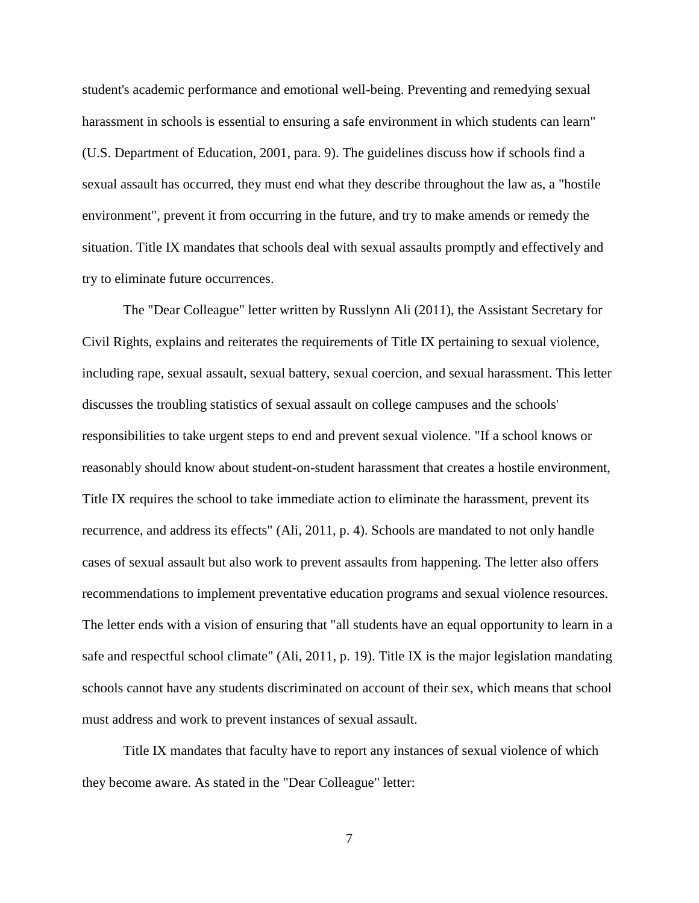student's academic performance and emotional well-being. Preventing and remedying sexual harassment in schools is essential to ensuring a safe environment in which students can learn" (U.S. Department of Education, 2001, para. 9). The guidelines discuss how if schools find a sexual assault has occurred, they must end what they describe throughout the law as, a "hostile environment", prevent it from occurring in the future, and try to make amends or remedy the situation. Title IX mandates that schools deal with sexual assaults promptly and effectively and try to eliminate future occurrences.

The "Dear Colleague" letter written by Russlynn Ali (2011), the Assistant Secretary for Civil Rights, explains and reiterates the requirements of Title IX pertaining to sexual violence, including rape, sexual assault, sexual battery, sexual coercion, and sexual harassment. This letter discusses the troubling statistics of sexual assault on college campuses and the schools' responsibilities to take urgent steps to end and prevent sexual violence. "If a school knows or reasonably should know about student-on-student harassment that creates a hostile environment, Title IX requires the school to take immediate action to eliminate the harassment, prevent its recurrence, and address its effects" (Ali, 2011, p. 4). Schools are mandated to not only handle cases of sexual assault but also work to prevent assaults from happening. The letter also offers recommendations to implement preventative education programs and sexual violence resources. The letter ends with a vision of ensuring that "all students have an equal opportunity to learn in a safe and respectful school climate" (Ali, 2011, p. 19). Title IX is the major legislation mandating schools cannot have any students discriminated on account of their sex, which means that school must address and work to prevent instances of sexual assault.

Title IX mandates that faculty have to report any instances of sexual violence of which they become aware. As stated in the "Dear Colleague" letter: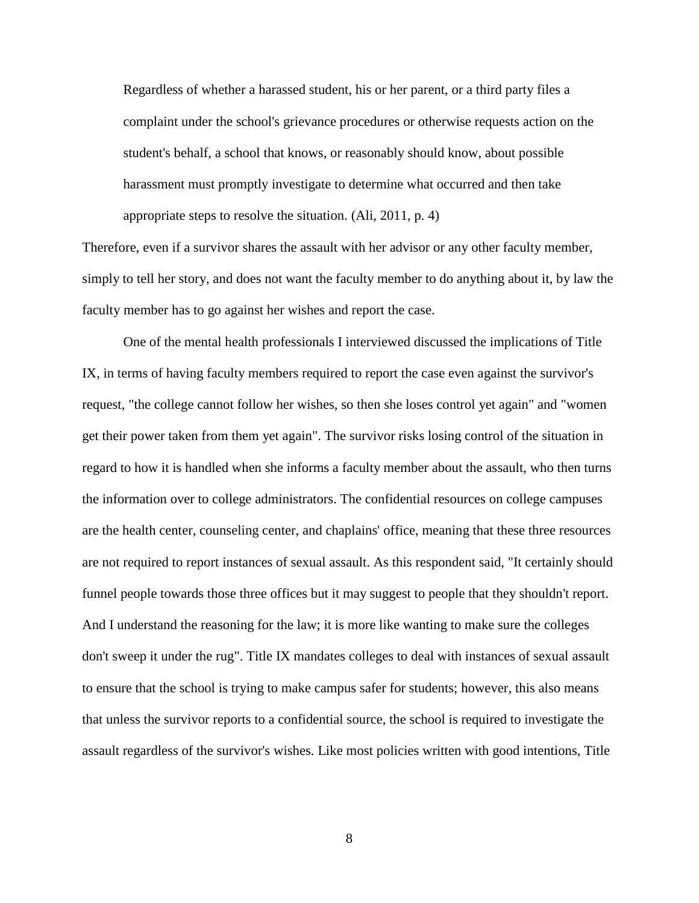Regardless of whether a harassed student, his or her parent, or a third party files a complaint under the school's grievance procedures or otherwise requests action on the student's behalf, a school that knows, or reasonably should know, about possible harassment must promptly investigate to determine what occurred and then take appropriate steps to resolve the situation. (Ali, 2011, p. 4)

Therefore, even if a survivor shares the assault with her advisor or any other faculty member, simply to tell her story, and does not want the faculty member to do anything about it, by law the faculty member has to go against her wishes and report the case.

One of the mental health professionals I interviewed discussed the implications of Title IX, in terms of having faculty members required to report the case even against the survivor's request, "the college cannot follow her wishes, so then she loses control yet again" and "women get their power taken from them yet again". The survivor risks losing control of the situation in regard to how it is handled when she informs a faculty member about the assault, who then turns the information over to college administrators. The confidential resources on college campuses are the health center, counseling center, and chaplains' office, meaning that these three resources are not required to report instances of sexual assault. As this respondent said, "It certainly should funnel people towards those three offices but it may suggest to people that they shouldn't report. And I understand the reasoning for the law; it is more like wanting to make sure the colleges don't sweep it under the rug". Title IX mandates colleges to deal with instances of sexual assault to ensure that the school is trying to make campus safer for students; however, this also means that unless the survivor reports to a confidential source, the school is required to investigate the assault regardless of the survivor's wishes. Like most policies written with good intentions, Title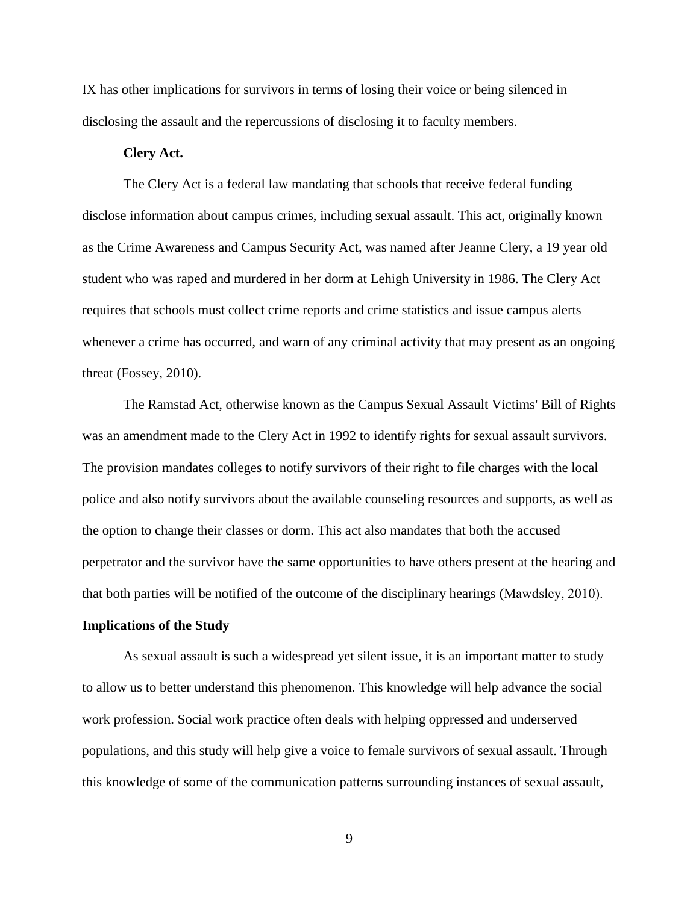IX has other implications for survivors in terms of losing their voice or being silenced in disclosing the assault and the repercussions of disclosing it to faculty members.

#### **Clery Act.**

The Clery Act is a federal law mandating that schools that receive federal funding disclose information about campus crimes, including sexual assault. This act, originally known as the Crime Awareness and Campus Security Act, was named after Jeanne Clery, a 19 year old student who was raped and murdered in her dorm at Lehigh University in 1986. The Clery Act requires that schools must collect crime reports and crime statistics and issue campus alerts whenever a crime has occurred, and warn of any criminal activity that may present as an ongoing threat (Fossey, 2010).

The Ramstad Act, otherwise known as the Campus Sexual Assault Victims' Bill of Rights was an amendment made to the Clery Act in 1992 to identify rights for sexual assault survivors. The provision mandates colleges to notify survivors of their right to file charges with the local police and also notify survivors about the available counseling resources and supports, as well as the option to change their classes or dorm. This act also mandates that both the accused perpetrator and the survivor have the same opportunities to have others present at the hearing and that both parties will be notified of the outcome of the disciplinary hearings (Mawdsley, 2010).

#### **Implications of the Study**

As sexual assault is such a widespread yet silent issue, it is an important matter to study to allow us to better understand this phenomenon. This knowledge will help advance the social work profession. Social work practice often deals with helping oppressed and underserved populations, and this study will help give a voice to female survivors of sexual assault. Through this knowledge of some of the communication patterns surrounding instances of sexual assault,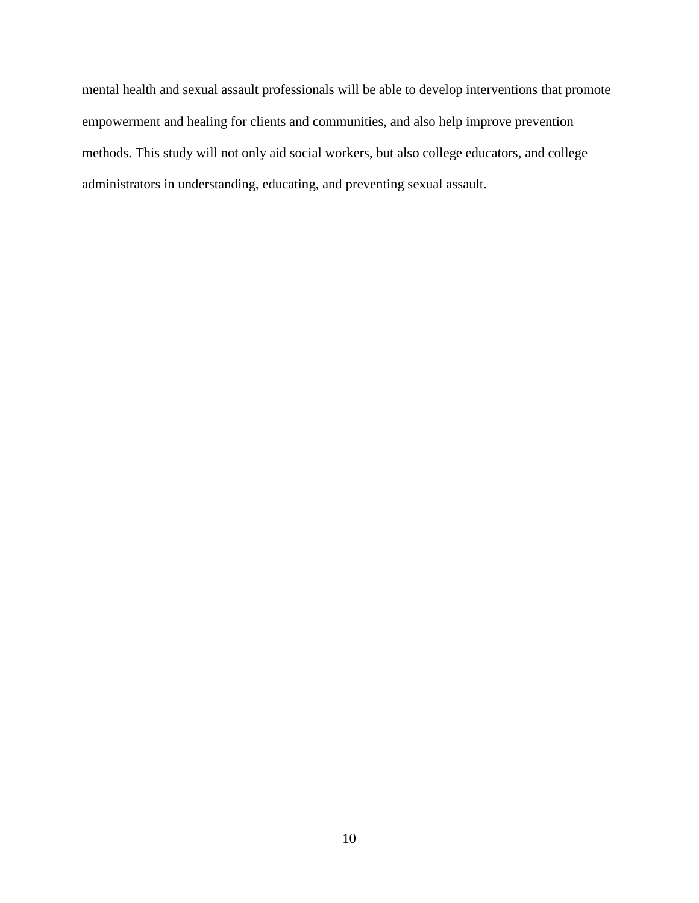mental health and sexual assault professionals will be able to develop interventions that promote empowerment and healing for clients and communities, and also help improve prevention methods. This study will not only aid social workers, but also college educators, and college administrators in understanding, educating, and preventing sexual assault.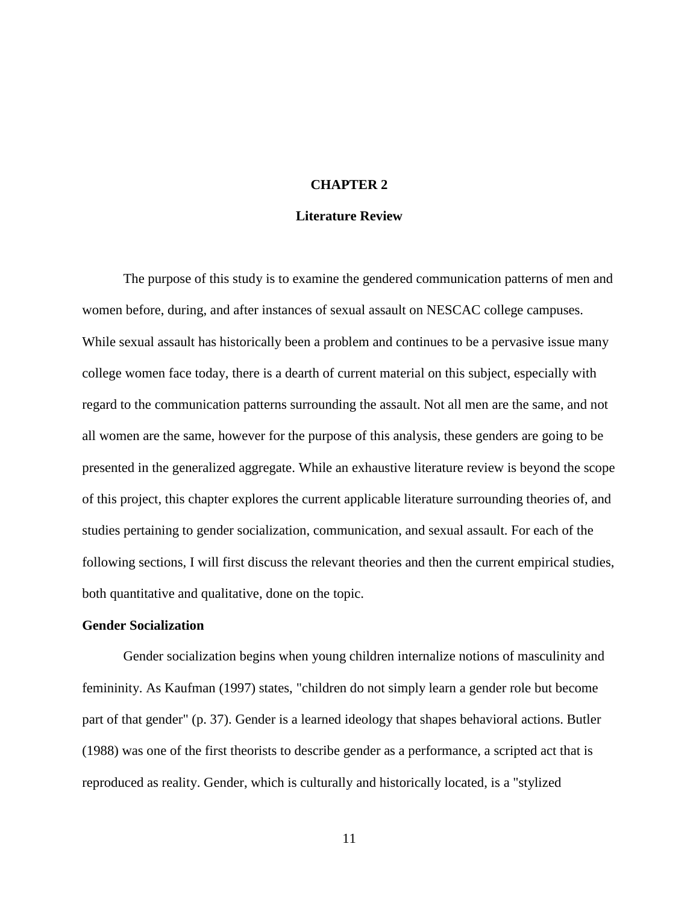#### **CHAPTER 2**

#### **Literature Review**

The purpose of this study is to examine the gendered communication patterns of men and women before, during, and after instances of sexual assault on NESCAC college campuses. While sexual assault has historically been a problem and continues to be a pervasive issue many college women face today, there is a dearth of current material on this subject, especially with regard to the communication patterns surrounding the assault. Not all men are the same, and not all women are the same, however for the purpose of this analysis, these genders are going to be presented in the generalized aggregate. While an exhaustive literature review is beyond the scope of this project, this chapter explores the current applicable literature surrounding theories of, and studies pertaining to gender socialization, communication, and sexual assault. For each of the following sections, I will first discuss the relevant theories and then the current empirical studies, both quantitative and qualitative, done on the topic.

#### **Gender Socialization**

Gender socialization begins when young children internalize notions of masculinity and femininity. As Kaufman (1997) states, "children do not simply learn a gender role but become part of that gender" (p. 37). Gender is a learned ideology that shapes behavioral actions. Butler (1988) was one of the first theorists to describe gender as a performance, a scripted act that is reproduced as reality. Gender, which is culturally and historically located, is a "stylized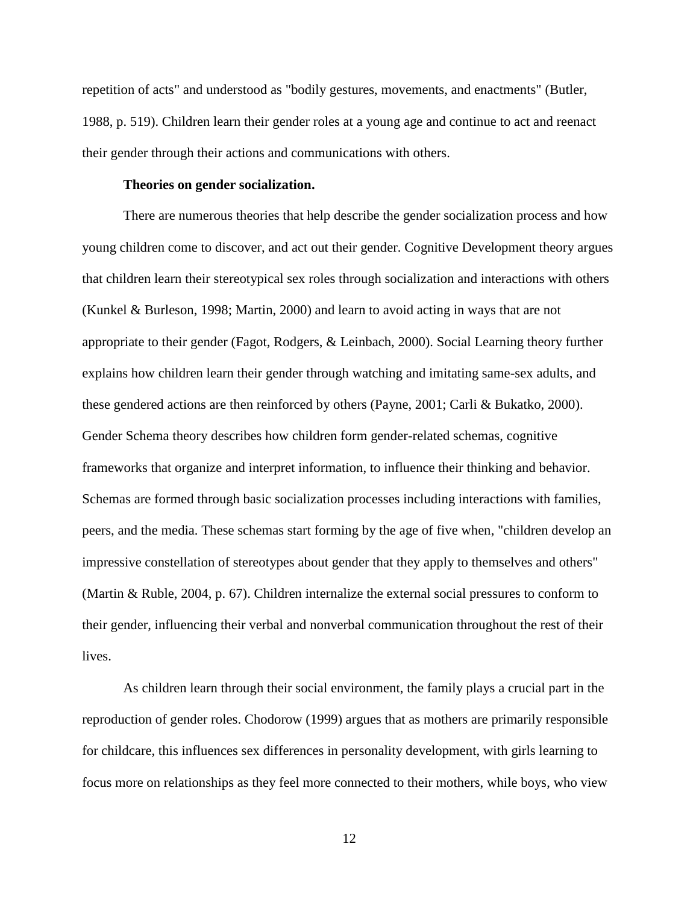repetition of acts" and understood as "bodily gestures, movements, and enactments" (Butler, 1988, p. 519). Children learn their gender roles at a young age and continue to act and reenact their gender through their actions and communications with others.

#### **Theories on gender socialization.**

There are numerous theories that help describe the gender socialization process and how young children come to discover, and act out their gender. Cognitive Development theory argues that children learn their stereotypical sex roles through socialization and interactions with others (Kunkel & Burleson, 1998; Martin, 2000) and learn to avoid acting in ways that are not appropriate to their gender (Fagot, Rodgers, & Leinbach, 2000). Social Learning theory further explains how children learn their gender through watching and imitating same-sex adults, and these gendered actions are then reinforced by others (Payne, 2001; Carli & Bukatko, 2000). Gender Schema theory describes how children form gender-related schemas, cognitive frameworks that organize and interpret information, to influence their thinking and behavior. Schemas are formed through basic socialization processes including interactions with families, peers, and the media. These schemas start forming by the age of five when, "children develop an impressive constellation of stereotypes about gender that they apply to themselves and others" (Martin & Ruble, 2004, p. 67). Children internalize the external social pressures to conform to their gender, influencing their verbal and nonverbal communication throughout the rest of their lives.

As children learn through their social environment, the family plays a crucial part in the reproduction of gender roles. Chodorow (1999) argues that as mothers are primarily responsible for childcare, this influences sex differences in personality development, with girls learning to focus more on relationships as they feel more connected to their mothers, while boys, who view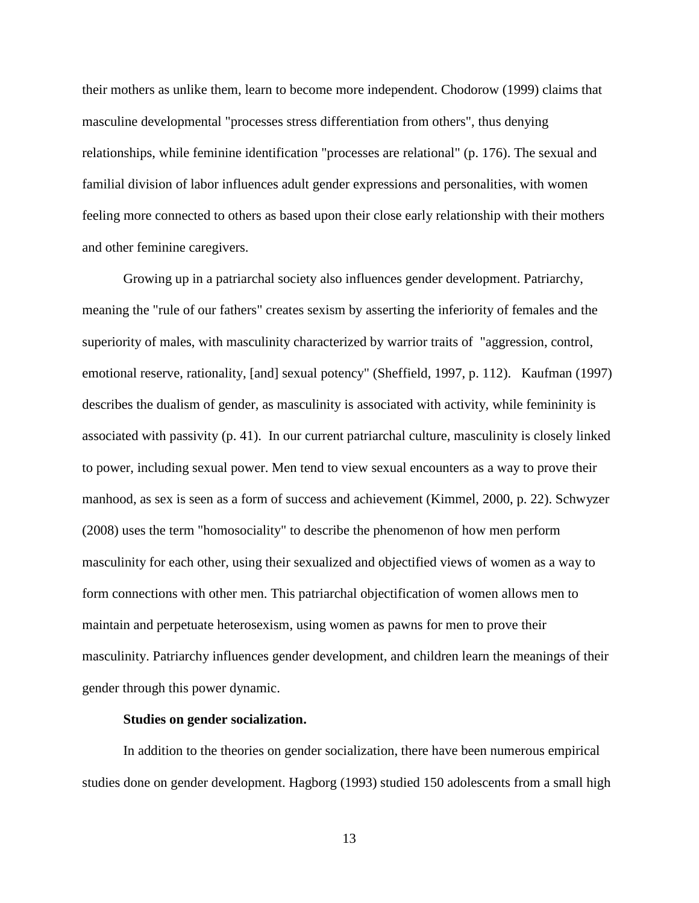their mothers as unlike them, learn to become more independent. Chodorow (1999) claims that masculine developmental "processes stress differentiation from others", thus denying relationships, while feminine identification "processes are relational" (p. 176). The sexual and familial division of labor influences adult gender expressions and personalities, with women feeling more connected to others as based upon their close early relationship with their mothers and other feminine caregivers.

Growing up in a patriarchal society also influences gender development. Patriarchy, meaning the "rule of our fathers" creates sexism by asserting the inferiority of females and the superiority of males, with masculinity characterized by warrior traits of "aggression, control, emotional reserve, rationality, [and] sexual potency" (Sheffield, 1997, p. 112). Kaufman (1997) describes the dualism of gender, as masculinity is associated with activity, while femininity is associated with passivity (p. 41). In our current patriarchal culture, masculinity is closely linked to power, including sexual power. Men tend to view sexual encounters as a way to prove their manhood, as sex is seen as a form of success and achievement (Kimmel, 2000, p. 22). Schwyzer (2008) uses the term "homosociality" to describe the phenomenon of how men perform masculinity for each other, using their sexualized and objectified views of women as a way to form connections with other men. This patriarchal objectification of women allows men to maintain and perpetuate heterosexism, using women as pawns for men to prove their masculinity. Patriarchy influences gender development, and children learn the meanings of their gender through this power dynamic.

#### **Studies on gender socialization.**

In addition to the theories on gender socialization, there have been numerous empirical studies done on gender development. Hagborg (1993) studied 150 adolescents from a small high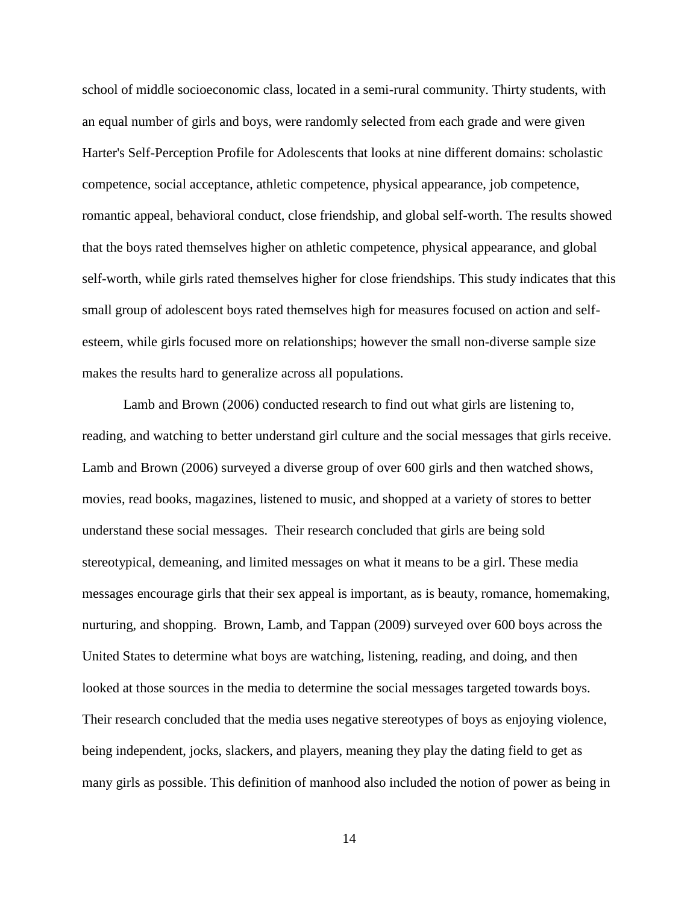school of middle socioeconomic class, located in a semi-rural community. Thirty students, with an equal number of girls and boys, were randomly selected from each grade and were given Harter's Self-Perception Profile for Adolescents that looks at nine different domains: scholastic competence, social acceptance, athletic competence, physical appearance, job competence, romantic appeal, behavioral conduct, close friendship, and global self-worth. The results showed that the boys rated themselves higher on athletic competence, physical appearance, and global self-worth, while girls rated themselves higher for close friendships. This study indicates that this small group of adolescent boys rated themselves high for measures focused on action and selfesteem, while girls focused more on relationships; however the small non-diverse sample size makes the results hard to generalize across all populations.

Lamb and Brown (2006) conducted research to find out what girls are listening to, reading, and watching to better understand girl culture and the social messages that girls receive. Lamb and Brown (2006) surveyed a diverse group of over 600 girls and then watched shows, movies, read books, magazines, listened to music, and shopped at a variety of stores to better understand these social messages. Their research concluded that girls are being sold stereotypical, demeaning, and limited messages on what it means to be a girl. These media messages encourage girls that their sex appeal is important, as is beauty, romance, homemaking, nurturing, and shopping. Brown, Lamb, and Tappan (2009) surveyed over 600 boys across the United States to determine what boys are watching, listening, reading, and doing, and then looked at those sources in the media to determine the social messages targeted towards boys. Their research concluded that the media uses negative stereotypes of boys as enjoying violence, being independent, jocks, slackers, and players, meaning they play the dating field to get as many girls as possible. This definition of manhood also included the notion of power as being in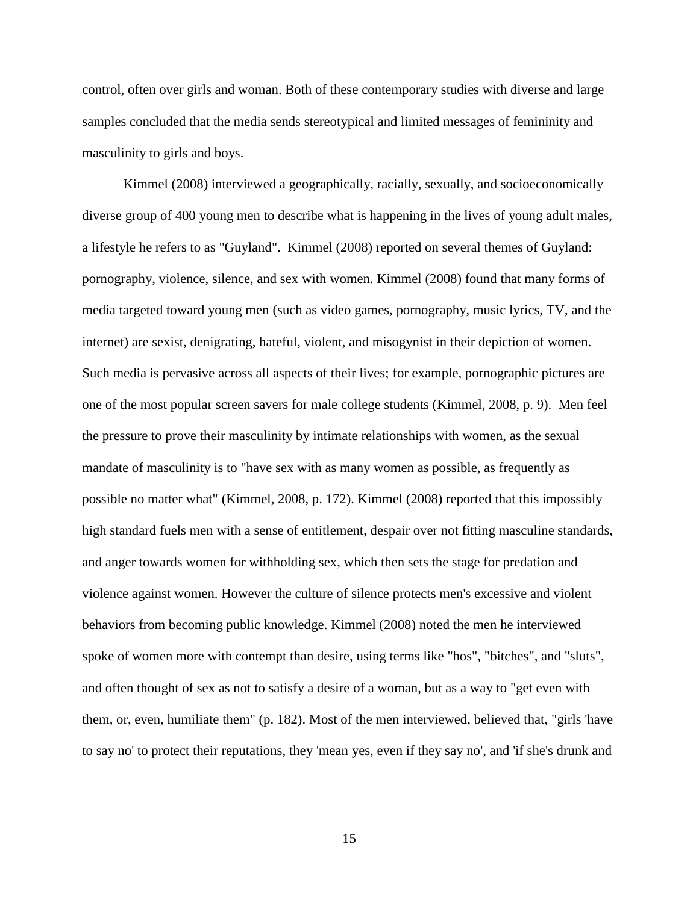control, often over girls and woman. Both of these contemporary studies with diverse and large samples concluded that the media sends stereotypical and limited messages of femininity and masculinity to girls and boys.

Kimmel (2008) interviewed a geographically, racially, sexually, and socioeconomically diverse group of 400 young men to describe what is happening in the lives of young adult males, a lifestyle he refers to as "Guyland". Kimmel (2008) reported on several themes of Guyland: pornography, violence, silence, and sex with women. Kimmel (2008) found that many forms of media targeted toward young men (such as video games, pornography, music lyrics, TV, and the internet) are sexist, denigrating, hateful, violent, and misogynist in their depiction of women. Such media is pervasive across all aspects of their lives; for example, pornographic pictures are one of the most popular screen savers for male college students (Kimmel, 2008, p. 9). Men feel the pressure to prove their masculinity by intimate relationships with women, as the sexual mandate of masculinity is to "have sex with as many women as possible, as frequently as possible no matter what" (Kimmel, 2008, p. 172). Kimmel (2008) reported that this impossibly high standard fuels men with a sense of entitlement, despair over not fitting masculine standards, and anger towards women for withholding sex, which then sets the stage for predation and violence against women. However the culture of silence protects men's excessive and violent behaviors from becoming public knowledge. Kimmel (2008) noted the men he interviewed spoke of women more with contempt than desire, using terms like "hos", "bitches", and "sluts", and often thought of sex as not to satisfy a desire of a woman, but as a way to "get even with them, or, even, humiliate them" (p. 182). Most of the men interviewed, believed that, "girls 'have to say no' to protect their reputations, they 'mean yes, even if they say no', and 'if she's drunk and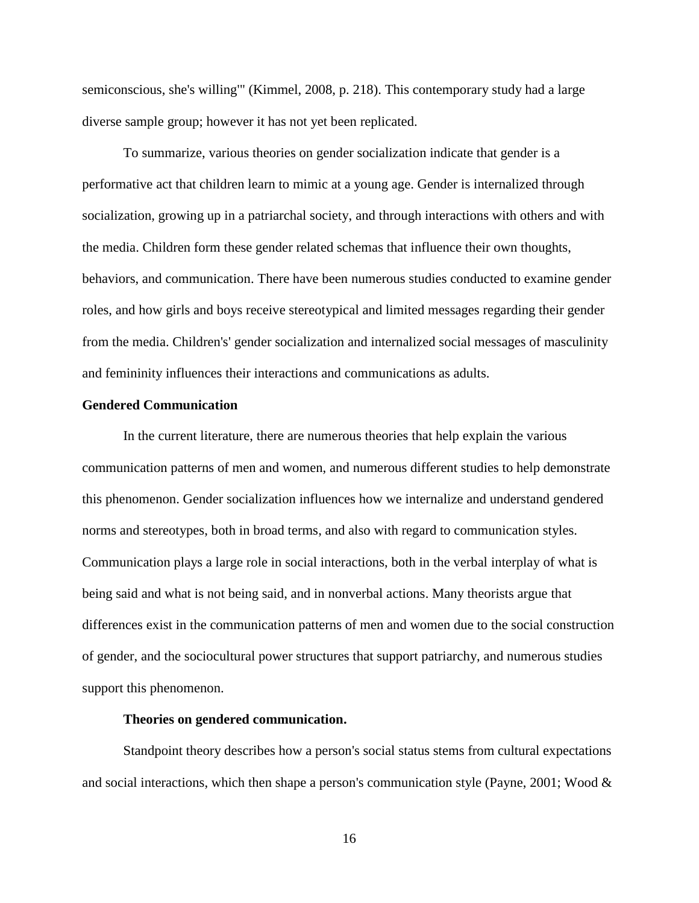semiconscious, she's willing'" (Kimmel, 2008, p. 218). This contemporary study had a large diverse sample group; however it has not yet been replicated.

To summarize, various theories on gender socialization indicate that gender is a performative act that children learn to mimic at a young age. Gender is internalized through socialization, growing up in a patriarchal society, and through interactions with others and with the media. Children form these gender related schemas that influence their own thoughts, behaviors, and communication. There have been numerous studies conducted to examine gender roles, and how girls and boys receive stereotypical and limited messages regarding their gender from the media. Children's' gender socialization and internalized social messages of masculinity and femininity influences their interactions and communications as adults.

#### **Gendered Communication**

In the current literature, there are numerous theories that help explain the various communication patterns of men and women, and numerous different studies to help demonstrate this phenomenon. Gender socialization influences how we internalize and understand gendered norms and stereotypes, both in broad terms, and also with regard to communication styles. Communication plays a large role in social interactions, both in the verbal interplay of what is being said and what is not being said, and in nonverbal actions. Many theorists argue that differences exist in the communication patterns of men and women due to the social construction of gender, and the sociocultural power structures that support patriarchy, and numerous studies support this phenomenon.

#### **Theories on gendered communication.**

Standpoint theory describes how a person's social status stems from cultural expectations and social interactions, which then shape a person's communication style (Payne, 2001; Wood  $\&$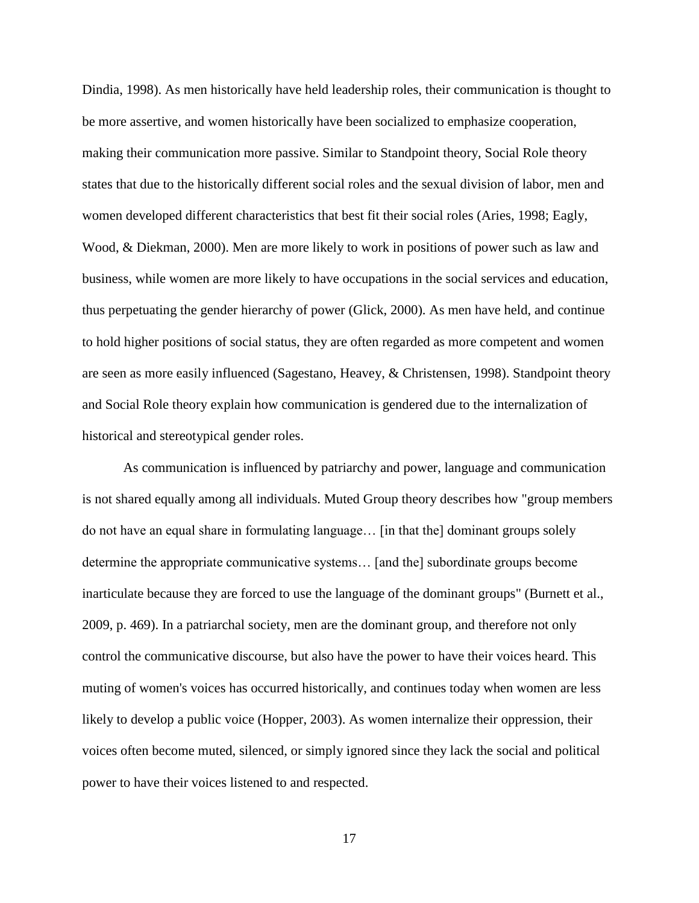Dindia, 1998). As men historically have held leadership roles, their communication is thought to be more assertive, and women historically have been socialized to emphasize cooperation, making their communication more passive. Similar to Standpoint theory, Social Role theory states that due to the historically different social roles and the sexual division of labor, men and women developed different characteristics that best fit their social roles (Aries, 1998; Eagly, Wood, & Diekman, 2000). Men are more likely to work in positions of power such as law and business, while women are more likely to have occupations in the social services and education, thus perpetuating the gender hierarchy of power (Glick, 2000). As men have held, and continue to hold higher positions of social status, they are often regarded as more competent and women are seen as more easily influenced (Sagestano, Heavey, & Christensen, 1998). Standpoint theory and Social Role theory explain how communication is gendered due to the internalization of historical and stereotypical gender roles.

As communication is influenced by patriarchy and power, language and communication is not shared equally among all individuals. Muted Group theory describes how "group members do not have an equal share in formulating language… [in that the] dominant groups solely determine the appropriate communicative systems… [and the] subordinate groups become inarticulate because they are forced to use the language of the dominant groups" (Burnett et al., 2009, p. 469). In a patriarchal society, men are the dominant group, and therefore not only control the communicative discourse, but also have the power to have their voices heard. This muting of women's voices has occurred historically, and continues today when women are less likely to develop a public voice (Hopper, 2003). As women internalize their oppression, their voices often become muted, silenced, or simply ignored since they lack the social and political power to have their voices listened to and respected.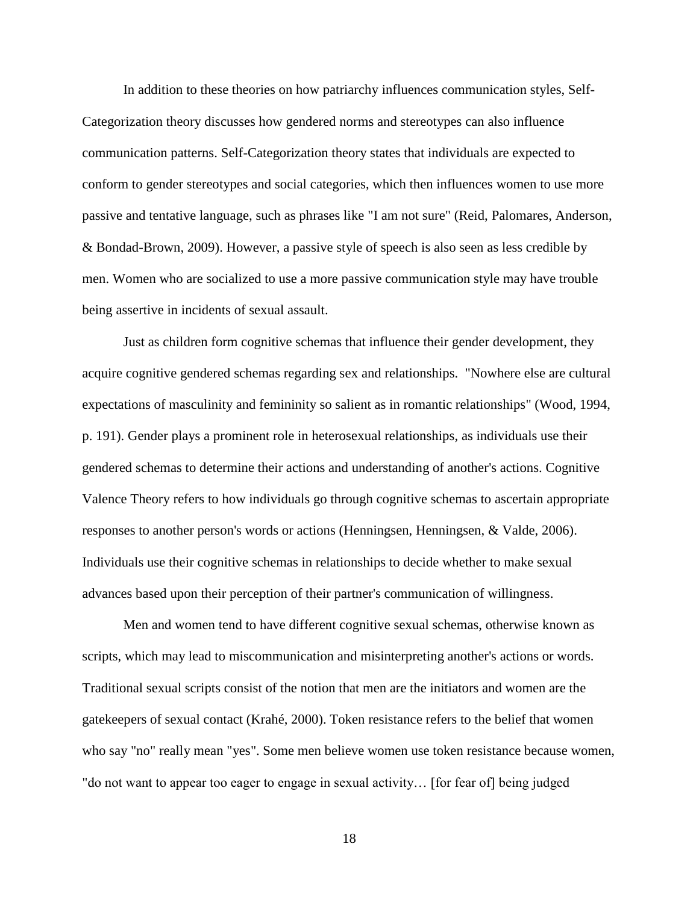In addition to these theories on how patriarchy influences communication styles, Self-Categorization theory discusses how gendered norms and stereotypes can also influence communication patterns. Self-Categorization theory states that individuals are expected to conform to gender stereotypes and social categories, which then influences women to use more passive and tentative language, such as phrases like "I am not sure" (Reid, Palomares, Anderson, & Bondad-Brown, 2009). However, a passive style of speech is also seen as less credible by men. Women who are socialized to use a more passive communication style may have trouble being assertive in incidents of sexual assault.

Just as children form cognitive schemas that influence their gender development, they acquire cognitive gendered schemas regarding sex and relationships. "Nowhere else are cultural expectations of masculinity and femininity so salient as in romantic relationships" (Wood, 1994, p. 191). Gender plays a prominent role in heterosexual relationships, as individuals use their gendered schemas to determine their actions and understanding of another's actions. Cognitive Valence Theory refers to how individuals go through cognitive schemas to ascertain appropriate responses to another person's words or actions (Henningsen, Henningsen, & Valde, 2006). Individuals use their cognitive schemas in relationships to decide whether to make sexual advances based upon their perception of their partner's communication of willingness.

Men and women tend to have different cognitive sexual schemas, otherwise known as scripts, which may lead to miscommunication and misinterpreting another's actions or words. Traditional sexual scripts consist of the notion that men are the initiators and women are the gatekeepers of sexual contact (Krahé, 2000). Token resistance refers to the belief that women who say "no" really mean "yes". Some men believe women use token resistance because women, "do not want to appear too eager to engage in sexual activity… [for fear of] being judged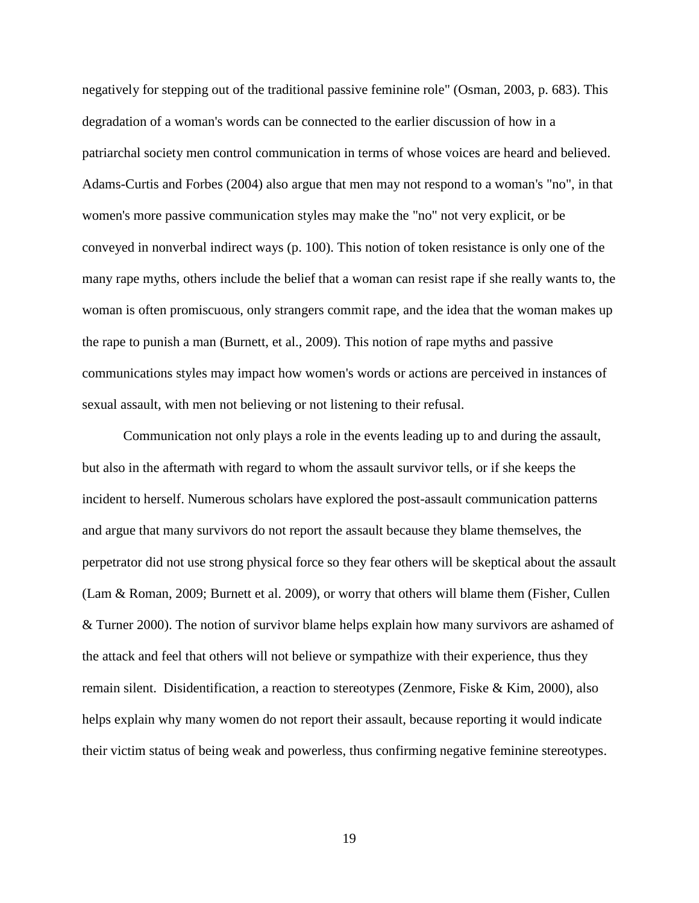negatively for stepping out of the traditional passive feminine role" (Osman, 2003, p. 683). This degradation of a woman's words can be connected to the earlier discussion of how in a patriarchal society men control communication in terms of whose voices are heard and believed. Adams-Curtis and Forbes (2004) also argue that men may not respond to a woman's "no", in that women's more passive communication styles may make the "no" not very explicit, or be conveyed in nonverbal indirect ways (p. 100). This notion of token resistance is only one of the many rape myths, others include the belief that a woman can resist rape if she really wants to, the woman is often promiscuous, only strangers commit rape, and the idea that the woman makes up the rape to punish a man (Burnett, et al., 2009). This notion of rape myths and passive communications styles may impact how women's words or actions are perceived in instances of sexual assault, with men not believing or not listening to their refusal.

Communication not only plays a role in the events leading up to and during the assault, but also in the aftermath with regard to whom the assault survivor tells, or if she keeps the incident to herself. Numerous scholars have explored the post-assault communication patterns and argue that many survivors do not report the assault because they blame themselves, the perpetrator did not use strong physical force so they fear others will be skeptical about the assault (Lam & Roman, 2009; Burnett et al. 2009), or worry that others will blame them (Fisher, Cullen & Turner 2000). The notion of survivor blame helps explain how many survivors are ashamed of the attack and feel that others will not believe or sympathize with their experience, thus they remain silent. Disidentification, a reaction to stereotypes (Zenmore, Fiske & Kim, 2000), also helps explain why many women do not report their assault, because reporting it would indicate their victim status of being weak and powerless, thus confirming negative feminine stereotypes.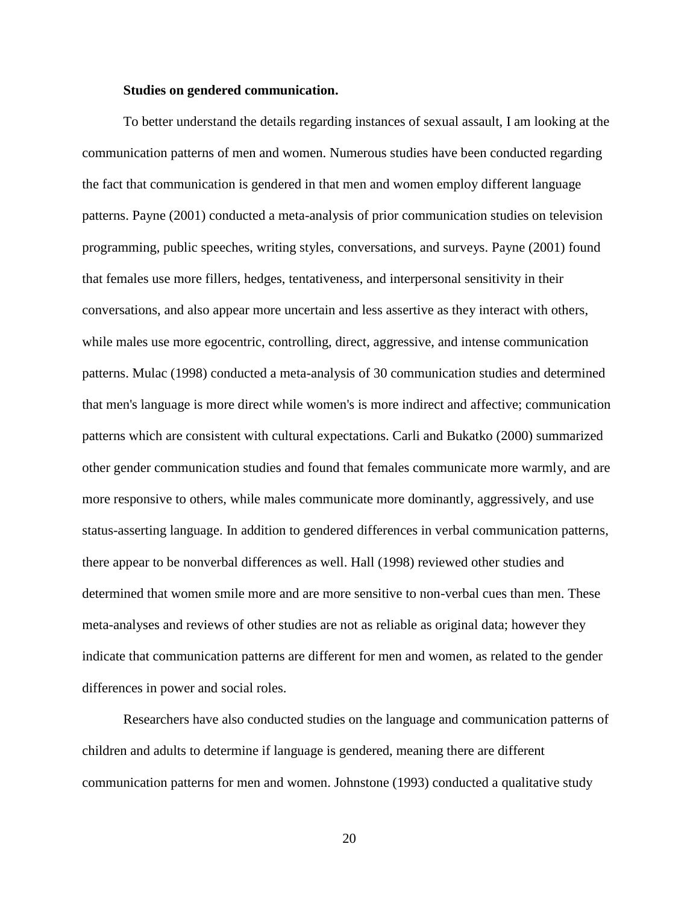#### **Studies on gendered communication.**

To better understand the details regarding instances of sexual assault, I am looking at the communication patterns of men and women. Numerous studies have been conducted regarding the fact that communication is gendered in that men and women employ different language patterns. Payne (2001) conducted a meta-analysis of prior communication studies on television programming, public speeches, writing styles, conversations, and surveys. Payne (2001) found that females use more fillers, hedges, tentativeness, and interpersonal sensitivity in their conversations, and also appear more uncertain and less assertive as they interact with others, while males use more egocentric, controlling, direct, aggressive, and intense communication patterns. Mulac (1998) conducted a meta-analysis of 30 communication studies and determined that men's language is more direct while women's is more indirect and affective; communication patterns which are consistent with cultural expectations. Carli and Bukatko (2000) summarized other gender communication studies and found that females communicate more warmly, and are more responsive to others, while males communicate more dominantly, aggressively, and use status-asserting language. In addition to gendered differences in verbal communication patterns, there appear to be nonverbal differences as well. Hall (1998) reviewed other studies and determined that women smile more and are more sensitive to non-verbal cues than men. These meta-analyses and reviews of other studies are not as reliable as original data; however they indicate that communication patterns are different for men and women, as related to the gender differences in power and social roles.

Researchers have also conducted studies on the language and communication patterns of children and adults to determine if language is gendered, meaning there are different communication patterns for men and women. Johnstone (1993) conducted a qualitative study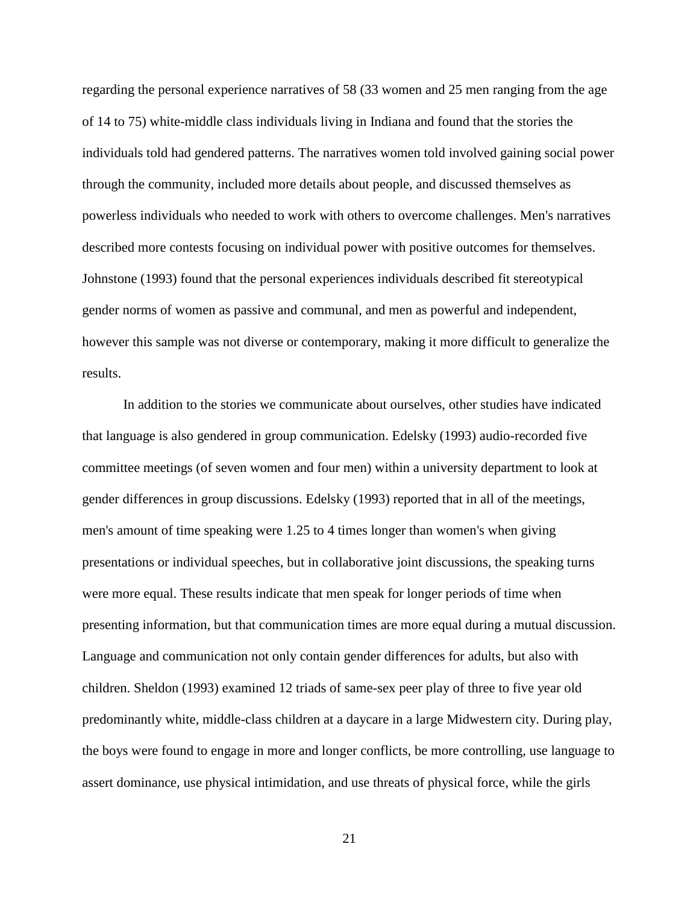regarding the personal experience narratives of 58 (33 women and 25 men ranging from the age of 14 to 75) white-middle class individuals living in Indiana and found that the stories the individuals told had gendered patterns. The narratives women told involved gaining social power through the community, included more details about people, and discussed themselves as powerless individuals who needed to work with others to overcome challenges. Men's narratives described more contests focusing on individual power with positive outcomes for themselves. Johnstone (1993) found that the personal experiences individuals described fit stereotypical gender norms of women as passive and communal, and men as powerful and independent, however this sample was not diverse or contemporary, making it more difficult to generalize the results.

In addition to the stories we communicate about ourselves, other studies have indicated that language is also gendered in group communication. Edelsky (1993) audio-recorded five committee meetings (of seven women and four men) within a university department to look at gender differences in group discussions. Edelsky (1993) reported that in all of the meetings, men's amount of time speaking were 1.25 to 4 times longer than women's when giving presentations or individual speeches, but in collaborative joint discussions, the speaking turns were more equal. These results indicate that men speak for longer periods of time when presenting information, but that communication times are more equal during a mutual discussion. Language and communication not only contain gender differences for adults, but also with children. Sheldon (1993) examined 12 triads of same-sex peer play of three to five year old predominantly white, middle-class children at a daycare in a large Midwestern city. During play, the boys were found to engage in more and longer conflicts, be more controlling, use language to assert dominance, use physical intimidation, and use threats of physical force, while the girls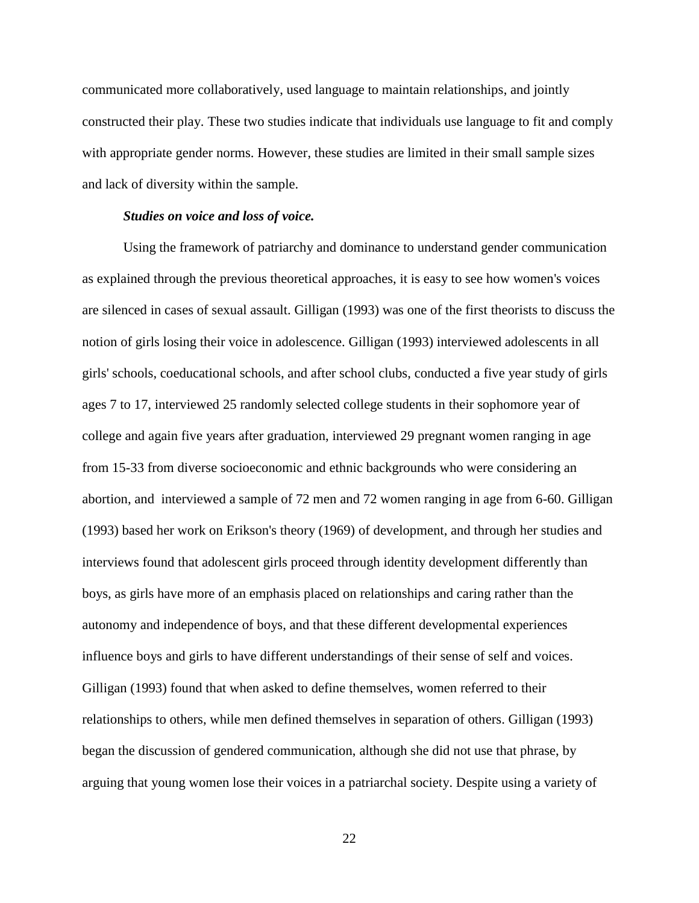communicated more collaboratively, used language to maintain relationships, and jointly constructed their play. These two studies indicate that individuals use language to fit and comply with appropriate gender norms. However, these studies are limited in their small sample sizes and lack of diversity within the sample.

#### *Studies on voice and loss of voice.*

Using the framework of patriarchy and dominance to understand gender communication as explained through the previous theoretical approaches, it is easy to see how women's voices are silenced in cases of sexual assault. Gilligan (1993) was one of the first theorists to discuss the notion of girls losing their voice in adolescence. Gilligan (1993) interviewed adolescents in all girls' schools, coeducational schools, and after school clubs, conducted a five year study of girls ages 7 to 17, interviewed 25 randomly selected college students in their sophomore year of college and again five years after graduation, interviewed 29 pregnant women ranging in age from 15-33 from diverse socioeconomic and ethnic backgrounds who were considering an abortion, and interviewed a sample of 72 men and 72 women ranging in age from 6-60. Gilligan (1993) based her work on Erikson's theory (1969) of development, and through her studies and interviews found that adolescent girls proceed through identity development differently than boys, as girls have more of an emphasis placed on relationships and caring rather than the autonomy and independence of boys, and that these different developmental experiences influence boys and girls to have different understandings of their sense of self and voices. Gilligan (1993) found that when asked to define themselves, women referred to their relationships to others, while men defined themselves in separation of others. Gilligan (1993) began the discussion of gendered communication, although she did not use that phrase, by arguing that young women lose their voices in a patriarchal society. Despite using a variety of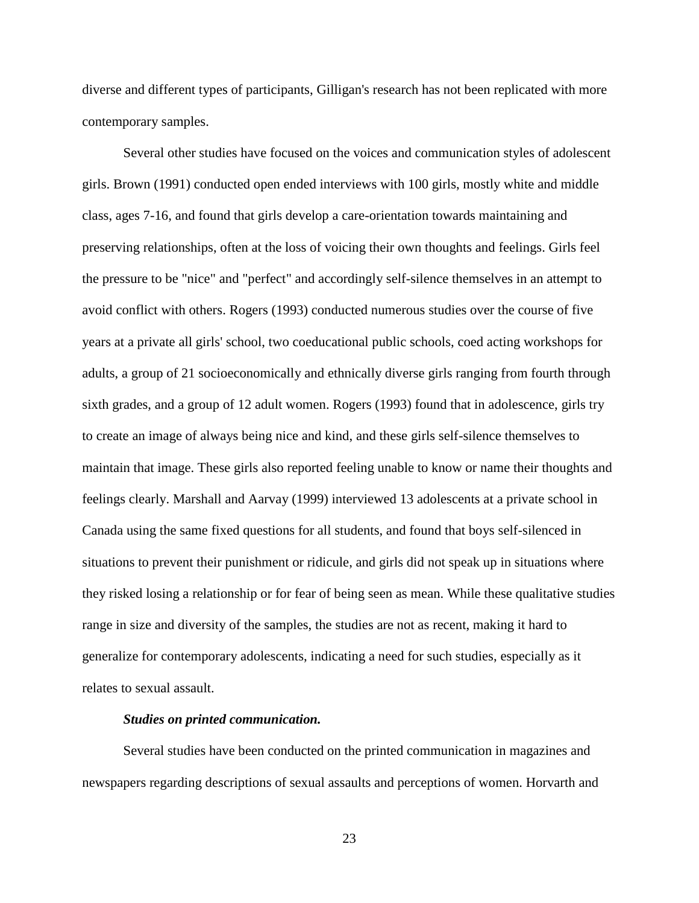diverse and different types of participants, Gilligan's research has not been replicated with more contemporary samples.

Several other studies have focused on the voices and communication styles of adolescent girls. Brown (1991) conducted open ended interviews with 100 girls, mostly white and middle class, ages 7-16, and found that girls develop a care-orientation towards maintaining and preserving relationships, often at the loss of voicing their own thoughts and feelings. Girls feel the pressure to be "nice" and "perfect" and accordingly self-silence themselves in an attempt to avoid conflict with others. Rogers (1993) conducted numerous studies over the course of five years at a private all girls' school, two coeducational public schools, coed acting workshops for adults, a group of 21 socioeconomically and ethnically diverse girls ranging from fourth through sixth grades, and a group of 12 adult women. Rogers (1993) found that in adolescence, girls try to create an image of always being nice and kind, and these girls self-silence themselves to maintain that image. These girls also reported feeling unable to know or name their thoughts and feelings clearly. Marshall and Aarvay (1999) interviewed 13 adolescents at a private school in Canada using the same fixed questions for all students, and found that boys self-silenced in situations to prevent their punishment or ridicule, and girls did not speak up in situations where they risked losing a relationship or for fear of being seen as mean. While these qualitative studies range in size and diversity of the samples, the studies are not as recent, making it hard to generalize for contemporary adolescents, indicating a need for such studies, especially as it relates to sexual assault.

#### *Studies on printed communication.*

Several studies have been conducted on the printed communication in magazines and newspapers regarding descriptions of sexual assaults and perceptions of women. Horvarth and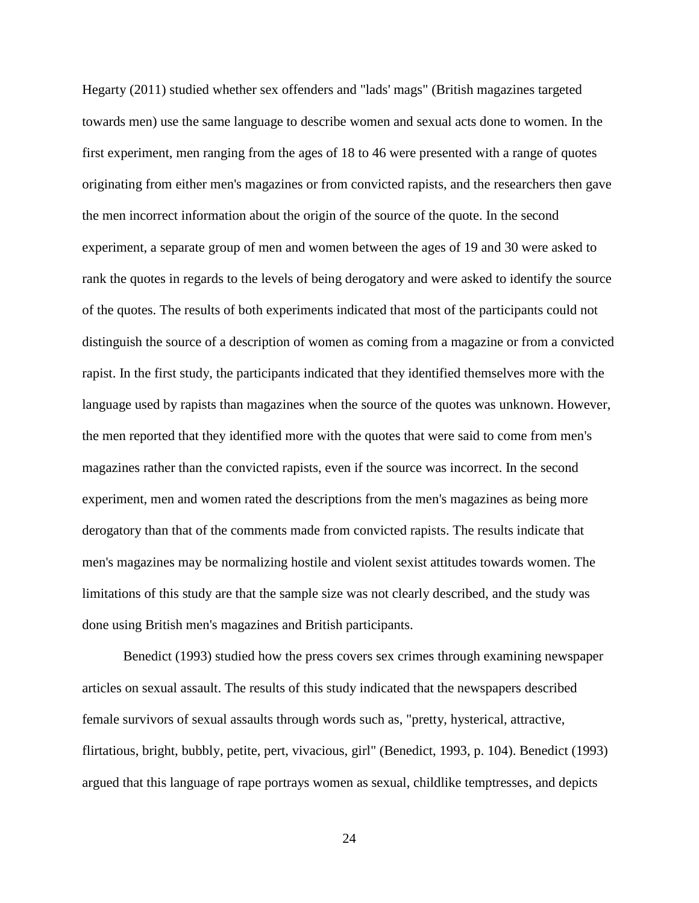Hegarty (2011) studied whether sex offenders and "lads' mags" (British magazines targeted towards men) use the same language to describe women and sexual acts done to women. In the first experiment, men ranging from the ages of 18 to 46 were presented with a range of quotes originating from either men's magazines or from convicted rapists, and the researchers then gave the men incorrect information about the origin of the source of the quote. In the second experiment, a separate group of men and women between the ages of 19 and 30 were asked to rank the quotes in regards to the levels of being derogatory and were asked to identify the source of the quotes. The results of both experiments indicated that most of the participants could not distinguish the source of a description of women as coming from a magazine or from a convicted rapist. In the first study, the participants indicated that they identified themselves more with the language used by rapists than magazines when the source of the quotes was unknown. However, the men reported that they identified more with the quotes that were said to come from men's magazines rather than the convicted rapists, even if the source was incorrect. In the second experiment, men and women rated the descriptions from the men's magazines as being more derogatory than that of the comments made from convicted rapists. The results indicate that men's magazines may be normalizing hostile and violent sexist attitudes towards women. The limitations of this study are that the sample size was not clearly described, and the study was done using British men's magazines and British participants.

Benedict (1993) studied how the press covers sex crimes through examining newspaper articles on sexual assault. The results of this study indicated that the newspapers described female survivors of sexual assaults through words such as, "pretty, hysterical, attractive, flirtatious, bright, bubbly, petite, pert, vivacious, girl" (Benedict, 1993, p. 104). Benedict (1993) argued that this language of rape portrays women as sexual, childlike temptresses, and depicts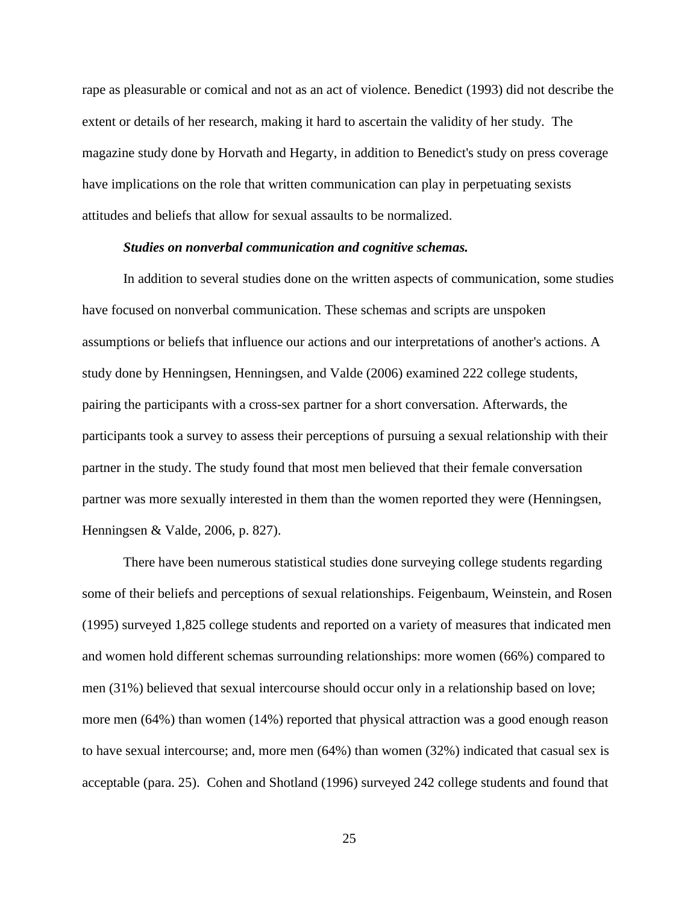rape as pleasurable or comical and not as an act of violence. Benedict (1993) did not describe the extent or details of her research, making it hard to ascertain the validity of her study. The magazine study done by Horvath and Hegarty, in addition to Benedict's study on press coverage have implications on the role that written communication can play in perpetuating sexists attitudes and beliefs that allow for sexual assaults to be normalized.

#### *Studies on nonverbal communication and cognitive schemas.*

In addition to several studies done on the written aspects of communication, some studies have focused on nonverbal communication. These schemas and scripts are unspoken assumptions or beliefs that influence our actions and our interpretations of another's actions. A study done by Henningsen, Henningsen, and Valde (2006) examined 222 college students, pairing the participants with a cross-sex partner for a short conversation. Afterwards, the participants took a survey to assess their perceptions of pursuing a sexual relationship with their partner in the study. The study found that most men believed that their female conversation partner was more sexually interested in them than the women reported they were (Henningsen, Henningsen & Valde, 2006, p. 827).

There have been numerous statistical studies done surveying college students regarding some of their beliefs and perceptions of sexual relationships. Feigenbaum, Weinstein, and Rosen (1995) surveyed 1,825 college students and reported on a variety of measures that indicated men and women hold different schemas surrounding relationships: more women (66%) compared to men (31%) believed that sexual intercourse should occur only in a relationship based on love; more men (64%) than women (14%) reported that physical attraction was a good enough reason to have sexual intercourse; and, more men (64%) than women (32%) indicated that casual sex is acceptable (para. 25). Cohen and Shotland (1996) surveyed 242 college students and found that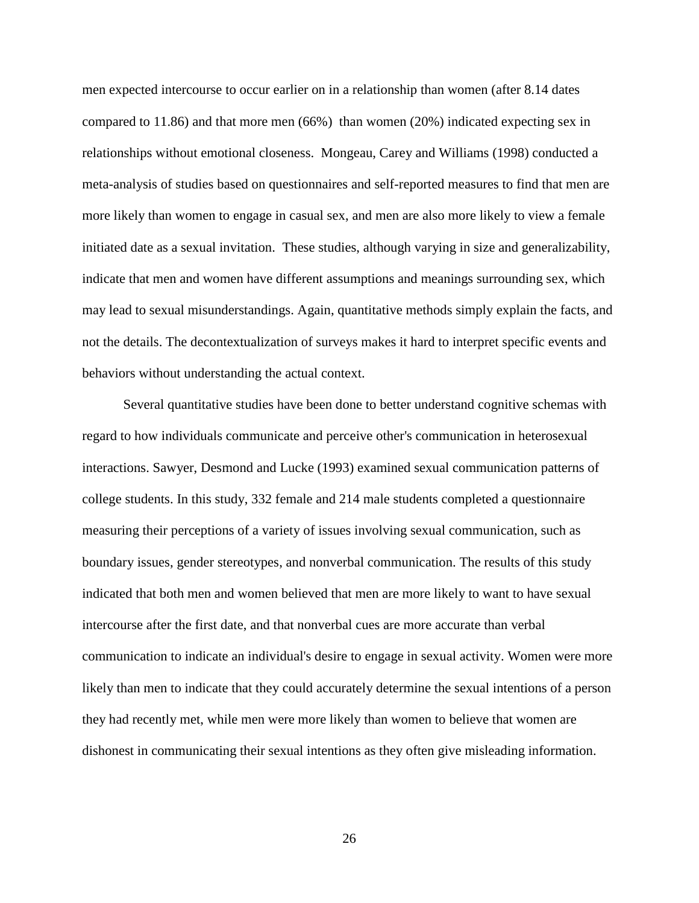men expected intercourse to occur earlier on in a relationship than women (after 8.14 dates compared to 11.86) and that more men (66%) than women (20%) indicated expecting sex in relationships without emotional closeness. Mongeau, Carey and Williams (1998) conducted a meta-analysis of studies based on questionnaires and self-reported measures to find that men are more likely than women to engage in casual sex, and men are also more likely to view a female initiated date as a sexual invitation. These studies, although varying in size and generalizability, indicate that men and women have different assumptions and meanings surrounding sex, which may lead to sexual misunderstandings. Again, quantitative methods simply explain the facts, and not the details. The decontextualization of surveys makes it hard to interpret specific events and behaviors without understanding the actual context.

Several quantitative studies have been done to better understand cognitive schemas with regard to how individuals communicate and perceive other's communication in heterosexual interactions. Sawyer, Desmond and Lucke (1993) examined sexual communication patterns of college students. In this study, 332 female and 214 male students completed a questionnaire measuring their perceptions of a variety of issues involving sexual communication, such as boundary issues, gender stereotypes, and nonverbal communication. The results of this study indicated that both men and women believed that men are more likely to want to have sexual intercourse after the first date, and that nonverbal cues are more accurate than verbal communication to indicate an individual's desire to engage in sexual activity. Women were more likely than men to indicate that they could accurately determine the sexual intentions of a person they had recently met, while men were more likely than women to believe that women are dishonest in communicating their sexual intentions as they often give misleading information.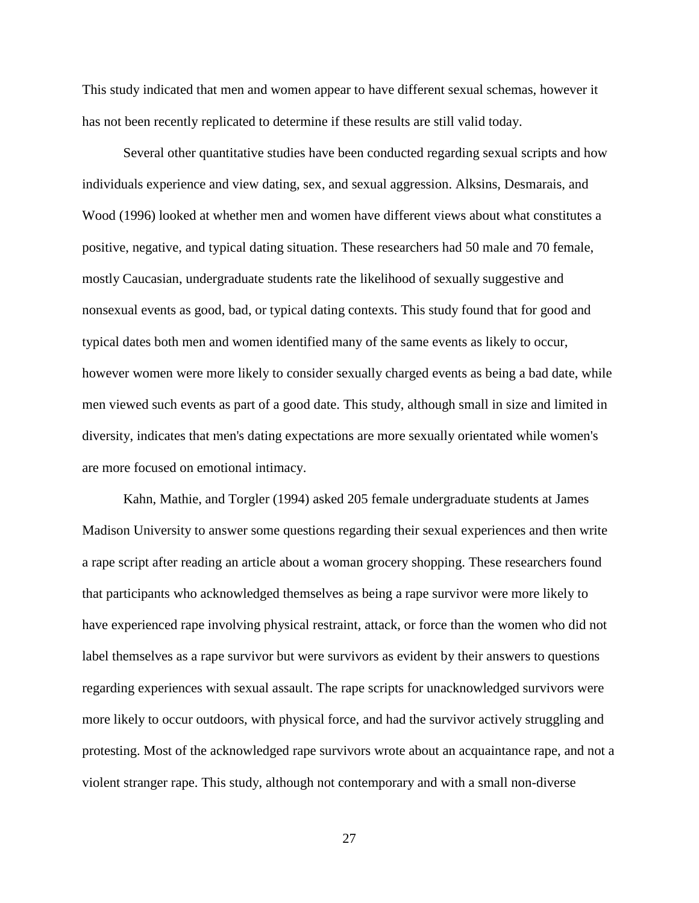This study indicated that men and women appear to have different sexual schemas, however it has not been recently replicated to determine if these results are still valid today.

Several other quantitative studies have been conducted regarding sexual scripts and how individuals experience and view dating, sex, and sexual aggression. Alksins, Desmarais, and Wood (1996) looked at whether men and women have different views about what constitutes a positive, negative, and typical dating situation. These researchers had 50 male and 70 female, mostly Caucasian, undergraduate students rate the likelihood of sexually suggestive and nonsexual events as good, bad, or typical dating contexts. This study found that for good and typical dates both men and women identified many of the same events as likely to occur, however women were more likely to consider sexually charged events as being a bad date, while men viewed such events as part of a good date. This study, although small in size and limited in diversity, indicates that men's dating expectations are more sexually orientated while women's are more focused on emotional intimacy.

Kahn, Mathie, and Torgler (1994) asked 205 female undergraduate students at James Madison University to answer some questions regarding their sexual experiences and then write a rape script after reading an article about a woman grocery shopping. These researchers found that participants who acknowledged themselves as being a rape survivor were more likely to have experienced rape involving physical restraint, attack, or force than the women who did not label themselves as a rape survivor but were survivors as evident by their answers to questions regarding experiences with sexual assault. The rape scripts for unacknowledged survivors were more likely to occur outdoors, with physical force, and had the survivor actively struggling and protesting. Most of the acknowledged rape survivors wrote about an acquaintance rape, and not a violent stranger rape. This study, although not contemporary and with a small non-diverse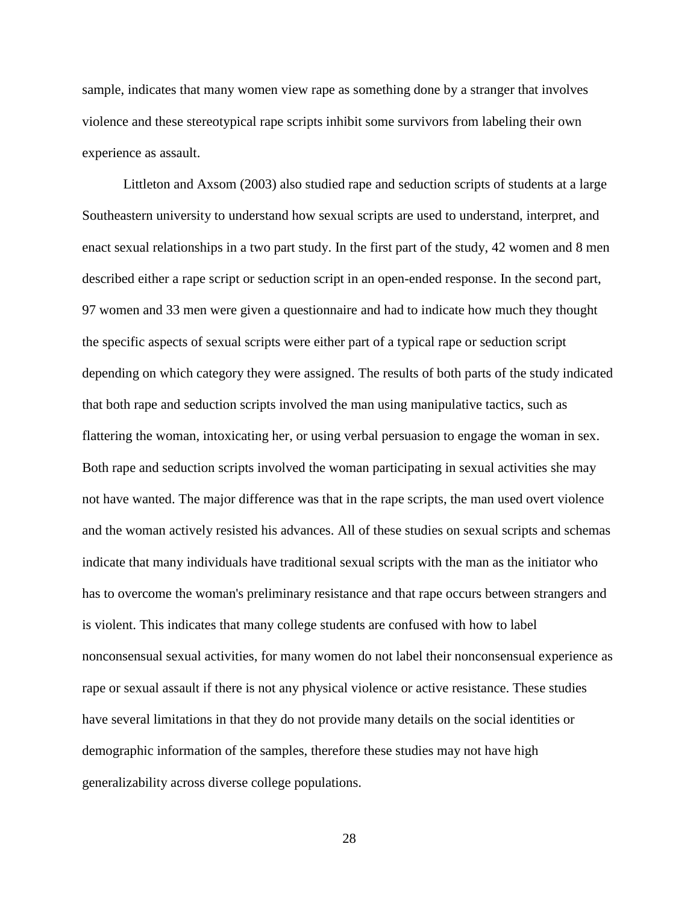sample, indicates that many women view rape as something done by a stranger that involves violence and these stereotypical rape scripts inhibit some survivors from labeling their own experience as assault.

Littleton and Axsom (2003) also studied rape and seduction scripts of students at a large Southeastern university to understand how sexual scripts are used to understand, interpret, and enact sexual relationships in a two part study. In the first part of the study, 42 women and 8 men described either a rape script or seduction script in an open-ended response. In the second part, 97 women and 33 men were given a questionnaire and had to indicate how much they thought the specific aspects of sexual scripts were either part of a typical rape or seduction script depending on which category they were assigned. The results of both parts of the study indicated that both rape and seduction scripts involved the man using manipulative tactics, such as flattering the woman, intoxicating her, or using verbal persuasion to engage the woman in sex. Both rape and seduction scripts involved the woman participating in sexual activities she may not have wanted. The major difference was that in the rape scripts, the man used overt violence and the woman actively resisted his advances. All of these studies on sexual scripts and schemas indicate that many individuals have traditional sexual scripts with the man as the initiator who has to overcome the woman's preliminary resistance and that rape occurs between strangers and is violent. This indicates that many college students are confused with how to label nonconsensual sexual activities, for many women do not label their nonconsensual experience as rape or sexual assault if there is not any physical violence or active resistance. These studies have several limitations in that they do not provide many details on the social identities or demographic information of the samples, therefore these studies may not have high generalizability across diverse college populations.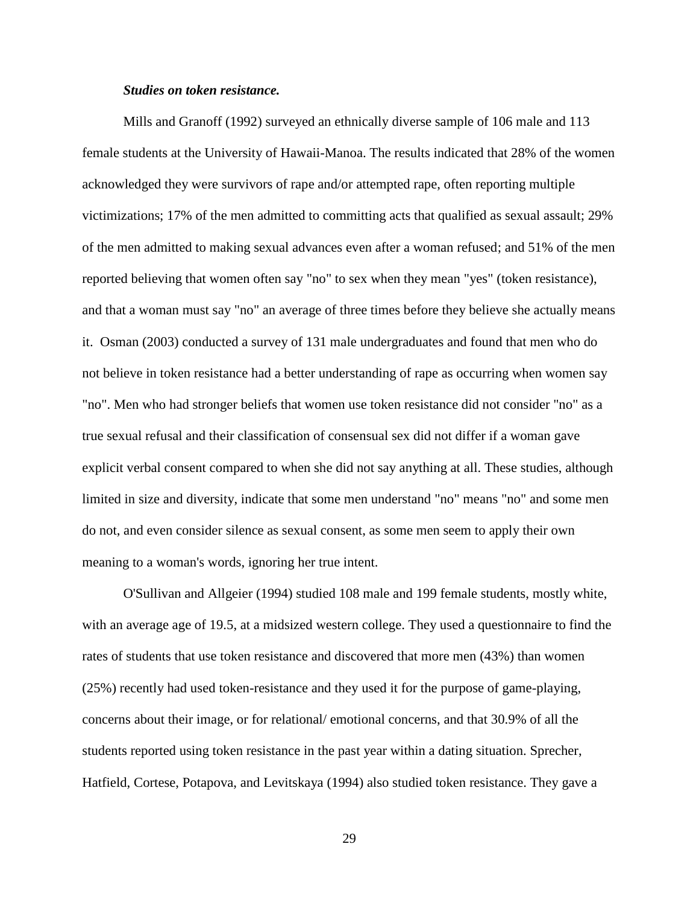#### *Studies on token resistance.*

Mills and Granoff (1992) surveyed an ethnically diverse sample of 106 male and 113 female students at the University of Hawaii-Manoa. The results indicated that 28% of the women acknowledged they were survivors of rape and/or attempted rape, often reporting multiple victimizations; 17% of the men admitted to committing acts that qualified as sexual assault; 29% of the men admitted to making sexual advances even after a woman refused; and 51% of the men reported believing that women often say "no" to sex when they mean "yes" (token resistance), and that a woman must say "no" an average of three times before they believe she actually means it. Osman (2003) conducted a survey of 131 male undergraduates and found that men who do not believe in token resistance had a better understanding of rape as occurring when women say "no". Men who had stronger beliefs that women use token resistance did not consider "no" as a true sexual refusal and their classification of consensual sex did not differ if a woman gave explicit verbal consent compared to when she did not say anything at all. These studies, although limited in size and diversity, indicate that some men understand "no" means "no" and some men do not, and even consider silence as sexual consent, as some men seem to apply their own meaning to a woman's words, ignoring her true intent.

O'Sullivan and Allgeier (1994) studied 108 male and 199 female students, mostly white, with an average age of 19.5, at a midsized western college. They used a questionnaire to find the rates of students that use token resistance and discovered that more men (43%) than women (25%) recently had used token-resistance and they used it for the purpose of game-playing, concerns about their image, or for relational/ emotional concerns, and that 30.9% of all the students reported using token resistance in the past year within a dating situation. Sprecher, Hatfield, Cortese, Potapova, and Levitskaya (1994) also studied token resistance. They gave a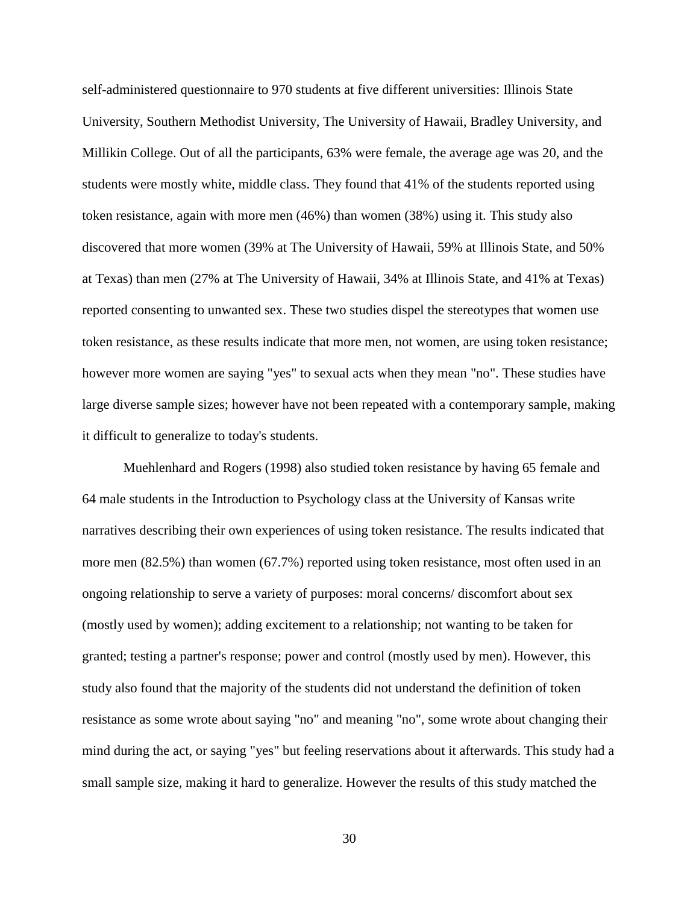self-administered questionnaire to 970 students at five different universities: Illinois State University, Southern Methodist University, The University of Hawaii, Bradley University, and Millikin College. Out of all the participants, 63% were female, the average age was 20, and the students were mostly white, middle class. They found that 41% of the students reported using token resistance, again with more men (46%) than women (38%) using it. This study also discovered that more women (39% at The University of Hawaii, 59% at Illinois State, and 50% at Texas) than men (27% at The University of Hawaii, 34% at Illinois State, and 41% at Texas) reported consenting to unwanted sex. These two studies dispel the stereotypes that women use token resistance, as these results indicate that more men, not women, are using token resistance; however more women are saying "yes" to sexual acts when they mean "no". These studies have large diverse sample sizes; however have not been repeated with a contemporary sample, making it difficult to generalize to today's students.

Muehlenhard and Rogers (1998) also studied token resistance by having 65 female and 64 male students in the Introduction to Psychology class at the University of Kansas write narratives describing their own experiences of using token resistance. The results indicated that more men (82.5%) than women (67.7%) reported using token resistance, most often used in an ongoing relationship to serve a variety of purposes: moral concerns/ discomfort about sex (mostly used by women); adding excitement to a relationship; not wanting to be taken for granted; testing a partner's response; power and control (mostly used by men). However, this study also found that the majority of the students did not understand the definition of token resistance as some wrote about saying "no" and meaning "no", some wrote about changing their mind during the act, or saying "yes" but feeling reservations about it afterwards. This study had a small sample size, making it hard to generalize. However the results of this study matched the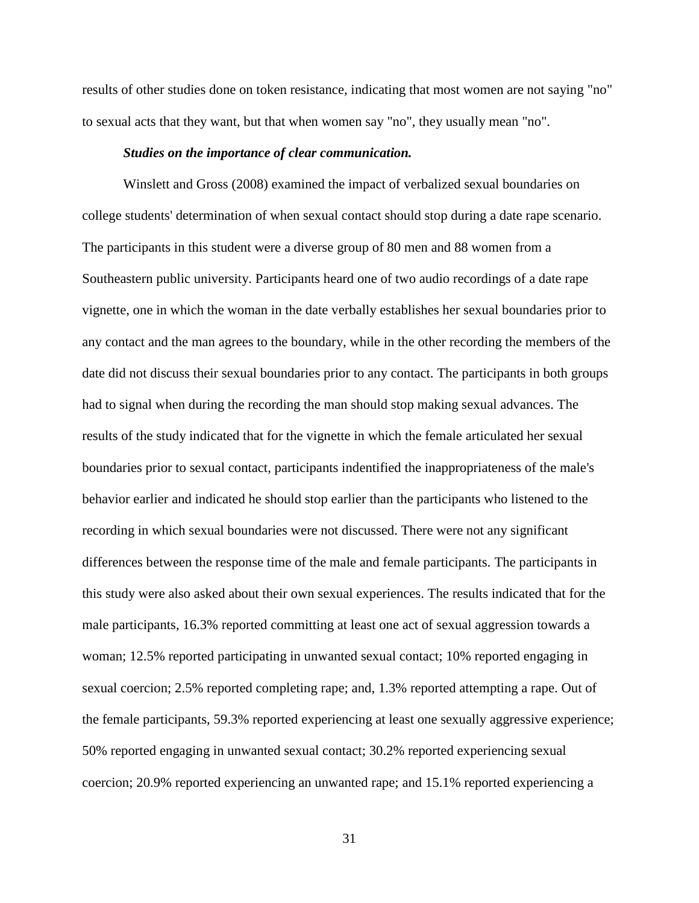results of other studies done on token resistance, indicating that most women are not saying "no" to sexual acts that they want, but that when women say "no", they usually mean "no".

#### *Studies on the importance of clear communication.*

Winslett and Gross (2008) examined the impact of verbalized sexual boundaries on college students' determination of when sexual contact should stop during a date rape scenario. The participants in this student were a diverse group of 80 men and 88 women from a Southeastern public university. Participants heard one of two audio recordings of a date rape vignette, one in which the woman in the date verbally establishes her sexual boundaries prior to any contact and the man agrees to the boundary, while in the other recording the members of the date did not discuss their sexual boundaries prior to any contact. The participants in both groups had to signal when during the recording the man should stop making sexual advances. The results of the study indicated that for the vignette in which the female articulated her sexual boundaries prior to sexual contact, participants indentified the inappropriateness of the male's behavior earlier and indicated he should stop earlier than the participants who listened to the recording in which sexual boundaries were not discussed. There were not any significant differences between the response time of the male and female participants. The participants in this study were also asked about their own sexual experiences. The results indicated that for the male participants, 16.3% reported committing at least one act of sexual aggression towards a woman; 12.5% reported participating in unwanted sexual contact; 10% reported engaging in sexual coercion; 2.5% reported completing rape; and, 1.3% reported attempting a rape. Out of the female participants, 59.3% reported experiencing at least one sexually aggressive experience; 50% reported engaging in unwanted sexual contact; 30.2% reported experiencing sexual coercion; 20.9% reported experiencing an unwanted rape; and 15.1% reported experiencing a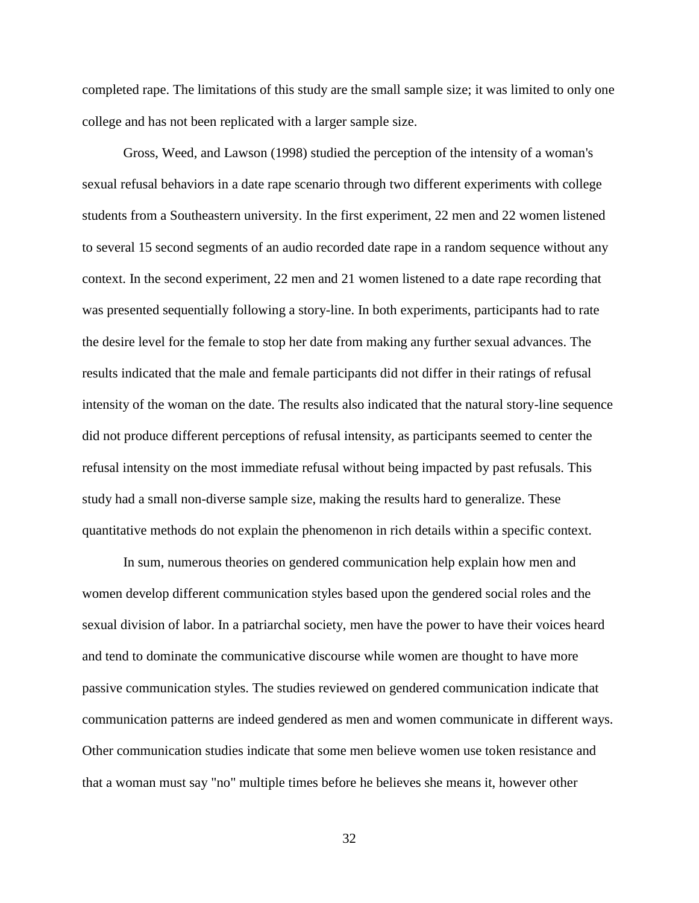completed rape. The limitations of this study are the small sample size; it was limited to only one college and has not been replicated with a larger sample size.

Gross, Weed, and Lawson (1998) studied the perception of the intensity of a woman's sexual refusal behaviors in a date rape scenario through two different experiments with college students from a Southeastern university. In the first experiment, 22 men and 22 women listened to several 15 second segments of an audio recorded date rape in a random sequence without any context. In the second experiment, 22 men and 21 women listened to a date rape recording that was presented sequentially following a story-line. In both experiments, participants had to rate the desire level for the female to stop her date from making any further sexual advances. The results indicated that the male and female participants did not differ in their ratings of refusal intensity of the woman on the date. The results also indicated that the natural story-line sequence did not produce different perceptions of refusal intensity, as participants seemed to center the refusal intensity on the most immediate refusal without being impacted by past refusals. This study had a small non-diverse sample size, making the results hard to generalize. These quantitative methods do not explain the phenomenon in rich details within a specific context.

In sum, numerous theories on gendered communication help explain how men and women develop different communication styles based upon the gendered social roles and the sexual division of labor. In a patriarchal society, men have the power to have their voices heard and tend to dominate the communicative discourse while women are thought to have more passive communication styles. The studies reviewed on gendered communication indicate that communication patterns are indeed gendered as men and women communicate in different ways. Other communication studies indicate that some men believe women use token resistance and that a woman must say "no" multiple times before he believes she means it, however other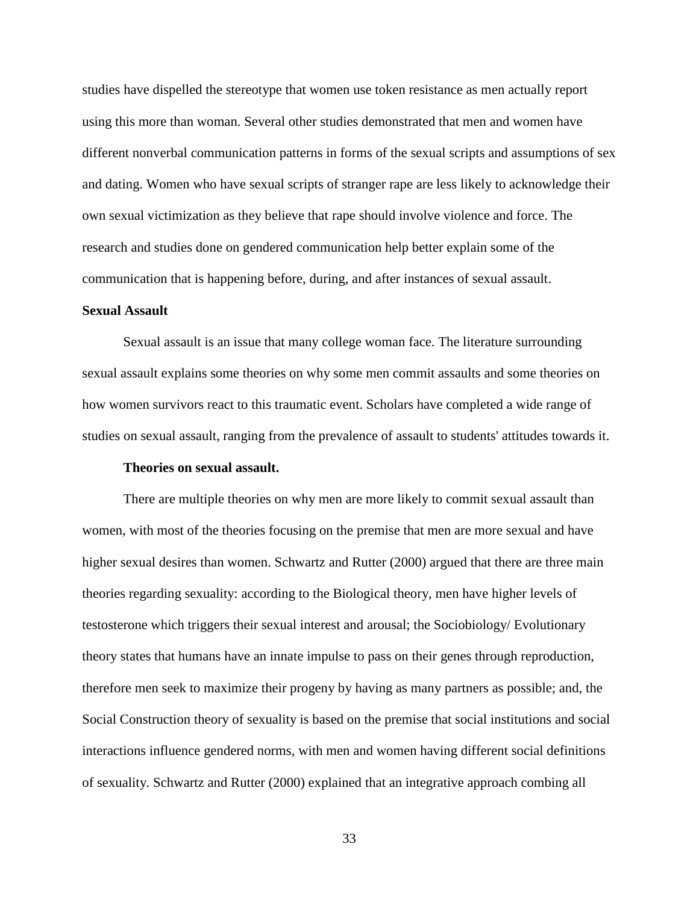studies have dispelled the stereotype that women use token resistance as men actually report using this more than woman. Several other studies demonstrated that men and women have different nonverbal communication patterns in forms of the sexual scripts and assumptions of sex and dating. Women who have sexual scripts of stranger rape are less likely to acknowledge their own sexual victimization as they believe that rape should involve violence and force. The research and studies done on gendered communication help better explain some of the communication that is happening before, during, and after instances of sexual assault.

### **Sexual Assault**

Sexual assault is an issue that many college woman face. The literature surrounding sexual assault explains some theories on why some men commit assaults and some theories on how women survivors react to this traumatic event. Scholars have completed a wide range of studies on sexual assault, ranging from the prevalence of assault to students' attitudes towards it.

### **Theories on sexual assault.**

There are multiple theories on why men are more likely to commit sexual assault than women, with most of the theories focusing on the premise that men are more sexual and have higher sexual desires than women. Schwartz and Rutter (2000) argued that there are three main theories regarding sexuality: according to the Biological theory, men have higher levels of testosterone which triggers their sexual interest and arousal; the Sociobiology/ Evolutionary theory states that humans have an innate impulse to pass on their genes through reproduction, therefore men seek to maximize their progeny by having as many partners as possible; and, the Social Construction theory of sexuality is based on the premise that social institutions and social interactions influence gendered norms, with men and women having different social definitions of sexuality. Schwartz and Rutter (2000) explained that an integrative approach combing all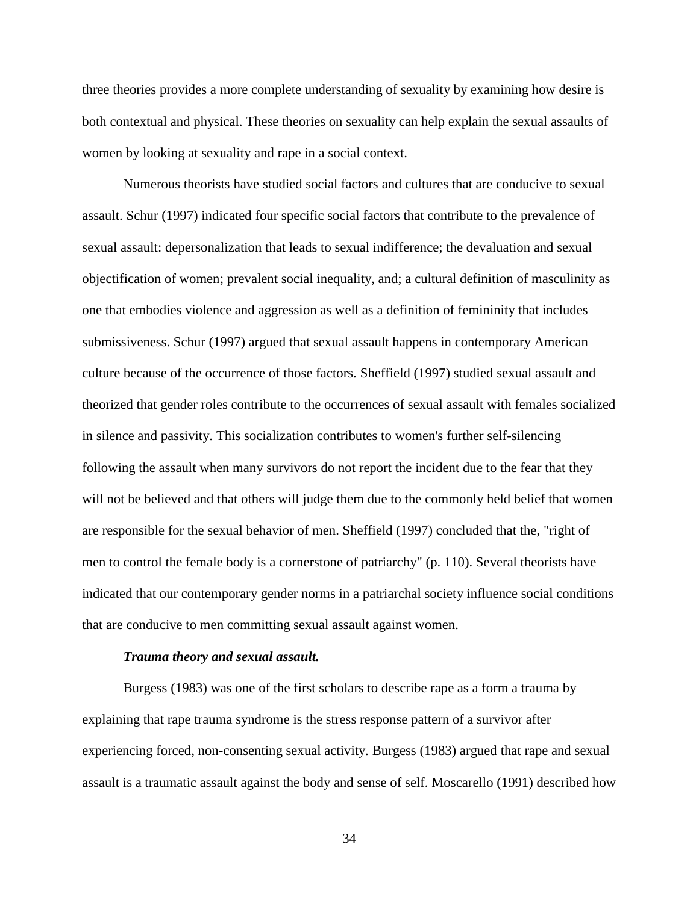three theories provides a more complete understanding of sexuality by examining how desire is both contextual and physical. These theories on sexuality can help explain the sexual assaults of women by looking at sexuality and rape in a social context.

Numerous theorists have studied social factors and cultures that are conducive to sexual assault. Schur (1997) indicated four specific social factors that contribute to the prevalence of sexual assault: depersonalization that leads to sexual indifference; the devaluation and sexual objectification of women; prevalent social inequality, and; a cultural definition of masculinity as one that embodies violence and aggression as well as a definition of femininity that includes submissiveness. Schur (1997) argued that sexual assault happens in contemporary American culture because of the occurrence of those factors. Sheffield (1997) studied sexual assault and theorized that gender roles contribute to the occurrences of sexual assault with females socialized in silence and passivity. This socialization contributes to women's further self-silencing following the assault when many survivors do not report the incident due to the fear that they will not be believed and that others will judge them due to the commonly held belief that women are responsible for the sexual behavior of men. Sheffield (1997) concluded that the, "right of men to control the female body is a cornerstone of patriarchy" (p. 110). Several theorists have indicated that our contemporary gender norms in a patriarchal society influence social conditions that are conducive to men committing sexual assault against women.

#### *Trauma theory and sexual assault.*

Burgess (1983) was one of the first scholars to describe rape as a form a trauma by explaining that rape trauma syndrome is the stress response pattern of a survivor after experiencing forced, non-consenting sexual activity. Burgess (1983) argued that rape and sexual assault is a traumatic assault against the body and sense of self. Moscarello (1991) described how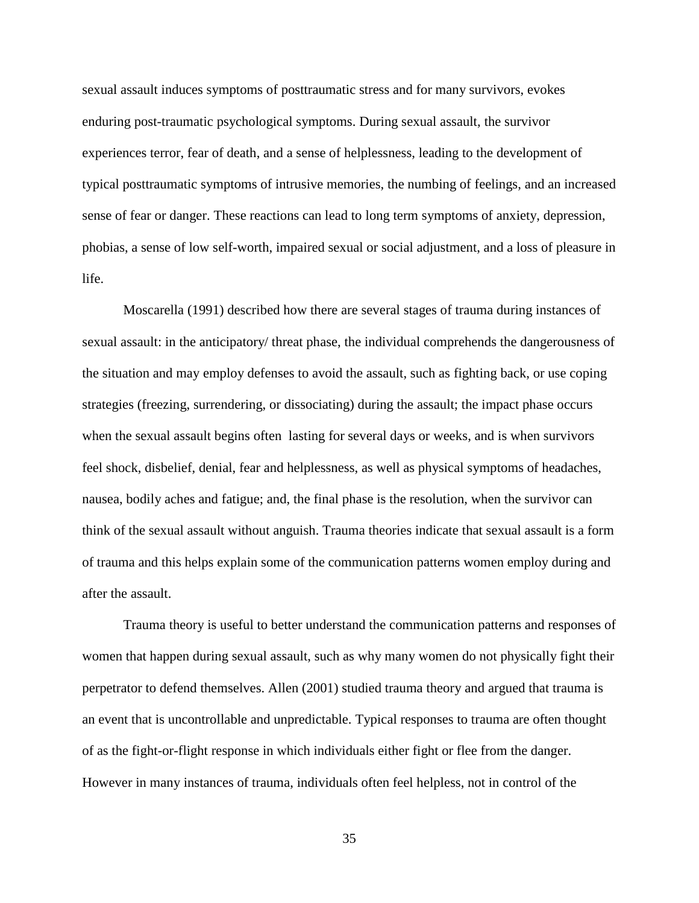sexual assault induces symptoms of posttraumatic stress and for many survivors, evokes enduring post-traumatic psychological symptoms. During sexual assault, the survivor experiences terror, fear of death, and a sense of helplessness, leading to the development of typical posttraumatic symptoms of intrusive memories, the numbing of feelings, and an increased sense of fear or danger. These reactions can lead to long term symptoms of anxiety, depression, phobias, a sense of low self-worth, impaired sexual or social adjustment, and a loss of pleasure in life.

Moscarella (1991) described how there are several stages of trauma during instances of sexual assault: in the anticipatory/ threat phase, the individual comprehends the dangerousness of the situation and may employ defenses to avoid the assault, such as fighting back, or use coping strategies (freezing, surrendering, or dissociating) during the assault; the impact phase occurs when the sexual assault begins often lasting for several days or weeks, and is when survivors feel shock, disbelief, denial, fear and helplessness, as well as physical symptoms of headaches, nausea, bodily aches and fatigue; and, the final phase is the resolution, when the survivor can think of the sexual assault without anguish. Trauma theories indicate that sexual assault is a form of trauma and this helps explain some of the communication patterns women employ during and after the assault.

Trauma theory is useful to better understand the communication patterns and responses of women that happen during sexual assault, such as why many women do not physically fight their perpetrator to defend themselves. Allen (2001) studied trauma theory and argued that trauma is an event that is uncontrollable and unpredictable. Typical responses to trauma are often thought of as the fight-or-flight response in which individuals either fight or flee from the danger. However in many instances of trauma, individuals often feel helpless, not in control of the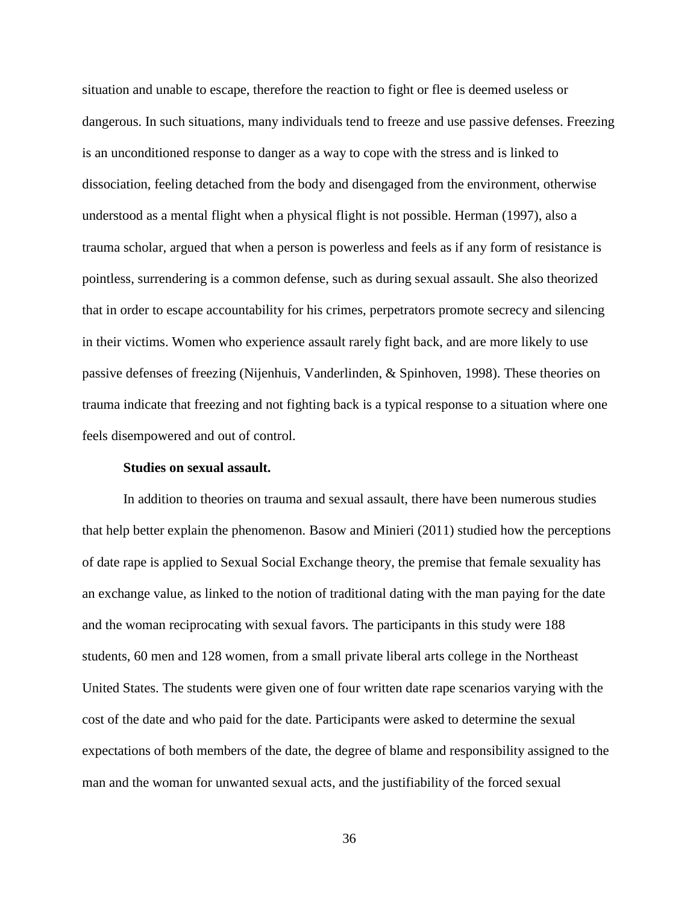situation and unable to escape, therefore the reaction to fight or flee is deemed useless or dangerous. In such situations, many individuals tend to freeze and use passive defenses. Freezing is an unconditioned response to danger as a way to cope with the stress and is linked to dissociation, feeling detached from the body and disengaged from the environment, otherwise understood as a mental flight when a physical flight is not possible. Herman (1997), also a trauma scholar, argued that when a person is powerless and feels as if any form of resistance is pointless, surrendering is a common defense, such as during sexual assault. She also theorized that in order to escape accountability for his crimes, perpetrators promote secrecy and silencing in their victims. Women who experience assault rarely fight back, and are more likely to use passive defenses of freezing (Nijenhuis, Vanderlinden, & Spinhoven, 1998). These theories on trauma indicate that freezing and not fighting back is a typical response to a situation where one feels disempowered and out of control.

#### **Studies on sexual assault.**

In addition to theories on trauma and sexual assault, there have been numerous studies that help better explain the phenomenon. Basow and Minieri (2011) studied how the perceptions of date rape is applied to Sexual Social Exchange theory, the premise that female sexuality has an exchange value, as linked to the notion of traditional dating with the man paying for the date and the woman reciprocating with sexual favors. The participants in this study were 188 students, 60 men and 128 women, from a small private liberal arts college in the Northeast United States. The students were given one of four written date rape scenarios varying with the cost of the date and who paid for the date. Participants were asked to determine the sexual expectations of both members of the date, the degree of blame and responsibility assigned to the man and the woman for unwanted sexual acts, and the justifiability of the forced sexual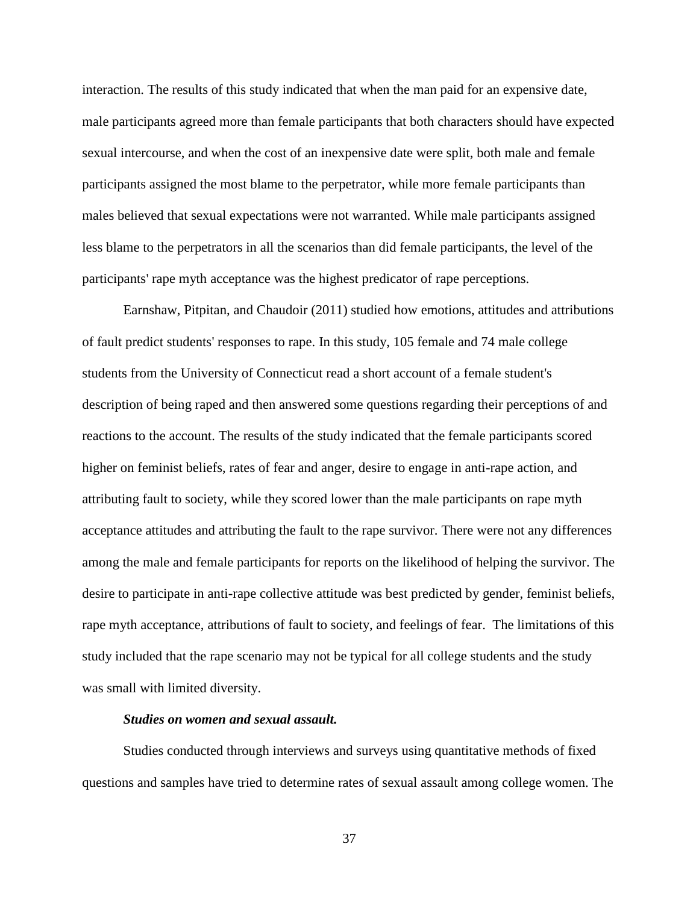interaction. The results of this study indicated that when the man paid for an expensive date, male participants agreed more than female participants that both characters should have expected sexual intercourse, and when the cost of an inexpensive date were split, both male and female participants assigned the most blame to the perpetrator, while more female participants than males believed that sexual expectations were not warranted. While male participants assigned less blame to the perpetrators in all the scenarios than did female participants, the level of the participants' rape myth acceptance was the highest predicator of rape perceptions.

Earnshaw, Pitpitan, and Chaudoir (2011) studied how emotions, attitudes and attributions of fault predict students' responses to rape. In this study, 105 female and 74 male college students from the University of Connecticut read a short account of a female student's description of being raped and then answered some questions regarding their perceptions of and reactions to the account. The results of the study indicated that the female participants scored higher on feminist beliefs, rates of fear and anger, desire to engage in anti-rape action, and attributing fault to society, while they scored lower than the male participants on rape myth acceptance attitudes and attributing the fault to the rape survivor. There were not any differences among the male and female participants for reports on the likelihood of helping the survivor. The desire to participate in anti-rape collective attitude was best predicted by gender, feminist beliefs, rape myth acceptance, attributions of fault to society, and feelings of fear. The limitations of this study included that the rape scenario may not be typical for all college students and the study was small with limited diversity.

#### *Studies on women and sexual assault.*

Studies conducted through interviews and surveys using quantitative methods of fixed questions and samples have tried to determine rates of sexual assault among college women. The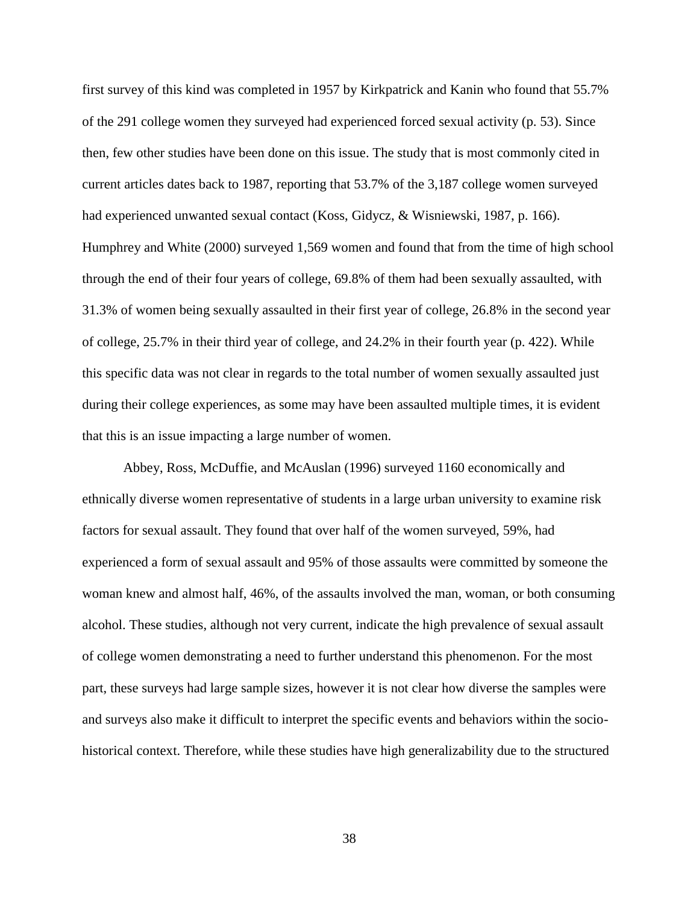first survey of this kind was completed in 1957 by Kirkpatrick and Kanin who found that 55.7% of the 291 college women they surveyed had experienced forced sexual activity (p. 53). Since then, few other studies have been done on this issue. The study that is most commonly cited in current articles dates back to 1987, reporting that 53.7% of the 3,187 college women surveyed had experienced unwanted sexual contact (Koss, Gidycz, & Wisniewski, 1987, p. 166). Humphrey and White (2000) surveyed 1,569 women and found that from the time of high school through the end of their four years of college, 69.8% of them had been sexually assaulted, with 31.3% of women being sexually assaulted in their first year of college, 26.8% in the second year of college, 25.7% in their third year of college, and 24.2% in their fourth year (p. 422). While this specific data was not clear in regards to the total number of women sexually assaulted just during their college experiences, as some may have been assaulted multiple times, it is evident that this is an issue impacting a large number of women.

Abbey, Ross, McDuffie, and McAuslan (1996) surveyed 1160 economically and ethnically diverse women representative of students in a large urban university to examine risk factors for sexual assault. They found that over half of the women surveyed, 59%, had experienced a form of sexual assault and 95% of those assaults were committed by someone the woman knew and almost half, 46%, of the assaults involved the man, woman, or both consuming alcohol. These studies, although not very current, indicate the high prevalence of sexual assault of college women demonstrating a need to further understand this phenomenon. For the most part, these surveys had large sample sizes, however it is not clear how diverse the samples were and surveys also make it difficult to interpret the specific events and behaviors within the sociohistorical context. Therefore, while these studies have high generalizability due to the structured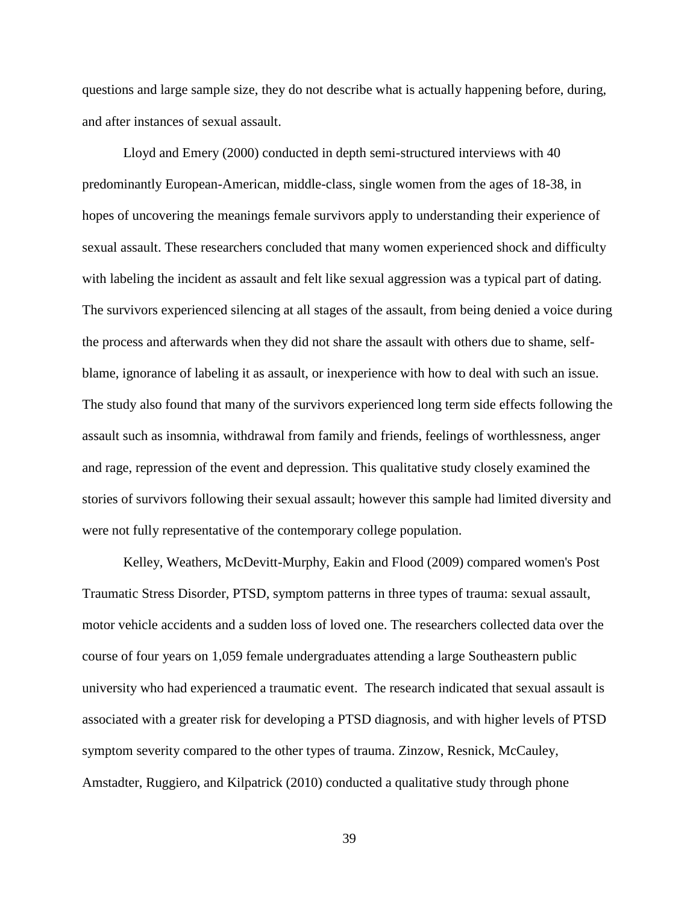questions and large sample size, they do not describe what is actually happening before, during, and after instances of sexual assault.

Lloyd and Emery (2000) conducted in depth semi-structured interviews with 40 predominantly European-American, middle-class, single women from the ages of 18-38, in hopes of uncovering the meanings female survivors apply to understanding their experience of sexual assault. These researchers concluded that many women experienced shock and difficulty with labeling the incident as assault and felt like sexual aggression was a typical part of dating. The survivors experienced silencing at all stages of the assault, from being denied a voice during the process and afterwards when they did not share the assault with others due to shame, selfblame, ignorance of labeling it as assault, or inexperience with how to deal with such an issue. The study also found that many of the survivors experienced long term side effects following the assault such as insomnia, withdrawal from family and friends, feelings of worthlessness, anger and rage, repression of the event and depression. This qualitative study closely examined the stories of survivors following their sexual assault; however this sample had limited diversity and were not fully representative of the contemporary college population.

Kelley, Weathers, McDevitt-Murphy, Eakin and Flood (2009) compared women's Post Traumatic Stress Disorder, PTSD, symptom patterns in three types of trauma: sexual assault, motor vehicle accidents and a sudden loss of loved one. The researchers collected data over the course of four years on 1,059 female undergraduates attending a large Southeastern public university who had experienced a traumatic event. The research indicated that sexual assault is associated with a greater risk for developing a PTSD diagnosis, and with higher levels of PTSD symptom severity compared to the other types of trauma. Zinzow, Resnick, McCauley, Amstadter, Ruggiero, and Kilpatrick (2010) conducted a qualitative study through phone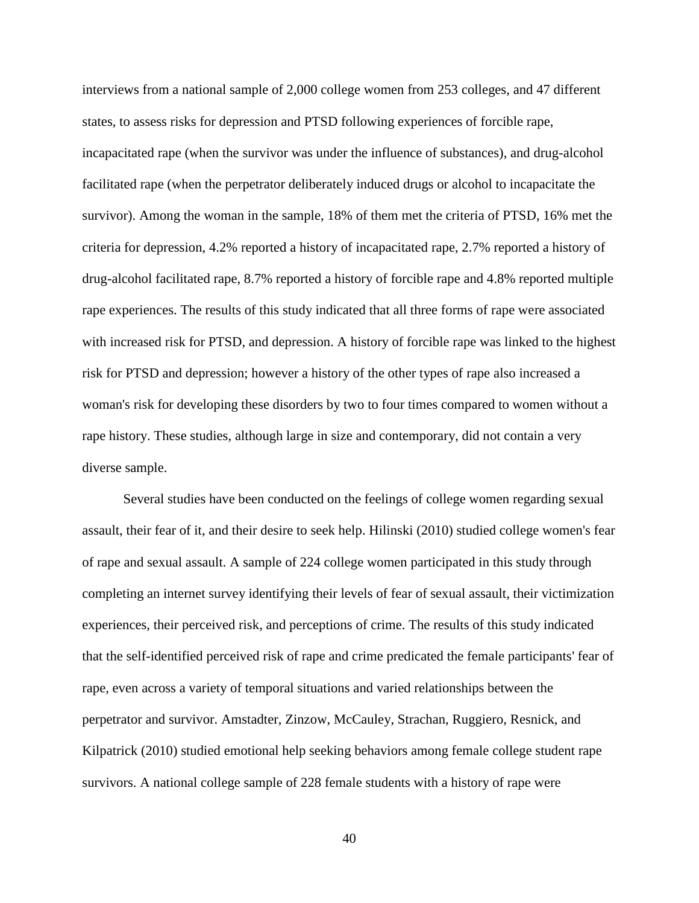interviews from a national sample of 2,000 college women from 253 colleges, and 47 different states, to assess risks for depression and PTSD following experiences of forcible rape, incapacitated rape (when the survivor was under the influence of substances), and drug-alcohol facilitated rape (when the perpetrator deliberately induced drugs or alcohol to incapacitate the survivor). Among the woman in the sample, 18% of them met the criteria of PTSD, 16% met the criteria for depression, 4.2% reported a history of incapacitated rape, 2.7% reported a history of drug-alcohol facilitated rape, 8.7% reported a history of forcible rape and 4.8% reported multiple rape experiences. The results of this study indicated that all three forms of rape were associated with increased risk for PTSD, and depression. A history of forcible rape was linked to the highest risk for PTSD and depression; however a history of the other types of rape also increased a woman's risk for developing these disorders by two to four times compared to women without a rape history. These studies, although large in size and contemporary, did not contain a very diverse sample.

Several studies have been conducted on the feelings of college women regarding sexual assault, their fear of it, and their desire to seek help. Hilinski (2010) studied college women's fear of rape and sexual assault. A sample of 224 college women participated in this study through completing an internet survey identifying their levels of fear of sexual assault, their victimization experiences, their perceived risk, and perceptions of crime. The results of this study indicated that the self-identified perceived risk of rape and crime predicated the female participants' fear of rape, even across a variety of temporal situations and varied relationships between the perpetrator and survivor. Amstadter, Zinzow, McCauley, Strachan, Ruggiero, Resnick, and Kilpatrick (2010) studied emotional help seeking behaviors among female college student rape survivors. A national college sample of 228 female students with a history of rape were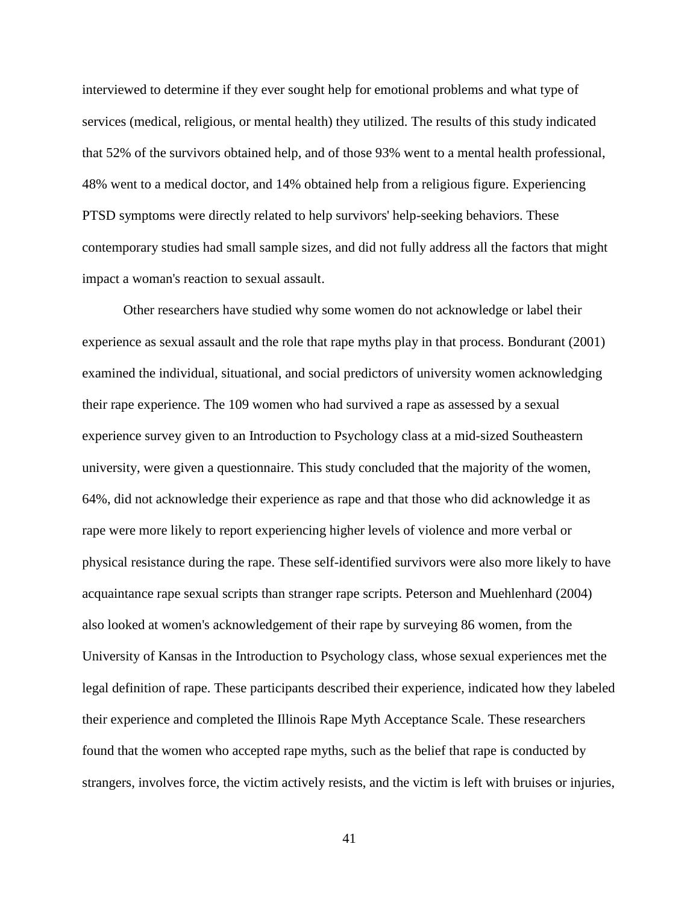interviewed to determine if they ever sought help for emotional problems and what type of services (medical, religious, or mental health) they utilized. The results of this study indicated that 52% of the survivors obtained help, and of those 93% went to a mental health professional, 48% went to a medical doctor, and 14% obtained help from a religious figure. Experiencing PTSD symptoms were directly related to help survivors' help-seeking behaviors. These contemporary studies had small sample sizes, and did not fully address all the factors that might impact a woman's reaction to sexual assault.

Other researchers have studied why some women do not acknowledge or label their experience as sexual assault and the role that rape myths play in that process. Bondurant (2001) examined the individual, situational, and social predictors of university women acknowledging their rape experience. The 109 women who had survived a rape as assessed by a sexual experience survey given to an Introduction to Psychology class at a mid-sized Southeastern university, were given a questionnaire. This study concluded that the majority of the women, 64%, did not acknowledge their experience as rape and that those who did acknowledge it as rape were more likely to report experiencing higher levels of violence and more verbal or physical resistance during the rape. These self-identified survivors were also more likely to have acquaintance rape sexual scripts than stranger rape scripts. Peterson and Muehlenhard (2004) also looked at women's acknowledgement of their rape by surveying 86 women, from the University of Kansas in the Introduction to Psychology class, whose sexual experiences met the legal definition of rape. These participants described their experience, indicated how they labeled their experience and completed the Illinois Rape Myth Acceptance Scale. These researchers found that the women who accepted rape myths, such as the belief that rape is conducted by strangers, involves force, the victim actively resists, and the victim is left with bruises or injuries,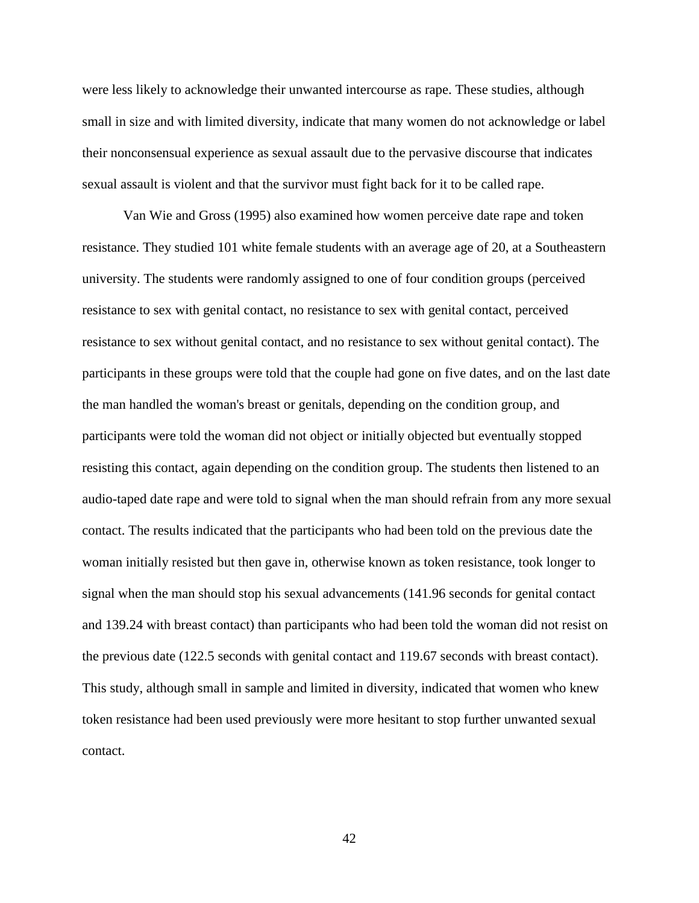were less likely to acknowledge their unwanted intercourse as rape. These studies, although small in size and with limited diversity, indicate that many women do not acknowledge or label their nonconsensual experience as sexual assault due to the pervasive discourse that indicates sexual assault is violent and that the survivor must fight back for it to be called rape.

Van Wie and Gross (1995) also examined how women perceive date rape and token resistance. They studied 101 white female students with an average age of 20, at a Southeastern university. The students were randomly assigned to one of four condition groups (perceived resistance to sex with genital contact, no resistance to sex with genital contact, perceived resistance to sex without genital contact, and no resistance to sex without genital contact). The participants in these groups were told that the couple had gone on five dates, and on the last date the man handled the woman's breast or genitals, depending on the condition group, and participants were told the woman did not object or initially objected but eventually stopped resisting this contact, again depending on the condition group. The students then listened to an audio-taped date rape and were told to signal when the man should refrain from any more sexual contact. The results indicated that the participants who had been told on the previous date the woman initially resisted but then gave in, otherwise known as token resistance, took longer to signal when the man should stop his sexual advancements (141.96 seconds for genital contact and 139.24 with breast contact) than participants who had been told the woman did not resist on the previous date (122.5 seconds with genital contact and 119.67 seconds with breast contact). This study, although small in sample and limited in diversity, indicated that women who knew token resistance had been used previously were more hesitant to stop further unwanted sexual contact.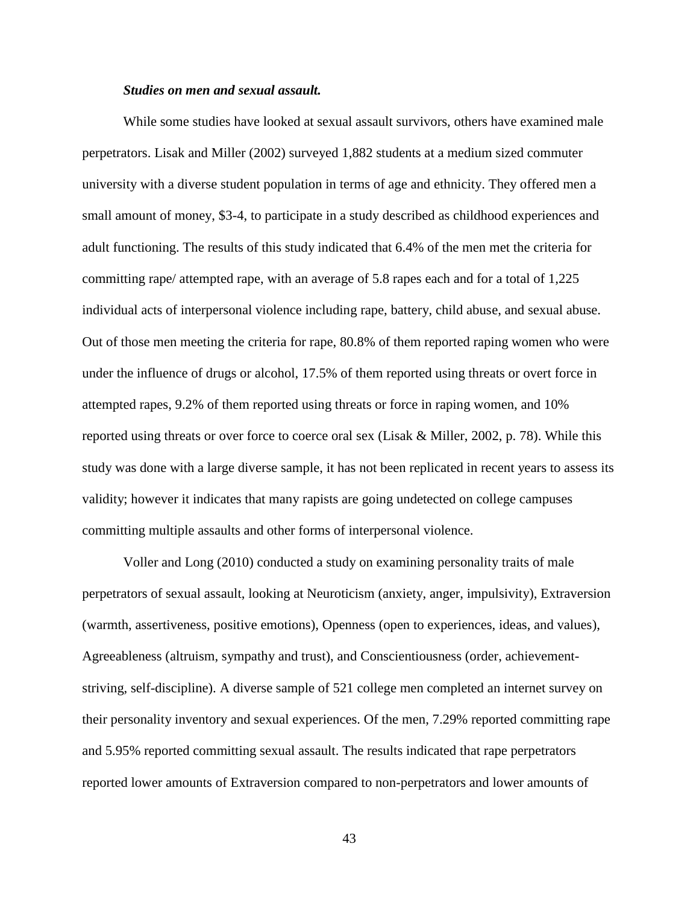## *Studies on men and sexual assault.*

While some studies have looked at sexual assault survivors, others have examined male perpetrators. Lisak and Miller (2002) surveyed 1,882 students at a medium sized commuter university with a diverse student population in terms of age and ethnicity. They offered men a small amount of money, \$3-4, to participate in a study described as childhood experiences and adult functioning. The results of this study indicated that 6.4% of the men met the criteria for committing rape/ attempted rape, with an average of 5.8 rapes each and for a total of 1,225 individual acts of interpersonal violence including rape, battery, child abuse, and sexual abuse. Out of those men meeting the criteria for rape, 80.8% of them reported raping women who were under the influence of drugs or alcohol, 17.5% of them reported using threats or overt force in attempted rapes, 9.2% of them reported using threats or force in raping women, and 10% reported using threats or over force to coerce oral sex (Lisak & Miller, 2002, p. 78). While this study was done with a large diverse sample, it has not been replicated in recent years to assess its validity; however it indicates that many rapists are going undetected on college campuses committing multiple assaults and other forms of interpersonal violence.

Voller and Long (2010) conducted a study on examining personality traits of male perpetrators of sexual assault, looking at Neuroticism (anxiety, anger, impulsivity), Extraversion (warmth, assertiveness, positive emotions), Openness (open to experiences, ideas, and values), Agreeableness (altruism, sympathy and trust), and Conscientiousness (order, achievementstriving, self-discipline). A diverse sample of 521 college men completed an internet survey on their personality inventory and sexual experiences. Of the men, 7.29% reported committing rape and 5.95% reported committing sexual assault. The results indicated that rape perpetrators reported lower amounts of Extraversion compared to non-perpetrators and lower amounts of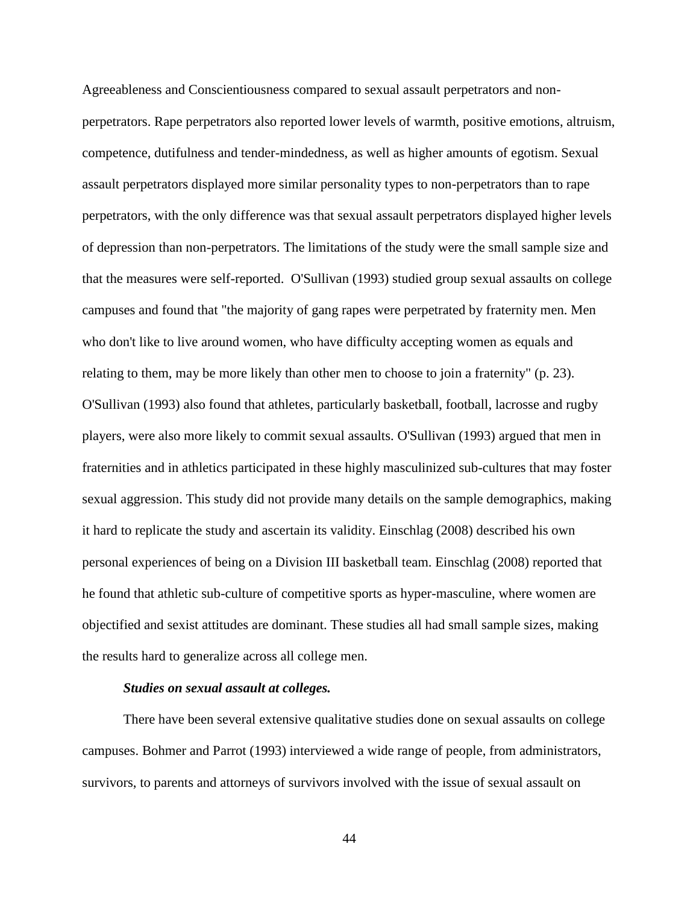Agreeableness and Conscientiousness compared to sexual assault perpetrators and nonperpetrators. Rape perpetrators also reported lower levels of warmth, positive emotions, altruism, competence, dutifulness and tender-mindedness, as well as higher amounts of egotism. Sexual assault perpetrators displayed more similar personality types to non-perpetrators than to rape perpetrators, with the only difference was that sexual assault perpetrators displayed higher levels of depression than non-perpetrators. The limitations of the study were the small sample size and that the measures were self-reported. O'Sullivan (1993) studied group sexual assaults on college campuses and found that "the majority of gang rapes were perpetrated by fraternity men. Men who don't like to live around women, who have difficulty accepting women as equals and relating to them, may be more likely than other men to choose to join a fraternity" (p. 23). O'Sullivan (1993) also found that athletes, particularly basketball, football, lacrosse and rugby players, were also more likely to commit sexual assaults. O'Sullivan (1993) argued that men in fraternities and in athletics participated in these highly masculinized sub-cultures that may foster sexual aggression. This study did not provide many details on the sample demographics, making it hard to replicate the study and ascertain its validity. Einschlag (2008) described his own personal experiences of being on a Division III basketball team. Einschlag (2008) reported that he found that athletic sub-culture of competitive sports as hyper-masculine, where women are objectified and sexist attitudes are dominant. These studies all had small sample sizes, making the results hard to generalize across all college men.

### *Studies on sexual assault at colleges.*

There have been several extensive qualitative studies done on sexual assaults on college campuses. Bohmer and Parrot (1993) interviewed a wide range of people, from administrators, survivors, to parents and attorneys of survivors involved with the issue of sexual assault on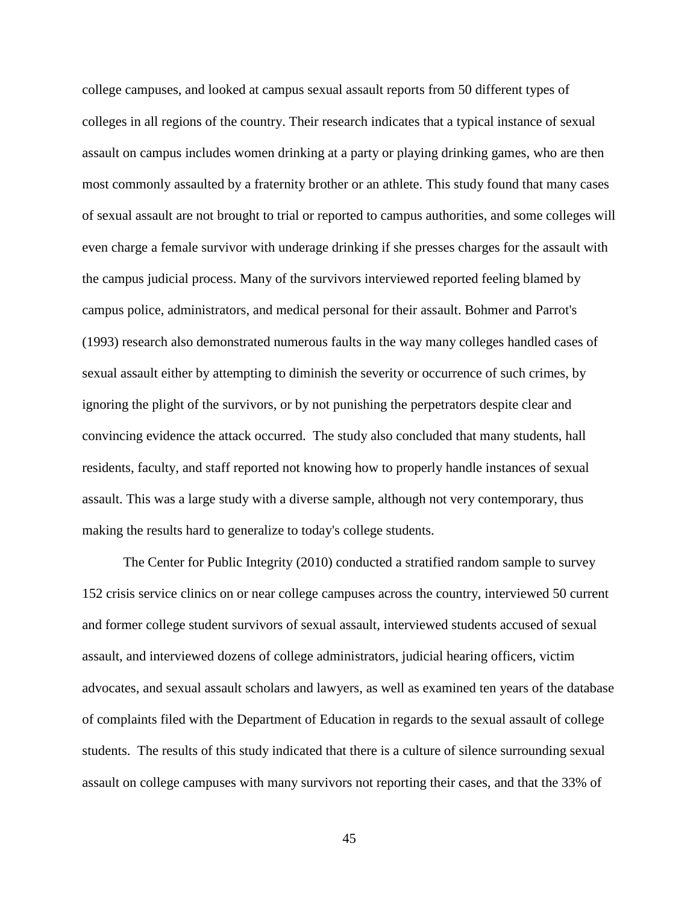college campuses, and looked at campus sexual assault reports from 50 different types of colleges in all regions of the country. Their research indicates that a typical instance of sexual assault on campus includes women drinking at a party or playing drinking games, who are then most commonly assaulted by a fraternity brother or an athlete. This study found that many cases of sexual assault are not brought to trial or reported to campus authorities, and some colleges will even charge a female survivor with underage drinking if she presses charges for the assault with the campus judicial process. Many of the survivors interviewed reported feeling blamed by campus police, administrators, and medical personal for their assault. Bohmer and Parrot's (1993) research also demonstrated numerous faults in the way many colleges handled cases of sexual assault either by attempting to diminish the severity or occurrence of such crimes, by ignoring the plight of the survivors, or by not punishing the perpetrators despite clear and convincing evidence the attack occurred. The study also concluded that many students, hall residents, faculty, and staff reported not knowing how to properly handle instances of sexual assault. This was a large study with a diverse sample, although not very contemporary, thus making the results hard to generalize to today's college students.

The Center for Public Integrity (2010) conducted a stratified random sample to survey 152 crisis service clinics on or near college campuses across the country, interviewed 50 current and former college student survivors of sexual assault, interviewed students accused of sexual assault, and interviewed dozens of college administrators, judicial hearing officers, victim advocates, and sexual assault scholars and lawyers, as well as examined ten years of the database of complaints filed with the Department of Education in regards to the sexual assault of college students. The results of this study indicated that there is a culture of silence surrounding sexual assault on college campuses with many survivors not reporting their cases, and that the 33% of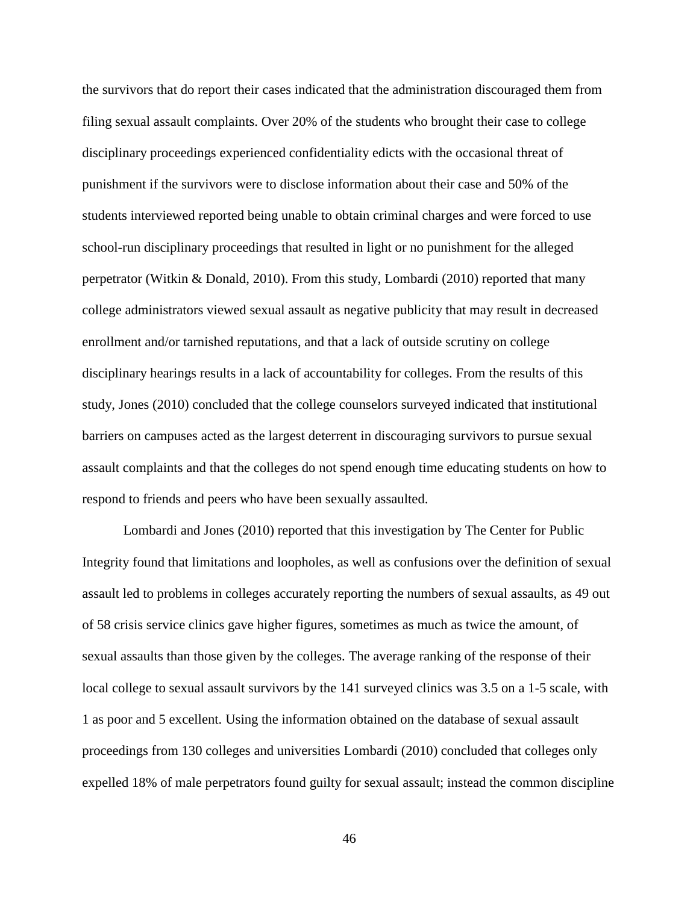the survivors that do report their cases indicated that the administration discouraged them from filing sexual assault complaints. Over 20% of the students who brought their case to college disciplinary proceedings experienced confidentiality edicts with the occasional threat of punishment if the survivors were to disclose information about their case and 50% of the students interviewed reported being unable to obtain criminal charges and were forced to use school-run disciplinary proceedings that resulted in light or no punishment for the alleged perpetrator (Witkin & Donald, 2010). From this study, Lombardi (2010) reported that many college administrators viewed sexual assault as negative publicity that may result in decreased enrollment and/or tarnished reputations, and that a lack of outside scrutiny on college disciplinary hearings results in a lack of accountability for colleges. From the results of this study, Jones (2010) concluded that the college counselors surveyed indicated that institutional barriers on campuses acted as the largest deterrent in discouraging survivors to pursue sexual assault complaints and that the colleges do not spend enough time educating students on how to respond to friends and peers who have been sexually assaulted.

Lombardi and Jones (2010) reported that this investigation by The Center for Public Integrity found that limitations and loopholes, as well as confusions over the definition of sexual assault led to problems in colleges accurately reporting the numbers of sexual assaults, as 49 out of 58 crisis service clinics gave higher figures, sometimes as much as twice the amount, of sexual assaults than those given by the colleges. The average ranking of the response of their local college to sexual assault survivors by the 141 surveyed clinics was 3.5 on a 1-5 scale, with 1 as poor and 5 excellent. Using the information obtained on the database of sexual assault proceedings from 130 colleges and universities Lombardi (2010) concluded that colleges only expelled 18% of male perpetrators found guilty for sexual assault; instead the common discipline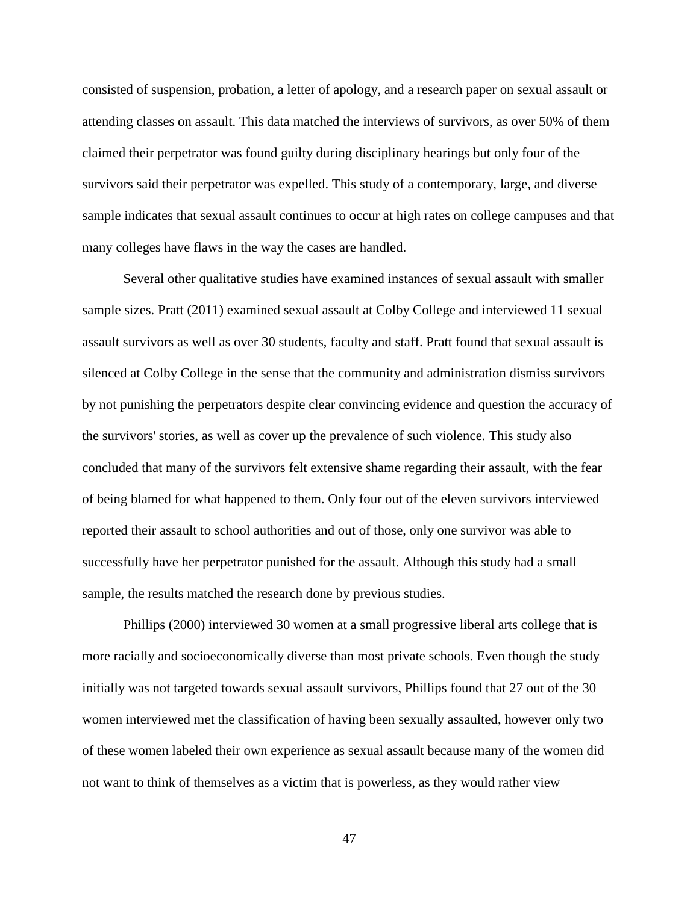consisted of suspension, probation, a letter of apology, and a research paper on sexual assault or attending classes on assault. This data matched the interviews of survivors, as over 50% of them claimed their perpetrator was found guilty during disciplinary hearings but only four of the survivors said their perpetrator was expelled. This study of a contemporary, large, and diverse sample indicates that sexual assault continues to occur at high rates on college campuses and that many colleges have flaws in the way the cases are handled.

Several other qualitative studies have examined instances of sexual assault with smaller sample sizes. Pratt (2011) examined sexual assault at Colby College and interviewed 11 sexual assault survivors as well as over 30 students, faculty and staff. Pratt found that sexual assault is silenced at Colby College in the sense that the community and administration dismiss survivors by not punishing the perpetrators despite clear convincing evidence and question the accuracy of the survivors' stories, as well as cover up the prevalence of such violence. This study also concluded that many of the survivors felt extensive shame regarding their assault, with the fear of being blamed for what happened to them. Only four out of the eleven survivors interviewed reported their assault to school authorities and out of those, only one survivor was able to successfully have her perpetrator punished for the assault. Although this study had a small sample, the results matched the research done by previous studies.

Phillips (2000) interviewed 30 women at a small progressive liberal arts college that is more racially and socioeconomically diverse than most private schools. Even though the study initially was not targeted towards sexual assault survivors, Phillips found that 27 out of the 30 women interviewed met the classification of having been sexually assaulted, however only two of these women labeled their own experience as sexual assault because many of the women did not want to think of themselves as a victim that is powerless, as they would rather view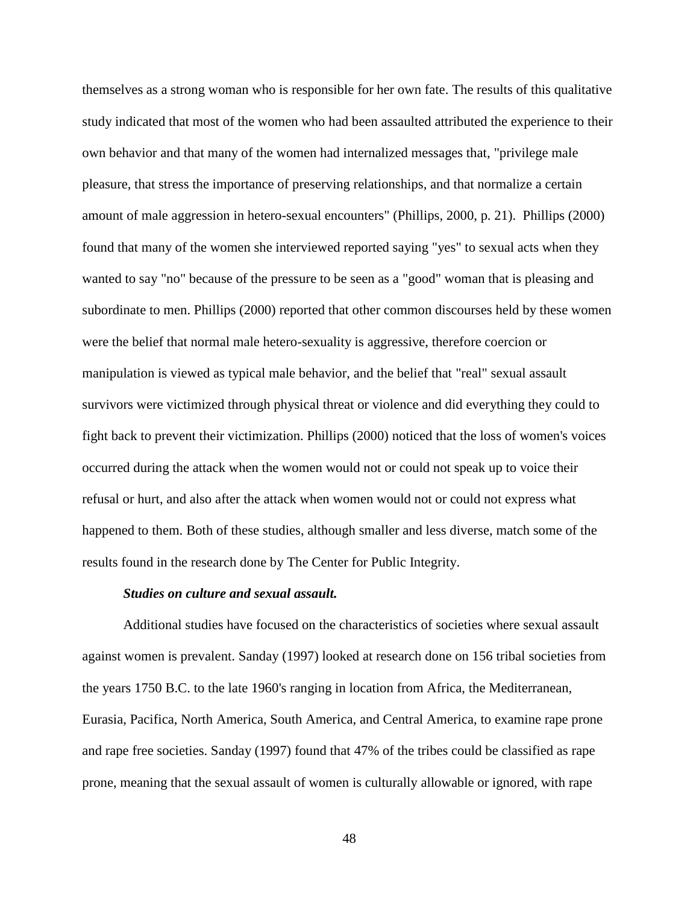themselves as a strong woman who is responsible for her own fate. The results of this qualitative study indicated that most of the women who had been assaulted attributed the experience to their own behavior and that many of the women had internalized messages that, "privilege male pleasure, that stress the importance of preserving relationships, and that normalize a certain amount of male aggression in hetero-sexual encounters" (Phillips, 2000, p. 21). Phillips (2000) found that many of the women she interviewed reported saying "yes" to sexual acts when they wanted to say "no" because of the pressure to be seen as a "good" woman that is pleasing and subordinate to men. Phillips (2000) reported that other common discourses held by these women were the belief that normal male hetero-sexuality is aggressive, therefore coercion or manipulation is viewed as typical male behavior, and the belief that "real" sexual assault survivors were victimized through physical threat or violence and did everything they could to fight back to prevent their victimization. Phillips (2000) noticed that the loss of women's voices occurred during the attack when the women would not or could not speak up to voice their refusal or hurt, and also after the attack when women would not or could not express what happened to them. Both of these studies, although smaller and less diverse, match some of the results found in the research done by The Center for Public Integrity.

### *Studies on culture and sexual assault.*

Additional studies have focused on the characteristics of societies where sexual assault against women is prevalent. Sanday (1997) looked at research done on 156 tribal societies from the years 1750 B.C. to the late 1960's ranging in location from Africa, the Mediterranean, Eurasia, Pacifica, North America, South America, and Central America, to examine rape prone and rape free societies. Sanday (1997) found that 47% of the tribes could be classified as rape prone, meaning that the sexual assault of women is culturally allowable or ignored, with rape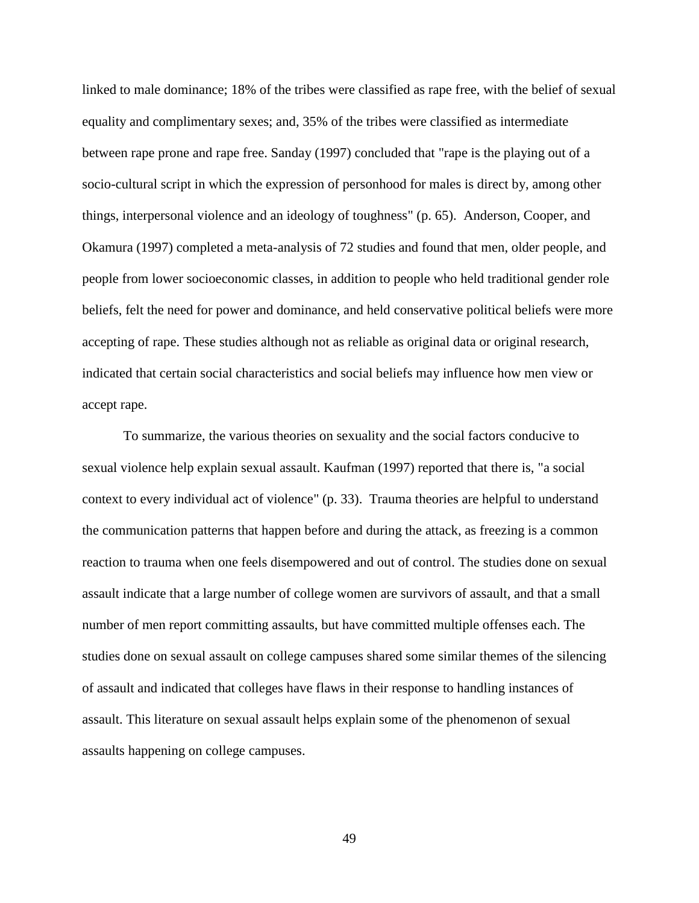linked to male dominance; 18% of the tribes were classified as rape free, with the belief of sexual equality and complimentary sexes; and, 35% of the tribes were classified as intermediate between rape prone and rape free. Sanday (1997) concluded that "rape is the playing out of a socio-cultural script in which the expression of personhood for males is direct by, among other things, interpersonal violence and an ideology of toughness" (p. 65). Anderson, Cooper, and Okamura (1997) completed a meta-analysis of 72 studies and found that men, older people, and people from lower socioeconomic classes, in addition to people who held traditional gender role beliefs, felt the need for power and dominance, and held conservative political beliefs were more accepting of rape. These studies although not as reliable as original data or original research, indicated that certain social characteristics and social beliefs may influence how men view or accept rape.

To summarize, the various theories on sexuality and the social factors conducive to sexual violence help explain sexual assault. Kaufman (1997) reported that there is, "a social context to every individual act of violence" (p. 33). Trauma theories are helpful to understand the communication patterns that happen before and during the attack, as freezing is a common reaction to trauma when one feels disempowered and out of control. The studies done on sexual assault indicate that a large number of college women are survivors of assault, and that a small number of men report committing assaults, but have committed multiple offenses each. The studies done on sexual assault on college campuses shared some similar themes of the silencing of assault and indicated that colleges have flaws in their response to handling instances of assault. This literature on sexual assault helps explain some of the phenomenon of sexual assaults happening on college campuses.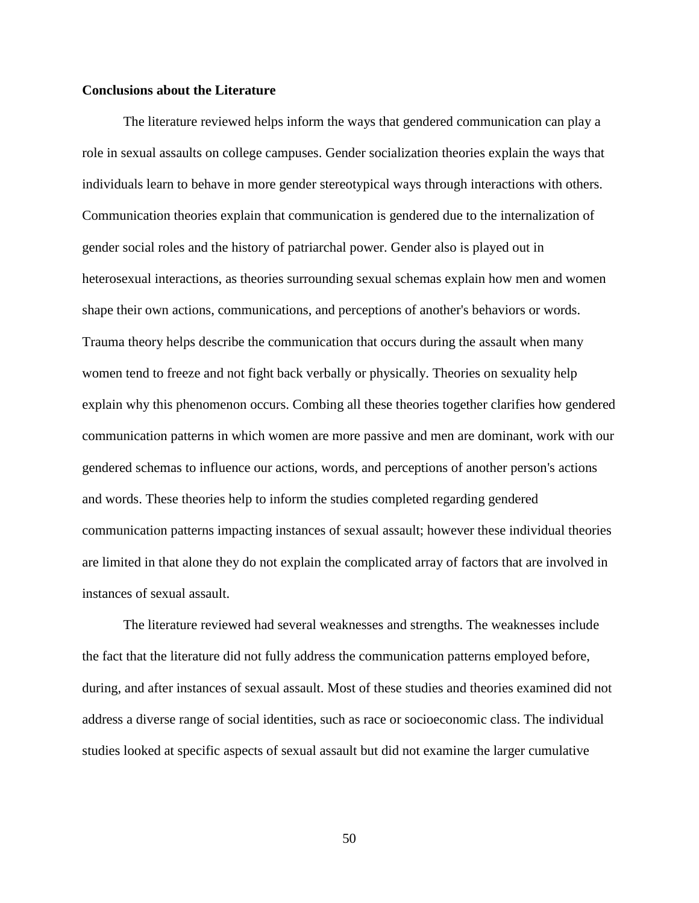## **Conclusions about the Literature**

The literature reviewed helps inform the ways that gendered communication can play a role in sexual assaults on college campuses. Gender socialization theories explain the ways that individuals learn to behave in more gender stereotypical ways through interactions with others. Communication theories explain that communication is gendered due to the internalization of gender social roles and the history of patriarchal power. Gender also is played out in heterosexual interactions, as theories surrounding sexual schemas explain how men and women shape their own actions, communications, and perceptions of another's behaviors or words. Trauma theory helps describe the communication that occurs during the assault when many women tend to freeze and not fight back verbally or physically. Theories on sexuality help explain why this phenomenon occurs. Combing all these theories together clarifies how gendered communication patterns in which women are more passive and men are dominant, work with our gendered schemas to influence our actions, words, and perceptions of another person's actions and words. These theories help to inform the studies completed regarding gendered communication patterns impacting instances of sexual assault; however these individual theories are limited in that alone they do not explain the complicated array of factors that are involved in instances of sexual assault.

The literature reviewed had several weaknesses and strengths. The weaknesses include the fact that the literature did not fully address the communication patterns employed before, during, and after instances of sexual assault. Most of these studies and theories examined did not address a diverse range of social identities, such as race or socioeconomic class. The individual studies looked at specific aspects of sexual assault but did not examine the larger cumulative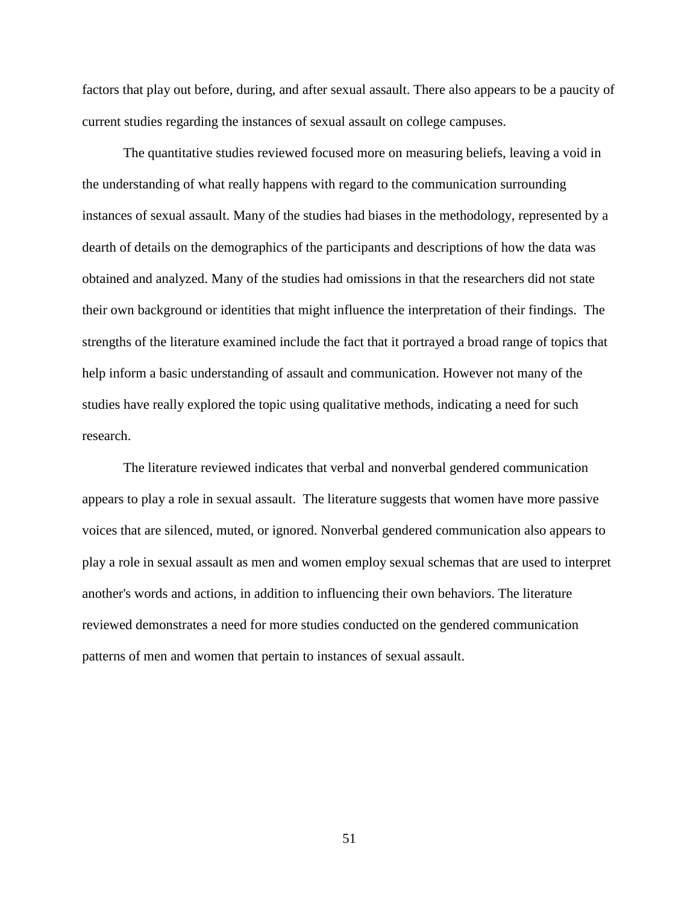factors that play out before, during, and after sexual assault. There also appears to be a paucity of current studies regarding the instances of sexual assault on college campuses.

The quantitative studies reviewed focused more on measuring beliefs, leaving a void in the understanding of what really happens with regard to the communication surrounding instances of sexual assault. Many of the studies had biases in the methodology, represented by a dearth of details on the demographics of the participants and descriptions of how the data was obtained and analyzed. Many of the studies had omissions in that the researchers did not state their own background or identities that might influence the interpretation of their findings. The strengths of the literature examined include the fact that it portrayed a broad range of topics that help inform a basic understanding of assault and communication. However not many of the studies have really explored the topic using qualitative methods, indicating a need for such research.

The literature reviewed indicates that verbal and nonverbal gendered communication appears to play a role in sexual assault. The literature suggests that women have more passive voices that are silenced, muted, or ignored. Nonverbal gendered communication also appears to play a role in sexual assault as men and women employ sexual schemas that are used to interpret another's words and actions, in addition to influencing their own behaviors. The literature reviewed demonstrates a need for more studies conducted on the gendered communication patterns of men and women that pertain to instances of sexual assault.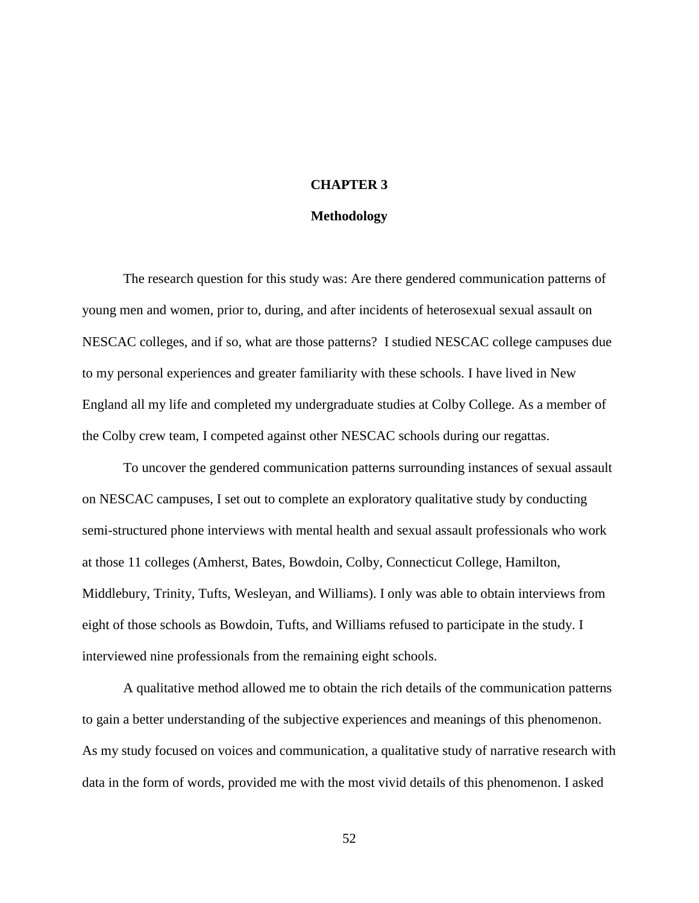## **CHAPTER 3**

### **Methodology**

The research question for this study was: Are there gendered communication patterns of young men and women, prior to, during, and after incidents of heterosexual sexual assault on NESCAC colleges, and if so, what are those patterns? I studied NESCAC college campuses due to my personal experiences and greater familiarity with these schools. I have lived in New England all my life and completed my undergraduate studies at Colby College. As a member of the Colby crew team, I competed against other NESCAC schools during our regattas.

To uncover the gendered communication patterns surrounding instances of sexual assault on NESCAC campuses, I set out to complete an exploratory qualitative study by conducting semi-structured phone interviews with mental health and sexual assault professionals who work at those 11 colleges (Amherst, Bates, Bowdoin, Colby, Connecticut College, Hamilton, Middlebury, Trinity, Tufts, Wesleyan, and Williams). I only was able to obtain interviews from eight of those schools as Bowdoin, Tufts, and Williams refused to participate in the study. I interviewed nine professionals from the remaining eight schools.

A qualitative method allowed me to obtain the rich details of the communication patterns to gain a better understanding of the subjective experiences and meanings of this phenomenon. As my study focused on voices and communication, a qualitative study of narrative research with data in the form of words, provided me with the most vivid details of this phenomenon. I asked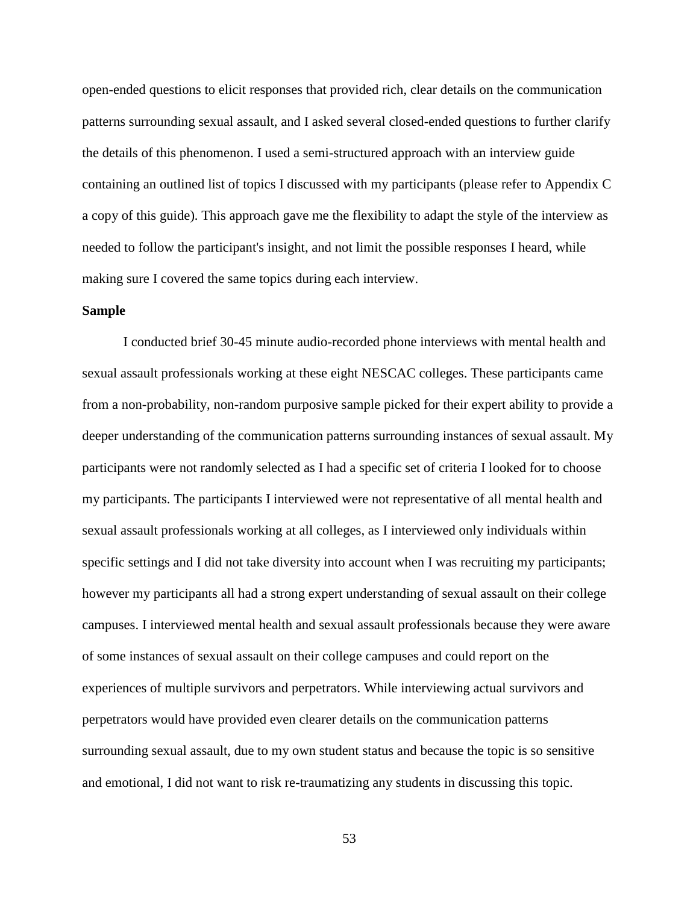open-ended questions to elicit responses that provided rich, clear details on the communication patterns surrounding sexual assault, and I asked several closed-ended questions to further clarify the details of this phenomenon. I used a semi-structured approach with an interview guide containing an outlined list of topics I discussed with my participants (please refer to Appendix C a copy of this guide). This approach gave me the flexibility to adapt the style of the interview as needed to follow the participant's insight, and not limit the possible responses I heard, while making sure I covered the same topics during each interview.

#### **Sample**

I conducted brief 30-45 minute audio-recorded phone interviews with mental health and sexual assault professionals working at these eight NESCAC colleges. These participants came from a non-probability, non-random purposive sample picked for their expert ability to provide a deeper understanding of the communication patterns surrounding instances of sexual assault. My participants were not randomly selected as I had a specific set of criteria I looked for to choose my participants. The participants I interviewed were not representative of all mental health and sexual assault professionals working at all colleges, as I interviewed only individuals within specific settings and I did not take diversity into account when I was recruiting my participants; however my participants all had a strong expert understanding of sexual assault on their college campuses. I interviewed mental health and sexual assault professionals because they were aware of some instances of sexual assault on their college campuses and could report on the experiences of multiple survivors and perpetrators. While interviewing actual survivors and perpetrators would have provided even clearer details on the communication patterns surrounding sexual assault, due to my own student status and because the topic is so sensitive and emotional, I did not want to risk re-traumatizing any students in discussing this topic.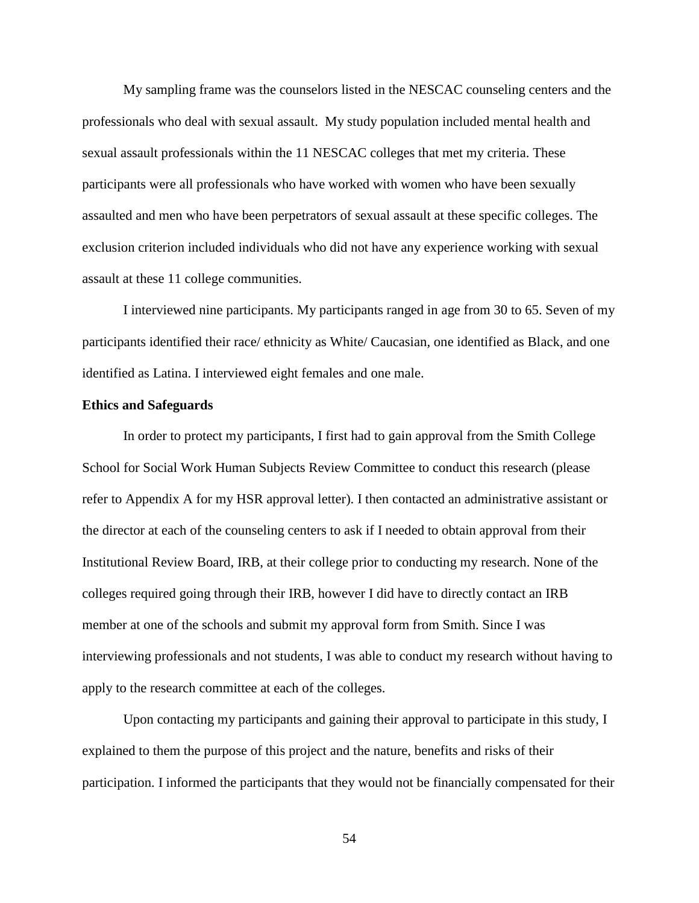My sampling frame was the counselors listed in the NESCAC counseling centers and the professionals who deal with sexual assault. My study population included mental health and sexual assault professionals within the 11 NESCAC colleges that met my criteria. These participants were all professionals who have worked with women who have been sexually assaulted and men who have been perpetrators of sexual assault at these specific colleges. The exclusion criterion included individuals who did not have any experience working with sexual assault at these 11 college communities.

I interviewed nine participants. My participants ranged in age from 30 to 65. Seven of my participants identified their race/ ethnicity as White/ Caucasian, one identified as Black, and one identified as Latina. I interviewed eight females and one male.

### **Ethics and Safeguards**

In order to protect my participants, I first had to gain approval from the Smith College School for Social Work Human Subjects Review Committee to conduct this research (please refer to Appendix A for my HSR approval letter). I then contacted an administrative assistant or the director at each of the counseling centers to ask if I needed to obtain approval from their Institutional Review Board, IRB, at their college prior to conducting my research. None of the colleges required going through their IRB, however I did have to directly contact an IRB member at one of the schools and submit my approval form from Smith. Since I was interviewing professionals and not students, I was able to conduct my research without having to apply to the research committee at each of the colleges.

Upon contacting my participants and gaining their approval to participate in this study, I explained to them the purpose of this project and the nature, benefits and risks of their participation. I informed the participants that they would not be financially compensated for their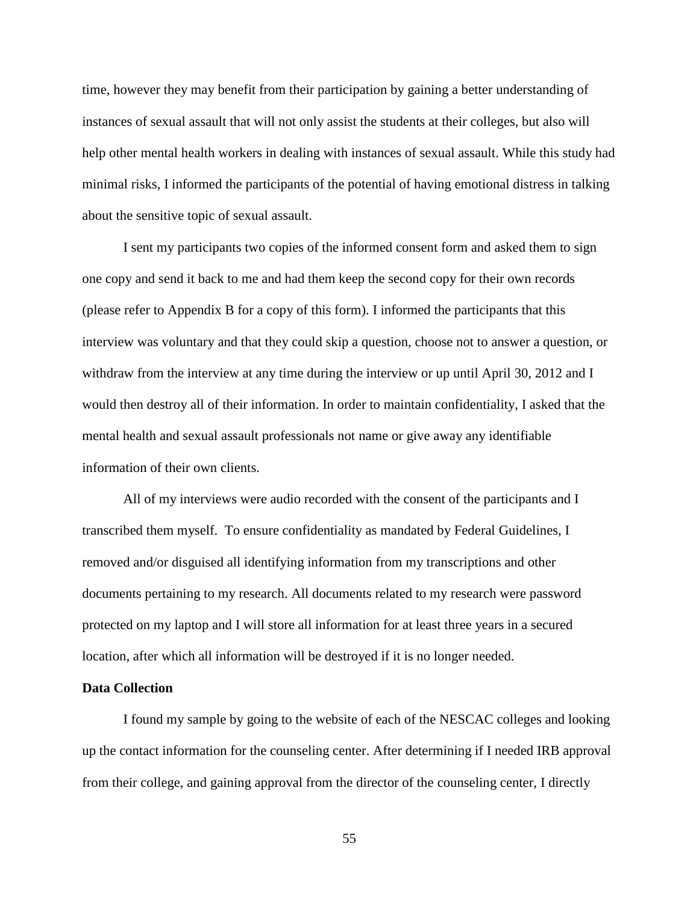time, however they may benefit from their participation by gaining a better understanding of instances of sexual assault that will not only assist the students at their colleges, but also will help other mental health workers in dealing with instances of sexual assault. While this study had minimal risks, I informed the participants of the potential of having emotional distress in talking about the sensitive topic of sexual assault.

I sent my participants two copies of the informed consent form and asked them to sign one copy and send it back to me and had them keep the second copy for their own records (please refer to Appendix B for a copy of this form). I informed the participants that this interview was voluntary and that they could skip a question, choose not to answer a question, or withdraw from the interview at any time during the interview or up until April 30, 2012 and I would then destroy all of their information. In order to maintain confidentiality, I asked that the mental health and sexual assault professionals not name or give away any identifiable information of their own clients.

All of my interviews were audio recorded with the consent of the participants and I transcribed them myself. To ensure confidentiality as mandated by Federal Guidelines, I removed and/or disguised all identifying information from my transcriptions and other documents pertaining to my research. All documents related to my research were password protected on my laptop and I will store all information for at least three years in a secured location, after which all information will be destroyed if it is no longer needed.

#### **Data Collection**

I found my sample by going to the website of each of the NESCAC colleges and looking up the contact information for the counseling center. After determining if I needed IRB approval from their college, and gaining approval from the director of the counseling center, I directly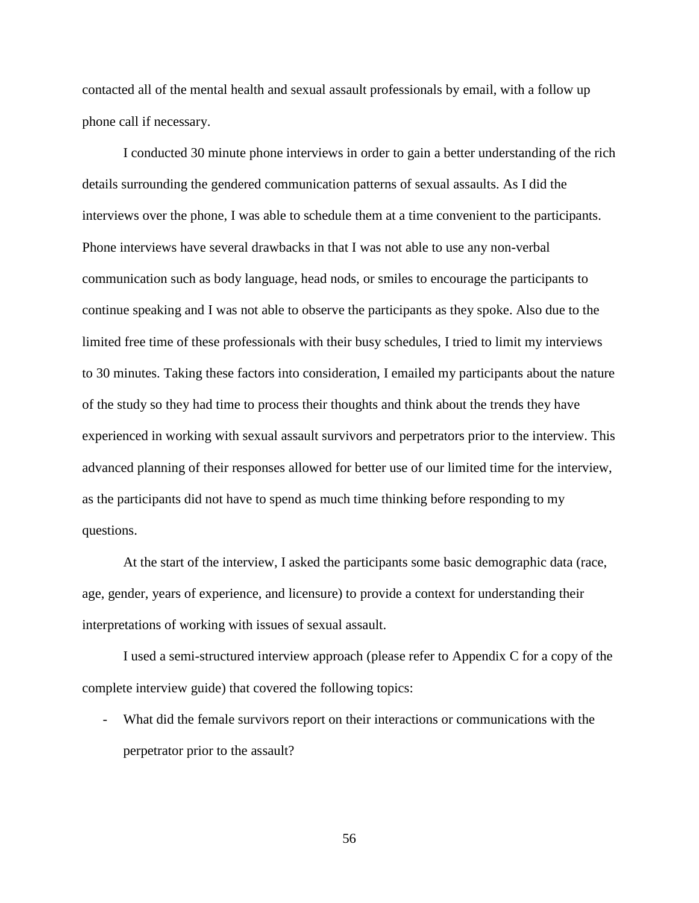contacted all of the mental health and sexual assault professionals by email, with a follow up phone call if necessary.

I conducted 30 minute phone interviews in order to gain a better understanding of the rich details surrounding the gendered communication patterns of sexual assaults. As I did the interviews over the phone, I was able to schedule them at a time convenient to the participants. Phone interviews have several drawbacks in that I was not able to use any non-verbal communication such as body language, head nods, or smiles to encourage the participants to continue speaking and I was not able to observe the participants as they spoke. Also due to the limited free time of these professionals with their busy schedules, I tried to limit my interviews to 30 minutes. Taking these factors into consideration, I emailed my participants about the nature of the study so they had time to process their thoughts and think about the trends they have experienced in working with sexual assault survivors and perpetrators prior to the interview. This advanced planning of their responses allowed for better use of our limited time for the interview, as the participants did not have to spend as much time thinking before responding to my questions.

At the start of the interview, I asked the participants some basic demographic data (race, age, gender, years of experience, and licensure) to provide a context for understanding their interpretations of working with issues of sexual assault.

I used a semi-structured interview approach (please refer to Appendix C for a copy of the complete interview guide) that covered the following topics:

What did the female survivors report on their interactions or communications with the perpetrator prior to the assault?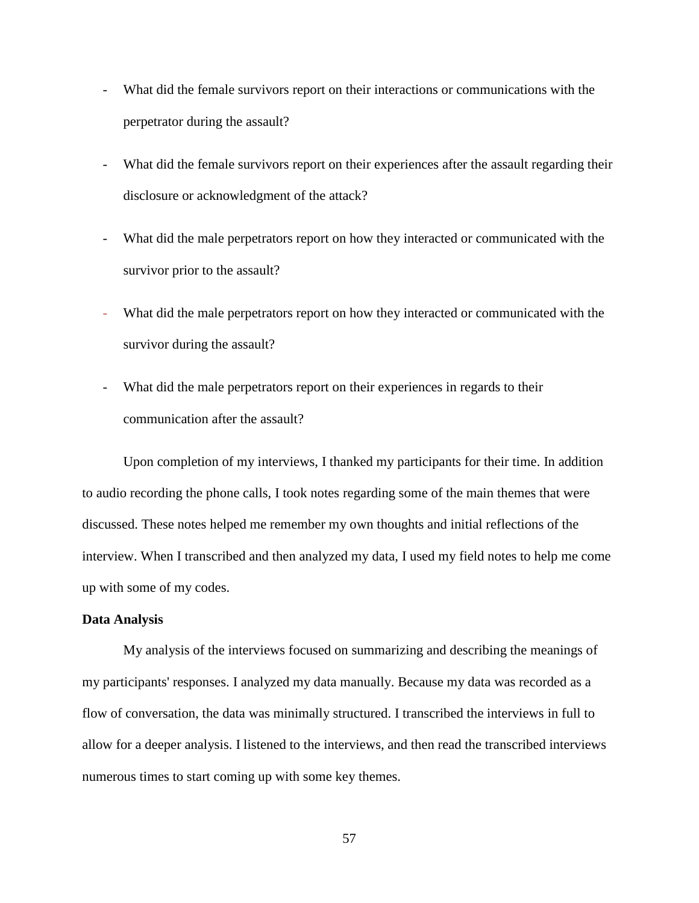- What did the female survivors report on their interactions or communications with the perpetrator during the assault?
- What did the female survivors report on their experiences after the assault regarding their disclosure or acknowledgment of the attack?
- What did the male perpetrators report on how they interacted or communicated with the survivor prior to the assault?
- What did the male perpetrators report on how they interacted or communicated with the survivor during the assault?
- What did the male perpetrators report on their experiences in regards to their communication after the assault?

Upon completion of my interviews, I thanked my participants for their time. In addition to audio recording the phone calls, I took notes regarding some of the main themes that were discussed. These notes helped me remember my own thoughts and initial reflections of the interview. When I transcribed and then analyzed my data, I used my field notes to help me come up with some of my codes.

#### **Data Analysis**

My analysis of the interviews focused on summarizing and describing the meanings of my participants' responses. I analyzed my data manually. Because my data was recorded as a flow of conversation, the data was minimally structured. I transcribed the interviews in full to allow for a deeper analysis. I listened to the interviews, and then read the transcribed interviews numerous times to start coming up with some key themes.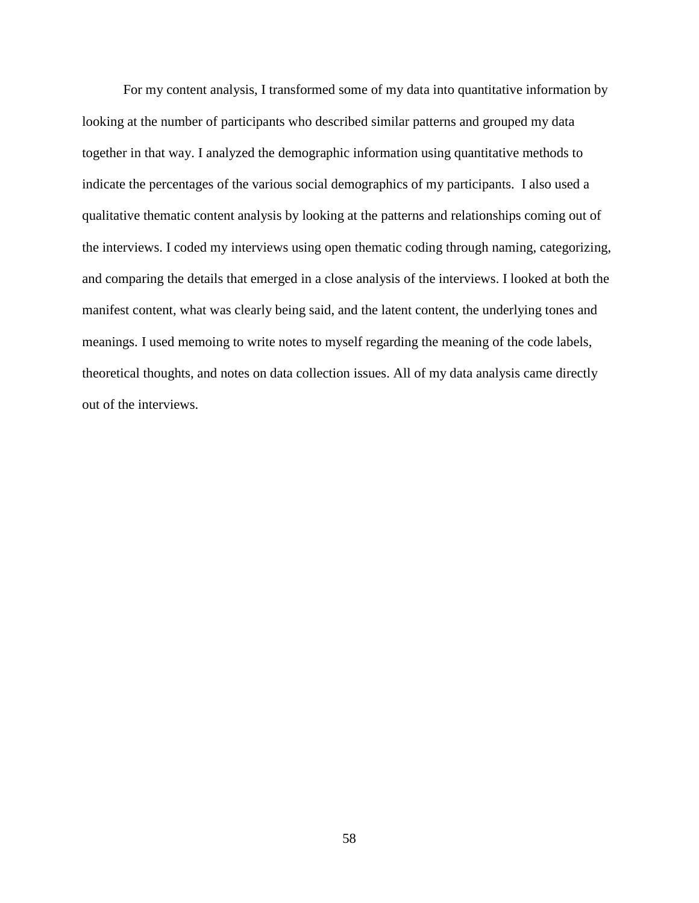For my content analysis, I transformed some of my data into quantitative information by looking at the number of participants who described similar patterns and grouped my data together in that way. I analyzed the demographic information using quantitative methods to indicate the percentages of the various social demographics of my participants. I also used a qualitative thematic content analysis by looking at the patterns and relationships coming out of the interviews. I coded my interviews using open thematic coding through naming, categorizing, and comparing the details that emerged in a close analysis of the interviews. I looked at both the manifest content, what was clearly being said, and the latent content, the underlying tones and meanings. I used memoing to write notes to myself regarding the meaning of the code labels, theoretical thoughts, and notes on data collection issues. All of my data analysis came directly out of the interviews.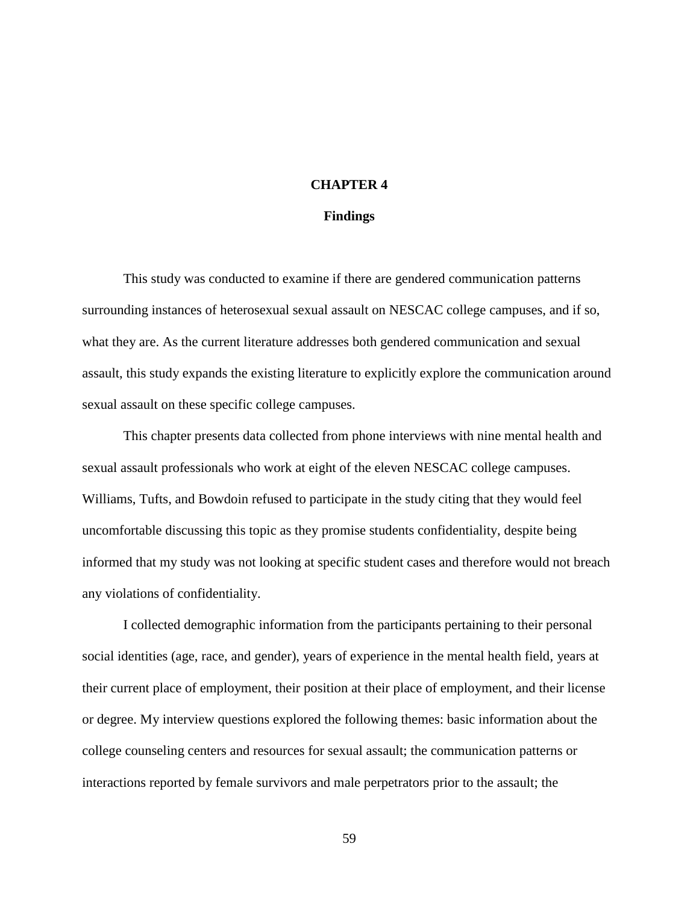## **CHAPTER 4**

### **Findings**

This study was conducted to examine if there are gendered communication patterns surrounding instances of heterosexual sexual assault on NESCAC college campuses, and if so, what they are. As the current literature addresses both gendered communication and sexual assault, this study expands the existing literature to explicitly explore the communication around sexual assault on these specific college campuses.

This chapter presents data collected from phone interviews with nine mental health and sexual assault professionals who work at eight of the eleven NESCAC college campuses. Williams, Tufts, and Bowdoin refused to participate in the study citing that they would feel uncomfortable discussing this topic as they promise students confidentiality, despite being informed that my study was not looking at specific student cases and therefore would not breach any violations of confidentiality.

I collected demographic information from the participants pertaining to their personal social identities (age, race, and gender), years of experience in the mental health field, years at their current place of employment, their position at their place of employment, and their license or degree. My interview questions explored the following themes: basic information about the college counseling centers and resources for sexual assault; the communication patterns or interactions reported by female survivors and male perpetrators prior to the assault; the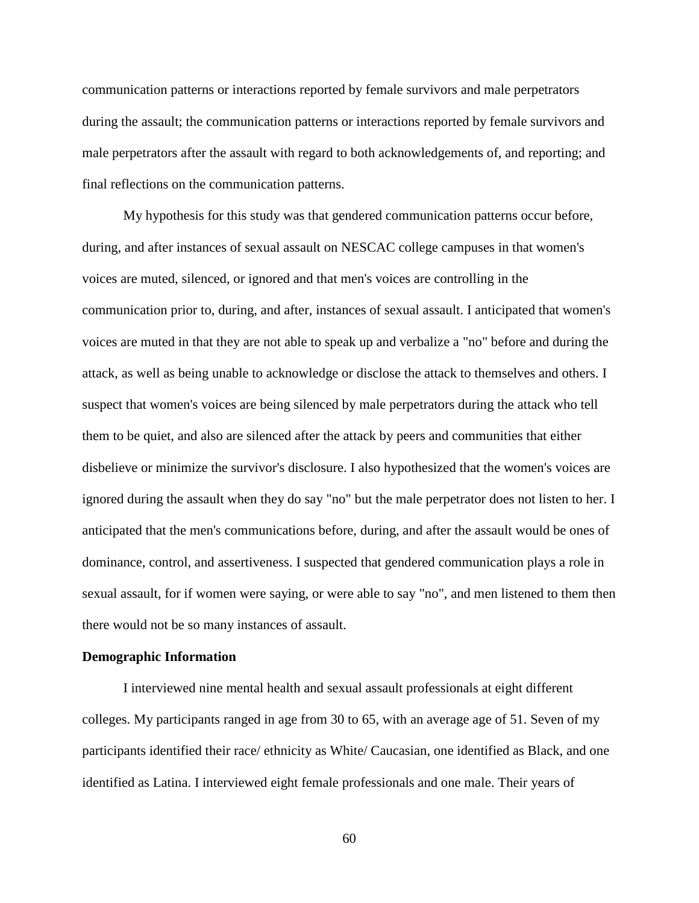communication patterns or interactions reported by female survivors and male perpetrators during the assault; the communication patterns or interactions reported by female survivors and male perpetrators after the assault with regard to both acknowledgements of, and reporting; and final reflections on the communication patterns.

My hypothesis for this study was that gendered communication patterns occur before, during, and after instances of sexual assault on NESCAC college campuses in that women's voices are muted, silenced, or ignored and that men's voices are controlling in the communication prior to, during, and after, instances of sexual assault. I anticipated that women's voices are muted in that they are not able to speak up and verbalize a "no" before and during the attack, as well as being unable to acknowledge or disclose the attack to themselves and others. I suspect that women's voices are being silenced by male perpetrators during the attack who tell them to be quiet, and also are silenced after the attack by peers and communities that either disbelieve or minimize the survivor's disclosure. I also hypothesized that the women's voices are ignored during the assault when they do say "no" but the male perpetrator does not listen to her. I anticipated that the men's communications before, during, and after the assault would be ones of dominance, control, and assertiveness. I suspected that gendered communication plays a role in sexual assault, for if women were saying, or were able to say "no", and men listened to them then there would not be so many instances of assault.

#### **Demographic Information**

I interviewed nine mental health and sexual assault professionals at eight different colleges. My participants ranged in age from 30 to 65, with an average age of 51. Seven of my participants identified their race/ ethnicity as White/ Caucasian, one identified as Black, and one identified as Latina. I interviewed eight female professionals and one male. Their years of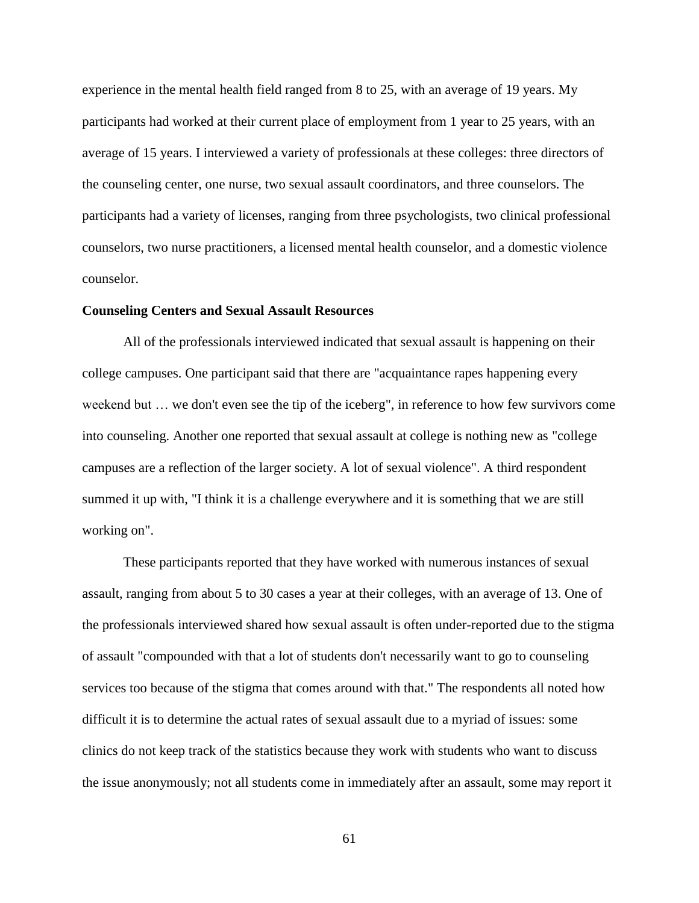experience in the mental health field ranged from 8 to 25, with an average of 19 years. My participants had worked at their current place of employment from 1 year to 25 years, with an average of 15 years. I interviewed a variety of professionals at these colleges: three directors of the counseling center, one nurse, two sexual assault coordinators, and three counselors. The participants had a variety of licenses, ranging from three psychologists, two clinical professional counselors, two nurse practitioners, a licensed mental health counselor, and a domestic violence counselor.

#### **Counseling Centers and Sexual Assault Resources**

All of the professionals interviewed indicated that sexual assault is happening on their college campuses. One participant said that there are "acquaintance rapes happening every weekend but … we don't even see the tip of the iceberg", in reference to how few survivors come into counseling. Another one reported that sexual assault at college is nothing new as "college campuses are a reflection of the larger society. A lot of sexual violence". A third respondent summed it up with, "I think it is a challenge everywhere and it is something that we are still working on".

These participants reported that they have worked with numerous instances of sexual assault, ranging from about 5 to 30 cases a year at their colleges, with an average of 13. One of the professionals interviewed shared how sexual assault is often under-reported due to the stigma of assault "compounded with that a lot of students don't necessarily want to go to counseling services too because of the stigma that comes around with that." The respondents all noted how difficult it is to determine the actual rates of sexual assault due to a myriad of issues: some clinics do not keep track of the statistics because they work with students who want to discuss the issue anonymously; not all students come in immediately after an assault, some may report it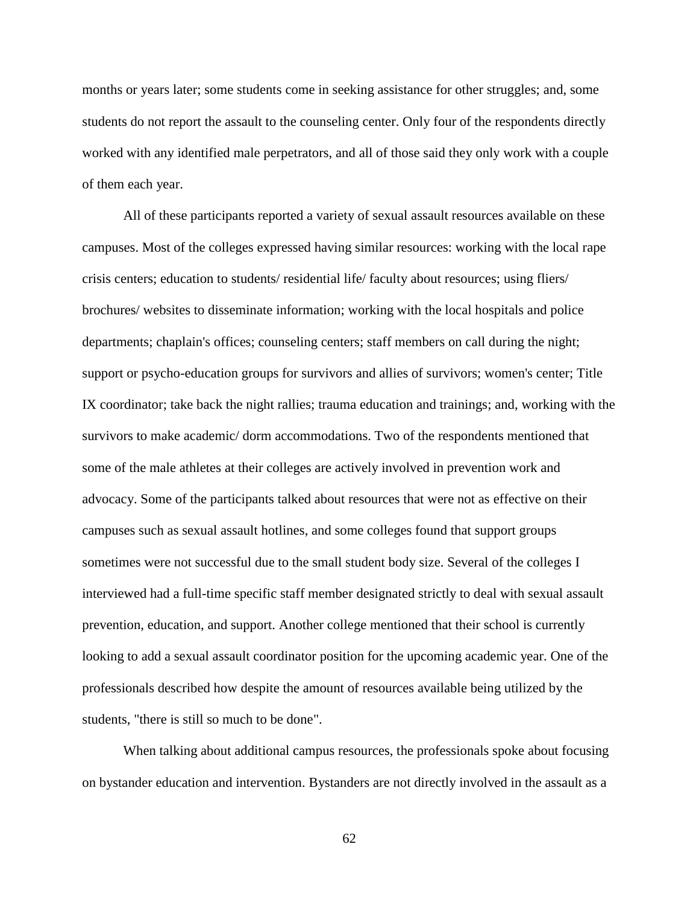months or years later; some students come in seeking assistance for other struggles; and, some students do not report the assault to the counseling center. Only four of the respondents directly worked with any identified male perpetrators, and all of those said they only work with a couple of them each year.

All of these participants reported a variety of sexual assault resources available on these campuses. Most of the colleges expressed having similar resources: working with the local rape crisis centers; education to students/ residential life/ faculty about resources; using fliers/ brochures/ websites to disseminate information; working with the local hospitals and police departments; chaplain's offices; counseling centers; staff members on call during the night; support or psycho-education groups for survivors and allies of survivors; women's center; Title IX coordinator; take back the night rallies; trauma education and trainings; and, working with the survivors to make academic/ dorm accommodations. Two of the respondents mentioned that some of the male athletes at their colleges are actively involved in prevention work and advocacy. Some of the participants talked about resources that were not as effective on their campuses such as sexual assault hotlines, and some colleges found that support groups sometimes were not successful due to the small student body size. Several of the colleges I interviewed had a full-time specific staff member designated strictly to deal with sexual assault prevention, education, and support. Another college mentioned that their school is currently looking to add a sexual assault coordinator position for the upcoming academic year. One of the professionals described how despite the amount of resources available being utilized by the students, "there is still so much to be done".

When talking about additional campus resources, the professionals spoke about focusing on bystander education and intervention. Bystanders are not directly involved in the assault as a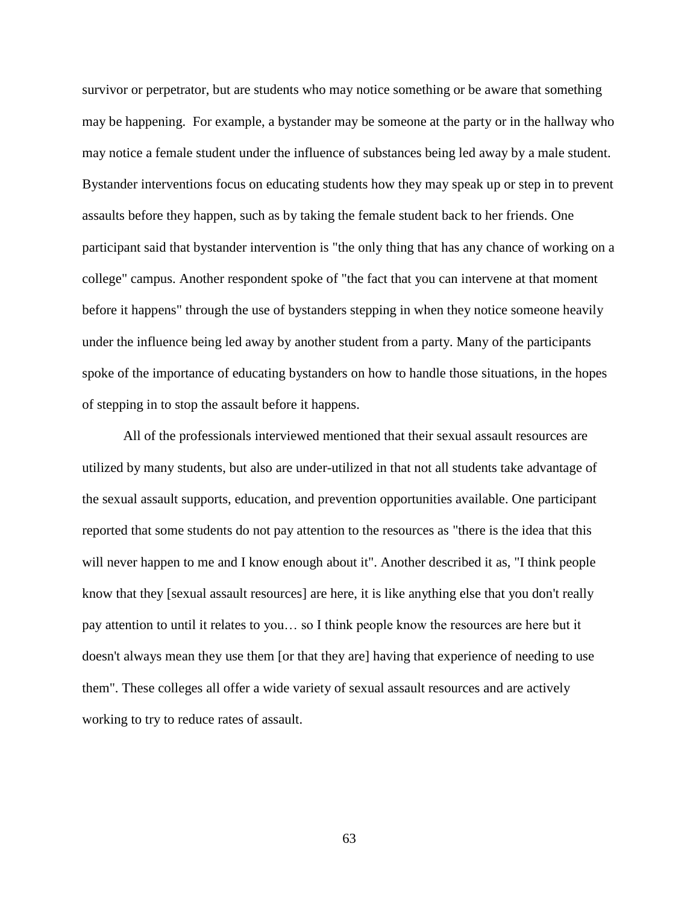survivor or perpetrator, but are students who may notice something or be aware that something may be happening. For example, a bystander may be someone at the party or in the hallway who may notice a female student under the influence of substances being led away by a male student. Bystander interventions focus on educating students how they may speak up or step in to prevent assaults before they happen, such as by taking the female student back to her friends. One participant said that bystander intervention is "the only thing that has any chance of working on a college" campus. Another respondent spoke of "the fact that you can intervene at that moment before it happens" through the use of bystanders stepping in when they notice someone heavily under the influence being led away by another student from a party. Many of the participants spoke of the importance of educating bystanders on how to handle those situations, in the hopes of stepping in to stop the assault before it happens.

All of the professionals interviewed mentioned that their sexual assault resources are utilized by many students, but also are under-utilized in that not all students take advantage of the sexual assault supports, education, and prevention opportunities available. One participant reported that some students do not pay attention to the resources as "there is the idea that this will never happen to me and I know enough about it". Another described it as, "I think people know that they [sexual assault resources] are here, it is like anything else that you don't really pay attention to until it relates to you… so I think people know the resources are here but it doesn't always mean they use them [or that they are] having that experience of needing to use them". These colleges all offer a wide variety of sexual assault resources and are actively working to try to reduce rates of assault.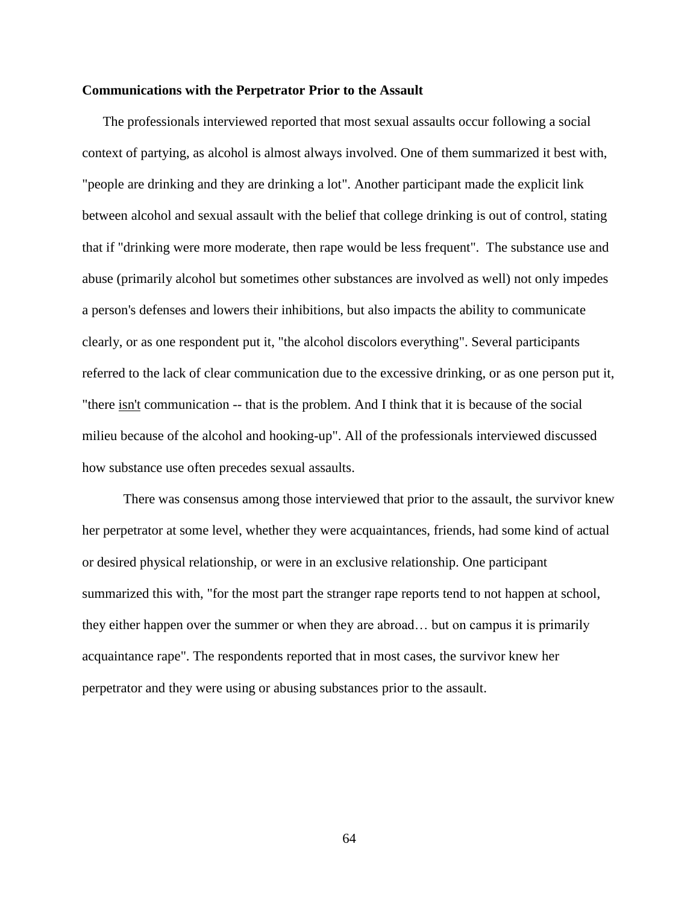## **Communications with the Perpetrator Prior to the Assault**

The professionals interviewed reported that most sexual assaults occur following a social context of partying, as alcohol is almost always involved. One of them summarized it best with, "people are drinking and they are drinking a lot". Another participant made the explicit link between alcohol and sexual assault with the belief that college drinking is out of control, stating that if "drinking were more moderate, then rape would be less frequent". The substance use and abuse (primarily alcohol but sometimes other substances are involved as well) not only impedes a person's defenses and lowers their inhibitions, but also impacts the ability to communicate clearly, or as one respondent put it, "the alcohol discolors everything". Several participants referred to the lack of clear communication due to the excessive drinking, or as one person put it, "there isn't communication -- that is the problem. And I think that it is because of the social milieu because of the alcohol and hooking-up". All of the professionals interviewed discussed how substance use often precedes sexual assaults.

There was consensus among those interviewed that prior to the assault, the survivor knew her perpetrator at some level, whether they were acquaintances, friends, had some kind of actual or desired physical relationship, or were in an exclusive relationship. One participant summarized this with, "for the most part the stranger rape reports tend to not happen at school, they either happen over the summer or when they are abroad… but on campus it is primarily acquaintance rape". The respondents reported that in most cases, the survivor knew her perpetrator and they were using or abusing substances prior to the assault.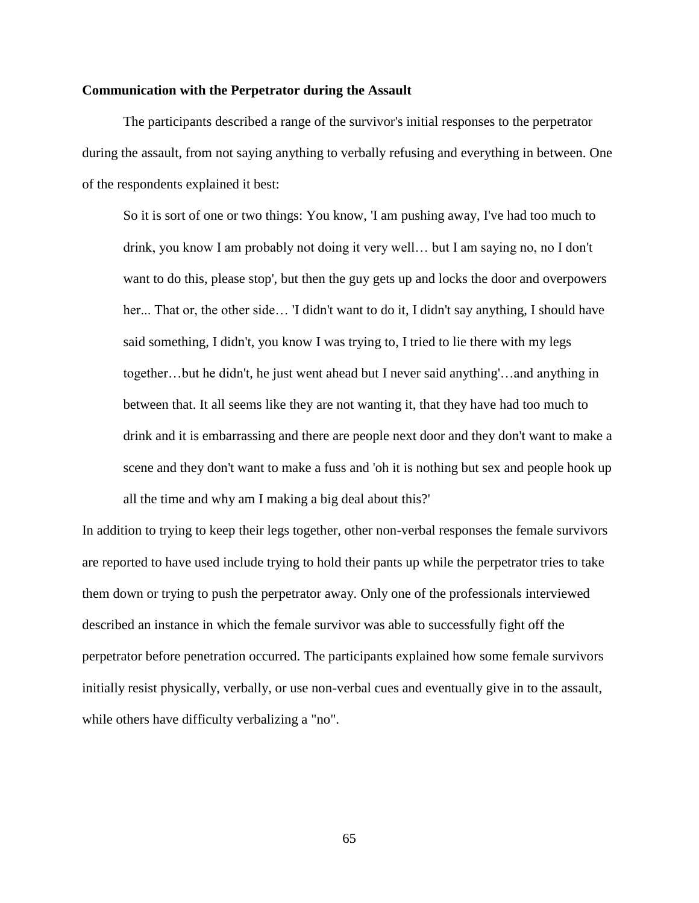## **Communication with the Perpetrator during the Assault**

The participants described a range of the survivor's initial responses to the perpetrator during the assault, from not saying anything to verbally refusing and everything in between. One of the respondents explained it best:

So it is sort of one or two things: You know, 'I am pushing away, I've had too much to drink, you know I am probably not doing it very well… but I am saying no, no I don't want to do this, please stop', but then the guy gets up and locks the door and overpowers her... That or, the other side… 'I didn't want to do it, I didn't say anything, I should have said something, I didn't, you know I was trying to, I tried to lie there with my legs together…but he didn't, he just went ahead but I never said anything'…and anything in between that. It all seems like they are not wanting it, that they have had too much to drink and it is embarrassing and there are people next door and they don't want to make a scene and they don't want to make a fuss and 'oh it is nothing but sex and people hook up all the time and why am I making a big deal about this?'

In addition to trying to keep their legs together, other non-verbal responses the female survivors are reported to have used include trying to hold their pants up while the perpetrator tries to take them down or trying to push the perpetrator away. Only one of the professionals interviewed described an instance in which the female survivor was able to successfully fight off the perpetrator before penetration occurred. The participants explained how some female survivors initially resist physically, verbally, or use non-verbal cues and eventually give in to the assault, while others have difficulty verbalizing a "no".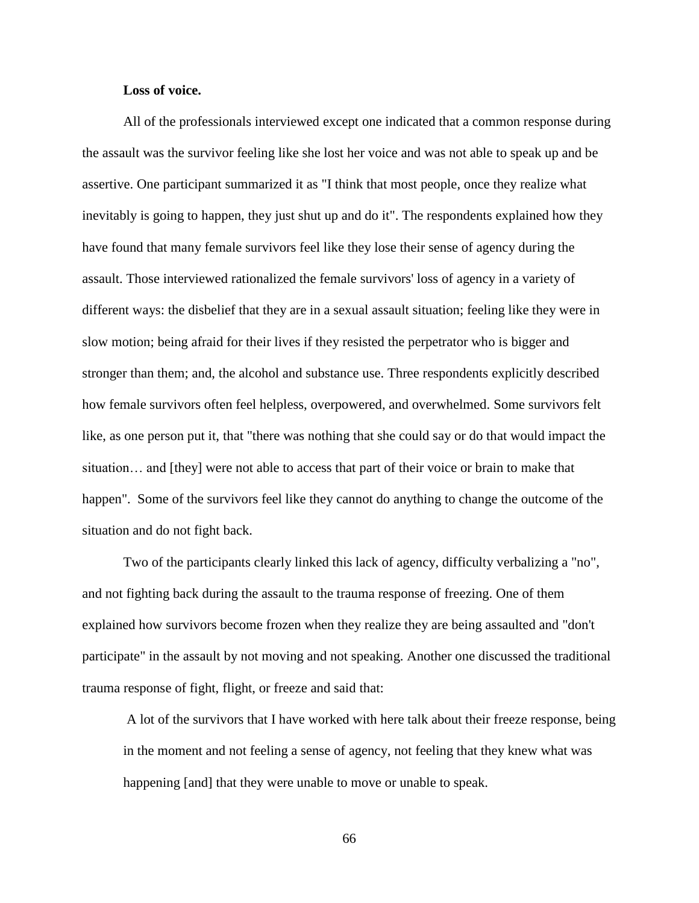## **Loss of voice.**

All of the professionals interviewed except one indicated that a common response during the assault was the survivor feeling like she lost her voice and was not able to speak up and be assertive. One participant summarized it as "I think that most people, once they realize what inevitably is going to happen, they just shut up and do it". The respondents explained how they have found that many female survivors feel like they lose their sense of agency during the assault. Those interviewed rationalized the female survivors' loss of agency in a variety of different ways: the disbelief that they are in a sexual assault situation; feeling like they were in slow motion; being afraid for their lives if they resisted the perpetrator who is bigger and stronger than them; and, the alcohol and substance use. Three respondents explicitly described how female survivors often feel helpless, overpowered, and overwhelmed. Some survivors felt like, as one person put it, that "there was nothing that she could say or do that would impact the situation… and [they] were not able to access that part of their voice or brain to make that happen". Some of the survivors feel like they cannot do anything to change the outcome of the situation and do not fight back.

Two of the participants clearly linked this lack of agency, difficulty verbalizing a "no", and not fighting back during the assault to the trauma response of freezing. One of them explained how survivors become frozen when they realize they are being assaulted and "don't participate" in the assault by not moving and not speaking. Another one discussed the traditional trauma response of fight, flight, or freeze and said that:

A lot of the survivors that I have worked with here talk about their freeze response, being in the moment and not feeling a sense of agency, not feeling that they knew what was happening [and] that they were unable to move or unable to speak.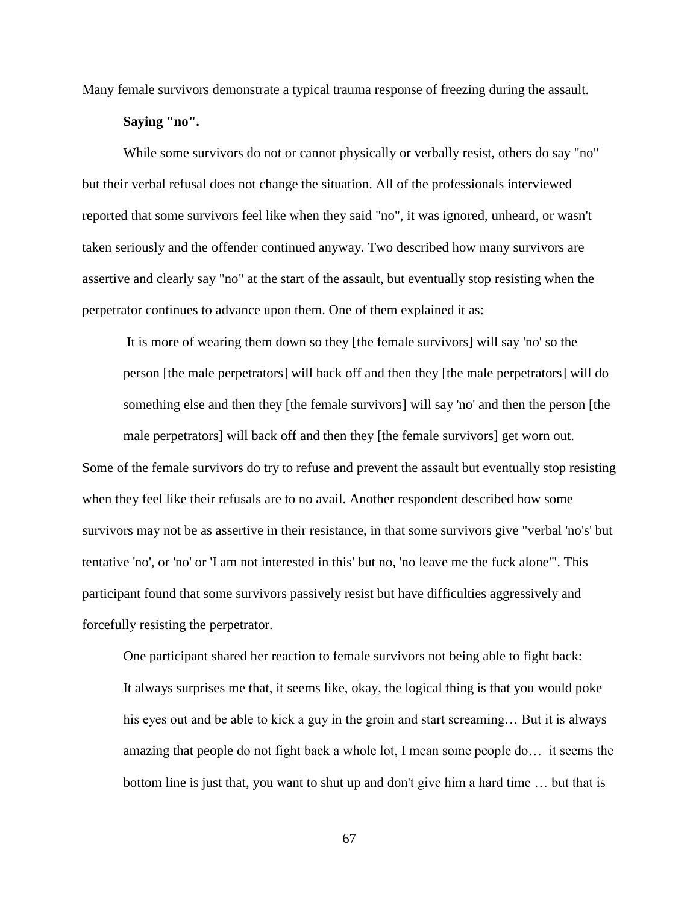Many female survivors demonstrate a typical trauma response of freezing during the assault.

# **Saying "no".**

While some survivors do not or cannot physically or verbally resist, others do say "no" but their verbal refusal does not change the situation. All of the professionals interviewed reported that some survivors feel like when they said "no", it was ignored, unheard, or wasn't taken seriously and the offender continued anyway. Two described how many survivors are assertive and clearly say "no" at the start of the assault, but eventually stop resisting when the perpetrator continues to advance upon them. One of them explained it as:

It is more of wearing them down so they [the female survivors] will say 'no' so the person [the male perpetrators] will back off and then they [the male perpetrators] will do something else and then they [the female survivors] will say 'no' and then the person [the male perpetrators] will back off and then they [the female survivors] get worn out.

Some of the female survivors do try to refuse and prevent the assault but eventually stop resisting when they feel like their refusals are to no avail. Another respondent described how some survivors may not be as assertive in their resistance, in that some survivors give "verbal 'no's' but tentative 'no', or 'no' or 'I am not interested in this' but no, 'no leave me the fuck alone'". This participant found that some survivors passively resist but have difficulties aggressively and forcefully resisting the perpetrator.

One participant shared her reaction to female survivors not being able to fight back: It always surprises me that, it seems like, okay, the logical thing is that you would poke his eyes out and be able to kick a guy in the groin and start screaming... But it is always amazing that people do not fight back a whole lot, I mean some people do… it seems the bottom line is just that, you want to shut up and don't give him a hard time … but that is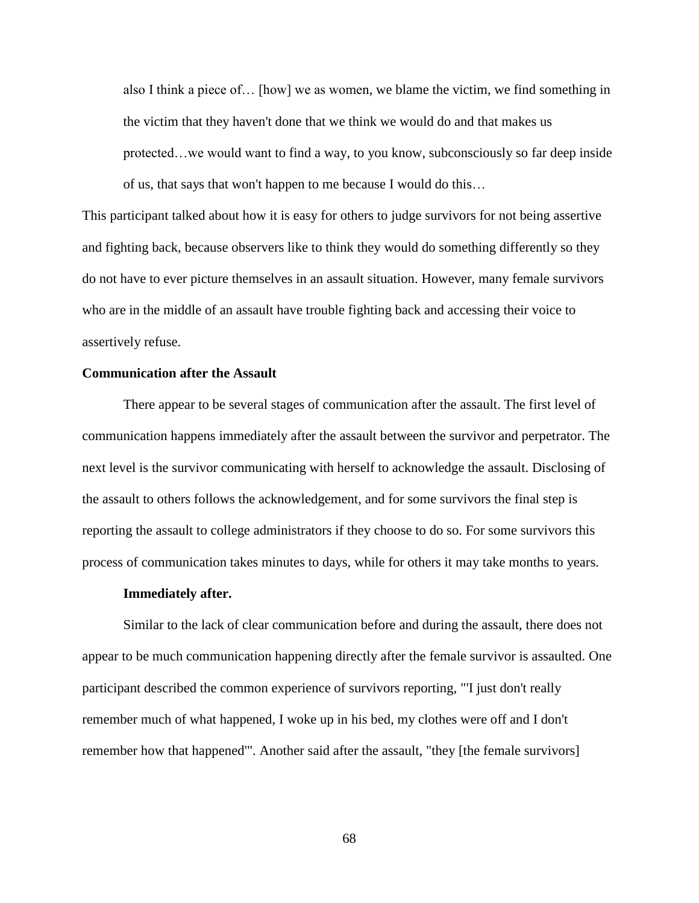also I think a piece of… [how] we as women, we blame the victim, we find something in the victim that they haven't done that we think we would do and that makes us protected…we would want to find a way, to you know, subconsciously so far deep inside of us, that says that won't happen to me because I would do this…

This participant talked about how it is easy for others to judge survivors for not being assertive and fighting back, because observers like to think they would do something differently so they do not have to ever picture themselves in an assault situation. However, many female survivors who are in the middle of an assault have trouble fighting back and accessing their voice to assertively refuse.

# **Communication after the Assault**

There appear to be several stages of communication after the assault. The first level of communication happens immediately after the assault between the survivor and perpetrator. The next level is the survivor communicating with herself to acknowledge the assault. Disclosing of the assault to others follows the acknowledgement, and for some survivors the final step is reporting the assault to college administrators if they choose to do so. For some survivors this process of communication takes minutes to days, while for others it may take months to years.

#### **Immediately after.**

Similar to the lack of clear communication before and during the assault, there does not appear to be much communication happening directly after the female survivor is assaulted. One participant described the common experience of survivors reporting, "'I just don't really remember much of what happened, I woke up in his bed, my clothes were off and I don't remember how that happened'". Another said after the assault, "they [the female survivors]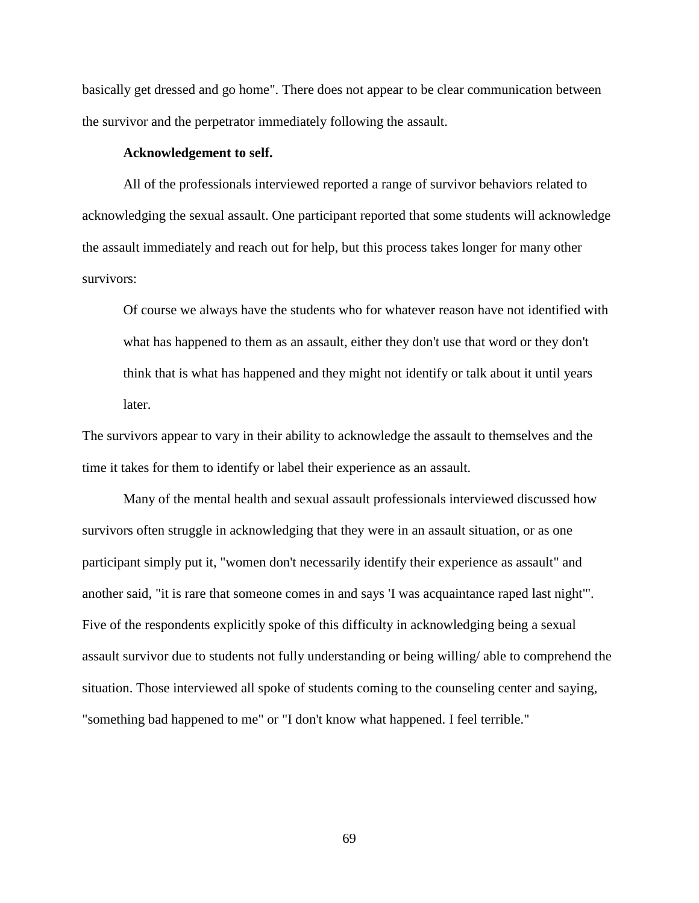basically get dressed and go home". There does not appear to be clear communication between the survivor and the perpetrator immediately following the assault.

# **Acknowledgement to self.**

All of the professionals interviewed reported a range of survivor behaviors related to acknowledging the sexual assault. One participant reported that some students will acknowledge the assault immediately and reach out for help, but this process takes longer for many other survivors:

Of course we always have the students who for whatever reason have not identified with what has happened to them as an assault, either they don't use that word or they don't think that is what has happened and they might not identify or talk about it until years later.

The survivors appear to vary in their ability to acknowledge the assault to themselves and the time it takes for them to identify or label their experience as an assault.

Many of the mental health and sexual assault professionals interviewed discussed how survivors often struggle in acknowledging that they were in an assault situation, or as one participant simply put it, "women don't necessarily identify their experience as assault" and another said, "it is rare that someone comes in and says 'I was acquaintance raped last night'". Five of the respondents explicitly spoke of this difficulty in acknowledging being a sexual assault survivor due to students not fully understanding or being willing/ able to comprehend the situation. Those interviewed all spoke of students coming to the counseling center and saying, "something bad happened to me" or "I don't know what happened. I feel terrible."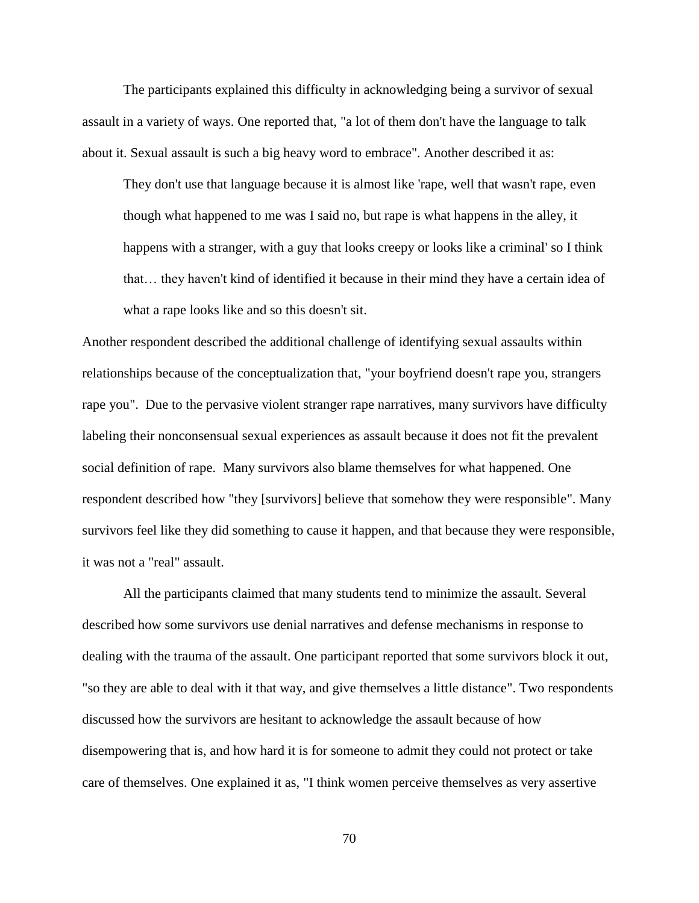The participants explained this difficulty in acknowledging being a survivor of sexual assault in a variety of ways. One reported that, "a lot of them don't have the language to talk about it. Sexual assault is such a big heavy word to embrace". Another described it as:

They don't use that language because it is almost like 'rape, well that wasn't rape, even though what happened to me was I said no, but rape is what happens in the alley, it happens with a stranger, with a guy that looks creepy or looks like a criminal' so I think that… they haven't kind of identified it because in their mind they have a certain idea of what a rape looks like and so this doesn't sit.

Another respondent described the additional challenge of identifying sexual assaults within relationships because of the conceptualization that, "your boyfriend doesn't rape you, strangers rape you". Due to the pervasive violent stranger rape narratives, many survivors have difficulty labeling their nonconsensual sexual experiences as assault because it does not fit the prevalent social definition of rape. Many survivors also blame themselves for what happened. One respondent described how "they [survivors] believe that somehow they were responsible". Many survivors feel like they did something to cause it happen, and that because they were responsible, it was not a "real" assault.

All the participants claimed that many students tend to minimize the assault. Several described how some survivors use denial narratives and defense mechanisms in response to dealing with the trauma of the assault. One participant reported that some survivors block it out, "so they are able to deal with it that way, and give themselves a little distance". Two respondents discussed how the survivors are hesitant to acknowledge the assault because of how disempowering that is, and how hard it is for someone to admit they could not protect or take care of themselves. One explained it as, "I think women perceive themselves as very assertive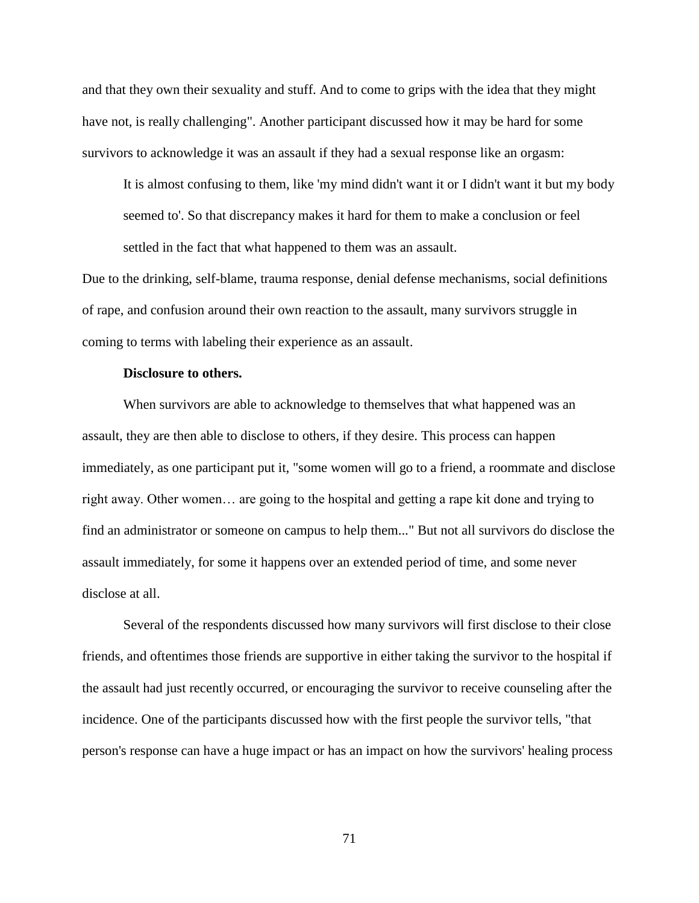and that they own their sexuality and stuff. And to come to grips with the idea that they might have not, is really challenging". Another participant discussed how it may be hard for some survivors to acknowledge it was an assault if they had a sexual response like an orgasm:

It is almost confusing to them, like 'my mind didn't want it or I didn't want it but my body seemed to'. So that discrepancy makes it hard for them to make a conclusion or feel settled in the fact that what happened to them was an assault.

Due to the drinking, self-blame, trauma response, denial defense mechanisms, social definitions of rape, and confusion around their own reaction to the assault, many survivors struggle in coming to terms with labeling their experience as an assault.

### **Disclosure to others.**

When survivors are able to acknowledge to themselves that what happened was an assault, they are then able to disclose to others, if they desire. This process can happen immediately, as one participant put it, "some women will go to a friend, a roommate and disclose right away. Other women… are going to the hospital and getting a rape kit done and trying to find an administrator or someone on campus to help them..." But not all survivors do disclose the assault immediately, for some it happens over an extended period of time, and some never disclose at all.

Several of the respondents discussed how many survivors will first disclose to their close friends, and oftentimes those friends are supportive in either taking the survivor to the hospital if the assault had just recently occurred, or encouraging the survivor to receive counseling after the incidence. One of the participants discussed how with the first people the survivor tells, "that person's response can have a huge impact or has an impact on how the survivors' healing process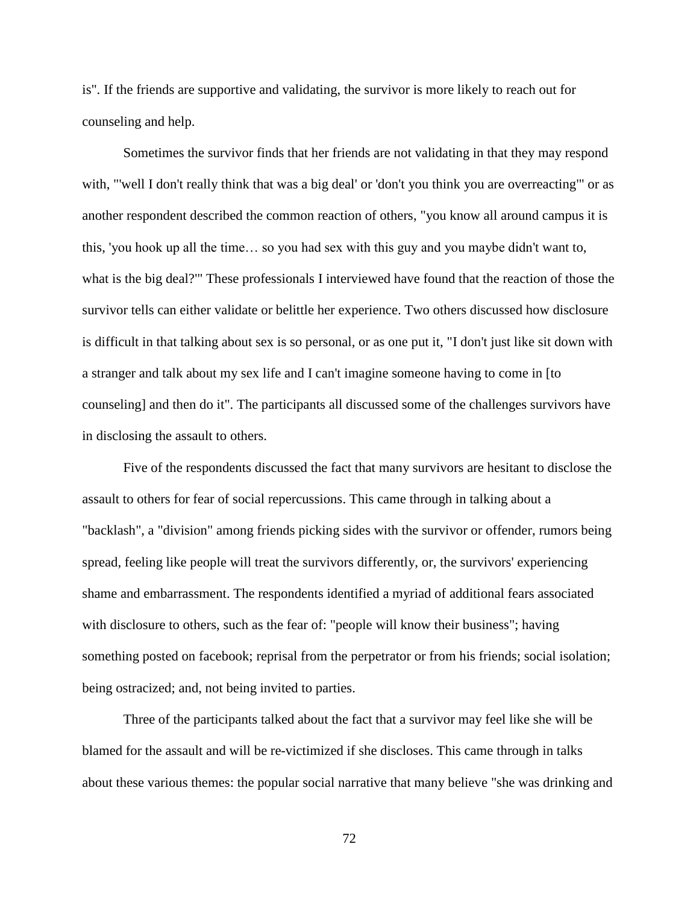is". If the friends are supportive and validating, the survivor is more likely to reach out for counseling and help.

Sometimes the survivor finds that her friends are not validating in that they may respond with, "'well I don't really think that was a big deal' or 'don't you think you are overreacting'" or as another respondent described the common reaction of others, "you know all around campus it is this, 'you hook up all the time… so you had sex with this guy and you maybe didn't want to, what is the big deal?'" These professionals I interviewed have found that the reaction of those the survivor tells can either validate or belittle her experience. Two others discussed how disclosure is difficult in that talking about sex is so personal, or as one put it, "I don't just like sit down with a stranger and talk about my sex life and I can't imagine someone having to come in [to counseling] and then do it". The participants all discussed some of the challenges survivors have in disclosing the assault to others.

Five of the respondents discussed the fact that many survivors are hesitant to disclose the assault to others for fear of social repercussions. This came through in talking about a "backlash", a "division" among friends picking sides with the survivor or offender, rumors being spread, feeling like people will treat the survivors differently, or, the survivors' experiencing shame and embarrassment. The respondents identified a myriad of additional fears associated with disclosure to others, such as the fear of: "people will know their business"; having something posted on facebook; reprisal from the perpetrator or from his friends; social isolation; being ostracized; and, not being invited to parties.

Three of the participants talked about the fact that a survivor may feel like she will be blamed for the assault and will be re-victimized if she discloses. This came through in talks about these various themes: the popular social narrative that many believe "she was drinking and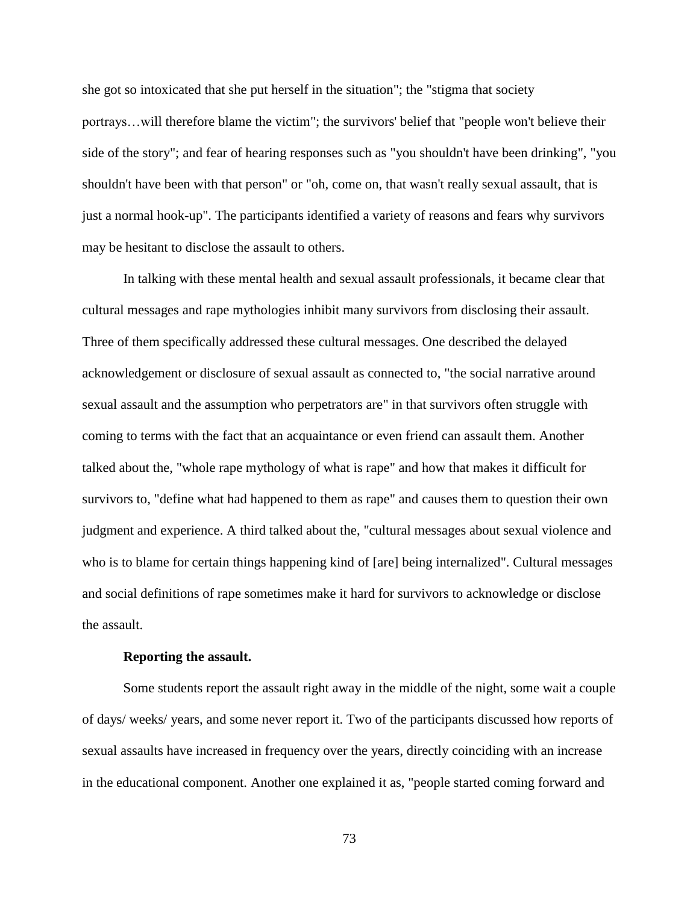she got so intoxicated that she put herself in the situation"; the "stigma that society portrays…will therefore blame the victim"; the survivors' belief that "people won't believe their side of the story"; and fear of hearing responses such as "you shouldn't have been drinking", "you shouldn't have been with that person" or "oh, come on, that wasn't really sexual assault, that is just a normal hook-up". The participants identified a variety of reasons and fears why survivors may be hesitant to disclose the assault to others.

In talking with these mental health and sexual assault professionals, it became clear that cultural messages and rape mythologies inhibit many survivors from disclosing their assault. Three of them specifically addressed these cultural messages. One described the delayed acknowledgement or disclosure of sexual assault as connected to, "the social narrative around sexual assault and the assumption who perpetrators are" in that survivors often struggle with coming to terms with the fact that an acquaintance or even friend can assault them. Another talked about the, "whole rape mythology of what is rape" and how that makes it difficult for survivors to, "define what had happened to them as rape" and causes them to question their own judgment and experience. A third talked about the, "cultural messages about sexual violence and who is to blame for certain things happening kind of [are] being internalized". Cultural messages and social definitions of rape sometimes make it hard for survivors to acknowledge or disclose the assault.

#### **Reporting the assault.**

Some students report the assault right away in the middle of the night, some wait a couple of days/ weeks/ years, and some never report it. Two of the participants discussed how reports of sexual assaults have increased in frequency over the years, directly coinciding with an increase in the educational component. Another one explained it as, "people started coming forward and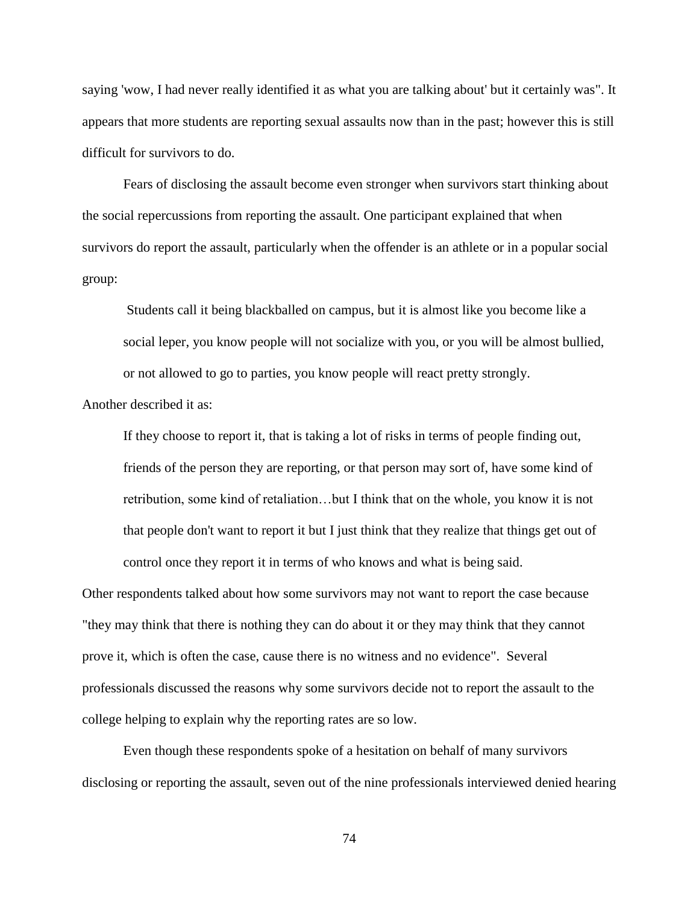saying 'wow, I had never really identified it as what you are talking about' but it certainly was". It appears that more students are reporting sexual assaults now than in the past; however this is still difficult for survivors to do.

Fears of disclosing the assault become even stronger when survivors start thinking about the social repercussions from reporting the assault. One participant explained that when survivors do report the assault, particularly when the offender is an athlete or in a popular social group:

Students call it being blackballed on campus, but it is almost like you become like a social leper, you know people will not socialize with you, or you will be almost bullied, or not allowed to go to parties, you know people will react pretty strongly.

Another described it as:

If they choose to report it, that is taking a lot of risks in terms of people finding out, friends of the person they are reporting, or that person may sort of, have some kind of retribution, some kind of retaliation…but I think that on the whole, you know it is not that people don't want to report it but I just think that they realize that things get out of control once they report it in terms of who knows and what is being said.

Other respondents talked about how some survivors may not want to report the case because "they may think that there is nothing they can do about it or they may think that they cannot prove it, which is often the case, cause there is no witness and no evidence". Several professionals discussed the reasons why some survivors decide not to report the assault to the college helping to explain why the reporting rates are so low.

Even though these respondents spoke of a hesitation on behalf of many survivors disclosing or reporting the assault, seven out of the nine professionals interviewed denied hearing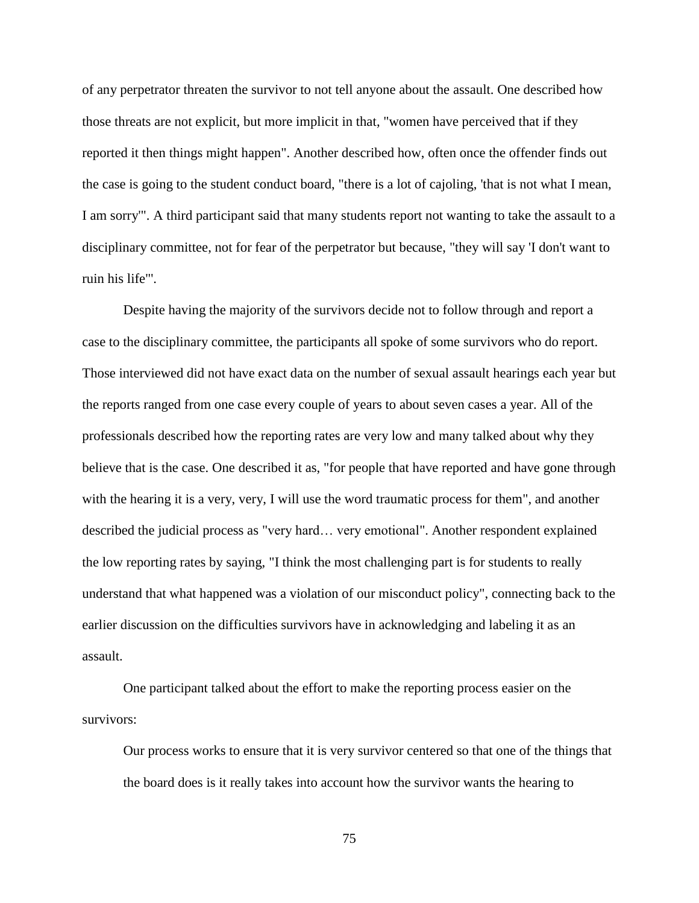of any perpetrator threaten the survivor to not tell anyone about the assault. One described how those threats are not explicit, but more implicit in that, "women have perceived that if they reported it then things might happen". Another described how, often once the offender finds out the case is going to the student conduct board, "there is a lot of cajoling, 'that is not what I mean, I am sorry'". A third participant said that many students report not wanting to take the assault to a disciplinary committee, not for fear of the perpetrator but because, "they will say 'I don't want to ruin his life"'.

Despite having the majority of the survivors decide not to follow through and report a case to the disciplinary committee, the participants all spoke of some survivors who do report. Those interviewed did not have exact data on the number of sexual assault hearings each year but the reports ranged from one case every couple of years to about seven cases a year. All of the professionals described how the reporting rates are very low and many talked about why they believe that is the case. One described it as, "for people that have reported and have gone through with the hearing it is a very, very, I will use the word traumatic process for them", and another described the judicial process as "very hard… very emotional". Another respondent explained the low reporting rates by saying, "I think the most challenging part is for students to really understand that what happened was a violation of our misconduct policy", connecting back to the earlier discussion on the difficulties survivors have in acknowledging and labeling it as an assault.

One participant talked about the effort to make the reporting process easier on the survivors:

Our process works to ensure that it is very survivor centered so that one of the things that the board does is it really takes into account how the survivor wants the hearing to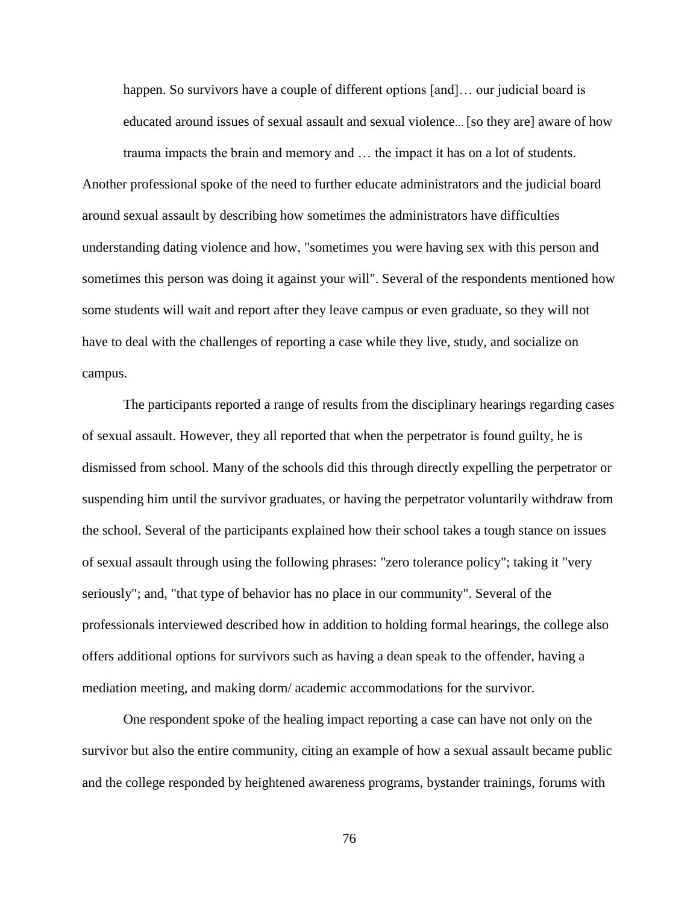happen. So survivors have a couple of different options [and]... our judicial board is educated around issues of sexual assault and sexual violence… [so they are] aware of how

trauma impacts the brain and memory and … the impact it has on a lot of students. Another professional spoke of the need to further educate administrators and the judicial board around sexual assault by describing how sometimes the administrators have difficulties understanding dating violence and how, "sometimes you were having sex with this person and sometimes this person was doing it against your will". Several of the respondents mentioned how some students will wait and report after they leave campus or even graduate, so they will not have to deal with the challenges of reporting a case while they live, study, and socialize on campus.

The participants reported a range of results from the disciplinary hearings regarding cases of sexual assault. However, they all reported that when the perpetrator is found guilty, he is dismissed from school. Many of the schools did this through directly expelling the perpetrator or suspending him until the survivor graduates, or having the perpetrator voluntarily withdraw from the school. Several of the participants explained how their school takes a tough stance on issues of sexual assault through using the following phrases: "zero tolerance policy"; taking it "very seriously"; and, "that type of behavior has no place in our community". Several of the professionals interviewed described how in addition to holding formal hearings, the college also offers additional options for survivors such as having a dean speak to the offender, having a mediation meeting, and making dorm/ academic accommodations for the survivor.

One respondent spoke of the healing impact reporting a case can have not only on the survivor but also the entire community, citing an example of how a sexual assault became public and the college responded by heightened awareness programs, bystander trainings, forums with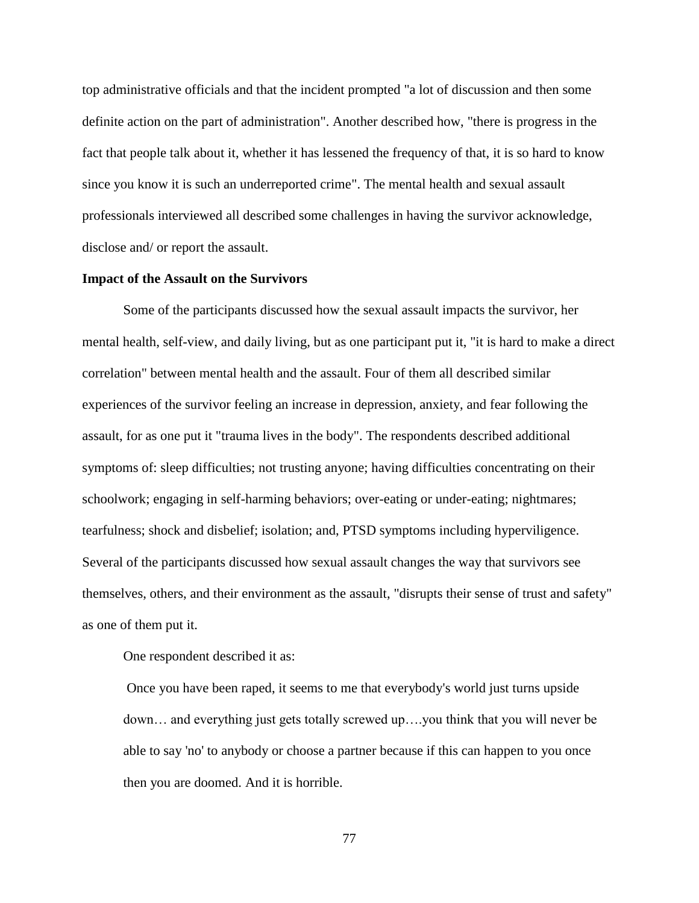top administrative officials and that the incident prompted "a lot of discussion and then some definite action on the part of administration". Another described how, "there is progress in the fact that people talk about it, whether it has lessened the frequency of that, it is so hard to know since you know it is such an underreported crime". The mental health and sexual assault professionals interviewed all described some challenges in having the survivor acknowledge, disclose and/ or report the assault.

# **Impact of the Assault on the Survivors**

Some of the participants discussed how the sexual assault impacts the survivor, her mental health, self-view, and daily living, but as one participant put it, "it is hard to make a direct correlation" between mental health and the assault. Four of them all described similar experiences of the survivor feeling an increase in depression, anxiety, and fear following the assault, for as one put it "trauma lives in the body". The respondents described additional symptoms of: sleep difficulties; not trusting anyone; having difficulties concentrating on their schoolwork; engaging in self-harming behaviors; over-eating or under-eating; nightmares; tearfulness; shock and disbelief; isolation; and, PTSD symptoms including hyperviligence. Several of the participants discussed how sexual assault changes the way that survivors see themselves, others, and their environment as the assault, "disrupts their sense of trust and safety" as one of them put it.

One respondent described it as:

Once you have been raped, it seems to me that everybody's world just turns upside down… and everything just gets totally screwed up….you think that you will never be able to say 'no' to anybody or choose a partner because if this can happen to you once then you are doomed. And it is horrible.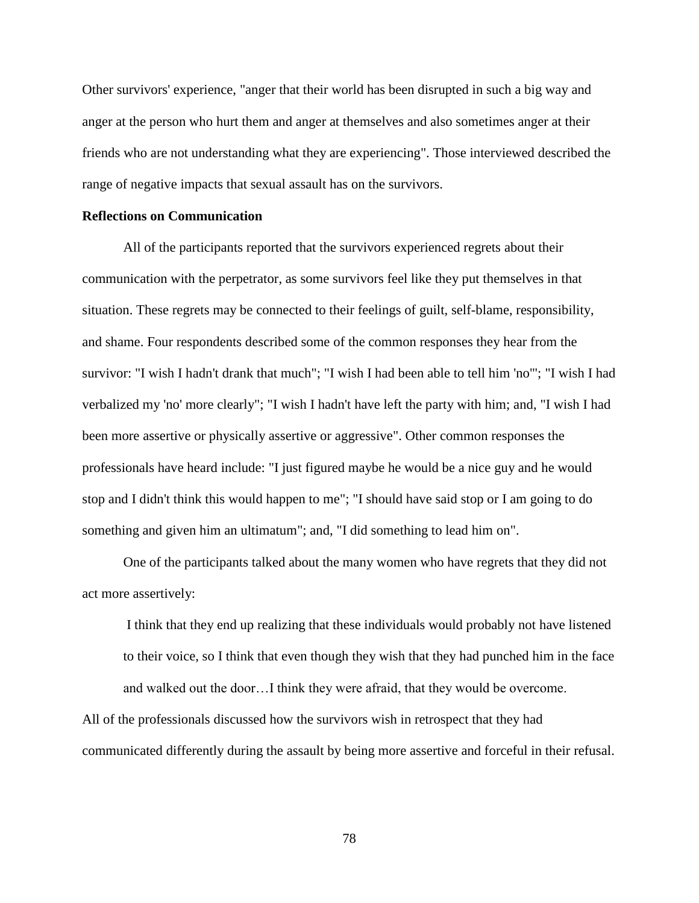Other survivors' experience, "anger that their world has been disrupted in such a big way and anger at the person who hurt them and anger at themselves and also sometimes anger at their friends who are not understanding what they are experiencing". Those interviewed described the range of negative impacts that sexual assault has on the survivors.

# **Reflections on Communication**

All of the participants reported that the survivors experienced regrets about their communication with the perpetrator, as some survivors feel like they put themselves in that situation. These regrets may be connected to their feelings of guilt, self-blame, responsibility, and shame. Four respondents described some of the common responses they hear from the survivor: "I wish I hadn't drank that much"; "I wish I had been able to tell him 'no'"; "I wish I had verbalized my 'no' more clearly"; "I wish I hadn't have left the party with him; and, "I wish I had been more assertive or physically assertive or aggressive". Other common responses the professionals have heard include: "I just figured maybe he would be a nice guy and he would stop and I didn't think this would happen to me"; "I should have said stop or I am going to do something and given him an ultimatum"; and, "I did something to lead him on".

One of the participants talked about the many women who have regrets that they did not act more assertively:

I think that they end up realizing that these individuals would probably not have listened to their voice, so I think that even though they wish that they had punched him in the face and walked out the door…I think they were afraid, that they would be overcome.

All of the professionals discussed how the survivors wish in retrospect that they had communicated differently during the assault by being more assertive and forceful in their refusal.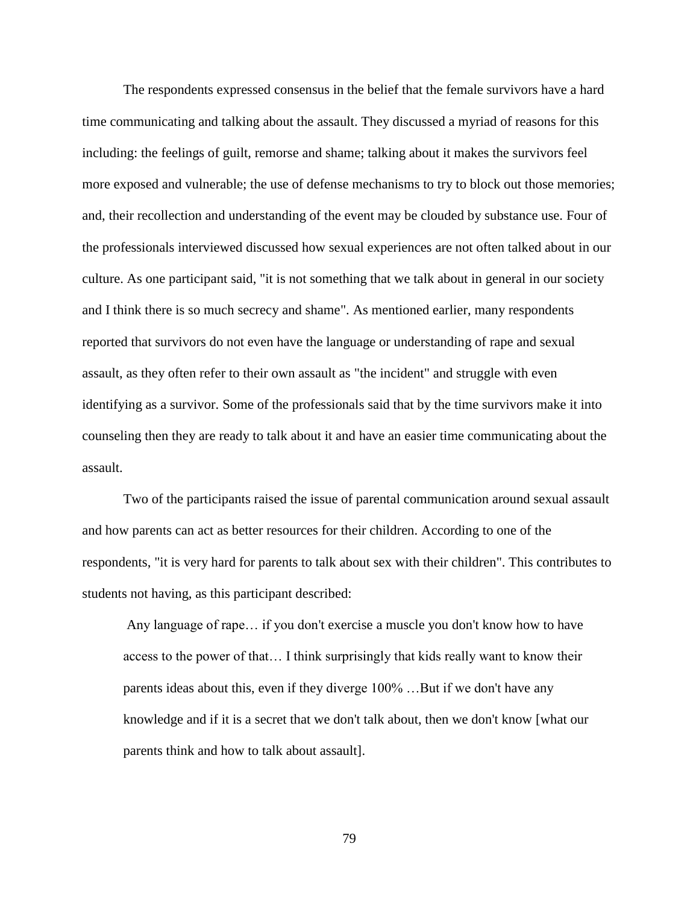The respondents expressed consensus in the belief that the female survivors have a hard time communicating and talking about the assault. They discussed a myriad of reasons for this including: the feelings of guilt, remorse and shame; talking about it makes the survivors feel more exposed and vulnerable; the use of defense mechanisms to try to block out those memories; and, their recollection and understanding of the event may be clouded by substance use. Four of the professionals interviewed discussed how sexual experiences are not often talked about in our culture. As one participant said, "it is not something that we talk about in general in our society and I think there is so much secrecy and shame". As mentioned earlier, many respondents reported that survivors do not even have the language or understanding of rape and sexual assault, as they often refer to their own assault as "the incident" and struggle with even identifying as a survivor. Some of the professionals said that by the time survivors make it into counseling then they are ready to talk about it and have an easier time communicating about the assault.

Two of the participants raised the issue of parental communication around sexual assault and how parents can act as better resources for their children. According to one of the respondents, "it is very hard for parents to talk about sex with their children". This contributes to students not having, as this participant described:

Any language of rape… if you don't exercise a muscle you don't know how to have access to the power of that… I think surprisingly that kids really want to know their parents ideas about this, even if they diverge 100% …But if we don't have any knowledge and if it is a secret that we don't talk about, then we don't know [what our parents think and how to talk about assault].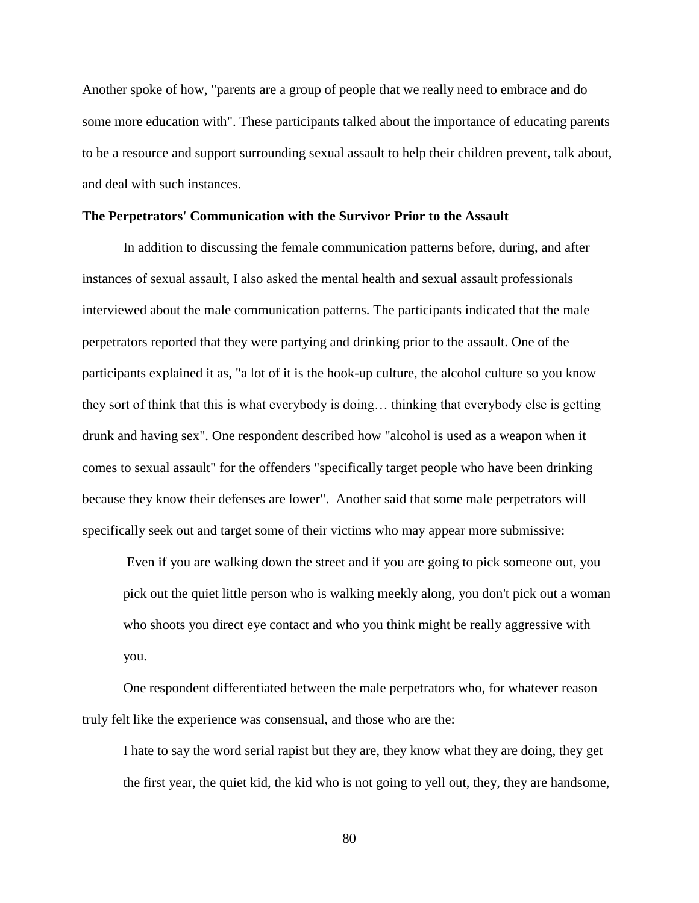Another spoke of how, "parents are a group of people that we really need to embrace and do some more education with". These participants talked about the importance of educating parents to be a resource and support surrounding sexual assault to help their children prevent, talk about, and deal with such instances.

#### **The Perpetrators' Communication with the Survivor Prior to the Assault**

In addition to discussing the female communication patterns before, during, and after instances of sexual assault, I also asked the mental health and sexual assault professionals interviewed about the male communication patterns. The participants indicated that the male perpetrators reported that they were partying and drinking prior to the assault. One of the participants explained it as, "a lot of it is the hook-up culture, the alcohol culture so you know they sort of think that this is what everybody is doing… thinking that everybody else is getting drunk and having sex". One respondent described how "alcohol is used as a weapon when it comes to sexual assault" for the offenders "specifically target people who have been drinking because they know their defenses are lower". Another said that some male perpetrators will specifically seek out and target some of their victims who may appear more submissive:

Even if you are walking down the street and if you are going to pick someone out, you pick out the quiet little person who is walking meekly along, you don't pick out a woman who shoots you direct eye contact and who you think might be really aggressive with you.

One respondent differentiated between the male perpetrators who, for whatever reason truly felt like the experience was consensual, and those who are the:

I hate to say the word serial rapist but they are, they know what they are doing, they get the first year, the quiet kid, the kid who is not going to yell out, they, they are handsome,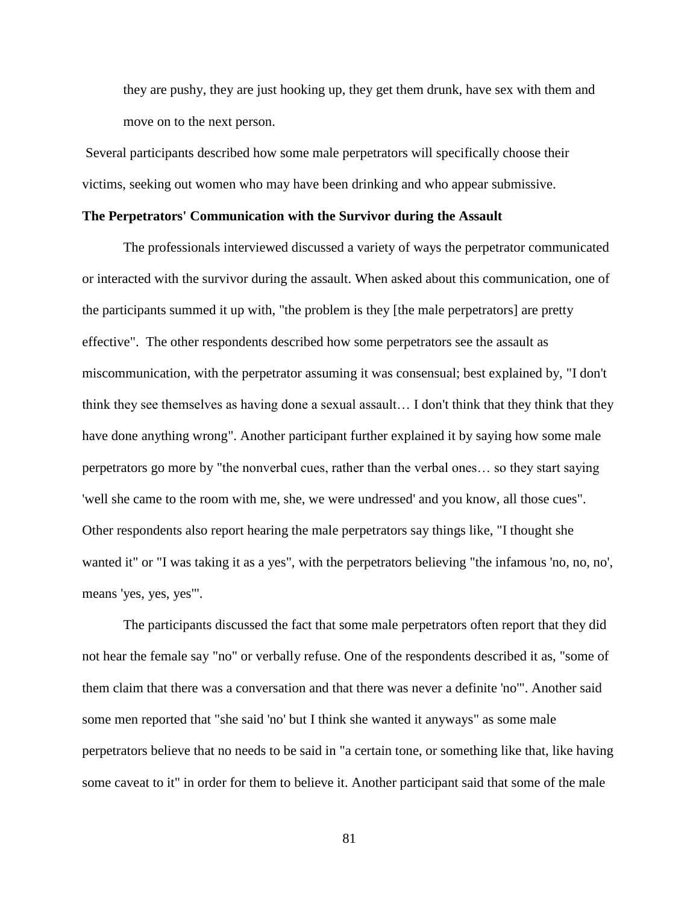they are pushy, they are just hooking up, they get them drunk, have sex with them and move on to the next person.

Several participants described how some male perpetrators will specifically choose their victims, seeking out women who may have been drinking and who appear submissive.

# **The Perpetrators' Communication with the Survivor during the Assault**

The professionals interviewed discussed a variety of ways the perpetrator communicated or interacted with the survivor during the assault. When asked about this communication, one of the participants summed it up with, "the problem is they [the male perpetrators] are pretty effective". The other respondents described how some perpetrators see the assault as miscommunication, with the perpetrator assuming it was consensual; best explained by, "I don't think they see themselves as having done a sexual assault… I don't think that they think that they have done anything wrong". Another participant further explained it by saying how some male perpetrators go more by "the nonverbal cues, rather than the verbal ones… so they start saying 'well she came to the room with me, she, we were undressed' and you know, all those cues". Other respondents also report hearing the male perpetrators say things like, "I thought she wanted it" or "I was taking it as a yes", with the perpetrators believing "the infamous 'no, no, no', means 'yes, yes, yes'".

The participants discussed the fact that some male perpetrators often report that they did not hear the female say "no" or verbally refuse. One of the respondents described it as, "some of them claim that there was a conversation and that there was never a definite 'no'". Another said some men reported that "she said 'no' but I think she wanted it anyways" as some male perpetrators believe that no needs to be said in "a certain tone, or something like that, like having some caveat to it" in order for them to believe it. Another participant said that some of the male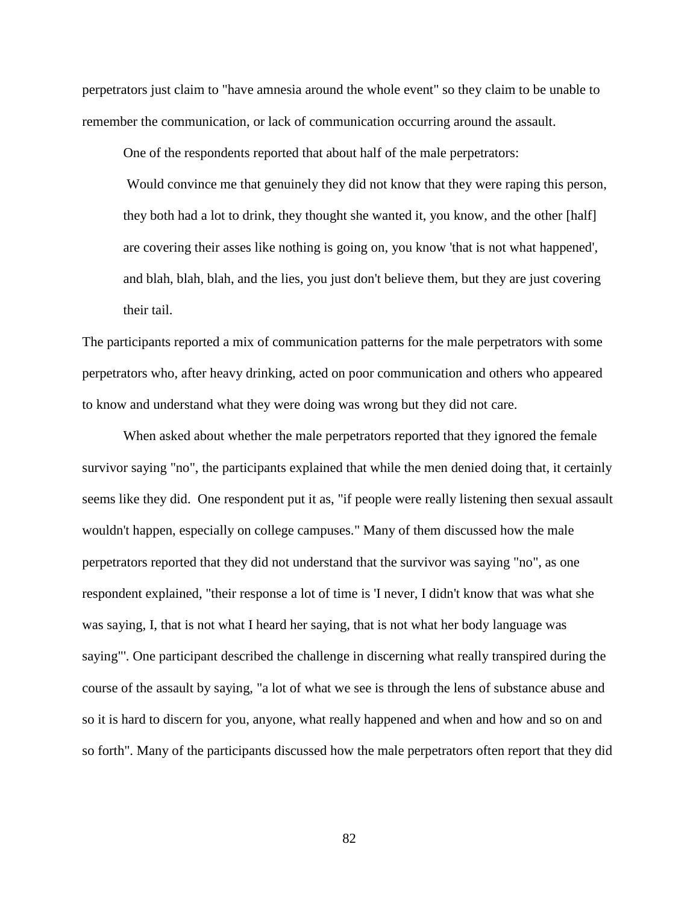perpetrators just claim to "have amnesia around the whole event" so they claim to be unable to remember the communication, or lack of communication occurring around the assault.

One of the respondents reported that about half of the male perpetrators:

Would convince me that genuinely they did not know that they were raping this person, they both had a lot to drink, they thought she wanted it, you know, and the other [half] are covering their asses like nothing is going on, you know 'that is not what happened', and blah, blah, blah, and the lies, you just don't believe them, but they are just covering their tail.

The participants reported a mix of communication patterns for the male perpetrators with some perpetrators who, after heavy drinking, acted on poor communication and others who appeared to know and understand what they were doing was wrong but they did not care.

When asked about whether the male perpetrators reported that they ignored the female survivor saying "no", the participants explained that while the men denied doing that, it certainly seems like they did. One respondent put it as, "if people were really listening then sexual assault wouldn't happen, especially on college campuses." Many of them discussed how the male perpetrators reported that they did not understand that the survivor was saying "no", as one respondent explained, "their response a lot of time is 'I never, I didn't know that was what she was saying, I, that is not what I heard her saying, that is not what her body language was saying"'. One participant described the challenge in discerning what really transpired during the course of the assault by saying, "a lot of what we see is through the lens of substance abuse and so it is hard to discern for you, anyone, what really happened and when and how and so on and so forth". Many of the participants discussed how the male perpetrators often report that they did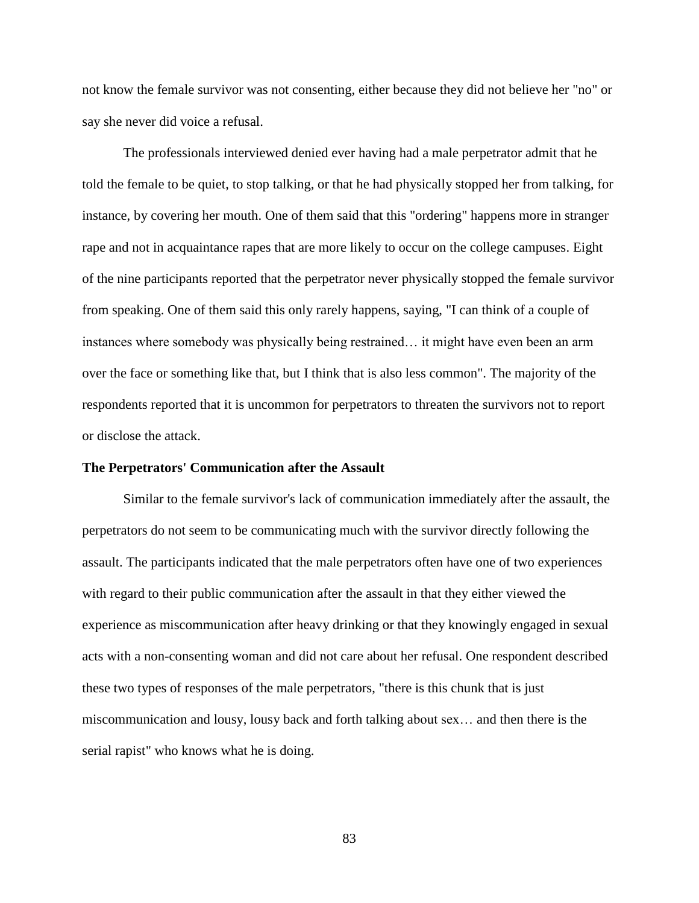not know the female survivor was not consenting, either because they did not believe her "no" or say she never did voice a refusal.

The professionals interviewed denied ever having had a male perpetrator admit that he told the female to be quiet, to stop talking, or that he had physically stopped her from talking, for instance, by covering her mouth. One of them said that this "ordering" happens more in stranger rape and not in acquaintance rapes that are more likely to occur on the college campuses. Eight of the nine participants reported that the perpetrator never physically stopped the female survivor from speaking. One of them said this only rarely happens, saying, "I can think of a couple of instances where somebody was physically being restrained… it might have even been an arm over the face or something like that, but I think that is also less common". The majority of the respondents reported that it is uncommon for perpetrators to threaten the survivors not to report or disclose the attack.

#### **The Perpetrators' Communication after the Assault**

Similar to the female survivor's lack of communication immediately after the assault, the perpetrators do not seem to be communicating much with the survivor directly following the assault. The participants indicated that the male perpetrators often have one of two experiences with regard to their public communication after the assault in that they either viewed the experience as miscommunication after heavy drinking or that they knowingly engaged in sexual acts with a non-consenting woman and did not care about her refusal. One respondent described these two types of responses of the male perpetrators, "there is this chunk that is just miscommunication and lousy, lousy back and forth talking about sex… and then there is the serial rapist" who knows what he is doing.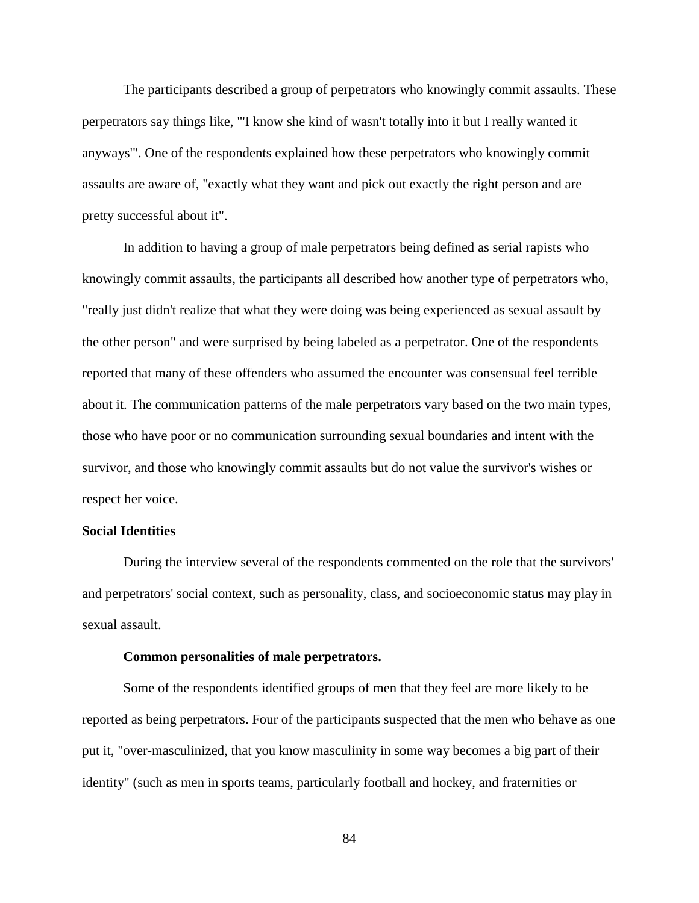The participants described a group of perpetrators who knowingly commit assaults. These perpetrators say things like, "'I know she kind of wasn't totally into it but I really wanted it anyways'". One of the respondents explained how these perpetrators who knowingly commit assaults are aware of, "exactly what they want and pick out exactly the right person and are pretty successful about it".

In addition to having a group of male perpetrators being defined as serial rapists who knowingly commit assaults, the participants all described how another type of perpetrators who, "really just didn't realize that what they were doing was being experienced as sexual assault by the other person" and were surprised by being labeled as a perpetrator. One of the respondents reported that many of these offenders who assumed the encounter was consensual feel terrible about it. The communication patterns of the male perpetrators vary based on the two main types, those who have poor or no communication surrounding sexual boundaries and intent with the survivor, and those who knowingly commit assaults but do not value the survivor's wishes or respect her voice.

#### **Social Identities**

During the interview several of the respondents commented on the role that the survivors' and perpetrators' social context, such as personality, class, and socioeconomic status may play in sexual assault.

#### **Common personalities of male perpetrators.**

Some of the respondents identified groups of men that they feel are more likely to be reported as being perpetrators. Four of the participants suspected that the men who behave as one put it, "over-masculinized, that you know masculinity in some way becomes a big part of their identity" (such as men in sports teams, particularly football and hockey, and fraternities or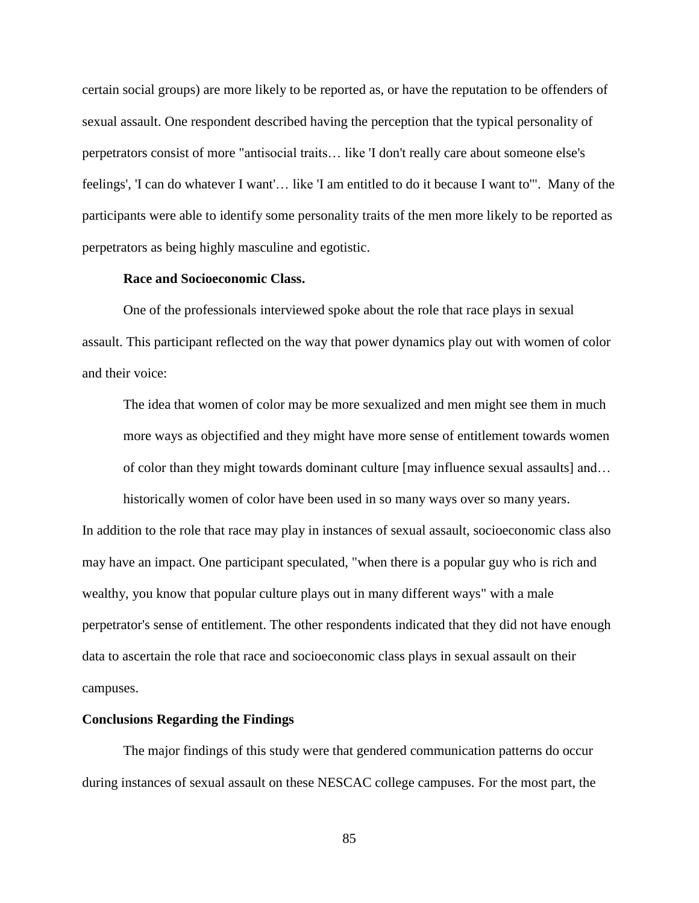certain social groups) are more likely to be reported as, or have the reputation to be offenders of sexual assault. One respondent described having the perception that the typical personality of perpetrators consist of more "antisocial traits… like 'I don't really care about someone else's feelings', 'I can do whatever I want'… like 'I am entitled to do it because I want to'". Many of the participants were able to identify some personality traits of the men more likely to be reported as perpetrators as being highly masculine and egotistic.

#### **Race and Socioeconomic Class.**

One of the professionals interviewed spoke about the role that race plays in sexual assault. This participant reflected on the way that power dynamics play out with women of color and their voice:

The idea that women of color may be more sexualized and men might see them in much more ways as objectified and they might have more sense of entitlement towards women of color than they might towards dominant culture [may influence sexual assaults] and…

historically women of color have been used in so many ways over so many years. In addition to the role that race may play in instances of sexual assault, socioeconomic class also may have an impact. One participant speculated, "when there is a popular guy who is rich and wealthy, you know that popular culture plays out in many different ways" with a male perpetrator's sense of entitlement. The other respondents indicated that they did not have enough data to ascertain the role that race and socioeconomic class plays in sexual assault on their campuses.

#### **Conclusions Regarding the Findings**

The major findings of this study were that gendered communication patterns do occur during instances of sexual assault on these NESCAC college campuses. For the most part, the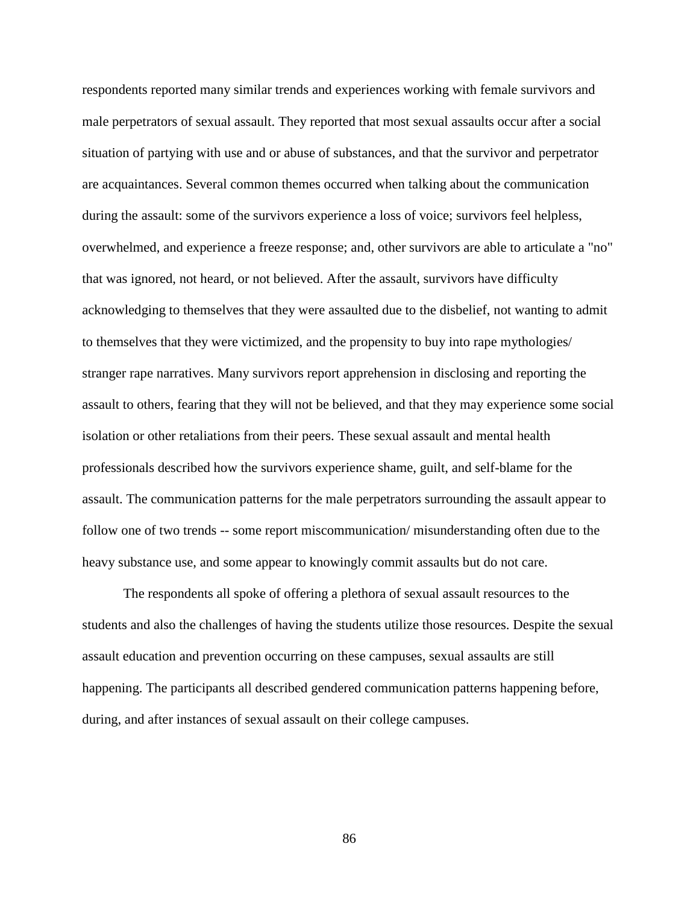respondents reported many similar trends and experiences working with female survivors and male perpetrators of sexual assault. They reported that most sexual assaults occur after a social situation of partying with use and or abuse of substances, and that the survivor and perpetrator are acquaintances. Several common themes occurred when talking about the communication during the assault: some of the survivors experience a loss of voice; survivors feel helpless, overwhelmed, and experience a freeze response; and, other survivors are able to articulate a "no" that was ignored, not heard, or not believed. After the assault, survivors have difficulty acknowledging to themselves that they were assaulted due to the disbelief, not wanting to admit to themselves that they were victimized, and the propensity to buy into rape mythologies/ stranger rape narratives. Many survivors report apprehension in disclosing and reporting the assault to others, fearing that they will not be believed, and that they may experience some social isolation or other retaliations from their peers. These sexual assault and mental health professionals described how the survivors experience shame, guilt, and self-blame for the assault. The communication patterns for the male perpetrators surrounding the assault appear to follow one of two trends -- some report miscommunication/misunderstanding often due to the heavy substance use, and some appear to knowingly commit assaults but do not care.

The respondents all spoke of offering a plethora of sexual assault resources to the students and also the challenges of having the students utilize those resources. Despite the sexual assault education and prevention occurring on these campuses, sexual assaults are still happening. The participants all described gendered communication patterns happening before, during, and after instances of sexual assault on their college campuses.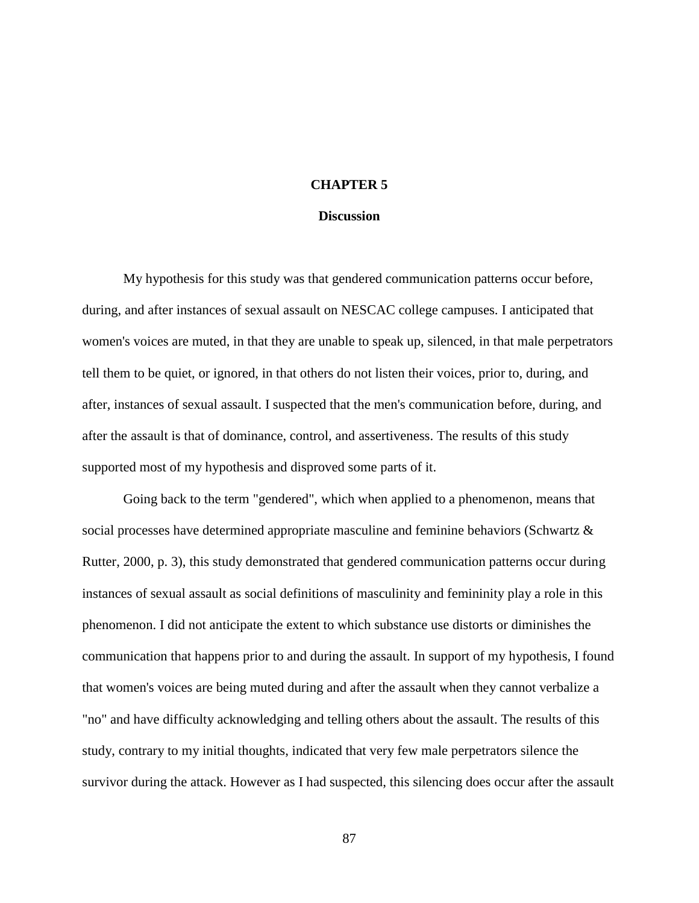# **CHAPTER 5**

# **Discussion**

My hypothesis for this study was that gendered communication patterns occur before, during, and after instances of sexual assault on NESCAC college campuses. I anticipated that women's voices are muted, in that they are unable to speak up, silenced, in that male perpetrators tell them to be quiet, or ignored, in that others do not listen their voices, prior to, during, and after, instances of sexual assault. I suspected that the men's communication before, during, and after the assault is that of dominance, control, and assertiveness. The results of this study supported most of my hypothesis and disproved some parts of it.

Going back to the term "gendered", which when applied to a phenomenon, means that social processes have determined appropriate masculine and feminine behaviors (Schwartz & Rutter, 2000, p. 3), this study demonstrated that gendered communication patterns occur during instances of sexual assault as social definitions of masculinity and femininity play a role in this phenomenon. I did not anticipate the extent to which substance use distorts or diminishes the communication that happens prior to and during the assault. In support of my hypothesis, I found that women's voices are being muted during and after the assault when they cannot verbalize a "no" and have difficulty acknowledging and telling others about the assault. The results of this study, contrary to my initial thoughts, indicated that very few male perpetrators silence the survivor during the attack. However as I had suspected, this silencing does occur after the assault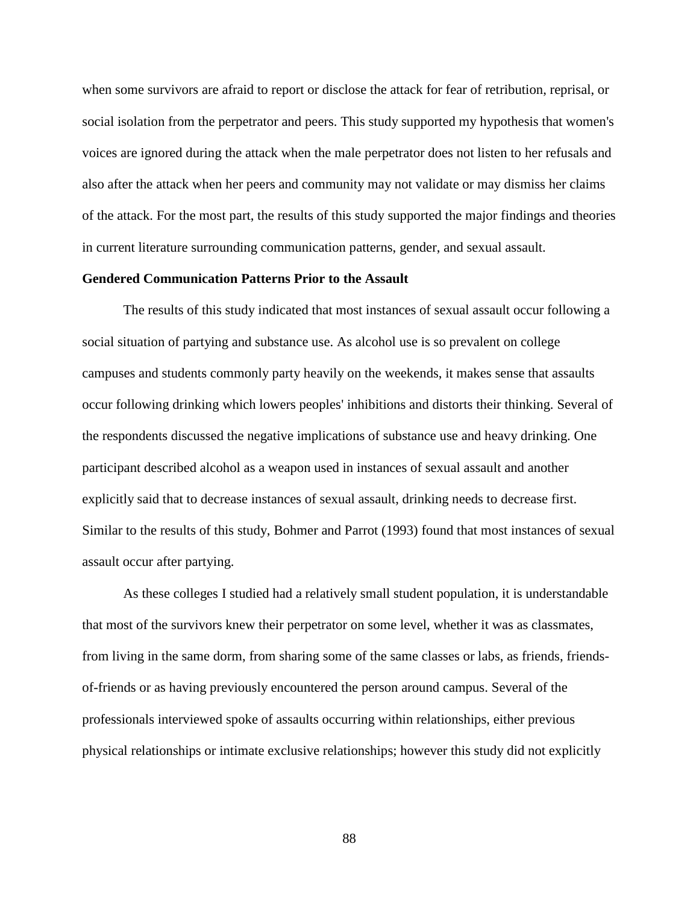when some survivors are afraid to report or disclose the attack for fear of retribution, reprisal, or social isolation from the perpetrator and peers. This study supported my hypothesis that women's voices are ignored during the attack when the male perpetrator does not listen to her refusals and also after the attack when her peers and community may not validate or may dismiss her claims of the attack. For the most part, the results of this study supported the major findings and theories in current literature surrounding communication patterns, gender, and sexual assault.

### **Gendered Communication Patterns Prior to the Assault**

The results of this study indicated that most instances of sexual assault occur following a social situation of partying and substance use. As alcohol use is so prevalent on college campuses and students commonly party heavily on the weekends, it makes sense that assaults occur following drinking which lowers peoples' inhibitions and distorts their thinking. Several of the respondents discussed the negative implications of substance use and heavy drinking. One participant described alcohol as a weapon used in instances of sexual assault and another explicitly said that to decrease instances of sexual assault, drinking needs to decrease first. Similar to the results of this study, Bohmer and Parrot (1993) found that most instances of sexual assault occur after partying.

As these colleges I studied had a relatively small student population, it is understandable that most of the survivors knew their perpetrator on some level, whether it was as classmates, from living in the same dorm, from sharing some of the same classes or labs, as friends, friendsof-friends or as having previously encountered the person around campus. Several of the professionals interviewed spoke of assaults occurring within relationships, either previous physical relationships or intimate exclusive relationships; however this study did not explicitly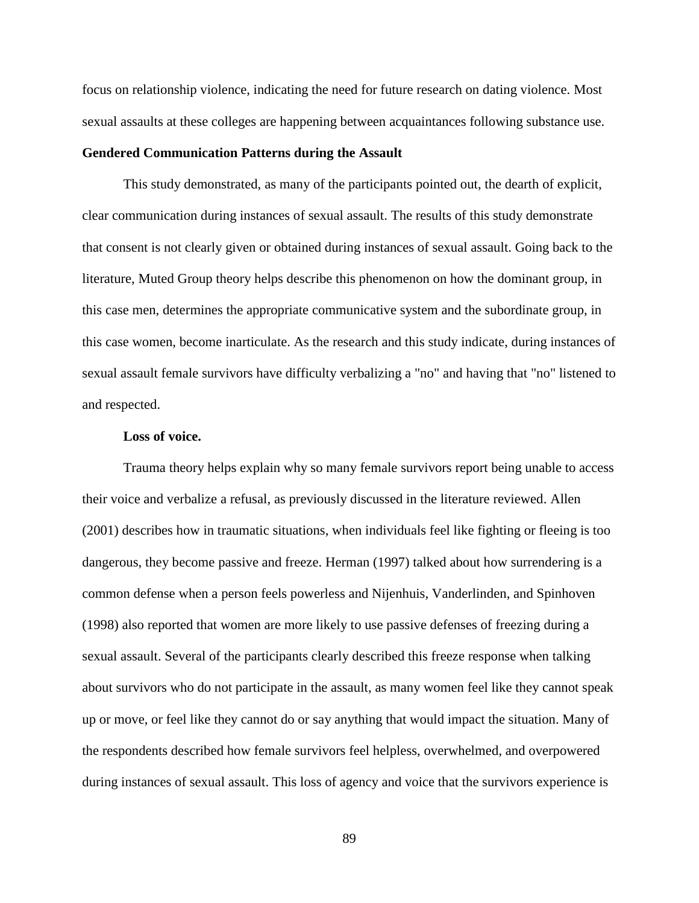focus on relationship violence, indicating the need for future research on dating violence. Most sexual assaults at these colleges are happening between acquaintances following substance use.

# **Gendered Communication Patterns during the Assault**

This study demonstrated, as many of the participants pointed out, the dearth of explicit, clear communication during instances of sexual assault. The results of this study demonstrate that consent is not clearly given or obtained during instances of sexual assault. Going back to the literature, Muted Group theory helps describe this phenomenon on how the dominant group, in this case men, determines the appropriate communicative system and the subordinate group, in this case women, become inarticulate. As the research and this study indicate, during instances of sexual assault female survivors have difficulty verbalizing a "no" and having that "no" listened to and respected.

# **Loss of voice.**

Trauma theory helps explain why so many female survivors report being unable to access their voice and verbalize a refusal, as previously discussed in the literature reviewed. Allen (2001) describes how in traumatic situations, when individuals feel like fighting or fleeing is too dangerous, they become passive and freeze. Herman (1997) talked about how surrendering is a common defense when a person feels powerless and Nijenhuis, Vanderlinden, and Spinhoven (1998) also reported that women are more likely to use passive defenses of freezing during a sexual assault. Several of the participants clearly described this freeze response when talking about survivors who do not participate in the assault, as many women feel like they cannot speak up or move, or feel like they cannot do or say anything that would impact the situation. Many of the respondents described how female survivors feel helpless, overwhelmed, and overpowered during instances of sexual assault. This loss of agency and voice that the survivors experience is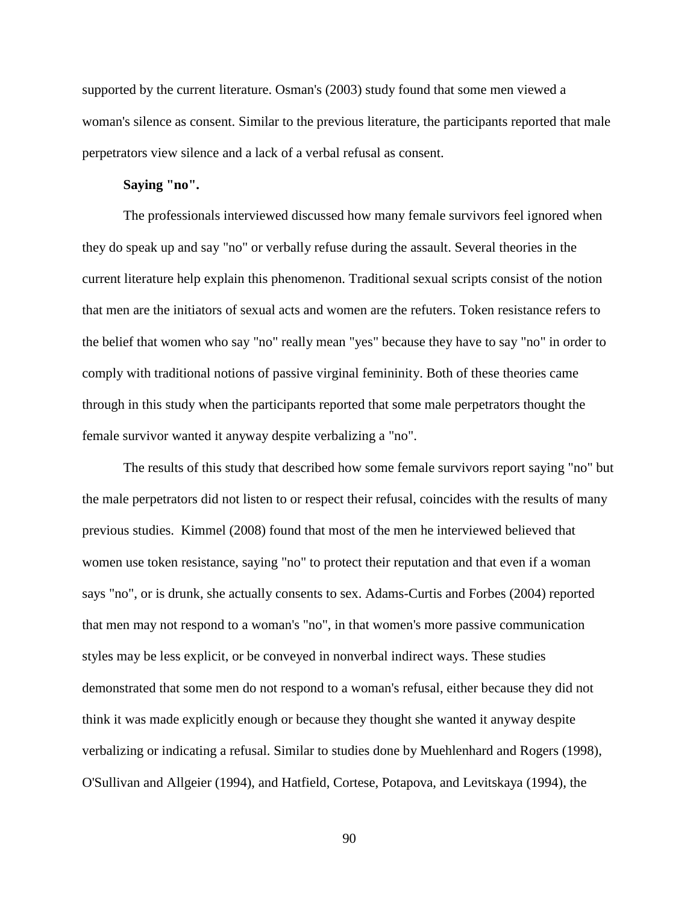supported by the current literature. Osman's (2003) study found that some men viewed a woman's silence as consent. Similar to the previous literature, the participants reported that male perpetrators view silence and a lack of a verbal refusal as consent.

# **Saying "no".**

The professionals interviewed discussed how many female survivors feel ignored when they do speak up and say "no" or verbally refuse during the assault. Several theories in the current literature help explain this phenomenon. Traditional sexual scripts consist of the notion that men are the initiators of sexual acts and women are the refuters. Token resistance refers to the belief that women who say "no" really mean "yes" because they have to say "no" in order to comply with traditional notions of passive virginal femininity. Both of these theories came through in this study when the participants reported that some male perpetrators thought the female survivor wanted it anyway despite verbalizing a "no".

The results of this study that described how some female survivors report saying "no" but the male perpetrators did not listen to or respect their refusal, coincides with the results of many previous studies. Kimmel (2008) found that most of the men he interviewed believed that women use token resistance, saying "no" to protect their reputation and that even if a woman says "no", or is drunk, she actually consents to sex. Adams-Curtis and Forbes (2004) reported that men may not respond to a woman's "no", in that women's more passive communication styles may be less explicit, or be conveyed in nonverbal indirect ways. These studies demonstrated that some men do not respond to a woman's refusal, either because they did not think it was made explicitly enough or because they thought she wanted it anyway despite verbalizing or indicating a refusal. Similar to studies done by Muehlenhard and Rogers (1998), O'Sullivan and Allgeier (1994), and Hatfield, Cortese, Potapova, and Levitskaya (1994), the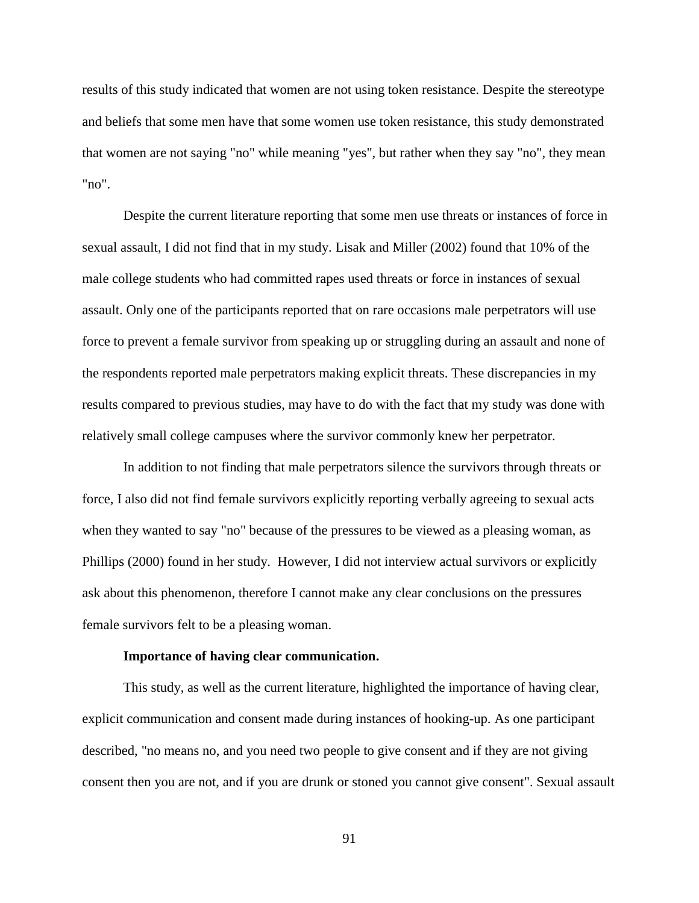results of this study indicated that women are not using token resistance. Despite the stereotype and beliefs that some men have that some women use token resistance, this study demonstrated that women are not saying "no" while meaning "yes", but rather when they say "no", they mean "no".

Despite the current literature reporting that some men use threats or instances of force in sexual assault, I did not find that in my study. Lisak and Miller (2002) found that 10% of the male college students who had committed rapes used threats or force in instances of sexual assault. Only one of the participants reported that on rare occasions male perpetrators will use force to prevent a female survivor from speaking up or struggling during an assault and none of the respondents reported male perpetrators making explicit threats. These discrepancies in my results compared to previous studies, may have to do with the fact that my study was done with relatively small college campuses where the survivor commonly knew her perpetrator.

In addition to not finding that male perpetrators silence the survivors through threats or force, I also did not find female survivors explicitly reporting verbally agreeing to sexual acts when they wanted to say "no" because of the pressures to be viewed as a pleasing woman, as Phillips (2000) found in her study. However, I did not interview actual survivors or explicitly ask about this phenomenon, therefore I cannot make any clear conclusions on the pressures female survivors felt to be a pleasing woman.

# **Importance of having clear communication.**

This study, as well as the current literature, highlighted the importance of having clear, explicit communication and consent made during instances of hooking-up. As one participant described, "no means no, and you need two people to give consent and if they are not giving consent then you are not, and if you are drunk or stoned you cannot give consent". Sexual assault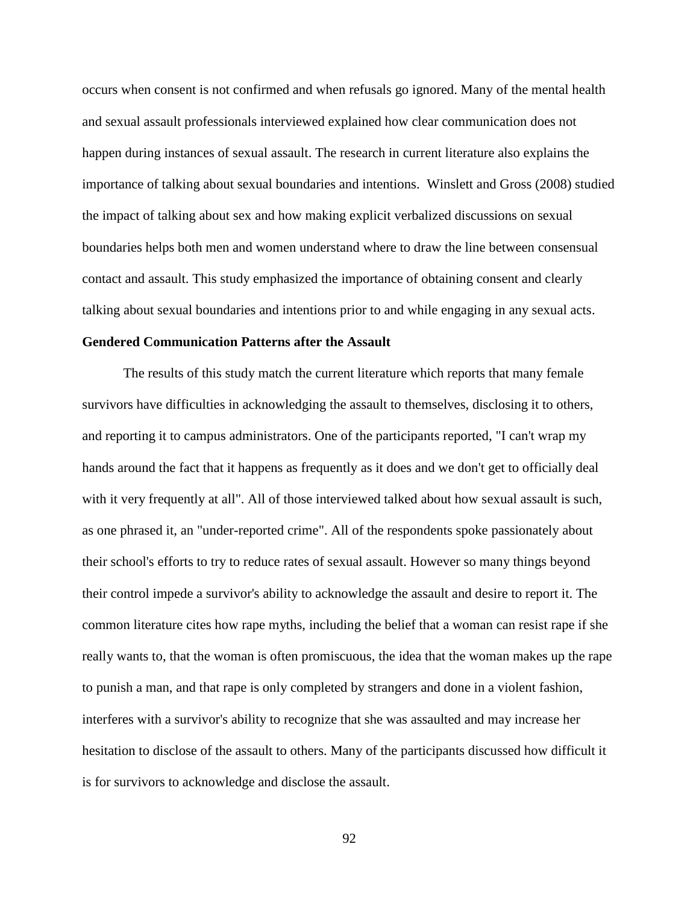occurs when consent is not confirmed and when refusals go ignored. Many of the mental health and sexual assault professionals interviewed explained how clear communication does not happen during instances of sexual assault. The research in current literature also explains the importance of talking about sexual boundaries and intentions. Winslett and Gross (2008) studied the impact of talking about sex and how making explicit verbalized discussions on sexual boundaries helps both men and women understand where to draw the line between consensual contact and assault. This study emphasized the importance of obtaining consent and clearly talking about sexual boundaries and intentions prior to and while engaging in any sexual acts.

# **Gendered Communication Patterns after the Assault**

The results of this study match the current literature which reports that many female survivors have difficulties in acknowledging the assault to themselves, disclosing it to others, and reporting it to campus administrators. One of the participants reported, "I can't wrap my hands around the fact that it happens as frequently as it does and we don't get to officially deal with it very frequently at all". All of those interviewed talked about how sexual assault is such, as one phrased it, an "under-reported crime". All of the respondents spoke passionately about their school's efforts to try to reduce rates of sexual assault. However so many things beyond their control impede a survivor's ability to acknowledge the assault and desire to report it. The common literature cites how rape myths, including the belief that a woman can resist rape if she really wants to, that the woman is often promiscuous, the idea that the woman makes up the rape to punish a man, and that rape is only completed by strangers and done in a violent fashion, interferes with a survivor's ability to recognize that she was assaulted and may increase her hesitation to disclose of the assault to others. Many of the participants discussed how difficult it is for survivors to acknowledge and disclose the assault.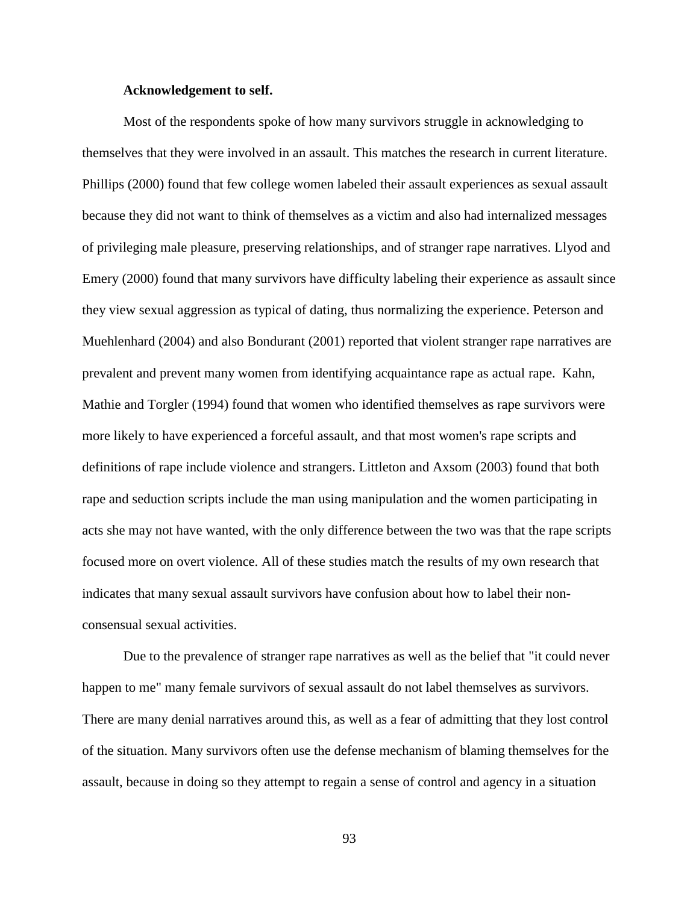# **Acknowledgement to self.**

Most of the respondents spoke of how many survivors struggle in acknowledging to themselves that they were involved in an assault. This matches the research in current literature. Phillips (2000) found that few college women labeled their assault experiences as sexual assault because they did not want to think of themselves as a victim and also had internalized messages of privileging male pleasure, preserving relationships, and of stranger rape narratives. Llyod and Emery (2000) found that many survivors have difficulty labeling their experience as assault since they view sexual aggression as typical of dating, thus normalizing the experience. Peterson and Muehlenhard (2004) and also Bondurant (2001) reported that violent stranger rape narratives are prevalent and prevent many women from identifying acquaintance rape as actual rape. Kahn, Mathie and Torgler (1994) found that women who identified themselves as rape survivors were more likely to have experienced a forceful assault, and that most women's rape scripts and definitions of rape include violence and strangers. Littleton and Axsom (2003) found that both rape and seduction scripts include the man using manipulation and the women participating in acts she may not have wanted, with the only difference between the two was that the rape scripts focused more on overt violence. All of these studies match the results of my own research that indicates that many sexual assault survivors have confusion about how to label their nonconsensual sexual activities.

Due to the prevalence of stranger rape narratives as well as the belief that "it could never happen to me" many female survivors of sexual assault do not label themselves as survivors. There are many denial narratives around this, as well as a fear of admitting that they lost control of the situation. Many survivors often use the defense mechanism of blaming themselves for the assault, because in doing so they attempt to regain a sense of control and agency in a situation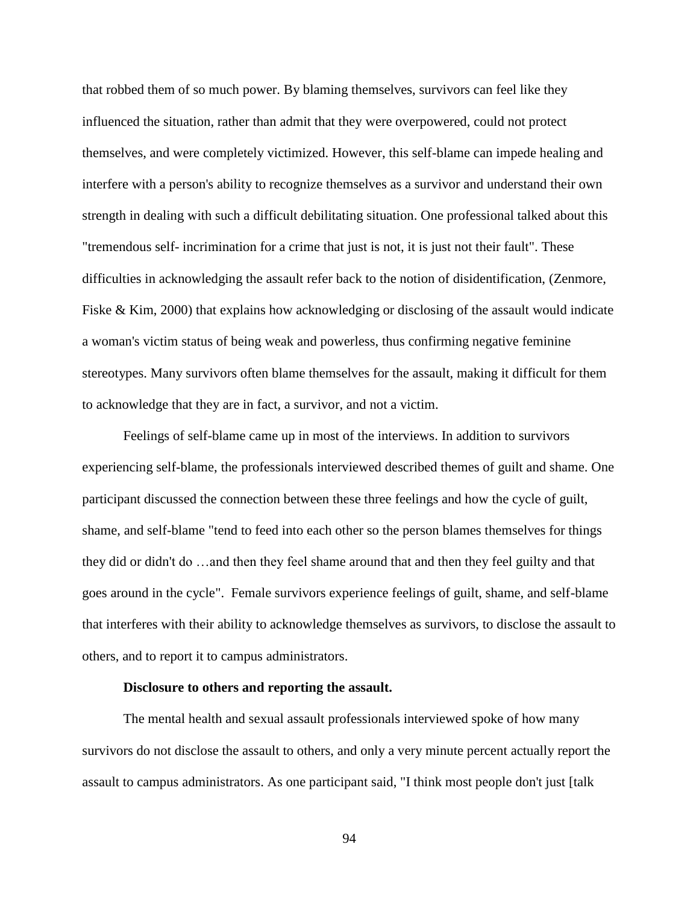that robbed them of so much power. By blaming themselves, survivors can feel like they influenced the situation, rather than admit that they were overpowered, could not protect themselves, and were completely victimized. However, this self-blame can impede healing and interfere with a person's ability to recognize themselves as a survivor and understand their own strength in dealing with such a difficult debilitating situation. One professional talked about this "tremendous self- incrimination for a crime that just is not, it is just not their fault". These difficulties in acknowledging the assault refer back to the notion of disidentification, (Zenmore, Fiske & Kim, 2000) that explains how acknowledging or disclosing of the assault would indicate a woman's victim status of being weak and powerless, thus confirming negative feminine stereotypes. Many survivors often blame themselves for the assault, making it difficult for them to acknowledge that they are in fact, a survivor, and not a victim.

Feelings of self-blame came up in most of the interviews. In addition to survivors experiencing self-blame, the professionals interviewed described themes of guilt and shame. One participant discussed the connection between these three feelings and how the cycle of guilt, shame, and self-blame "tend to feed into each other so the person blames themselves for things they did or didn't do …and then they feel shame around that and then they feel guilty and that goes around in the cycle". Female survivors experience feelings of guilt, shame, and self-blame that interferes with their ability to acknowledge themselves as survivors, to disclose the assault to others, and to report it to campus administrators.

# **Disclosure to others and reporting the assault.**

The mental health and sexual assault professionals interviewed spoke of how many survivors do not disclose the assault to others, and only a very minute percent actually report the assault to campus administrators. As one participant said, "I think most people don't just [talk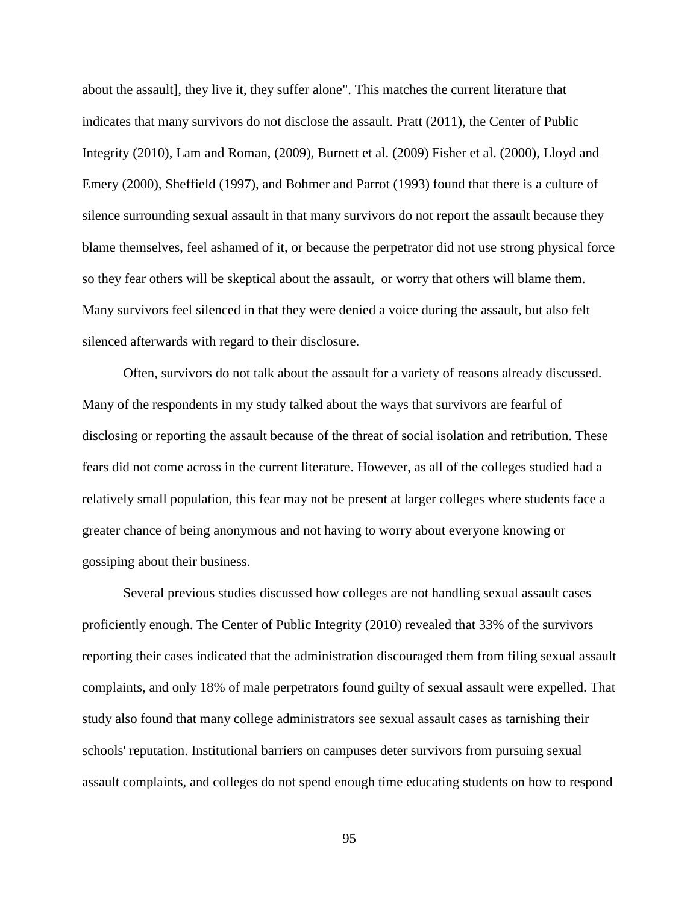about the assault], they live it, they suffer alone". This matches the current literature that indicates that many survivors do not disclose the assault. Pratt (2011), the Center of Public Integrity (2010), Lam and Roman, (2009), Burnett et al. (2009) Fisher et al. (2000), Lloyd and Emery (2000), Sheffield (1997), and Bohmer and Parrot (1993) found that there is a culture of silence surrounding sexual assault in that many survivors do not report the assault because they blame themselves, feel ashamed of it, or because the perpetrator did not use strong physical force so they fear others will be skeptical about the assault, or worry that others will blame them. Many survivors feel silenced in that they were denied a voice during the assault, but also felt silenced afterwards with regard to their disclosure.

Often, survivors do not talk about the assault for a variety of reasons already discussed. Many of the respondents in my study talked about the ways that survivors are fearful of disclosing or reporting the assault because of the threat of social isolation and retribution. These fears did not come across in the current literature. However, as all of the colleges studied had a relatively small population, this fear may not be present at larger colleges where students face a greater chance of being anonymous and not having to worry about everyone knowing or gossiping about their business.

Several previous studies discussed how colleges are not handling sexual assault cases proficiently enough. The Center of Public Integrity (2010) revealed that 33% of the survivors reporting their cases indicated that the administration discouraged them from filing sexual assault complaints, and only 18% of male perpetrators found guilty of sexual assault were expelled. That study also found that many college administrators see sexual assault cases as tarnishing their schools' reputation. Institutional barriers on campuses deter survivors from pursuing sexual assault complaints, and colleges do not spend enough time educating students on how to respond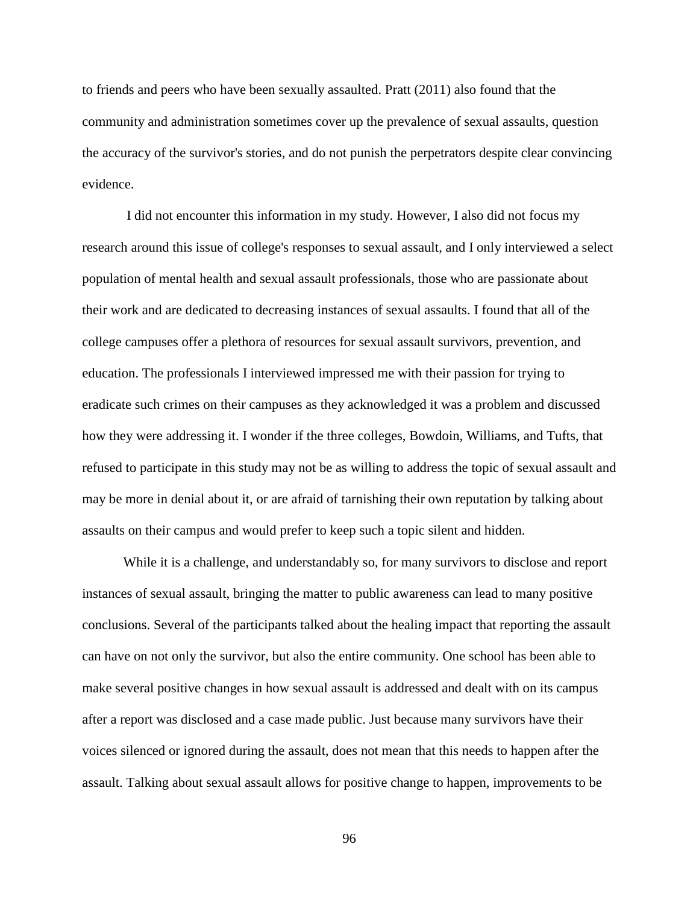to friends and peers who have been sexually assaulted. Pratt (2011) also found that the community and administration sometimes cover up the prevalence of sexual assaults, question the accuracy of the survivor's stories, and do not punish the perpetrators despite clear convincing evidence.

I did not encounter this information in my study. However, I also did not focus my research around this issue of college's responses to sexual assault, and I only interviewed a select population of mental health and sexual assault professionals, those who are passionate about their work and are dedicated to decreasing instances of sexual assaults. I found that all of the college campuses offer a plethora of resources for sexual assault survivors, prevention, and education. The professionals I interviewed impressed me with their passion for trying to eradicate such crimes on their campuses as they acknowledged it was a problem and discussed how they were addressing it. I wonder if the three colleges, Bowdoin, Williams, and Tufts, that refused to participate in this study may not be as willing to address the topic of sexual assault and may be more in denial about it, or are afraid of tarnishing their own reputation by talking about assaults on their campus and would prefer to keep such a topic silent and hidden.

While it is a challenge, and understandably so, for many survivors to disclose and report instances of sexual assault, bringing the matter to public awareness can lead to many positive conclusions. Several of the participants talked about the healing impact that reporting the assault can have on not only the survivor, but also the entire community. One school has been able to make several positive changes in how sexual assault is addressed and dealt with on its campus after a report was disclosed and a case made public. Just because many survivors have their voices silenced or ignored during the assault, does not mean that this needs to happen after the assault. Talking about sexual assault allows for positive change to happen, improvements to be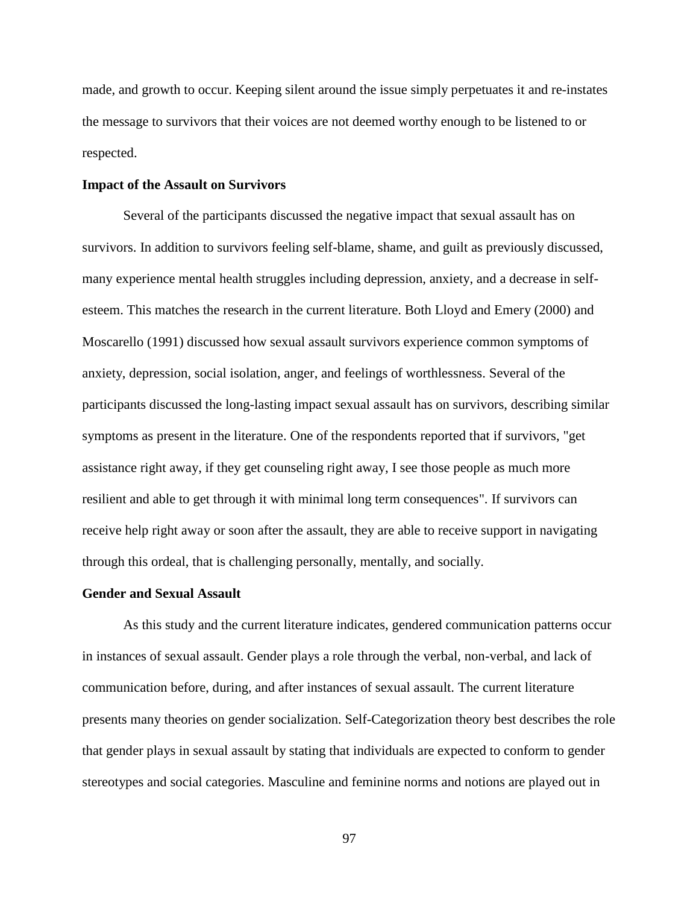made, and growth to occur. Keeping silent around the issue simply perpetuates it and re-instates the message to survivors that their voices are not deemed worthy enough to be listened to or respected.

### **Impact of the Assault on Survivors**

Several of the participants discussed the negative impact that sexual assault has on survivors. In addition to survivors feeling self-blame, shame, and guilt as previously discussed, many experience mental health struggles including depression, anxiety, and a decrease in selfesteem. This matches the research in the current literature. Both Lloyd and Emery (2000) and Moscarello (1991) discussed how sexual assault survivors experience common symptoms of anxiety, depression, social isolation, anger, and feelings of worthlessness. Several of the participants discussed the long-lasting impact sexual assault has on survivors, describing similar symptoms as present in the literature. One of the respondents reported that if survivors, "get assistance right away, if they get counseling right away, I see those people as much more resilient and able to get through it with minimal long term consequences". If survivors can receive help right away or soon after the assault, they are able to receive support in navigating through this ordeal, that is challenging personally, mentally, and socially.

# **Gender and Sexual Assault**

As this study and the current literature indicates, gendered communication patterns occur in instances of sexual assault. Gender plays a role through the verbal, non-verbal, and lack of communication before, during, and after instances of sexual assault. The current literature presents many theories on gender socialization. Self-Categorization theory best describes the role that gender plays in sexual assault by stating that individuals are expected to conform to gender stereotypes and social categories. Masculine and feminine norms and notions are played out in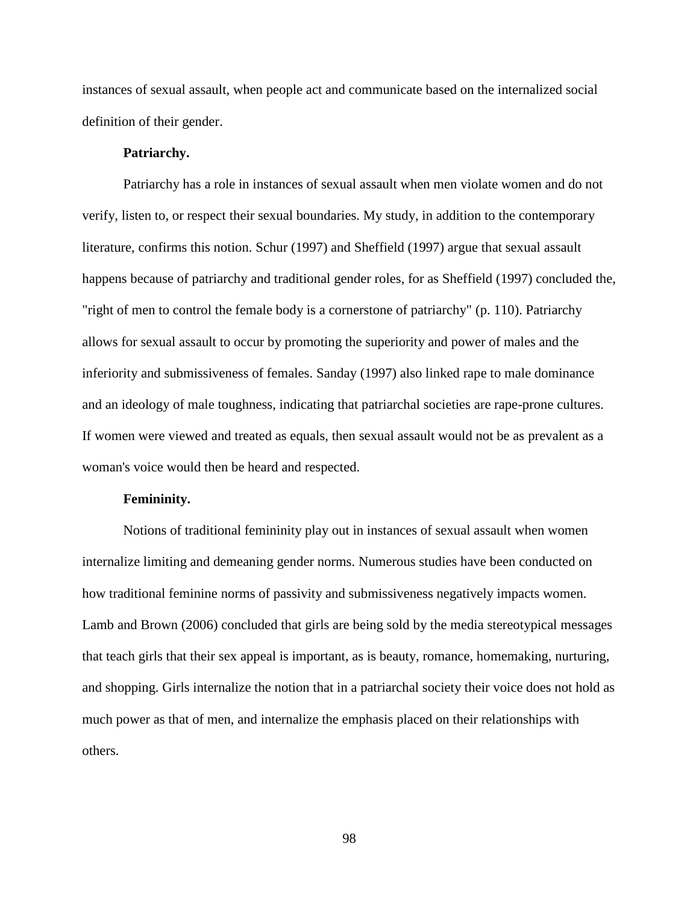instances of sexual assault, when people act and communicate based on the internalized social definition of their gender.

# **Patriarchy.**

Patriarchy has a role in instances of sexual assault when men violate women and do not verify, listen to, or respect their sexual boundaries. My study, in addition to the contemporary literature, confirms this notion. Schur (1997) and Sheffield (1997) argue that sexual assault happens because of patriarchy and traditional gender roles, for as Sheffield (1997) concluded the, "right of men to control the female body is a cornerstone of patriarchy" (p. 110). Patriarchy allows for sexual assault to occur by promoting the superiority and power of males and the inferiority and submissiveness of females. Sanday (1997) also linked rape to male dominance and an ideology of male toughness, indicating that patriarchal societies are rape-prone cultures. If women were viewed and treated as equals, then sexual assault would not be as prevalent as a woman's voice would then be heard and respected.

#### **Femininity.**

Notions of traditional femininity play out in instances of sexual assault when women internalize limiting and demeaning gender norms. Numerous studies have been conducted on how traditional feminine norms of passivity and submissiveness negatively impacts women. Lamb and Brown (2006) concluded that girls are being sold by the media stereotypical messages that teach girls that their sex appeal is important, as is beauty, romance, homemaking, nurturing, and shopping. Girls internalize the notion that in a patriarchal society their voice does not hold as much power as that of men, and internalize the emphasis placed on their relationships with others.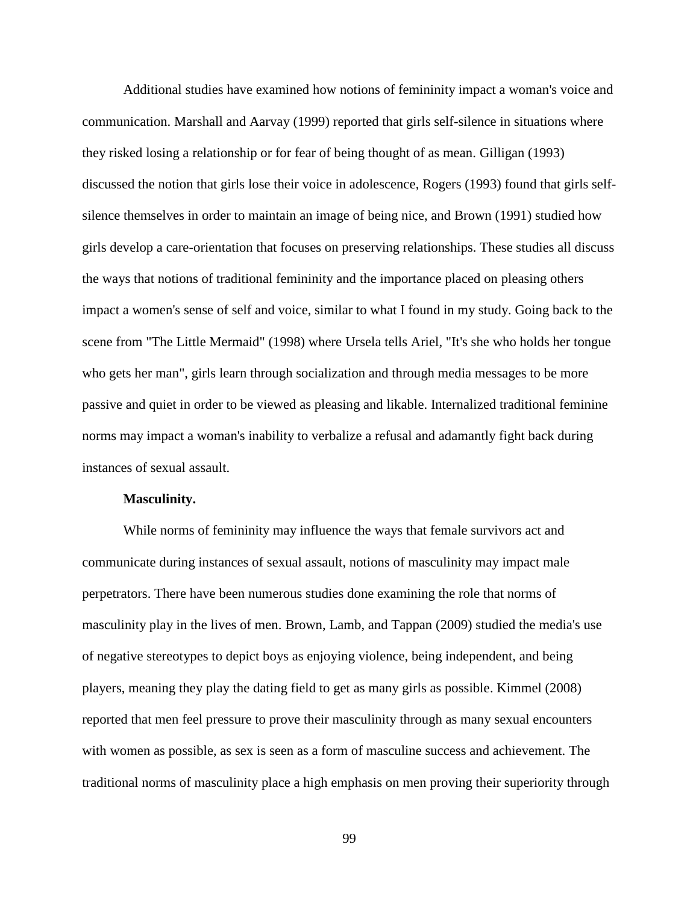Additional studies have examined how notions of femininity impact a woman's voice and communication. Marshall and Aarvay (1999) reported that girls self-silence in situations where they risked losing a relationship or for fear of being thought of as mean. Gilligan (1993) discussed the notion that girls lose their voice in adolescence, Rogers (1993) found that girls selfsilence themselves in order to maintain an image of being nice, and Brown (1991) studied how girls develop a care-orientation that focuses on preserving relationships. These studies all discuss the ways that notions of traditional femininity and the importance placed on pleasing others impact a women's sense of self and voice, similar to what I found in my study. Going back to the scene from "The Little Mermaid" (1998) where Ursela tells Ariel, "It's she who holds her tongue who gets her man", girls learn through socialization and through media messages to be more passive and quiet in order to be viewed as pleasing and likable. Internalized traditional feminine norms may impact a woman's inability to verbalize a refusal and adamantly fight back during instances of sexual assault.

#### **Masculinity.**

While norms of femininity may influence the ways that female survivors act and communicate during instances of sexual assault, notions of masculinity may impact male perpetrators. There have been numerous studies done examining the role that norms of masculinity play in the lives of men. Brown, Lamb, and Tappan (2009) studied the media's use of negative stereotypes to depict boys as enjoying violence, being independent, and being players, meaning they play the dating field to get as many girls as possible. Kimmel (2008) reported that men feel pressure to prove their masculinity through as many sexual encounters with women as possible, as sex is seen as a form of masculine success and achievement. The traditional norms of masculinity place a high emphasis on men proving their superiority through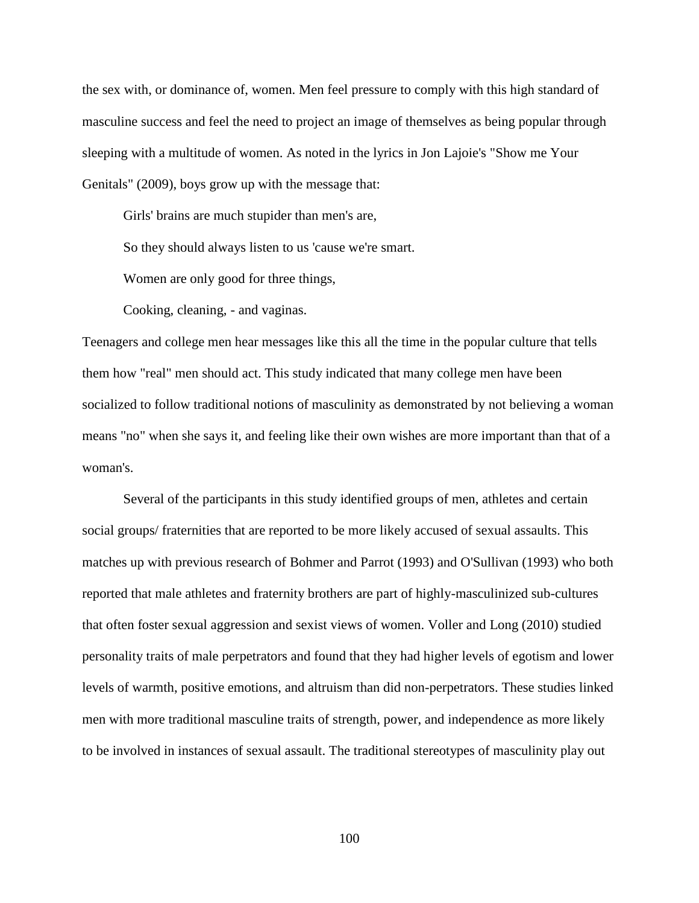the sex with, or dominance of, women. Men feel pressure to comply with this high standard of masculine success and feel the need to project an image of themselves as being popular through sleeping with a multitude of women. As noted in the lyrics in Jon Lajoie's "Show me Your Genitals" (2009), boys grow up with the message that:

Girls' brains are much stupider than men's are,

So they should always listen to us 'cause we're smart.

Women are only good for three things,

Cooking, cleaning, - and vaginas.

Teenagers and college men hear messages like this all the time in the popular culture that tells them how "real" men should act. This study indicated that many college men have been socialized to follow traditional notions of masculinity as demonstrated by not believing a woman means "no" when she says it, and feeling like their own wishes are more important than that of a woman's.

Several of the participants in this study identified groups of men, athletes and certain social groups/ fraternities that are reported to be more likely accused of sexual assaults. This matches up with previous research of Bohmer and Parrot (1993) and O'Sullivan (1993) who both reported that male athletes and fraternity brothers are part of highly-masculinized sub-cultures that often foster sexual aggression and sexist views of women. Voller and Long (2010) studied personality traits of male perpetrators and found that they had higher levels of egotism and lower levels of warmth, positive emotions, and altruism than did non-perpetrators. These studies linked men with more traditional masculine traits of strength, power, and independence as more likely to be involved in instances of sexual assault. The traditional stereotypes of masculinity play out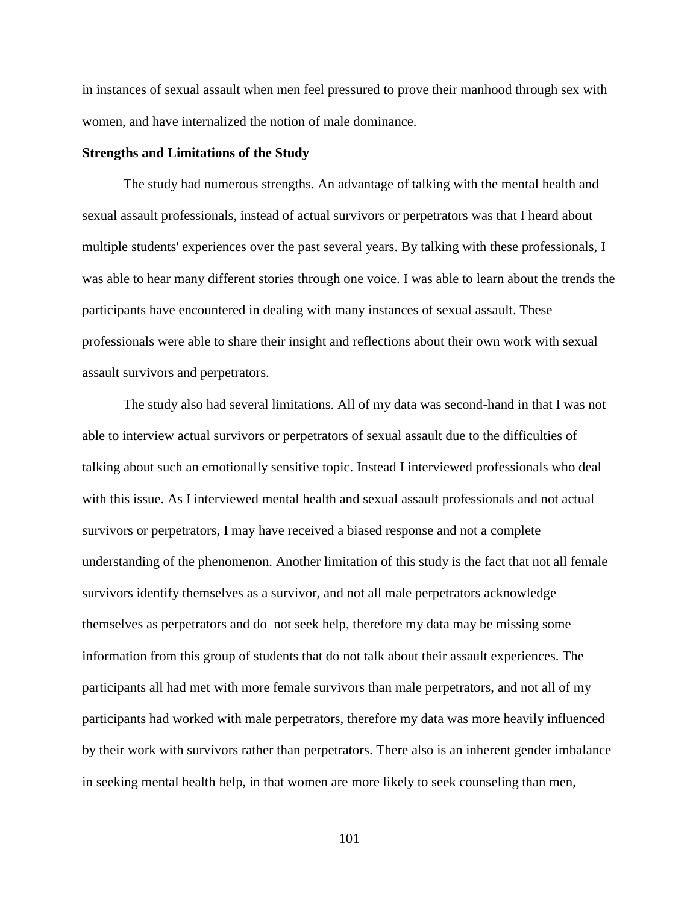in instances of sexual assault when men feel pressured to prove their manhood through sex with women, and have internalized the notion of male dominance.

# **Strengths and Limitations of the Study**

The study had numerous strengths. An advantage of talking with the mental health and sexual assault professionals, instead of actual survivors or perpetrators was that I heard about multiple students' experiences over the past several years. By talking with these professionals, I was able to hear many different stories through one voice. I was able to learn about the trends the participants have encountered in dealing with many instances of sexual assault. These professionals were able to share their insight and reflections about their own work with sexual assault survivors and perpetrators.

The study also had several limitations. All of my data was second-hand in that I was not able to interview actual survivors or perpetrators of sexual assault due to the difficulties of talking about such an emotionally sensitive topic. Instead I interviewed professionals who deal with this issue. As I interviewed mental health and sexual assault professionals and not actual survivors or perpetrators, I may have received a biased response and not a complete understanding of the phenomenon. Another limitation of this study is the fact that not all female survivors identify themselves as a survivor, and not all male perpetrators acknowledge themselves as perpetrators and do not seek help, therefore my data may be missing some information from this group of students that do not talk about their assault experiences. The participants all had met with more female survivors than male perpetrators, and not all of my participants had worked with male perpetrators, therefore my data was more heavily influenced by their work with survivors rather than perpetrators. There also is an inherent gender imbalance in seeking mental health help, in that women are more likely to seek counseling than men,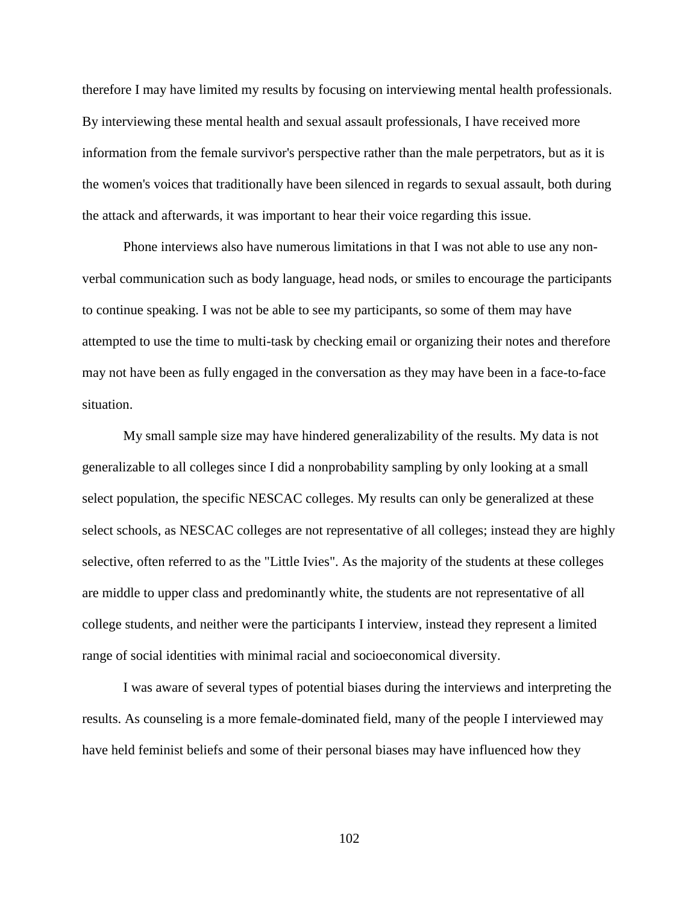therefore I may have limited my results by focusing on interviewing mental health professionals. By interviewing these mental health and sexual assault professionals, I have received more information from the female survivor's perspective rather than the male perpetrators, but as it is the women's voices that traditionally have been silenced in regards to sexual assault, both during the attack and afterwards, it was important to hear their voice regarding this issue.

Phone interviews also have numerous limitations in that I was not able to use any nonverbal communication such as body language, head nods, or smiles to encourage the participants to continue speaking. I was not be able to see my participants, so some of them may have attempted to use the time to multi-task by checking email or organizing their notes and therefore may not have been as fully engaged in the conversation as they may have been in a face-to-face situation.

My small sample size may have hindered generalizability of the results. My data is not generalizable to all colleges since I did a nonprobability sampling by only looking at a small select population, the specific NESCAC colleges. My results can only be generalized at these select schools, as NESCAC colleges are not representative of all colleges; instead they are highly selective, often referred to as the "Little Ivies". As the majority of the students at these colleges are middle to upper class and predominantly white, the students are not representative of all college students, and neither were the participants I interview, instead they represent a limited range of social identities with minimal racial and socioeconomical diversity.

I was aware of several types of potential biases during the interviews and interpreting the results. As counseling is a more female-dominated field, many of the people I interviewed may have held feminist beliefs and some of their personal biases may have influenced how they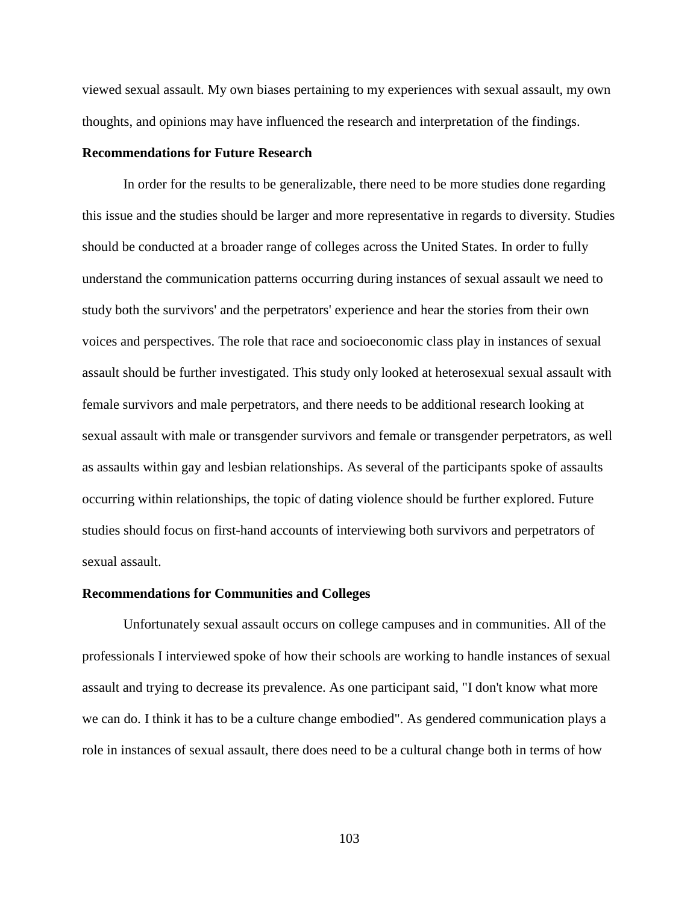viewed sexual assault. My own biases pertaining to my experiences with sexual assault, my own thoughts, and opinions may have influenced the research and interpretation of the findings.

# **Recommendations for Future Research**

In order for the results to be generalizable, there need to be more studies done regarding this issue and the studies should be larger and more representative in regards to diversity. Studies should be conducted at a broader range of colleges across the United States. In order to fully understand the communication patterns occurring during instances of sexual assault we need to study both the survivors' and the perpetrators' experience and hear the stories from their own voices and perspectives. The role that race and socioeconomic class play in instances of sexual assault should be further investigated. This study only looked at heterosexual sexual assault with female survivors and male perpetrators, and there needs to be additional research looking at sexual assault with male or transgender survivors and female or transgender perpetrators, as well as assaults within gay and lesbian relationships. As several of the participants spoke of assaults occurring within relationships, the topic of dating violence should be further explored. Future studies should focus on first-hand accounts of interviewing both survivors and perpetrators of sexual assault.

#### **Recommendations for Communities and Colleges**

Unfortunately sexual assault occurs on college campuses and in communities. All of the professionals I interviewed spoke of how their schools are working to handle instances of sexual assault and trying to decrease its prevalence. As one participant said, "I don't know what more we can do. I think it has to be a culture change embodied". As gendered communication plays a role in instances of sexual assault, there does need to be a cultural change both in terms of how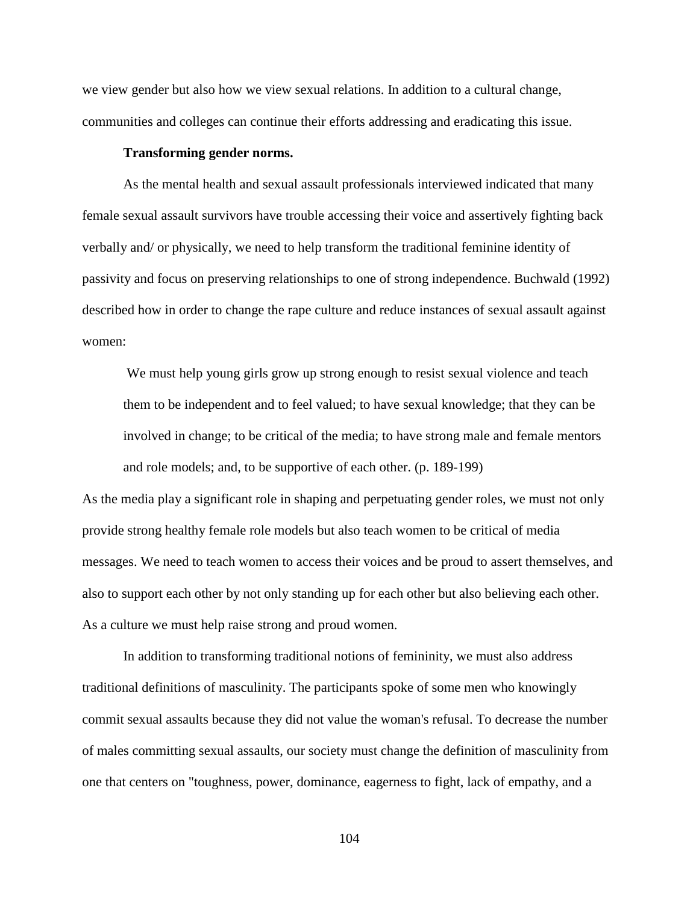we view gender but also how we view sexual relations. In addition to a cultural change, communities and colleges can continue their efforts addressing and eradicating this issue.

### **Transforming gender norms.**

As the mental health and sexual assault professionals interviewed indicated that many female sexual assault survivors have trouble accessing their voice and assertively fighting back verbally and/ or physically, we need to help transform the traditional feminine identity of passivity and focus on preserving relationships to one of strong independence. Buchwald (1992) described how in order to change the rape culture and reduce instances of sexual assault against women:

We must help young girls grow up strong enough to resist sexual violence and teach them to be independent and to feel valued; to have sexual knowledge; that they can be involved in change; to be critical of the media; to have strong male and female mentors and role models; and, to be supportive of each other. (p. 189-199)

As the media play a significant role in shaping and perpetuating gender roles, we must not only provide strong healthy female role models but also teach women to be critical of media messages. We need to teach women to access their voices and be proud to assert themselves, and also to support each other by not only standing up for each other but also believing each other. As a culture we must help raise strong and proud women.

In addition to transforming traditional notions of femininity, we must also address traditional definitions of masculinity. The participants spoke of some men who knowingly commit sexual assaults because they did not value the woman's refusal. To decrease the number of males committing sexual assaults, our society must change the definition of masculinity from one that centers on "toughness, power, dominance, eagerness to fight, lack of empathy, and a

104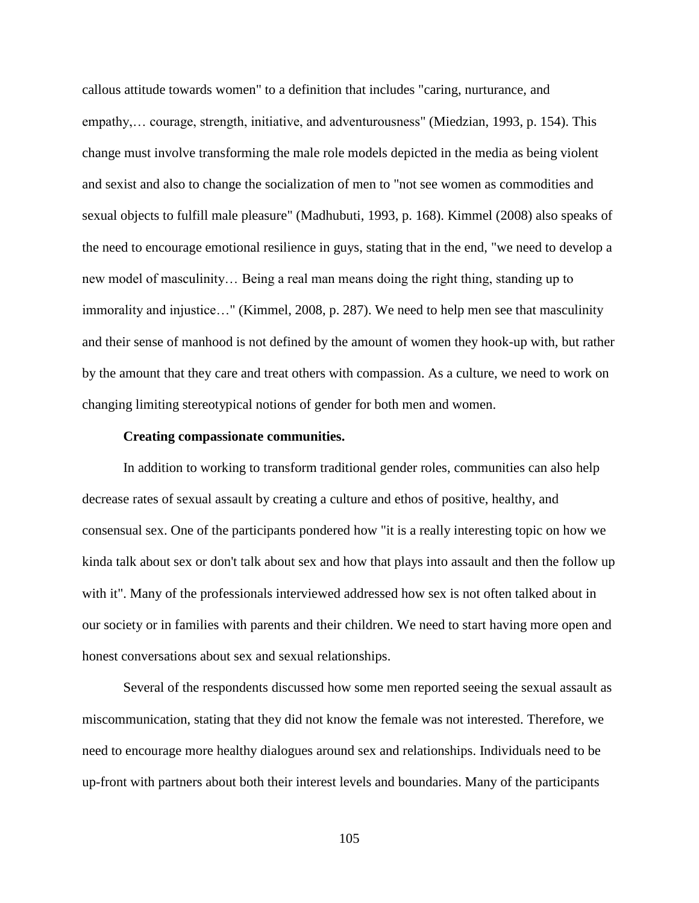callous attitude towards women" to a definition that includes "caring, nurturance, and empathy,… courage, strength, initiative, and adventurousness" (Miedzian, 1993, p. 154). This change must involve transforming the male role models depicted in the media as being violent and sexist and also to change the socialization of men to "not see women as commodities and sexual objects to fulfill male pleasure" (Madhubuti, 1993, p. 168). Kimmel (2008) also speaks of the need to encourage emotional resilience in guys, stating that in the end, "we need to develop a new model of masculinity… Being a real man means doing the right thing, standing up to immorality and injustice…" (Kimmel, 2008, p. 287). We need to help men see that masculinity and their sense of manhood is not defined by the amount of women they hook-up with, but rather by the amount that they care and treat others with compassion. As a culture, we need to work on changing limiting stereotypical notions of gender for both men and women.

#### **Creating compassionate communities.**

In addition to working to transform traditional gender roles, communities can also help decrease rates of sexual assault by creating a culture and ethos of positive, healthy, and consensual sex. One of the participants pondered how "it is a really interesting topic on how we kinda talk about sex or don't talk about sex and how that plays into assault and then the follow up with it". Many of the professionals interviewed addressed how sex is not often talked about in our society or in families with parents and their children. We need to start having more open and honest conversations about sex and sexual relationships.

Several of the respondents discussed how some men reported seeing the sexual assault as miscommunication, stating that they did not know the female was not interested. Therefore, we need to encourage more healthy dialogues around sex and relationships. Individuals need to be up-front with partners about both their interest levels and boundaries. Many of the participants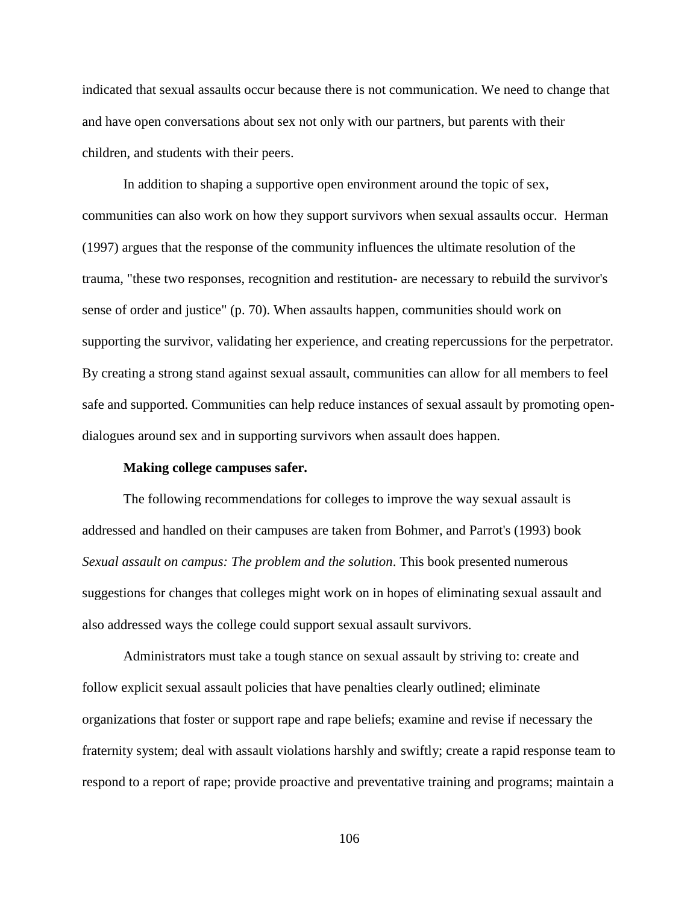indicated that sexual assaults occur because there is not communication. We need to change that and have open conversations about sex not only with our partners, but parents with their children, and students with their peers.

In addition to shaping a supportive open environment around the topic of sex, communities can also work on how they support survivors when sexual assaults occur. Herman (1997) argues that the response of the community influences the ultimate resolution of the trauma, "these two responses, recognition and restitution- are necessary to rebuild the survivor's sense of order and justice" (p. 70). When assaults happen, communities should work on supporting the survivor, validating her experience, and creating repercussions for the perpetrator. By creating a strong stand against sexual assault, communities can allow for all members to feel safe and supported. Communities can help reduce instances of sexual assault by promoting opendialogues around sex and in supporting survivors when assault does happen.

#### **Making college campuses safer.**

The following recommendations for colleges to improve the way sexual assault is addressed and handled on their campuses are taken from Bohmer, and Parrot's (1993) book *Sexual assault on campus: The problem and the solution*. This book presented numerous suggestions for changes that colleges might work on in hopes of eliminating sexual assault and also addressed ways the college could support sexual assault survivors.

Administrators must take a tough stance on sexual assault by striving to: create and follow explicit sexual assault policies that have penalties clearly outlined; eliminate organizations that foster or support rape and rape beliefs; examine and revise if necessary the fraternity system; deal with assault violations harshly and swiftly; create a rapid response team to respond to a report of rape; provide proactive and preventative training and programs; maintain a

106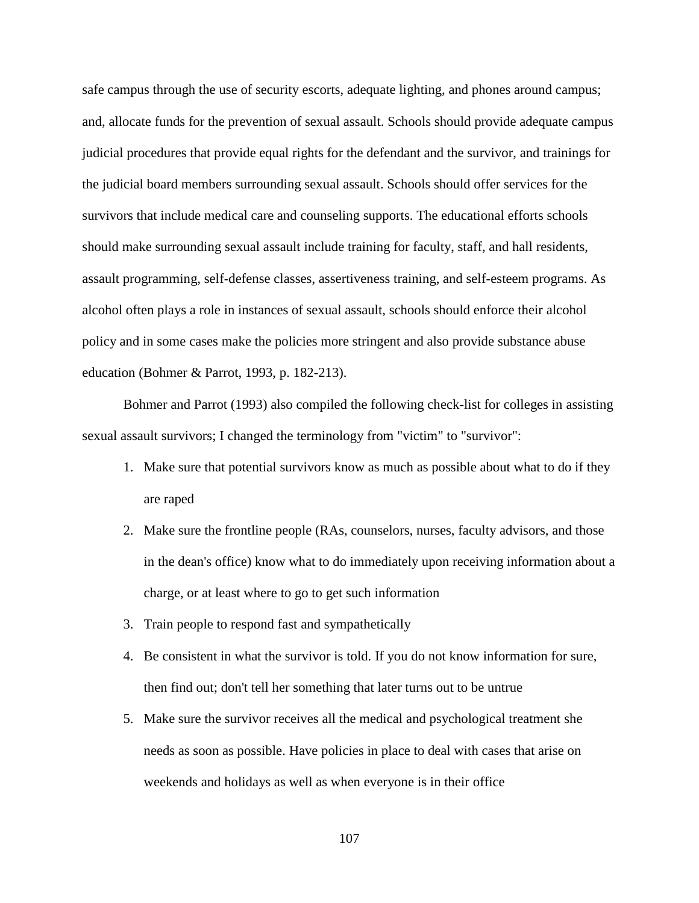safe campus through the use of security escorts, adequate lighting, and phones around campus; and, allocate funds for the prevention of sexual assault. Schools should provide adequate campus judicial procedures that provide equal rights for the defendant and the survivor, and trainings for the judicial board members surrounding sexual assault. Schools should offer services for the survivors that include medical care and counseling supports. The educational efforts schools should make surrounding sexual assault include training for faculty, staff, and hall residents, assault programming, self-defense classes, assertiveness training, and self-esteem programs. As alcohol often plays a role in instances of sexual assault, schools should enforce their alcohol policy and in some cases make the policies more stringent and also provide substance abuse education (Bohmer & Parrot, 1993, p. 182-213).

Bohmer and Parrot (1993) also compiled the following check-list for colleges in assisting sexual assault survivors; I changed the terminology from "victim" to "survivor":

- 1. Make sure that potential survivors know as much as possible about what to do if they are raped
- 2. Make sure the frontline people (RAs, counselors, nurses, faculty advisors, and those in the dean's office) know what to do immediately upon receiving information about a charge, or at least where to go to get such information
- 3. Train people to respond fast and sympathetically
- 4. Be consistent in what the survivor is told. If you do not know information for sure, then find out; don't tell her something that later turns out to be untrue
- 5. Make sure the survivor receives all the medical and psychological treatment she needs as soon as possible. Have policies in place to deal with cases that arise on weekends and holidays as well as when everyone is in their office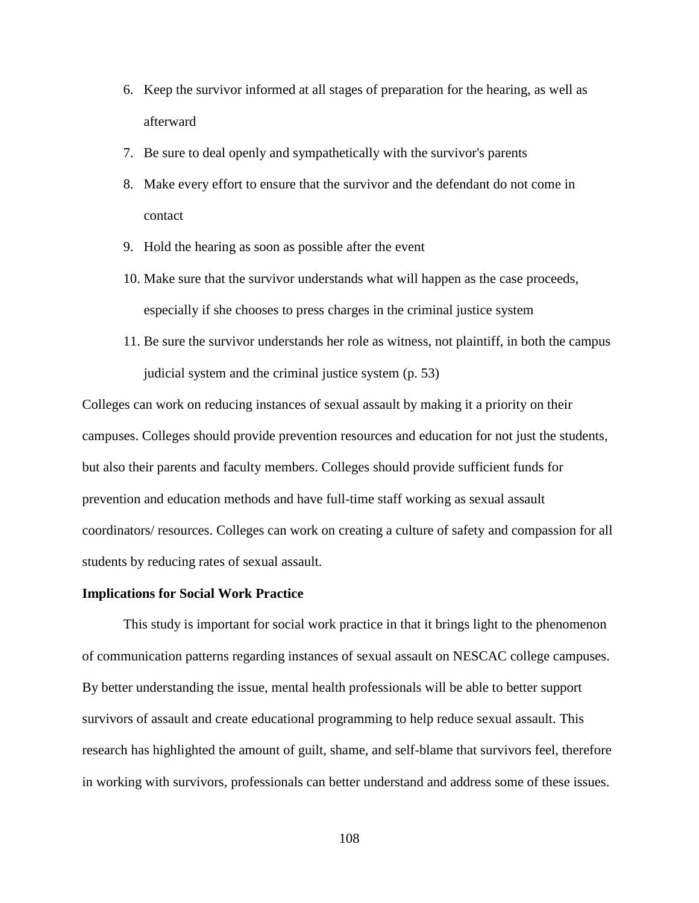- 6. Keep the survivor informed at all stages of preparation for the hearing, as well as afterward
- 7. Be sure to deal openly and sympathetically with the survivor's parents
- 8. Make every effort to ensure that the survivor and the defendant do not come in contact
- 9. Hold the hearing as soon as possible after the event
- 10. Make sure that the survivor understands what will happen as the case proceeds, especially if she chooses to press charges in the criminal justice system
- 11. Be sure the survivor understands her role as witness, not plaintiff, in both the campus judicial system and the criminal justice system (p. 53)

Colleges can work on reducing instances of sexual assault by making it a priority on their campuses. Colleges should provide prevention resources and education for not just the students, but also their parents and faculty members. Colleges should provide sufficient funds for prevention and education methods and have full-time staff working as sexual assault coordinators/ resources. Colleges can work on creating a culture of safety and compassion for all students by reducing rates of sexual assault.

#### **Implications for Social Work Practice**

This study is important for social work practice in that it brings light to the phenomenon of communication patterns regarding instances of sexual assault on NESCAC college campuses. By better understanding the issue, mental health professionals will be able to better support survivors of assault and create educational programming to help reduce sexual assault. This research has highlighted the amount of guilt, shame, and self-blame that survivors feel, therefore in working with survivors, professionals can better understand and address some of these issues.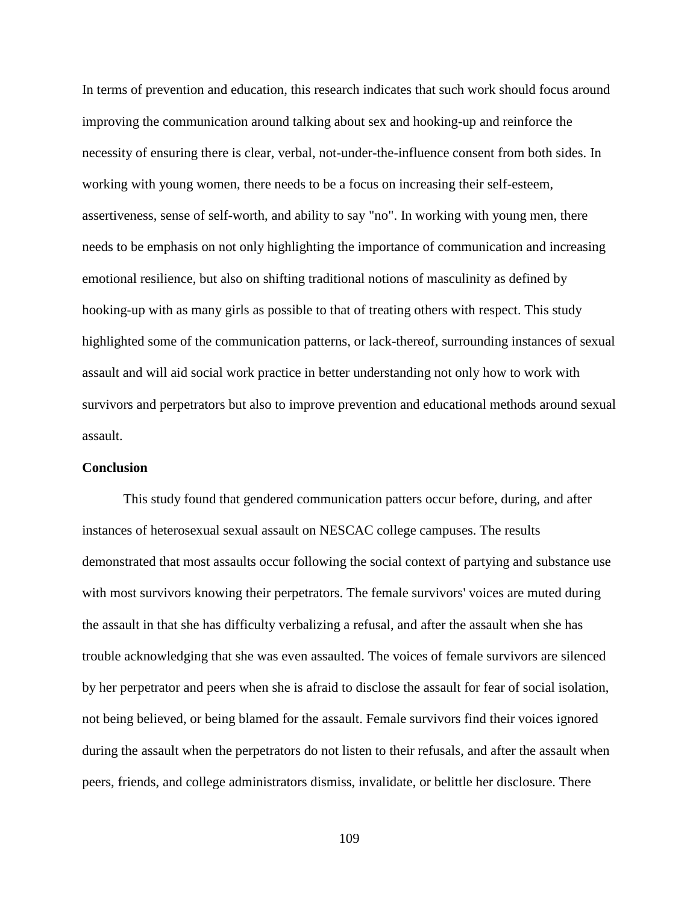In terms of prevention and education, this research indicates that such work should focus around improving the communication around talking about sex and hooking-up and reinforce the necessity of ensuring there is clear, verbal, not-under-the-influence consent from both sides. In working with young women, there needs to be a focus on increasing their self-esteem, assertiveness, sense of self-worth, and ability to say "no". In working with young men, there needs to be emphasis on not only highlighting the importance of communication and increasing emotional resilience, but also on shifting traditional notions of masculinity as defined by hooking-up with as many girls as possible to that of treating others with respect. This study highlighted some of the communication patterns, or lack-thereof, surrounding instances of sexual assault and will aid social work practice in better understanding not only how to work with survivors and perpetrators but also to improve prevention and educational methods around sexual assault.

### **Conclusion**

This study found that gendered communication patters occur before, during, and after instances of heterosexual sexual assault on NESCAC college campuses. The results demonstrated that most assaults occur following the social context of partying and substance use with most survivors knowing their perpetrators. The female survivors' voices are muted during the assault in that she has difficulty verbalizing a refusal, and after the assault when she has trouble acknowledging that she was even assaulted. The voices of female survivors are silenced by her perpetrator and peers when she is afraid to disclose the assault for fear of social isolation, not being believed, or being blamed for the assault. Female survivors find their voices ignored during the assault when the perpetrators do not listen to their refusals, and after the assault when peers, friends, and college administrators dismiss, invalidate, or belittle her disclosure. There

109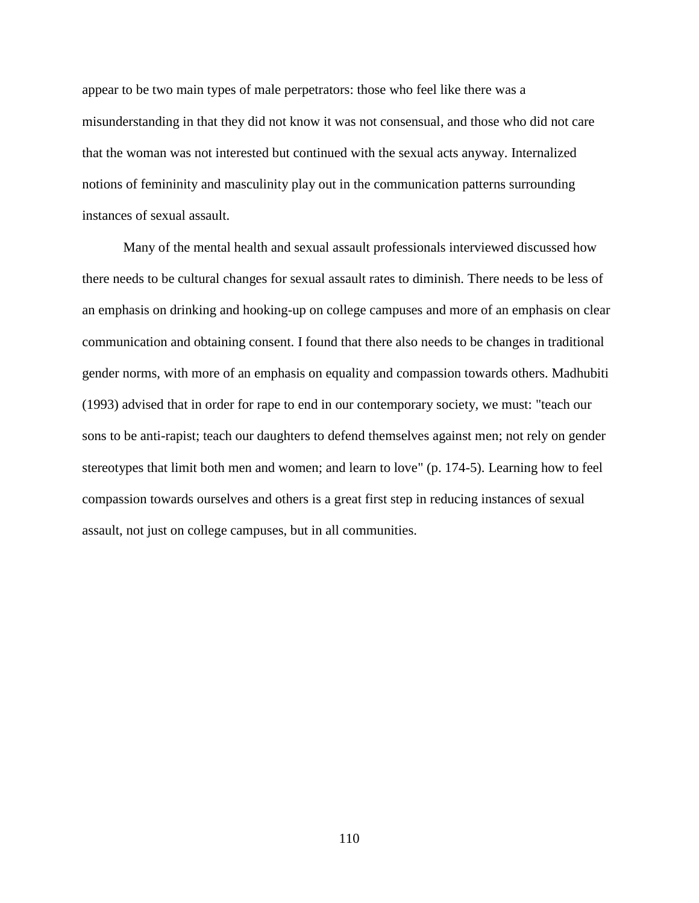appear to be two main types of male perpetrators: those who feel like there was a misunderstanding in that they did not know it was not consensual, and those who did not care that the woman was not interested but continued with the sexual acts anyway. Internalized notions of femininity and masculinity play out in the communication patterns surrounding instances of sexual assault.

Many of the mental health and sexual assault professionals interviewed discussed how there needs to be cultural changes for sexual assault rates to diminish. There needs to be less of an emphasis on drinking and hooking-up on college campuses and more of an emphasis on clear communication and obtaining consent. I found that there also needs to be changes in traditional gender norms, with more of an emphasis on equality and compassion towards others. Madhubiti (1993) advised that in order for rape to end in our contemporary society, we must: "teach our sons to be anti-rapist; teach our daughters to defend themselves against men; not rely on gender stereotypes that limit both men and women; and learn to love" (p. 174-5). Learning how to feel compassion towards ourselves and others is a great first step in reducing instances of sexual assault, not just on college campuses, but in all communities.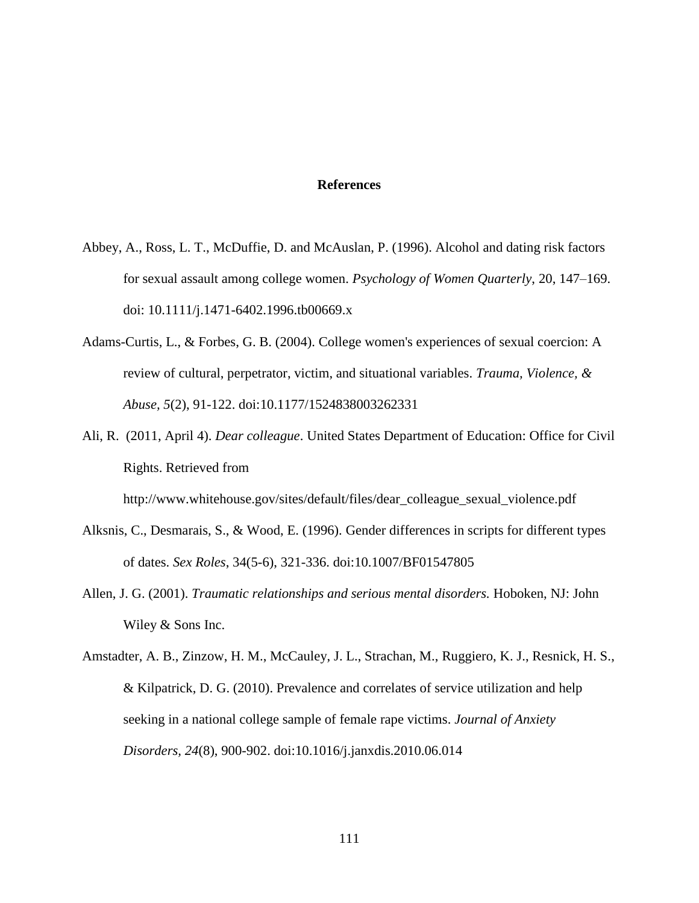### **References**

- Abbey, A., Ross, L. T., McDuffie, D. and McAuslan, P. (1996). Alcohol and dating risk factors for sexual assault among college women. *Psychology of Women Quarterly*, 20, 147–169. doi: 10.1111/j.1471-6402.1996.tb00669.x
- Adams-Curtis, L., & Forbes, G. B. (2004). College women's experiences of sexual coercion: A review of cultural, perpetrator, victim, and situational variables. *Trauma, Violence, & Abuse, 5*(2), 91-122. doi:10.1177/1524838003262331
- Ali, R. (2011, April 4). *Dear colleague*. United States Department of Education: Office for Civil Rights. Retrieved from

http://www.whitehouse.gov/sites/default/files/dear\_colleague\_sexual\_violence.pdf

- Alksnis, C., Desmarais, S., & Wood, E. (1996). Gender differences in scripts for different types of dates. *Sex Roles*, 34(5-6), 321-336. doi:10.1007/BF01547805
- Allen, J. G. (2001). *Traumatic relationships and serious mental disorders.* Hoboken, NJ: John Wiley & Sons Inc.
- Amstadter, A. B., Zinzow, H. M., McCauley, J. L., Strachan, M., Ruggiero, K. J., Resnick, H. S., & Kilpatrick, D. G. (2010). Prevalence and correlates of service utilization and help seeking in a national college sample of female rape victims. *Journal of Anxiety Disorders, 24*(8), 900-902. doi:10.1016/j.janxdis.2010.06.014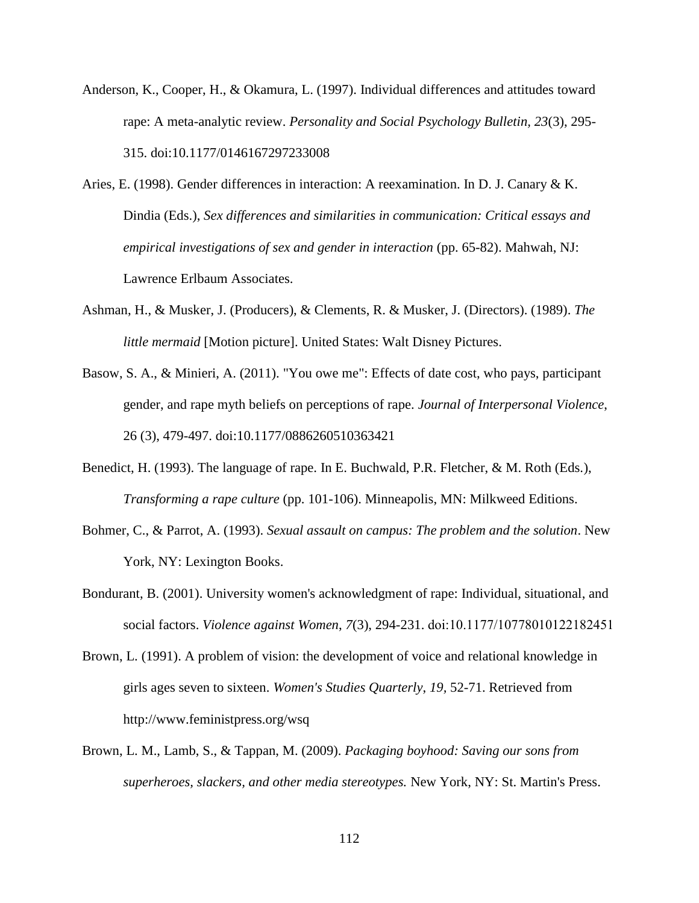- Anderson, K., Cooper, H., & Okamura, L. (1997). Individual differences and attitudes toward rape: A meta-analytic review. *Personality and Social Psychology Bulletin, 23*(3), 295- 315. doi:10.1177/0146167297233008
- Aries, E. (1998). Gender differences in interaction: A reexamination. In D. J. Canary & K. Dindia (Eds.), *Sex differences and similarities in communication: Critical essays and empirical investigations of sex and gender in interaction* (pp. 65-82). Mahwah, NJ: Lawrence Erlbaum Associates.
- Ashman, H., & Musker, J. (Producers), & Clements, R. & Musker, J. (Directors). (1989). *The little mermaid* [Motion picture]. United States: Walt Disney Pictures.
- Basow, S. A., & Minieri, A. (2011). "You owe me": Effects of date cost, who pays, participant gender, and rape myth beliefs on perceptions of rape. *Journal of Interpersonal Violence*, 26 (3), 479-497. doi:10.1177/0886260510363421
- Benedict, H. (1993). The language of rape. In E. Buchwald, P.R. Fletcher, & M. Roth (Eds.), *Transforming a rape culture* (pp. 101-106). Minneapolis, MN: Milkweed Editions.
- Bohmer, C., & Parrot, A. (1993). *Sexual assault on campus: The problem and the solution*. New York, NY: Lexington Books.
- Bondurant, B. (2001). University women's acknowledgment of rape: Individual, situational, and social factors. *Violence against Women*, *7*(3), 294-231. doi:10.1177/10778010122182451
- Brown, L. (1991). A problem of vision: the development of voice and relational knowledge in girls ages seven to sixteen. *Women's Studies Quarterly*, *19,* 52-71. Retrieved from http://www.feministpress.org/wsq
- Brown, L. M., Lamb, S., & Tappan, M. (2009). *Packaging boyhood: Saving our sons from superheroes, slackers, and other media stereotypes.* New York, NY: St. Martin's Press.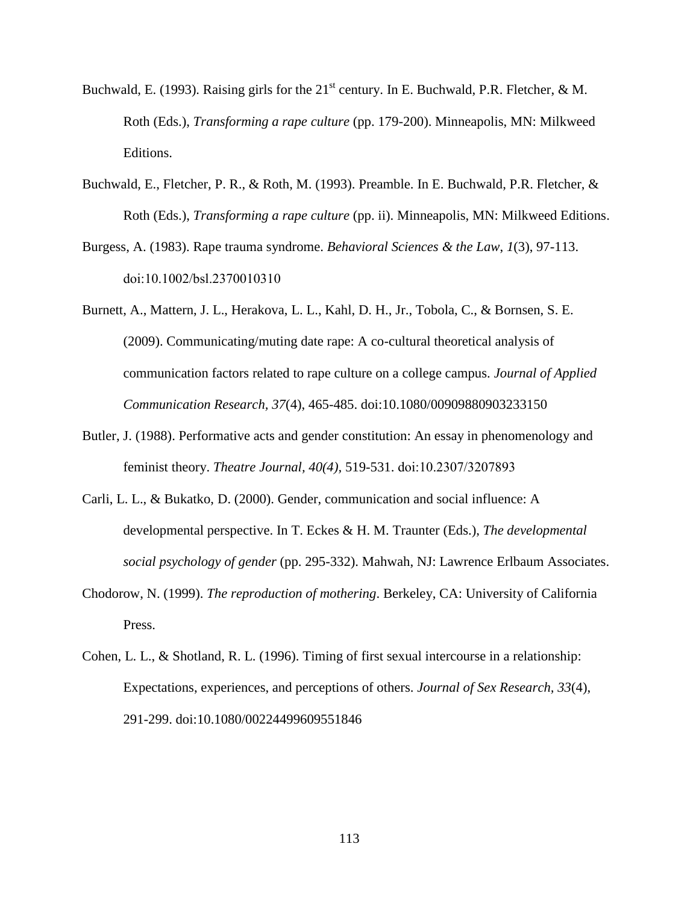- Buchwald, E. (1993). Raising girls for the 21<sup>st</sup> century. In E. Buchwald, P.R. Fletcher, & M. Roth (Eds.), *Transforming a rape culture* (pp. 179-200). Minneapolis, MN: Milkweed Editions.
- Buchwald, E., Fletcher, P. R., & Roth, M. (1993). Preamble. In E. Buchwald, P.R. Fletcher, & Roth (Eds.), *Transforming a rape culture* (pp. ii). Minneapolis, MN: Milkweed Editions.
- Burgess, A. (1983). Rape trauma syndrome. *Behavioral Sciences & the Law*, *1*(3), 97-113. doi:10.1002/bsl.2370010310
- Burnett, A., Mattern, J. L., Herakova, L. L., Kahl, D. H., Jr., Tobola, C., & Bornsen, S. E. (2009). Communicating/muting date rape: A co-cultural theoretical analysis of communication factors related to rape culture on a college campus. *Journal of Applied Communication Research, 37*(4), 465-485. doi:10.1080/00909880903233150
- Butler, J. (1988). Performative acts and gender constitution: An essay in phenomenology and feminist theory. *Theatre Journal, 40(4),* 519-531. doi:10.2307/3207893
- Carli, L. L., & Bukatko, D. (2000). Gender, communication and social influence: A developmental perspective. In T. Eckes & H. M. Traunter (Eds.), *The developmental social psychology of gender* (pp. 295-332). Mahwah, NJ: Lawrence Erlbaum Associates.
- Chodorow, N. (1999). *The reproduction of mothering*. Berkeley, CA: University of California Press.
- Cohen, L. L., & Shotland, R. L. (1996). Timing of first sexual intercourse in a relationship: Expectations, experiences, and perceptions of others. *Journal of Sex Research, 33*(4), 291-299. doi:10.1080/00224499609551846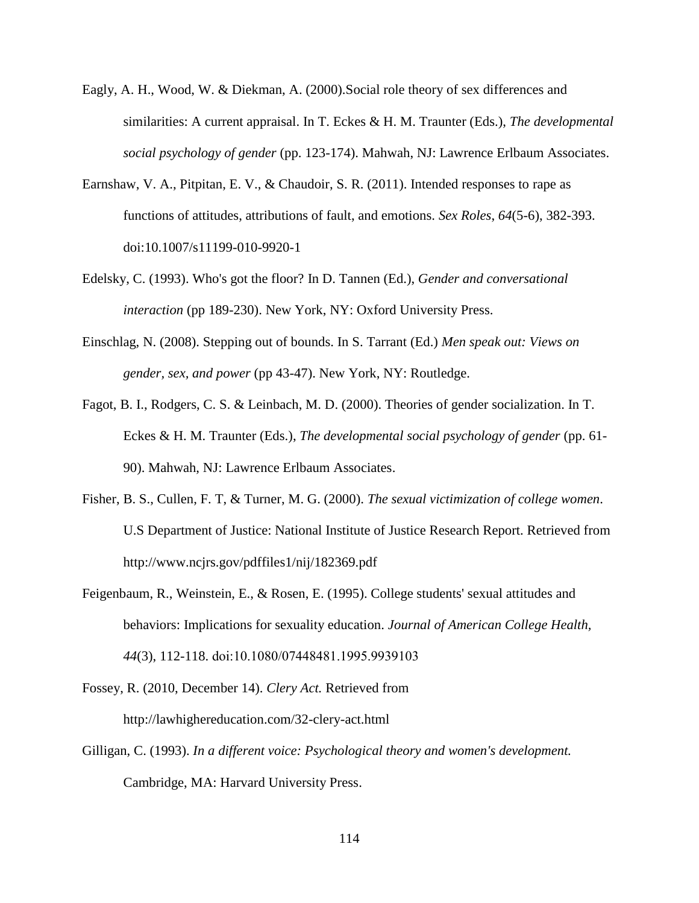- Eagly, A. H., Wood, W. & Diekman, A. (2000).Social role theory of sex differences and similarities: A current appraisal. In T. Eckes & H. M. Traunter (Eds.), *The developmental social psychology of gender* (pp. 123-174). Mahwah, NJ: Lawrence Erlbaum Associates.
- Earnshaw, V. A., Pitpitan, E. V., & Chaudoir, S. R. (2011). Intended responses to rape as functions of attitudes, attributions of fault, and emotions. *Sex Roles*, *64*(5-6), 382-393. doi:10.1007/s11199-010-9920-1
- Edelsky, C. (1993). Who's got the floor? In D. Tannen (Ed.), *Gender and conversational interaction* (pp 189-230). New York, NY: Oxford University Press.
- Einschlag, N. (2008). Stepping out of bounds. In S. Tarrant (Ed.) *Men speak out: Views on gender, sex, and power* (pp 43-47). New York, NY: Routledge.
- Fagot, B. I., Rodgers, C. S. & Leinbach, M. D. (2000). Theories of gender socialization. In T. Eckes & H. M. Traunter (Eds.), *The developmental social psychology of gender* (pp. 61- 90). Mahwah, NJ: Lawrence Erlbaum Associates.
- Fisher, B. S., Cullen, F. T, & Turner, M. G. (2000). *The sexual victimization of college women*. U.S Department of Justice: National Institute of Justice Research Report. Retrieved from http://www.ncjrs.gov/pdffiles1/nij/182369.pdf
- Feigenbaum, R., Weinstein, E., & Rosen, E. (1995). College students' sexual attitudes and behaviors: Implications for sexuality education. *Journal of American College Health, 44*(3), 112-118. doi:10.1080/07448481.1995.9939103
- Fossey, R. (2010, December 14). *Clery Act.* Retrieved from http://lawhighereducation.com/32-clery-act.html
- Gilligan, C. (1993). *In a different voice: Psychological theory and women's development.*  Cambridge, MA: Harvard University Press.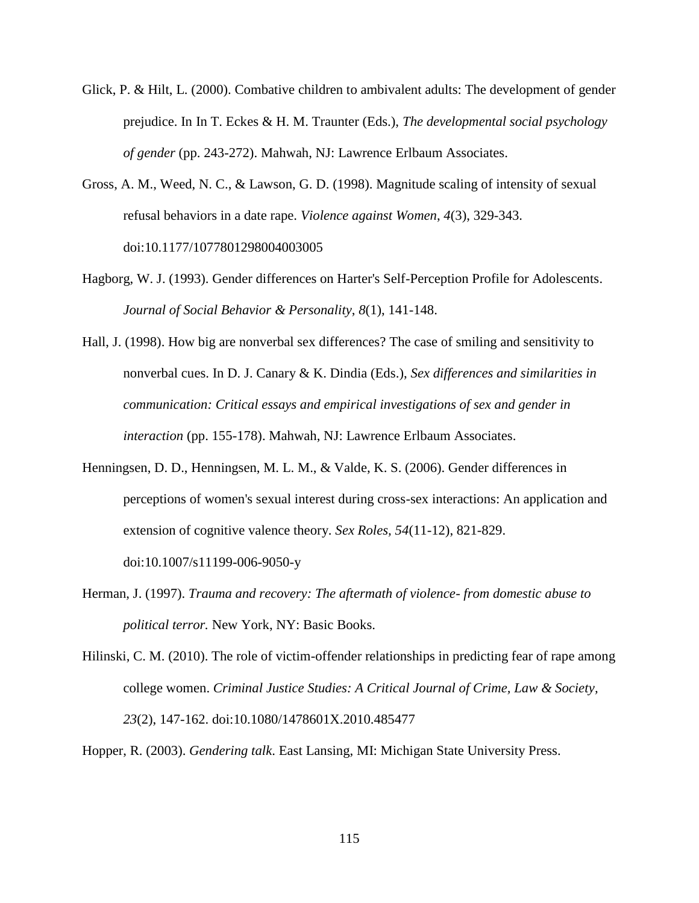- Glick, P. & Hilt, L. (2000). Combative children to ambivalent adults: The development of gender prejudice. In In T. Eckes & H. M. Traunter (Eds.), *The developmental social psychology of gender* (pp. 243-272). Mahwah, NJ: Lawrence Erlbaum Associates.
- Gross, A. M., Weed, N. C., & Lawson, G. D. (1998). Magnitude scaling of intensity of sexual refusal behaviors in a date rape. *Violence against Women*, *4*(3), 329-343. doi:10.1177/1077801298004003005
- Hagborg, W. J. (1993). Gender differences on Harter's Self-Perception Profile for Adolescents. *Journal of Social Behavior & Personality*, *8*(1), 141-148.
- Hall, J. (1998). How big are nonverbal sex differences? The case of smiling and sensitivity to nonverbal cues. In D. J. Canary & K. Dindia (Eds.), *Sex differences and similarities in communication: Critical essays and empirical investigations of sex and gender in interaction* (pp. 155-178). Mahwah, NJ: Lawrence Erlbaum Associates.
- Henningsen, D. D., Henningsen, M. L. M., & Valde, K. S. (2006). Gender differences in perceptions of women's sexual interest during cross-sex interactions: An application and extension of cognitive valence theory. *Sex Roles, 54*(11-12), 821-829. doi:10.1007/s11199-006-9050-y
- Herman, J. (1997). *Trauma and recovery: The aftermath of violence- from domestic abuse to political terror.* New York, NY: Basic Books.
- Hilinski, C. M. (2010). The role of victim-offender relationships in predicting fear of rape among college women. *Criminal Justice Studies: A Critical Journal of Crime, Law & Society, 23*(2), 147-162. doi:10.1080/1478601X.2010.485477

Hopper, R. (2003). *Gendering talk*. East Lansing, MI: Michigan State University Press.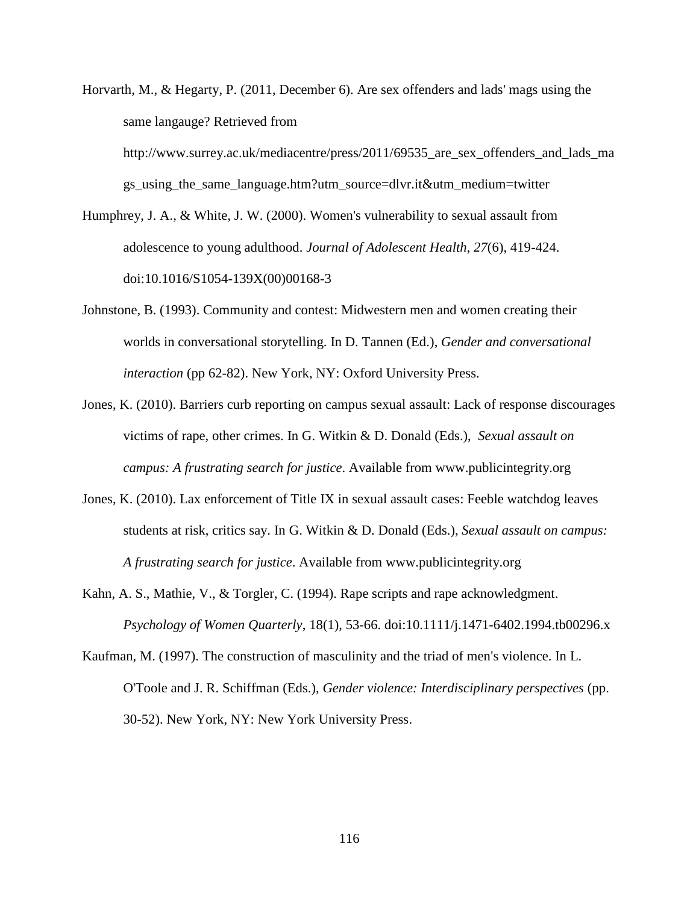Horvarth, M., & Hegarty, P. (2011, December 6). Are sex offenders and lads' mags using the same langauge? Retrieved from

http://www.surrey.ac.uk/mediacentre/press/2011/69535 are sex offenders and lads ma gs using the same language.htm?utm\_source=dlvr.it&utm\_medium=twitter

- Humphrey, J. A., & White, J. W. (2000). Women's vulnerability to sexual assault from adolescence to young adulthood. *Journal of Adolescent Health, 27*(6), 419-424. doi:10.1016/S1054-139X(00)00168-3
- Johnstone, B. (1993). Community and contest: Midwestern men and women creating their worlds in conversational storytelling. In D. Tannen (Ed.), *Gender and conversational interaction* (pp 62-82). New York, NY: Oxford University Press.
- Jones, K. (2010). Barriers curb reporting on campus sexual assault: Lack of response discourages victims of rape, other crimes. In G. Witkin & D. Donald (Eds.), *Sexual assault on campus: A frustrating search for justice*. Available from [www.publicintegrity.org](http://www.publicintegrity.org/)
- Jones, K. (2010). Lax enforcement of Title IX in sexual assault cases: Feeble watchdog leaves students at risk, critics say. In G. Witkin & D. Donald (Eds.), *Sexual assault on campus: A frustrating search for justice*. Available from [www.publicintegrity.org](http://www.publicintegrity.org/)
- Kahn, A. S., Mathie, V., & Torgler, C. (1994). Rape scripts and rape acknowledgment. *Psychology of Women Quarterly*, 18(1), 53-66. doi:10.1111/j.1471-6402.1994.tb00296.x
- Kaufman, M. (1997). The construction of masculinity and the triad of men's violence. In L. O'Toole and J. R. Schiffman (Eds.), *Gender violence: Interdisciplinary perspectives* (pp. 30-52). New York, NY: New York University Press.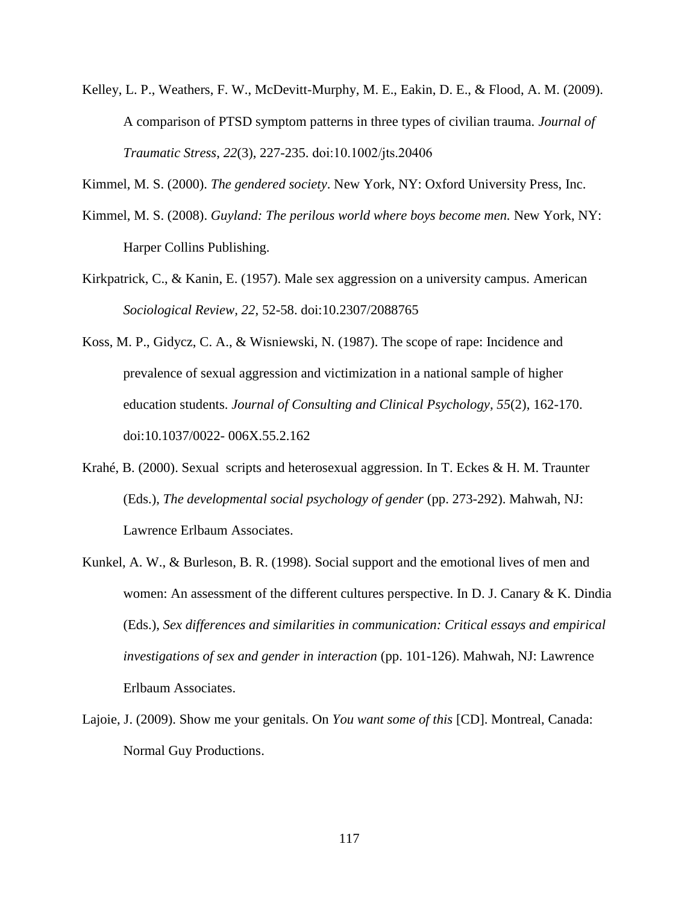Kelley, L. P., Weathers, F. W., McDevitt-Murphy, M. E., Eakin, D. E., & Flood, A. M. (2009). A comparison of PTSD symptom patterns in three types of civilian trauma. *Journal of Traumatic Stress*, *22*(3), 227-235. doi:10.1002/jts.20406

Kimmel, M. S. (2000). *The gendered society*. New York, NY: Oxford University Press, Inc.

- Kimmel, M. S. (2008). *Guyland: The perilous world where boys become men.* New York, NY: Harper Collins Publishing.
- Kirkpatrick, C., & Kanin, E. (1957). Male sex aggression on a university campus. American *Sociological Review, 22*, 52-58. doi:10.2307/2088765
- Koss, M. P., Gidycz, C. A., & Wisniewski, N. (1987). The scope of rape: Incidence and prevalence of sexual aggression and victimization in a national sample of higher education students. *Journal of Consulting and Clinical Psychology, 55*(2), 162-170. doi:10.1037/0022- 006X.55.2.162
- Krahé, B. (2000). Sexual scripts and heterosexual aggression. In T. Eckes & H. M. Traunter (Eds.), *The developmental social psychology of gender* (pp. 273-292). Mahwah, NJ: Lawrence Erlbaum Associates.
- Kunkel, A. W., & Burleson, B. R. (1998). Social support and the emotional lives of men and women: An assessment of the different cultures perspective. In D. J. Canary & K. Dindia (Eds.), *Sex differences and similarities in communication: Critical essays and empirical investigations of sex and gender in interaction* (pp. 101-126). Mahwah, NJ: Lawrence Erlbaum Associates.
- Lajoie, J. (2009). Show me your genitals. On *You want some of this* [CD]. Montreal, Canada: Normal Guy Productions.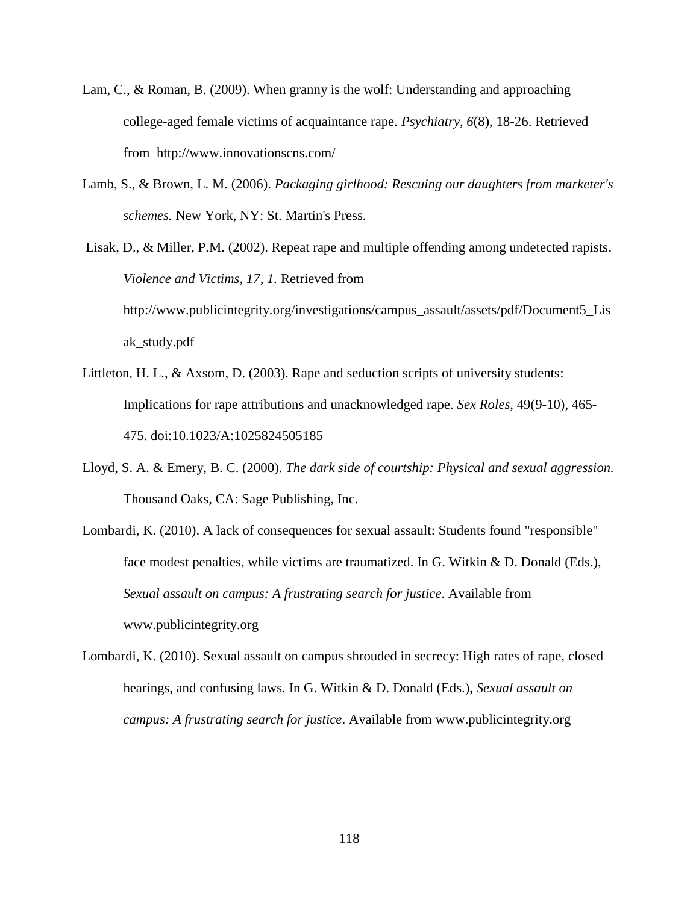- Lam, C., & Roman, B. (2009). When granny is the wolf: Understanding and approaching college-aged female victims of acquaintance rape. *Psychiatry, 6*(8), 18-26. Retrieved from http://www.innovationscns.com/
- Lamb, S., & Brown, L. M. (2006). *Packaging girlhood: Rescuing our daughters from marketer's schemes.* New York, NY: St. Martin's Press.

Lisak, D., & Miller, P.M. (2002). Repeat rape and multiple offending among undetected rapists. *Violence and Victims, 17, 1.* Retrieved from http://www.publicintegrity.org/investigations/campus\_assault/assets/pdf/Document5\_Lis ak\_study.pdf

- Littleton, H. L., & Axsom, D. (2003). Rape and seduction scripts of university students: Implications for rape attributions and unacknowledged rape. *Sex Roles*, 49(9-10), 465- 475. doi:10.1023/A:1025824505185
- Lloyd, S. A. & Emery, B. C. (2000). *The dark side of courtship: Physical and sexual aggression.* Thousand Oaks, CA: Sage Publishing, Inc.
- Lombardi, K. (2010). A lack of consequences for sexual assault: Students found "responsible" face modest penalties, while victims are traumatized. In G. Witkin  $\&$  D. Donald (Eds.), *Sexual assault on campus: A frustrating search for justice*. Available from [www.publicintegrity.org](http://www.publicintegrity.org/)
- Lombardi, K. (2010). Sexual assault on campus shrouded in secrecy: High rates of rape, closed hearings, and confusing laws. In G. Witkin & D. Donald (Eds.), *Sexual assault on campus: A frustrating search for justice*. Available from [www.publicintegrity.org](http://www.publicintegrity.org/)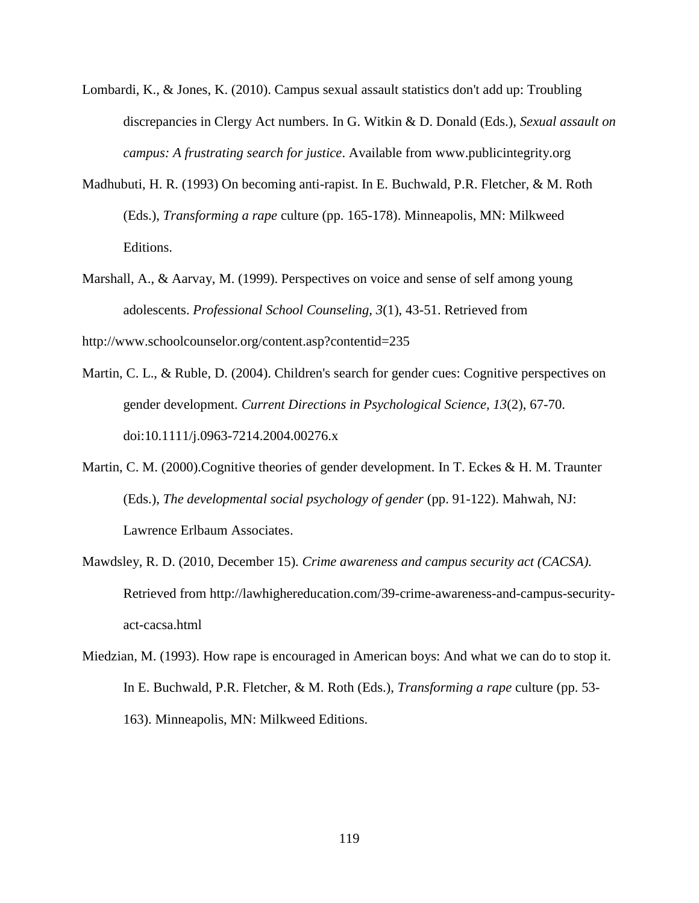- Lombardi, K., & Jones, K. (2010). Campus sexual assault statistics don't add up: Troubling discrepancies in Clergy Act numbers. In G. Witkin & D. Donald (Eds.), *Sexual assault on campus: A frustrating search for justice*. Available from [www.publicintegrity.org](http://www.publicintegrity.org/)
- Madhubuti, H. R. (1993) On becoming anti-rapist. In E. Buchwald, P.R. Fletcher, & M. Roth (Eds.), *Transforming a rape* culture (pp. 165-178). Minneapolis, MN: Milkweed Editions.
- Marshall, A., & Aarvay, M. (1999). Perspectives on voice and sense of self among young adolescents. *Professional School Counseling, 3*(1), 43-51. Retrieved from

http://www.schoolcounselor.org/content.asp?contentid=235

- Martin, C. L., & Ruble, D. (2004). Children's search for gender cues: Cognitive perspectives on gender development. *Current Directions in Psychological Science, 13*(2), 67-70. doi:10.1111/j.0963-7214.2004.00276.x
- Martin, C. M. (2000). Cognitive theories of gender development. In T. Eckes & H. M. Traunter (Eds.), *The developmental social psychology of gender* (pp. 91-122). Mahwah, NJ: Lawrence Erlbaum Associates.
- Mawdsley, R. D. (2010, December 15). *Crime awareness and campus security act (CACSA).*  Retrieved from [http://lawhighereducation.com/39-crime-awareness-and-campus-security](http://lawhighereducation.com/39-crime-awareness-and-campus-security-)act-cacsa.html
- Miedzian, M. (1993). How rape is encouraged in American boys: And what we can do to stop it. In E. Buchwald, P.R. Fletcher, & M. Roth (Eds.), *Transforming a rape* culture (pp. 53- 163). Minneapolis, MN: Milkweed Editions.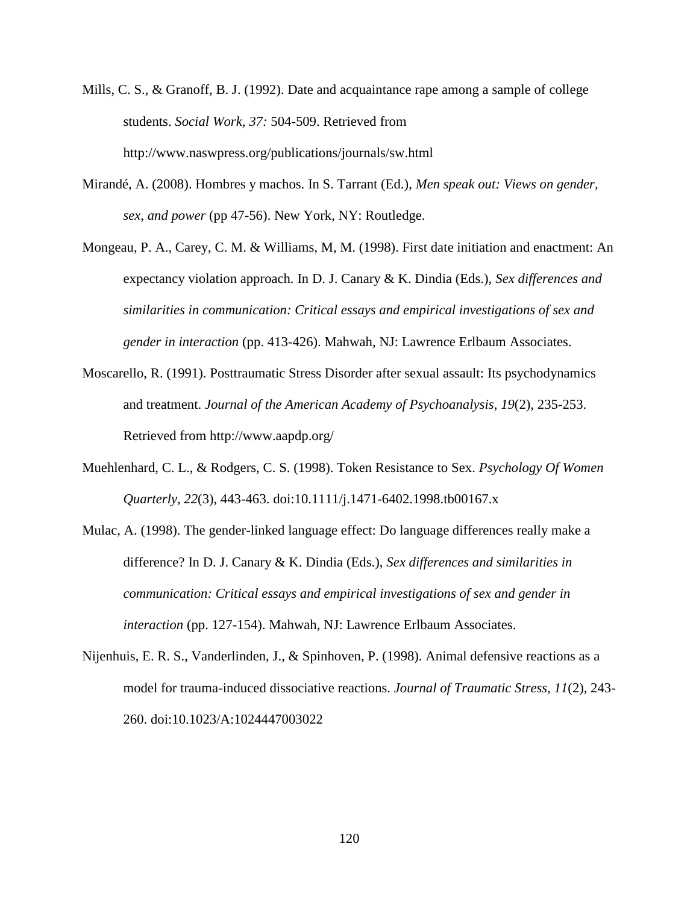- Mills, C. S., & Granoff, B. J. (1992). Date and acquaintance rape among a sample of college students. *Social Work*, *37:* 504-509. Retrieved from http://www.naswpress.org/publications/journals/sw.html
- Mirandé, A. (2008). Hombres y machos. In S. Tarrant (Ed.), *Men speak out: Views on gender, sex, and power* (pp 47-56). New York, NY: Routledge.
- Mongeau, P. A., Carey, C. M. & Williams, M, M. (1998). First date initiation and enactment: An expectancy violation approach. In D. J. Canary & K. Dindia (Eds.), *Sex differences and similarities in communication: Critical essays and empirical investigations of sex and gender in interaction* (pp. 413-426). Mahwah, NJ: Lawrence Erlbaum Associates.
- Moscarello, R. (1991). Posttraumatic Stress Disorder after sexual assault: Its psychodynamics and treatment. *Journal of the American Academy of Psychoanalysis*, *19*(2), 235-253. Retrieved from http://www.aapdp.org/
- Muehlenhard, C. L., & Rodgers, C. S. (1998). Token Resistance to Sex. *Psychology Of Women Quarterly*, *22*(3), 443-463. doi:10.1111/j.1471-6402.1998.tb00167.x
- Mulac, A. (1998). The gender-linked language effect: Do language differences really make a difference? In D. J. Canary & K. Dindia (Eds.), *Sex differences and similarities in communication: Critical essays and empirical investigations of sex and gender in interaction* (pp. 127-154). Mahwah, NJ: Lawrence Erlbaum Associates.
- Nijenhuis, E. R. S., Vanderlinden, J., & Spinhoven, P. (1998). Animal defensive reactions as a model for trauma-induced dissociative reactions. *Journal of Traumatic Stress, 11*(2), 243- 260. doi:10.1023/A:1024447003022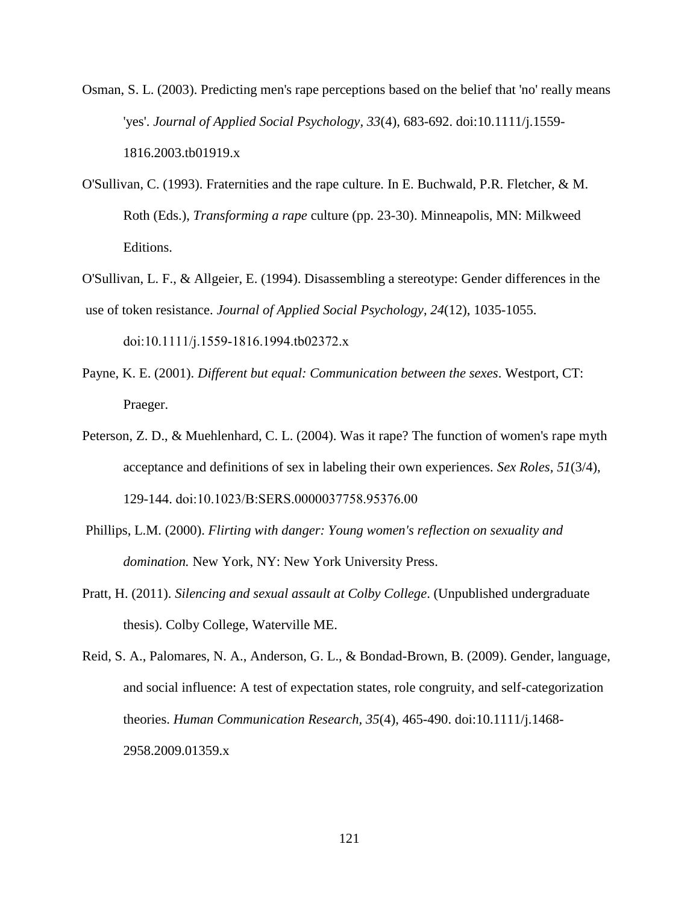- Osman, S. L. (2003). Predicting men's rape perceptions based on the belief that 'no' really means 'yes'. *Journal of Applied Social Psychology, 33*(4), 683-692. doi:10.1111/j.1559- 1816.2003.tb01919.x
- O'Sullivan, C. (1993). Fraternities and the rape culture. In E. Buchwald, P.R. Fletcher, & M. Roth (Eds.), *Transforming a rape* culture (pp. 23-30). Minneapolis, MN: Milkweed Editions.
- O'Sullivan, L. F., & Allgeier, E. (1994). Disassembling a stereotype: Gender differences in the use of token resistance. *Journal of Applied Social Psychology*, *24*(12), 1035-1055.

doi:10.1111/j.1559-1816.1994.tb02372.x

- Payne, K. E. (2001). *Different but equal: Communication between the sexes*. Westport, CT: Praeger.
- Peterson, Z. D., & Muehlenhard, C. L. (2004). Was it rape? The function of women's rape myth acceptance and definitions of sex in labeling their own experiences. *Sex Roles, 51*(3/4), 129-144. doi:10.1023/B:SERS.0000037758.95376.00
- Phillips, L.M. (2000). *Flirting with danger: Young women's reflection on sexuality and domination.* New York, NY: New York University Press.
- Pratt, H. (2011). *Silencing and sexual assault at Colby College*. (Unpublished undergraduate thesis). Colby College, Waterville ME.

Reid, S. A., Palomares, N. A., Anderson, G. L., & Bondad-Brown, B. (2009). Gender, language, and social influence: A test of expectation states, role congruity, and self-categorization theories. *Human Communication Research, 35*(4), 465-490. doi:10.1111/j.1468- 2958.2009.01359.x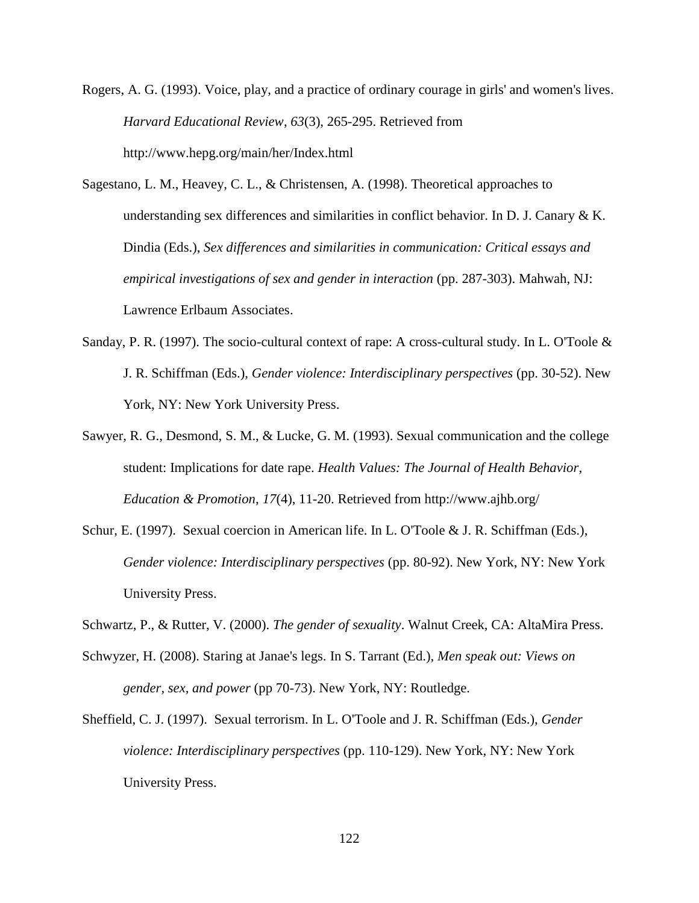Rogers, A. G. (1993). Voice, play, and a practice of ordinary courage in girls' and women's lives. *Harvard Educational Review*, *63*(3), 265-295. Retrieved from http://www.hepg.org/main/her/Index.html

Sagestano, L. M., Heavey, C. L., & Christensen, A. (1998). Theoretical approaches to understanding sex differences and similarities in conflict behavior. In D. J. Canary  $\& K$ . Dindia (Eds.), *Sex differences and similarities in communication: Critical essays and empirical investigations of sex and gender in interaction* (pp. 287-303). Mahwah, NJ: Lawrence Erlbaum Associates.

- Sanday, P. R. (1997). The socio-cultural context of rape: A cross-cultural study. In L. O'Toole & J. R. Schiffman (Eds.), *Gender violence: Interdisciplinary perspectives* (pp. 30-52). New York, NY: New York University Press.
- Sawyer, R. G., Desmond, S. M., & Lucke, G. M. (1993). Sexual communication and the college student: Implications for date rape. *Health Values: The Journal of Health Behavior, Education & Promotion*, *17*(4), 11-20. Retrieved from http://www.ajhb.org/
- Schur, E. (1997). Sexual coercion in American life. In L. O'Toole & J. R. Schiffman (Eds.), *Gender violence: Interdisciplinary perspectives* (pp. 80-92). New York, NY: New York University Press.
- Schwartz, P., & Rutter, V. (2000). *The gender of sexuality*. Walnut Creek, CA: AltaMira Press.
- Schwyzer, H. (2008). Staring at Janae's legs. In S. Tarrant (Ed.), *Men speak out: Views on gender, sex, and power* (pp 70-73). New York, NY: Routledge.
- Sheffield, C. J. (1997). Sexual terrorism. In L. O'Toole and J. R. Schiffman (Eds.), *Gender violence: Interdisciplinary perspectives* (pp. 110-129). New York, NY: New York University Press.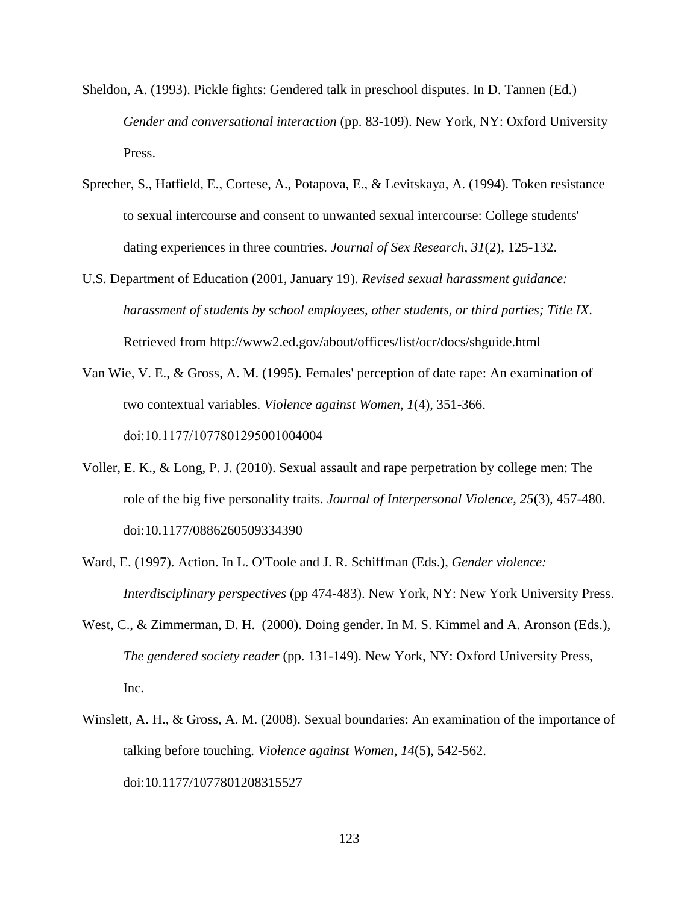- Sheldon, A. (1993). Pickle fights: Gendered talk in preschool disputes. In D. Tannen (Ed.) *Gender and conversational interaction* (pp. 83-109). New York, NY: Oxford University Press.
- Sprecher, S., Hatfield, E., Cortese, A., Potapova, E., & Levitskaya, A. (1994). Token resistance to sexual intercourse and consent to unwanted sexual intercourse: College students' dating experiences in three countries. *Journal of Sex Research*, *31*(2), 125-132.
- U.S. Department of Education (2001, January 19). *Revised sexual harassment guidance: harassment of students by school employees, other students, or third parties; Title IX*. Retrieved from http://www2.ed.gov/about/offices/list/ocr/docs/shguide.html
- Van Wie, V. E., & Gross, A. M. (1995). Females' perception of date rape: An examination of two contextual variables. *Violence against Women*, *1*(4), 351-366. doi:10.1177/1077801295001004004
- Voller, E. K., & Long, P. J. (2010). Sexual assault and rape perpetration by college men: The role of the big five personality traits. *Journal of Interpersonal Violence*, *25*(3), 457-480. doi:10.1177/0886260509334390
- Ward, E. (1997). Action. In L. O'Toole and J. R. Schiffman (Eds.), *Gender violence: Interdisciplinary perspectives* (pp 474-483). New York, NY: New York University Press.
- West, C., & Zimmerman, D. H. (2000). Doing gender. In M. S. Kimmel and A. Aronson (Eds.), *The gendered society reader* (pp. 131-149). New York, NY: Oxford University Press, Inc.
- Winslett, A. H., & Gross, A. M. (2008). Sexual boundaries: An examination of the importance of talking before touching. *Violence against Women*, *14*(5), 542-562. doi:10.1177/1077801208315527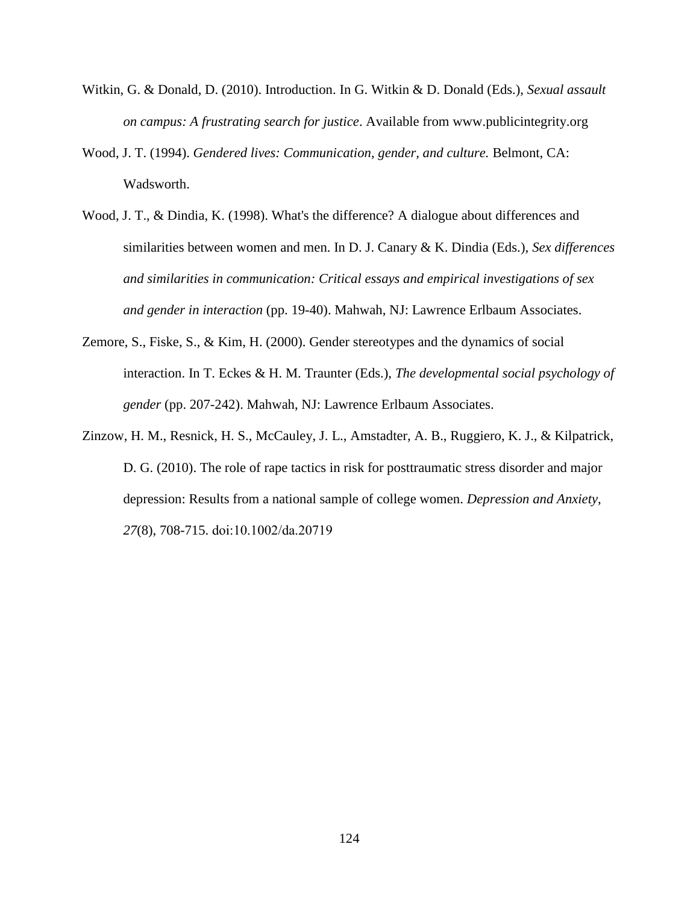- Witkin, G. & Donald, D. (2010). Introduction. In G. Witkin & D. Donald (Eds.), *Sexual assault on campus: A frustrating search for justice*. Available from [www.publicintegrity.org](http://www.publicintegrity.org/)
- Wood, J. T. (1994). *Gendered lives: Communication, gender, and culture.* Belmont, CA: Wadsworth.
- Wood, J. T., & Dindia, K. (1998). What's the difference? A dialogue about differences and similarities between women and men. In D. J. Canary & K. Dindia (Eds.), *Sex differences and similarities in communication: Critical essays and empirical investigations of sex and gender in interaction* (pp. 19-40). Mahwah, NJ: Lawrence Erlbaum Associates.
- Zemore, S., Fiske, S., & Kim, H. (2000). Gender stereotypes and the dynamics of social interaction. In T. Eckes & H. M. Traunter (Eds.), *The developmental social psychology of gender* (pp. 207-242). Mahwah, NJ: Lawrence Erlbaum Associates.
- Zinzow, H. M., Resnick, H. S., McCauley, J. L., Amstadter, A. B., Ruggiero, K. J., & Kilpatrick, D. G. (2010). The role of rape tactics in risk for posttraumatic stress disorder and major depression: Results from a national sample of college women. *Depression and Anxiety*, *27*(8), 708-715. doi:10.1002/da.20719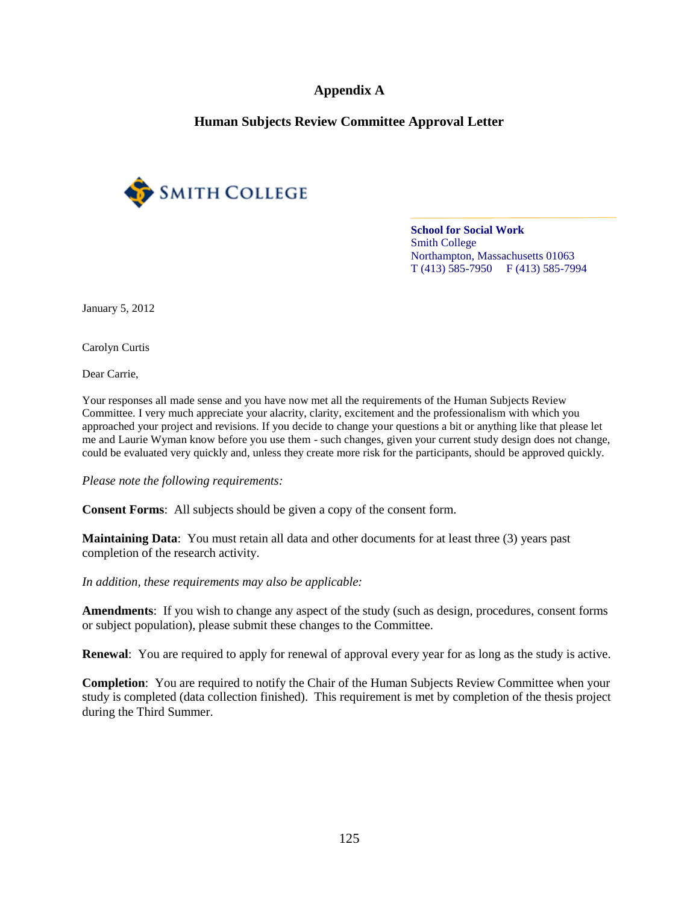# **Appendix A**

# **Human Subjects Review Committee Approval Letter**



**School for Social Work** Smith College Northampton, Massachusetts 01063 T (413) 585-7950 F (413) 585-7994

January 5, 2012

Carolyn Curtis

Dear Carrie,

Your responses all made sense and you have now met all the requirements of the Human Subjects Review Committee. I very much appreciate your alacrity, clarity, excitement and the professionalism with which you approached your project and revisions. If you decide to change your questions a bit or anything like that please let me and Laurie Wyman know before you use them - such changes, given your current study design does not change, could be evaluated very quickly and, unless they create more risk for the participants, should be approved quickly.

*Please note the following requirements:*

**Consent Forms**: All subjects should be given a copy of the consent form.

**Maintaining Data**: You must retain all data and other documents for at least three (3) years past completion of the research activity.

*In addition, these requirements may also be applicable:*

**Amendments**: If you wish to change any aspect of the study (such as design, procedures, consent forms or subject population), please submit these changes to the Committee.

**Renewal**: You are required to apply for renewal of approval every year for as long as the study is active.

**Completion**: You are required to notify the Chair of the Human Subjects Review Committee when your study is completed (data collection finished). This requirement is met by completion of the thesis project during the Third Summer.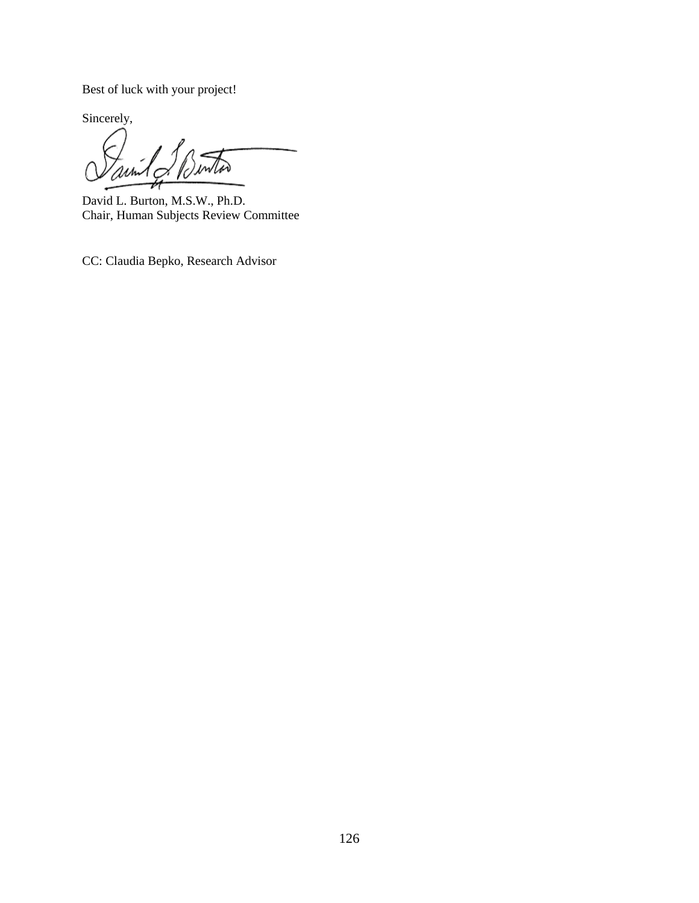Best of luck with your project!

Sincerely,

mtor

David L. Burton, M.S.W., Ph.D. Chair, Human Subjects Review Committee

CC: Claudia Bepko, Research Advisor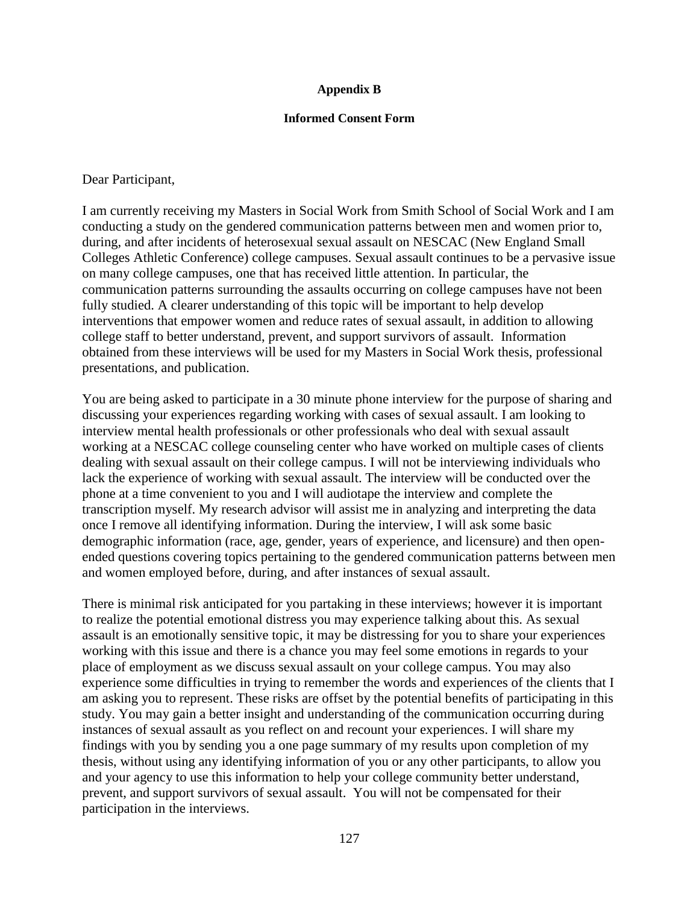## **Appendix B**

### **Informed Consent Form**

Dear Participant,

I am currently receiving my Masters in Social Work from Smith School of Social Work and I am conducting a study on the gendered communication patterns between men and women prior to, during, and after incidents of heterosexual sexual assault on NESCAC (New England Small Colleges Athletic Conference) college campuses. Sexual assault continues to be a pervasive issue on many college campuses, one that has received little attention. In particular, the communication patterns surrounding the assaults occurring on college campuses have not been fully studied. A clearer understanding of this topic will be important to help develop interventions that empower women and reduce rates of sexual assault, in addition to allowing college staff to better understand, prevent, and support survivors of assault. Information obtained from these interviews will be used for my Masters in Social Work thesis, professional presentations, and publication.

You are being asked to participate in a 30 minute phone interview for the purpose of sharing and discussing your experiences regarding working with cases of sexual assault. I am looking to interview mental health professionals or other professionals who deal with sexual assault working at a NESCAC college counseling center who have worked on multiple cases of clients dealing with sexual assault on their college campus. I will not be interviewing individuals who lack the experience of working with sexual assault. The interview will be conducted over the phone at a time convenient to you and I will audiotape the interview and complete the transcription myself. My research advisor will assist me in analyzing and interpreting the data once I remove all identifying information. During the interview, I will ask some basic demographic information (race, age, gender, years of experience, and licensure) and then openended questions covering topics pertaining to the gendered communication patterns between men and women employed before, during, and after instances of sexual assault.

There is minimal risk anticipated for you partaking in these interviews; however it is important to realize the potential emotional distress you may experience talking about this. As sexual assault is an emotionally sensitive topic, it may be distressing for you to share your experiences working with this issue and there is a chance you may feel some emotions in regards to your place of employment as we discuss sexual assault on your college campus. You may also experience some difficulties in trying to remember the words and experiences of the clients that I am asking you to represent. These risks are offset by the potential benefits of participating in this study. You may gain a better insight and understanding of the communication occurring during instances of sexual assault as you reflect on and recount your experiences. I will share my findings with you by sending you a one page summary of my results upon completion of my thesis, without using any identifying information of you or any other participants, to allow you and your agency to use this information to help your college community better understand, prevent, and support survivors of sexual assault. You will not be compensated for their participation in the interviews.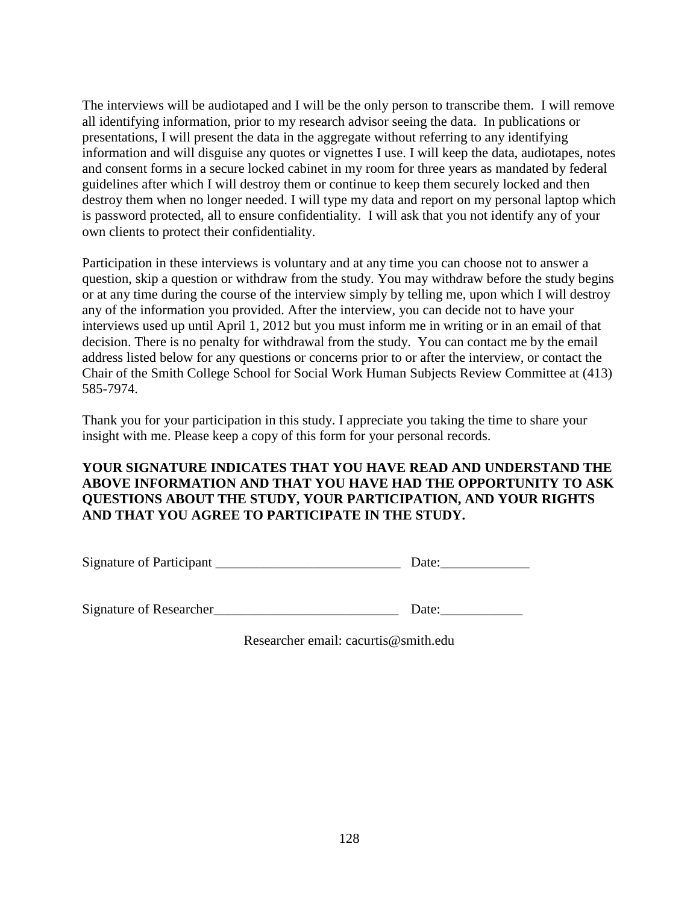The interviews will be audiotaped and I will be the only person to transcribe them. I will remove all identifying information, prior to my research advisor seeing the data. In publications or presentations, I will present the data in the aggregate without referring to any identifying information and will disguise any quotes or vignettes I use. I will keep the data, audiotapes, notes and consent forms in a secure locked cabinet in my room for three years as mandated by federal guidelines after which I will destroy them or continue to keep them securely locked and then destroy them when no longer needed. I will type my data and report on my personal laptop which is password protected, all to ensure confidentiality. I will ask that you not identify any of your own clients to protect their confidentiality.

Participation in these interviews is voluntary and at any time you can choose not to answer a question, skip a question or withdraw from the study. You may withdraw before the study begins or at any time during the course of the interview simply by telling me, upon which I will destroy any of the information you provided. After the interview, you can decide not to have your interviews used up until April 1, 2012 but you must inform me in writing or in an email of that decision. There is no penalty for withdrawal from the study. You can contact me by the email address listed below for any questions or concerns prior to or after the interview, or contact the Chair of the Smith College School for Social Work Human Subjects Review Committee at (413) 585-7974.

Thank you for your participation in this study. I appreciate you taking the time to share your insight with me. Please keep a copy of this form for your personal records.

# **YOUR SIGNATURE INDICATES THAT YOU HAVE READ AND UNDERSTAND THE ABOVE INFORMATION AND THAT YOU HAVE HAD THE OPPORTUNITY TO ASK QUESTIONS ABOUT THE STUDY, YOUR PARTICIPATION, AND YOUR RIGHTS AND THAT YOU AGREE TO PARTICIPATE IN THE STUDY.**

| <b>Signature of Participant</b> | Date: |
|---------------------------------|-------|
|                                 |       |

Signature of Researcher\_\_\_\_\_\_\_\_\_\_\_\_\_\_\_\_\_\_\_\_\_\_\_\_\_\_\_ Date:\_\_\_\_\_\_\_\_\_\_\_\_

| Date: |
|-------|
|       |

Researcher email: [cacurtis@smith.edu](mailto:cacurtis@smith.edu)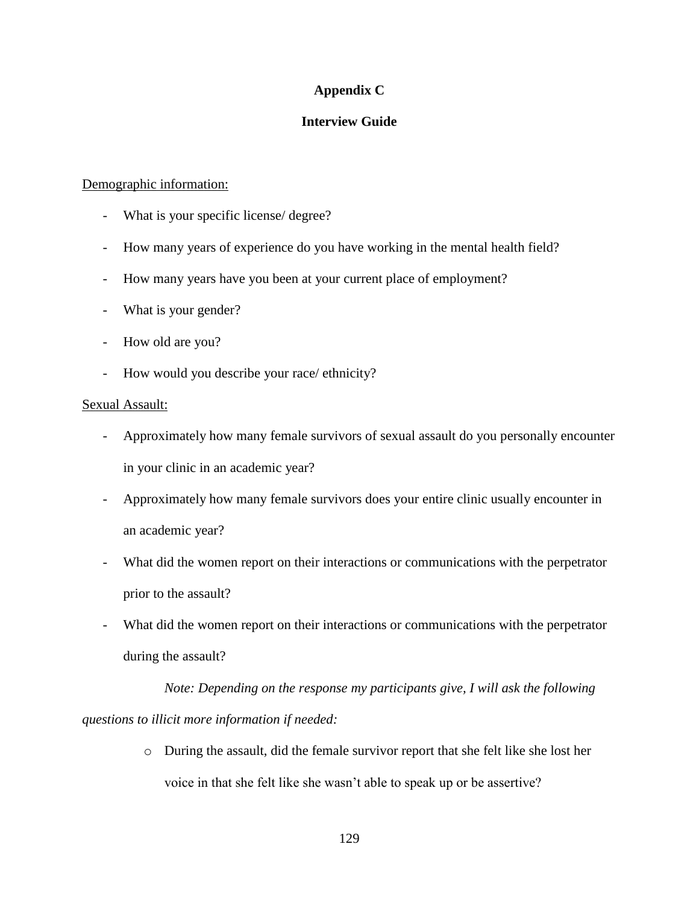# **Appendix C**

# **Interview Guide**

# Demographic information:

- What is your specific license/ degree?
- How many years of experience do you have working in the mental health field?
- How many years have you been at your current place of employment?
- What is your gender?
- How old are you?
- How would you describe your race/ ethnicity?

## Sexual Assault:

- Approximately how many female survivors of sexual assault do you personally encounter in your clinic in an academic year?
- Approximately how many female survivors does your entire clinic usually encounter in an academic year?
- What did the women report on their interactions or communications with the perpetrator prior to the assault?
- What did the women report on their interactions or communications with the perpetrator during the assault?

*Note: Depending on the response my participants give, I will ask the following questions to illicit more information if needed:*

> o During the assault, did the female survivor report that she felt like she lost her voice in that she felt like she wasn't able to speak up or be assertive?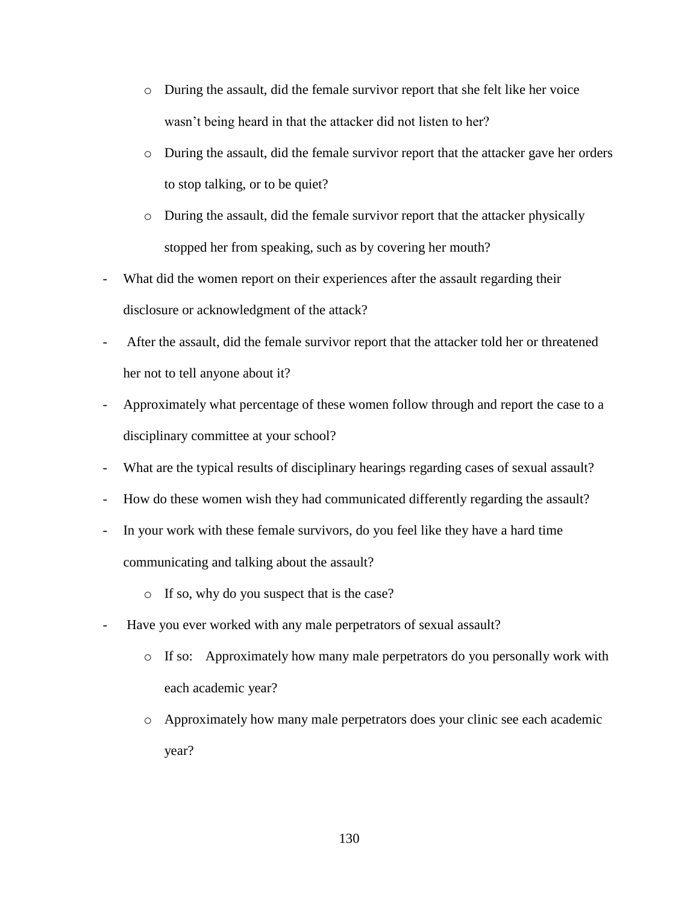- $\circ$  During the assault, did the female survivor report that she felt like her voice wasn't being heard in that the attacker did not listen to her?
- o During the assault, did the female survivor report that the attacker gave her orders to stop talking, or to be quiet?
- $\circ$  During the assault, did the female survivor report that the attacker physically stopped her from speaking, such as by covering her mouth?
- What did the women report on their experiences after the assault regarding their disclosure or acknowledgment of the attack?
- After the assault, did the female survivor report that the attacker told her or threatened her not to tell anyone about it?
- Approximately what percentage of these women follow through and report the case to a disciplinary committee at your school?
- What are the typical results of disciplinary hearings regarding cases of sexual assault?
- How do these women wish they had communicated differently regarding the assault?
- In your work with these female survivors, do you feel like they have a hard time communicating and talking about the assault?
	- o If so, why do you suspect that is the case?
- Have you ever worked with any male perpetrators of sexual assault?
	- o If so: Approximately how many male perpetrators do you personally work with each academic year?
	- o Approximately how many male perpetrators does your clinic see each academic year?